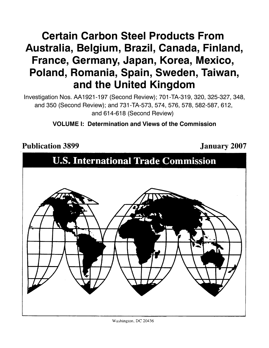# **Certain Carbon Steel Products From Australia, Belgium, Brazil, Canada, Finland, France, Germany, Japan, Korea, Mexico, Poland, Romania, Spain, Sweden, Taiwan, and the United Kingdom**

Investigation Nos. AA1921-197 (Second Review); 701-TA-319, 320, 325-327, 348, and 350 (Second Review); and 731-TA-573, 574, 576, 578, 582-587, 612, and 614-618 (Second Review)

# **VOLUME I: Determination and Views of the Commission**

Publication 3899 **January 2007** 

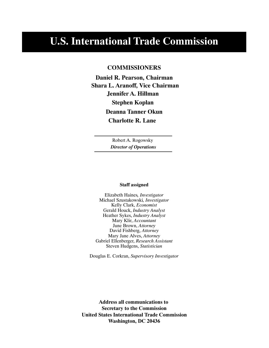# **U.S. International Trade Commission**

# **COMMISSIONERS**

**Jennifer A. Hillman Shara L. Aranoff, Vice Chairman Daniel R. Pearson, Chairman Stephen Koplan Deanna Tanner Okun Charlotte R. Lane**

> Robert A. Rogowsky *Director of Operations*

#### **Staff assigned**

Elizabeth Haines*, Investigator* Michael Szustakowski*, Investigator* Kelly Clark, *Economist* Gerald Houck, *Industry Analyst* Heather Sykes, *Industry Analyst* Mary Klir, *Accountant* June Brown, *Attorney* David Fishberg, *Attorney* Mary Jane Alves, *Attorney* Gabriel Ellenberger, *Research Assistant* Steven Hudgens, *Statistician*

Douglas E. Corkran, *Supervisory Investigator*

**Address all communications to Secretary to the Commission United States International Trade Commission Washington, DC 20436**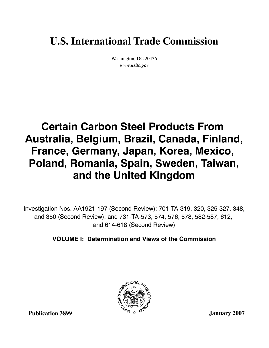# **U.S. International Trade Commission**

Washington, DC 20436 *www.usitc.gov*

# **Certain Carbon Steel Products From Australia, Belgium, Brazil, Canada, Finland, France, Germany, Japan, Korea, Mexico, Poland, Romania, Spain, Sweden, Taiwan, and the United Kingdom**

Investigation Nos. AA1921-197 (Second Review); 701-TA-319, 320, 325-327, 348, and 350 (Second Review); and 731-TA-573, 574, 576, 578, 582-587, 612, and 614-618 (Second Review)

**VOLUME I: Determination and Views of the Commission**



**Publication 3899**

**January 2007**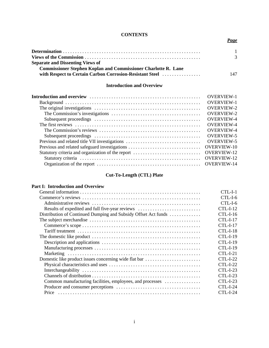# **CONTENTS**

# *Page*

|                                                                       | 3   |
|-----------------------------------------------------------------------|-----|
| <b>Separate and Dissenting Views of</b>                               |     |
| <b>Commissioner Stephen Koplan and Commissioner Charlotte R. Lane</b> |     |
| with Respect to Certain Carbon Corrosion-Resistant Steel              | 147 |

# **Introduction and Overview**

|                                                   | <b>OVERVIEW-1</b>  |
|---------------------------------------------------|--------------------|
|                                                   | <b>OVERVIEW-1</b>  |
|                                                   | <b>OVERVIEW-2</b>  |
|                                                   | <b>OVERVIEW-2</b>  |
|                                                   | <b>OVERVIEW-4</b>  |
|                                                   | <b>OVERVIEW-4</b>  |
|                                                   | <b>OVERVIEW-4</b>  |
|                                                   | <b>OVERVIEW-5</b>  |
| Previous and related title VII investigations     | <b>OVERVIEW-5</b>  |
|                                                   | <b>OVERVIEW-10</b> |
| Statutory criteria and organization of the report | <b>OVERVIEW-12</b> |
|                                                   | <b>OVERVIEW-12</b> |
|                                                   |                    |
|                                                   |                    |

# **Cut-To-Length (CTL) Plate**

# **Part I: Introduction and Overview**

|                                                                | $CTL-L1$        |
|----------------------------------------------------------------|-----------------|
|                                                                |                 |
|                                                                | $CL-L-1-6$      |
| Results of expedited and full five-year reviews                | $CTL-I-12$      |
| Distribution of Continued Dumping and Subsidy Offset Act funds | $CTL-I-16$      |
|                                                                | $CTL-I-17$      |
|                                                                | $CTL-I-17$      |
|                                                                | $CL-I-18$       |
|                                                                |                 |
|                                                                | $CL-I-19$       |
|                                                                | $CL-I-19$       |
|                                                                | $CL-I-21$       |
| Domestic like product issues concerning wide flat bar          | $CL-I-22$       |
|                                                                | <b>CTL-I-22</b> |
|                                                                | $CL-I-23$       |
|                                                                | $CTL-I-23$      |
| Common manufacturing facilities, employees, and processes      | $CTI - I-23$    |
|                                                                | $CTI - I-24$    |
| Price                                                          | CTI - I-24      |
|                                                                |                 |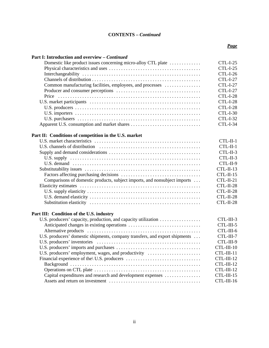| Part I: Introduction and overview - Continued                               |                 |
|-----------------------------------------------------------------------------|-----------------|
| Domestic like product issues concerning micro-alloy CTL plate               | $CTL-I-25$      |
|                                                                             | <b>CTL-I-25</b> |
|                                                                             | CTL-I-26        |
|                                                                             | <b>CTL-I-27</b> |
| Common manufacturing facilities, employees, and processes                   | <b>CTL-I-27</b> |
|                                                                             | <b>CTL-I-27</b> |
|                                                                             | CTL-I-28        |
|                                                                             | CTL-I-28        |
|                                                                             | CTL-I-28        |
|                                                                             | <b>CTL-I-30</b> |
|                                                                             | <b>CTL-I-32</b> |
|                                                                             | CTL-I-34        |
| Part II: Conditions of competition in the U.S. market                       |                 |
|                                                                             | $CTL-II-1$      |
|                                                                             | CTL-II-1        |
|                                                                             | CTL-II-3        |
|                                                                             | CTL-II-3        |
|                                                                             | CTL-II-9        |
|                                                                             | CTL-II-13       |
|                                                                             | CTL-II-15       |
| Comparisons of domestic products, subject imports, and nonsubject imports   | $CTL-II-21$     |
|                                                                             | CTL-II-28       |
|                                                                             | CTL-II-28       |
|                                                                             | CTL-II-28       |
|                                                                             | CTL-II-28       |
| Part III: Condition of the U.S. industry                                    |                 |
| U.S. producers' capacity, production, and capacity utilization              | CTL-III-3       |
|                                                                             | CTL-III-5       |
|                                                                             | CTL-III-6       |
| U.S. producers' domestic shipments, company transfers, and export shipments | CTL-III-7       |
|                                                                             | CTL-III-9       |
|                                                                             | CTL-III-10      |
| U.S. producers' employment, wages, and productivity                         | CTL-III-11      |
|                                                                             | CTL-III-12      |
|                                                                             | CTL-III-12      |

Operations on CTL plate . . . . . . . . . . . . . . . . . . . . . . . . . . . . . . . . . . . . . . . . . . . . CTL-III-12 Capital expenditures and research and development expenses . . . . . . . . . . . . . . . CTL-III-15 Assets and return on investment . . . . . . . . . . . . . . . . . . . . . . . . . . . . . . . . . . . . . . CTL-III-16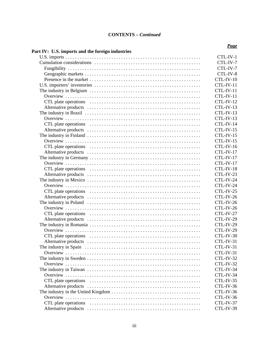| CTL-IV-1    |
|-------------|
| CTL-IV-7    |
| CTL-IV-7    |
| CTL-IV-8    |
| CTL-IV-10   |
| CTL-IV-11   |
| CTL-IV-11   |
| CTL-IV-11   |
| CTL-IV-12   |
| CTL-IV-13   |
| CTL-IV-13   |
| CTL-IV-13   |
| CTL-IV-14   |
| CTL-IV-15   |
| CTL-IV-15   |
| CTL-IV-15   |
| CTL-IV-16   |
| $CTL-IV-17$ |
| CTL-IV-17   |
| $CTL-IV-17$ |
| CTL-IV-18   |
| CTL-IV-23   |
| CTL-IV-24   |
| CTL-IV-24   |
| CTL-IV-25   |
| CTL-IV-26   |
| CTL-IV-26   |
| CTL-IV-26   |
| CTL-IV-27   |
| CTL-IV-29   |
| CTL-IV-29   |
| CTL-IV-29   |
| CTL-IV-30   |
| CTL-IV-31   |
| CTL-IV-31   |
| CTL-IV-31   |
| CTL-IV-32   |
| CTL-IV-32   |
| CTL-IV-34   |
| CTL-IV-34   |
| CTL-IV-35   |
| CTL-IV-36   |
| CTL-IV-36   |
| CTL-IV-36   |
| CTL-IV-37   |
| CTL-IV-39   |
|             |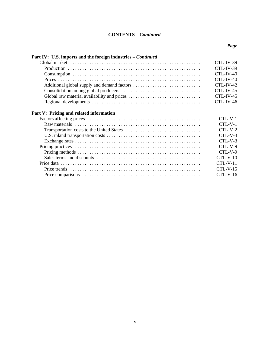# *Page*

# Part IV: U.S. imports and the foreign industries – *Continued*

|  | $CTI$ $-IV-39$ |
|--|----------------|
|  | CTL-IV-40      |
|  | CTL-IV-40      |
|  |                |
|  |                |
|  |                |
|  |                |
|  |                |

# **Part V: Pricing and related information**

|                                                                                                                 | $CTL-V-1$             |
|-----------------------------------------------------------------------------------------------------------------|-----------------------|
| Raw materials $\dots \dots \dots \dots \dots \dots \dots \dots \dots \dots \dots \dots \dots \dots \dots \dots$ | $CTL-V-1$             |
|                                                                                                                 | $CTL-V-2$             |
|                                                                                                                 | $CTL-V-3$             |
|                                                                                                                 | $CTL-V-3$             |
|                                                                                                                 | $CTL-V-9$             |
|                                                                                                                 | $CTI$ <sub>-V-9</sub> |
|                                                                                                                 | $CTL-V-10$            |
|                                                                                                                 | $CTL-V-11$            |
|                                                                                                                 | $CTL-V-15$            |
|                                                                                                                 | $CTL-V-16$            |
|                                                                                                                 |                       |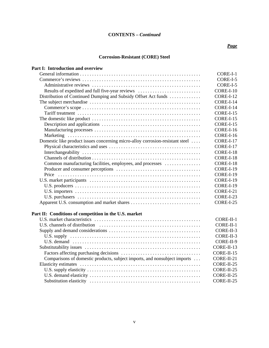## *Page*

# **Corrosion-Resistant (CORE) Steel**

| Part I: Introduction and overview                                             |            |
|-------------------------------------------------------------------------------|------------|
|                                                                               | CORE-I-1   |
|                                                                               | CORE-I-5   |
|                                                                               | CORE-I-5   |
| Results of expedited and full five-year reviews                               | CORE-I-10  |
| Distribution of Continued Dumping and Subsidy Offset Act funds                | CORE-I-12  |
|                                                                               | CORE-I-14  |
|                                                                               | CORE-I-14  |
|                                                                               | CORE-I-15  |
|                                                                               | CORE-I-15  |
|                                                                               | CORE-I-15  |
|                                                                               | CORE-I-16  |
|                                                                               | CORE-I-16  |
| Domestic like product issues concerning micro-alloy corrosion-resistant steel | CORE-I-17  |
|                                                                               | CORE-I-17  |
|                                                                               | CORE-I-18  |
|                                                                               | CORE-I-18  |
| Common manufacturing facilities, employees, and processes                     | CORE-I-18  |
|                                                                               | CORE-I-19  |
|                                                                               | CORE-I-19  |
|                                                                               | CORE-I-19  |
|                                                                               | CORE-I-19  |
|                                                                               | CORE-I-21  |
|                                                                               | CORE-I-23  |
|                                                                               | CORE-I-25  |
| Part II: Conditions of competition in the U.S. market                         |            |
|                                                                               | CORE-II-1  |
|                                                                               | CORE-II-1  |
|                                                                               | CORE-II-3  |
|                                                                               | CORE-II-3  |
|                                                                               | CORE-II-9  |
|                                                                               | CORE-II-13 |
|                                                                               | CORE-II-15 |
| Comparisons of domestic products, subject imports, and nonsubject imports     | CORE-II-21 |
|                                                                               | CORE-II-25 |

U.S. supply elasticity . . . . . . . . . . . . . . . . . . . . . . . . . . . . . . . . . . . . . . . . . . . . . . . CORE-II-25 U.S. demand elasticity . . . . . . . . . . . . . . . . . . . . . . . . . . . . . . . . . . . . . . . . . . . . . . CORE-II-25 Substitution elasticity . . . . . . . . . . . . . . . . . . . . . . . . . . . . . . . . . . . . . . . . . . . . . . CORE-II-25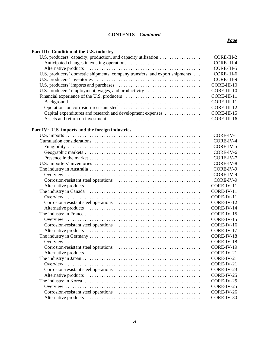# **Part III: Condition of the U.S. industry**

| U.S. producers' capacity, production, and capacity utilization              | CORE-III-2  |
|-----------------------------------------------------------------------------|-------------|
|                                                                             | CORE-III-4  |
|                                                                             | CORE-III-5  |
| U.S. producers' domestic shipments, company transfers, and export shipments | CORE-III-6  |
|                                                                             | CORE-III-9  |
|                                                                             | CORE-III-10 |
| U.S. producers' employment, wages, and productivity                         | CORE-III-10 |
|                                                                             | CORE-III-11 |
|                                                                             | CORE-III-11 |
|                                                                             | CORE-III-12 |
| Capital expenditures and research and development expenses                  | CORE-III-15 |
|                                                                             | CORE-III-16 |

# **Part IV: U.S. imports and the foreign industries**

| CORE-IV-1  |
|------------|
| CORE-IV-4  |
| CORE-IV-5  |
| CORE-IV-6  |
| CORE-IV-7  |
| CORE-IV-8  |
| CORE-IV-9  |
| CORE-IV-9  |
| CORE-IV-9  |
| CORE-IV-11 |
| CORE-IV-11 |
| CORE-IV-11 |
| CORE-IV-12 |
| CORE-IV-14 |
| CORE-IV-15 |
| CORE-IV-15 |
| CORE-IV-16 |
| CORE-IV-17 |
| CORE-IV-18 |
| CORE-IV-18 |
| CORE-IV-19 |
| CORE-IV-21 |
| CORE-IV-21 |
| CORE-IV-21 |
| CORE-IV-23 |
| CORE-IV-25 |
| CORE-IV-25 |
| CORE-IV-25 |
| CORE-IV-26 |
| CORE-IV-30 |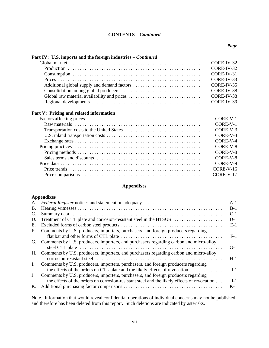#### *Page*

# Part IV: U.S. imports and the foreign industries – *Continued*

| CORE-IV-31 |
|------------|
| CORE-IV-33 |
|            |
|            |
|            |
|            |
|            |

# **Part V: Pricing and related information**

|  | CORE-V-1    |
|--|-------------|
|  | CORE-V-1    |
|  | CORE-V-3    |
|  | CORE-V-4    |
|  | $CORE-V-4$  |
|  | CORE-V-8    |
|  | CORE-V-8    |
|  | CORE-V-8    |
|  | CORE-V-9    |
|  | $CORE-V-16$ |
|  | CORE-V-17   |
|  |             |

# **Appendixes**

# **Appendixes**

| A.             |                                                                                             | $A-1$ |
|----------------|---------------------------------------------------------------------------------------------|-------|
| В.             |                                                                                             | $B-1$ |
| C.             |                                                                                             | $C-1$ |
| D.             | Treatment of CTL plate and corrosion-resistant steel in the HTSUS                           | $D-1$ |
| Е.             |                                                                                             | $E-1$ |
| F.             | Comments by U.S. producers, importers, purchasers, and foreign producers regarding          |       |
|                |                                                                                             | $F-1$ |
|                | G. Comments by U.S. producers, importers, and purchasers regarding carbon and micro-alloy   |       |
|                |                                                                                             | $G-1$ |
|                | H. Comments by U.S. producers, importers, and purchasers regarding carbon and micro-alloy   |       |
|                |                                                                                             | $H-1$ |
| $\mathbf{I}$ . | Comments by U.S. producers, importers, purchasers, and foreign producers regarding          |       |
|                | the effects of the orders on CTL plate and the likely effects of revocation                 | $I-1$ |
| $J_{\cdot}$    | Comments by U.S. producers, importers, purchasers, and foreign producers regarding          |       |
|                | the effects of the orders on corrosion-resistant steel and the likely effects of revocation | $J-1$ |
| K.             |                                                                                             | $K-1$ |
|                |                                                                                             |       |

Note.–Information that would reveal confidential operations of individual concerns may not be published and therefore has been deleted from this report. Such deletions are indicated by asterisks.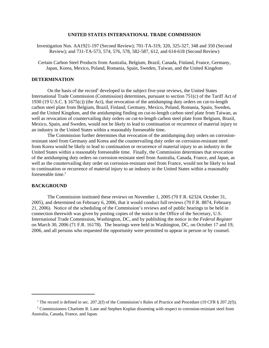#### **UNITED STATES INTERNATIONAL TRADE COMMISSION**

Investigation Nos. AA1921-197 (Second Review); 701-TA-319, 320, 325-327, 348 and 350 (Second Review); and 731-TA-573, 574, 576, 578, 582-587, 612, and 614-618 (Second Review)

Certain Carbon Steel Products from Australia, Belgium, Brazil, Canada, Finland, France, Germany, Japan, Korea, Mexico, Poland, Romania, Spain, Sweden, Taiwan, and the United Kingdom

#### **DETERMINATION**

On the basis of the record<sup>1</sup> developed in the subject five-year reviews, the United States International Trade Commission (Commission) determines, pursuant to section 751(c) of the Tariff Act of 1930 (19 U.S.C. § 1675(c)) (the Act), that revocation of the antidumping duty orders on cut-to-length carbon steel plate from Belgium, Brazil, Finland, Germany, Mexico, Poland, Romania, Spain, Sweden, and the United Kingdom, and the antidumping finding on cut-to-length carbon steel plate from Taiwan, as well as revocation of countervailing duty orders on cut-to-length carbon steel plate from Belgium, Brazil, Mexico, Spain, and Sweden, would not be likely to lead to continuation or recurrence of material injury to an industry in the United States within a reasonably foreseeable time.

The Commission further determines that revocation of the antidumping duty orders on corrosionresistant steel from Germany and Korea and the countervailing duty order on corrosion-resistant steel from Korea would be likely to lead to continuation or recurrence of material injury to an industry in the United States within a reasonably foreseeable time. Finally, the Commission determines that revocation of the antidumping duty orders on corrosion-resistant steel from Australia, Canada, France, and Japan, as well as the countervailing duty order on corrosion-resistant steel from France, would not be likely to lead to continuation or recurrence of material injury to an industry in the United States within a reasonably foreseeable time.<sup>2</sup>

#### **BACKGROUND**

The Commission instituted these reviews on November 1, 2005 (70 F.R. 62324, October 31, 2005), and determined on February 6, 2006, that it would conduct full reviews (70 F.R. 8874, February 21, 2006). Notice of the scheduling of the Commission's reviews and of public hearings to be held in connection therewith was given by posting copies of the notice in the Office of the Secretary, U.S. International Trade Commission, Washington, DC, and by publishing the notice in the *Federal Register* on March 30, 2006 (71 F.R. 16178). The hearings were held in Washington, DC, on October 17 and 19, 2006, and all persons who requested the opportunity were permitted to appear in person or by counsel.

<sup>&</sup>lt;sup>1</sup> The record is defined in sec. 207.2(f) of the Commission's Rules of Practice and Procedure (19 CFR § 207.2(f)).

<sup>&</sup>lt;sup>2</sup> Commissioners Charlotte R. Lane and Stephen Koplan dissenting with respect to corrosion-resistant steel from Australia, Canada, France, and Japan.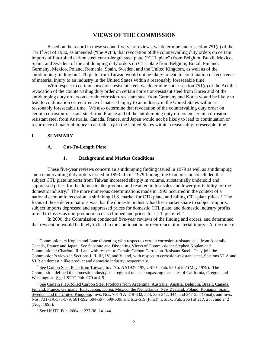# **VIEWS OF THE COMMISSION**

Based on the record in these second five-year reviews, we determine under section 751(c) of the Tariff Act of 1930, as amended ("the Act"), that revocation of the countervailing duty orders on certain imports of flat-rolled carbon steel cut-to-length steel plate ("CTL plate") from Belgium, Brazil, Mexico, Spain, and Sweden, of the antidumping duty orders on CTL plate from Belgium, Brazil, Finland, Germany, Mexico, Poland, Romania, Spain, Sweden, and the United Kingdom, as well as of the antidumping finding on CTL plate from Taiwan would not be likely to lead to continuation or recurrence of material injury to an industry in the United States within a reasonably foreseeable time.

With respect to certain corrosion-resistant steel, we determine under section 751(c) of the Act that revocation of the countervailing duty order on certain corrosion-resistant steel from Korea and of the antidumping duty orders on certain corrosion-resistant steel from Germany and Korea would be likely to lead to continuation or recurrence of material injury to an industry in the United States within a reasonably foreseeable time. We also determine that revocation of the countervailing duty order on certain corrosion-resistant steel from France and of the antidumping duty orders on certain corrosionresistant steel from Australia, Canada, France, and Japan would not be likely to lead to continuation or recurrence of material injury to an industry in the United States within a reasonably foreseeable time.<sup>1</sup>

# **I. SUMMARY**

#### **A. Cut-To-Length Plate**

#### **1. Background and Market Conditions**

These five-year reviews concern an antidumping finding issued in 1979 as well as antidumping and countervailing duty orders issued in 1993. In its 1979 finding, the Commission concluded that subject CTL plate imports from Taiwan increased sharply in volume, substantially undersold and suppressed prices for the domestic like product, and resulted in lost sales and lower profitability for the domestic industry.2 The more numerous determinations made in 1993 occurred in the context of a national economic recession, a shrinking U.S. market for CTL plate, and falling CTL plate prices.<sup>3</sup> The focus of those determinations was that the domestic industry had lost market share to subject imports, subject imports depressed and suppressed prices for domestic CTL plate, and domestic industry profits turned to losses as unit production costs climbed and prices for CTL plate fell.<sup>4</sup>

In 2000, the Commission conducted five-year reviews of the finding and orders, and determined that revocation would be likely to lead to the continuation or recurrence of material injury. At the time of

<sup>&</sup>lt;sup>1</sup> Commissioners Koplan and Lane dissenting with respect to certain corrosion-resistant steel from Australia, Canada, France and Japan. See Separate and Dissenting Views of Commissioner Stephen Koplan and Commissioner Charlotte R. Lane with respect to Certain Carbon Corrosion-Resistant Steel. They join the Commission's views in Sections I, II, III, IV, and V, and, with respect to corrosion-resistant steel, Sections VI.A and VI.B on domestic like product and domestic industry, respectively.

<sup>&</sup>lt;sup>2</sup> See Carbon Steel Plate from Taiwan, Inv. No. AA1921-197, USITC Pub. 970 at 5-7 (May 1979). The Commission defined the domestic industry as a regional one encompassing the states of California, Oregon, and Washington. See USITC Pub. 970 at 4-5.

<sup>&</sup>lt;sup>3</sup> See Certain Flat-Rolled Carbon Steel Products from Argentina, Australia, Austria, Belgium, Brazil, Canada, Finland, France, Germany, Italy, Japan, Korea, Mexico, the Netherlands, New Zealand, Poland, Romania, Spain, Sweden, and the United Kingdom, Invs. Nos. 701-TA-319-332, 334, 336-342, 344, and 347-353 (Final), and Invs. Nos. 731-TA-573-579, 581-592, 594-597, 599-609, and 612-619 (Final), USITC Pub. 2664 at 217, 237, and 242 (Aug. 1993).

<sup>&</sup>lt;sup>4</sup> See USITC Pub. 2664 at 237-38, 241-44.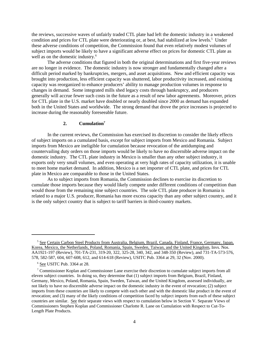the reviews, successive waves of unfairly traded CTL plate had left the domestic industry in a weakened condition and prices for CTL plate were deteriorating or, at best, had stabilized at low levels.<sup>5</sup> Under these adverse conditions of competition, the Commission found that even relatively modest volumes of subject imports would be likely to have a significant adverse effect on prices for domestic CTL plate as well as on the domestic industry.<sup>6</sup>

The adverse conditions that figured in both the original determinations and first five-year reviews are no longer in evidence. The domestic industry is now stronger and fundamentally changed after a difficult period marked by bankruptcies, mergers, and asset acquisitions. New and efficient capacity was brought into production, less efficient capacity was shuttered, labor productivity increased, and existing capacity was reorganized to enhance producers' ability to manage production volumes in response to changes in demand. Some integrated mills shed legacy costs through bankruptcy, and producers generally will accrue fewer such costs in the future as a result of new labor agreements. Moreover, prices for CTL plate in the U.S. market have doubled or nearly doubled since 2000 as demand has expanded both in the United States and worldwide. The strong demand that drove the price increases is projected to increase during the reasonably foreseeable future.

#### **2. Cumulation7**

In the current reviews, the Commission has exercised its discretion to consider the likely effects of subject imports on a cumulated basis, except for subject imports from Mexico and Romania. Subject imports from Mexico are ineligible for cumulation because revocation of the antidumping and countervailing duty orders on those imports would be likely to have no discernible adverse impact on the domestic industry. The CTL plate industry in Mexico is smaller than any other subject industry, it exports only very small volumes, and even operating at very high rates of capacity utilization, it is unable to meet home market demand. In addition, Mexico is a net importer of CTL plate, and prices for CTL plate in Mexico are comparable to those in the United States.

As to subject imports from Romania, the Commission declines to exercise its discretion to cumulate those imports because they would likely compete under different conditions of competition than would those from the remaining nine subject countries. The sole CTL plate producer in Romania is related to a major U.S. producer, Romania has more excess capacity than any other subject country, and it is the only subject country that is subject to tariff barriers in third-country markets.

<sup>&</sup>lt;sup>5</sup> See Certain Carbon Steel Products from Australia, Belgium, Brazil, Canada, Finland, France, Germany, Japan, Korea, Mexico, the Netherlands, Poland, Romania, Spain, Sweden, Taiwan, and the United Kingdom, Invs. Nos. AA1921-197 (Review), 701-TA-231, 319-20, 322, 325-28, 340, 342, and 348-350 (Review), and 731-TA-573-576, 578, 582-587, 604, 607-608, 612, and 614-618 (Review), USITC Pub. 3364 at 29, 32 (Nov. 2000).

<sup>&</sup>lt;sup>6</sup> See USITC Pub. 3364 at 28.

<sup>&</sup>lt;sup>7</sup> Commissioner Koplan and Commissioner Lane exercise their discretion to cumulate subject imports from all eleven subject countries. In doing so, they determine that (1) subject imports from Belgium, Brazil, Finland, Germany, Mexico, Poland, Romania, Spain, Sweden, Taiwan, and the United Kingdom, assessed individually, are not likely to have no discernible adverse impact on the domestic industry in the event of revocation; (2) subject imports from these countries are likely to compete with each other and with the domestic like product in the event of revocation; and (3) many of the likely conditions of competition faced by subject imports from each of these subject countries are similar. See their separate views with respect to cumulation below in Section V. Separate Views of Commissioners Stephen Koplan and Commissioner Charlotte R. Lane on Cumulation with Respect to Cut-To-Length Plate Products.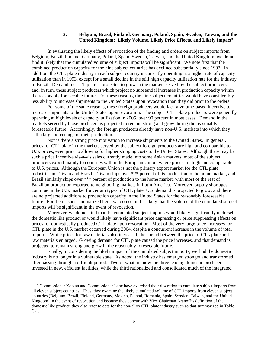#### **3. Belgium, Brazil, Finland, Germany, Poland, Spain, Sweden, Taiwan, and the United Kingdom: Likely Volume, Likely Price Effects, and Likely Impact8**

In evaluating the likely effects of revocation of the finding and orders on subject imports from Belgium, Brazil, Finland, Germany, Poland, Spain, Sweden, Taiwan, and the United Kingdom, we do not find it likely that the cumulated volume of subject imports will be significant. We note first that the combined production capacity for the nine subject countries has declined substantially since 1993. In addition, the CTL plate industry in each subject country is currently operating at a higher rate of capacity utilization than in 1993, except for a small decline in the still high capacity utilization rate for the industry in Brazil. Demand for CTL plate is projected to grow in the markets served by the subject producers, and, in turn, these subject producers which project no substantial increases in production capacity within the reasonably foreseeable future. For these reasons, the nine subject countries would have considerably less ability to increase shipments to the United States upon revocation than they did prior to the orders.

For some of the same reasons, these foreign producers would lack a volume-based incentive to increase shipments to the United States upon revocation. The subject CTL plate producers were generally operating at high levels of capacity utilization in 2005, over 90 percent in most cases. Demand in the markets served by those producers is projected to remain strong and grow during the reasonably foreseeable future. Accordingly, the foreign producers already have non-U.S. markets into which they sell a large percentage of their production.

Nor is there a strong price motivation to increase shipments to the United States. In general, prices for CTL plate in the markets served by the subject foreign producers are high and comparable to U.S. prices, even prior to allowing for higher shipping costs to the United States. Although there may be such a price incentive vis-a-vis sales currently made into some Asian markets, most of the subject producers export mainly to countries within the European Union, where prices are high and comparable to U.S. prices. Although the European Union is not the primary export market for the CTL plate industries in Taiwan and Brazil, Taiwan ships over \*\*\* percent of its production to the home market, and Brazil similarly ships over \*\*\* percent of production to the home market, with most of the rest of Brazilian production exported to neighboring markets in Latin America. Moreover, supply shortages continue in the U.S. market for certain types of CTL plate, U.S. demand is projected to grow, and there are no projected additions to production capacity in the United States for the reasonably foreseeable future. For the reasons summarized here, we do not find it likely that the volume of the cumulated subject imports will be significant in the event of revocation.

Moreover, we do not find that the cumulated subject imports would likely significantly undersell the domestic like product or would likely have significant price depressing or price suppressing effects on prices for domestically produced CTL plate upon revocation. Most of the very large price increases for CTL plate in the U.S. market occurred during 2004, despite a concurrent increase in the volume of total imports. While prices for raw materials also increased, the spread between the price of CTL plate and raw materials enlarged. Growing demand for CTL plate caused the price increases, and that demand is projected to remain strong and grow in the reasonably foreseeable future.

Finally, in considering the likely impact of the cumulated subject imports, we find the domestic industry is no longer in a vulnerable state. As noted, the industry has emerged stronger and transformed after passing through a difficult period. Two of what are now the three leading domestic producers invested in new, efficient facilities, while the third rationalized and consolidated much of the integrated

 <sup>8</sup> Commissioner Koplan and Commissioner Lane have exercised their discretion to cumulate subject imports from all eleven subject countries. Thus, they examine the likely cumulated volume of CTL imports from eleven subject countries (Belgium, Brazil, Finland, Germany, Mexico, Poland, Romania, Spain, Sweden, Taiwan, and the United Kingdom) in the event of revocation and because they concur with Vice Chairman Aranoff's definition of the domestic like product, they also refer to data for the non-alloy CTL plate industry such as that summarized in Table C-1.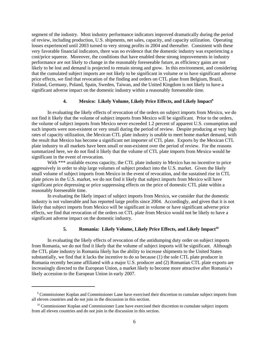segment of the industry. Most industry performance indicators improved dramatically during the period of review, including production, U.S. shipments, net sales, capacity, and capacity utilization. Operating losses experienced until 2003 turned to very strong profits in 2004 and thereafter. Consistent with these very favorable financial indicators, there was no evidence that the domestic industry was experiencing a cost/price squeeze. Moreover, the conditions that have enabled these strong improvements in industry performance are not likely to change in the reasonably foreseeable future, as efficiency gains are not likely to be lost and demand is projected to remain strong and grow. In this environment, and considering that the cumulated subject imports are not likely to be significant in volume or to have significant adverse price effects, we find that revocation of the finding and orders on CTL plate from Belgium, Brazil, Finland, Germany, Poland, Spain, Sweden, Taiwan, and the United Kingdom is not likely to have a significant adverse impact on the domestic industry within a reasonably foreseeable time.

#### **4.** Mexico: Likely Volume, Likely Price Effects, and Likely Impact<sup>9</sup>

In evaluating the likely effects of revocation of the orders on subject imports from Mexico, we do not find it likely that the volume of subject imports from Mexico will be significant. Prior to the orders, the volume of subject imports from Mexico never exceeded 1.2 percent of apparent U.S. consumption and such imports were non-existent or very small during the period of review. Despite producing at very high rates of capacity utilization, the Mexican CTL plate industry is unable to meet home market demand, with the result that Mexico has become a significant net importer of CTL plate. Exports by the Mexican CTL plate industry to all markets have been small or non-existent over the period of review. For the reasons summarized here, we do not find it likely that the volume of CTL plate imports from Mexico would be significant in the event of revocation.

With \*\*\* available excess capacity, the CTL plate industry in Mexico has no incentive to price aggressively in order to ship large volumes of subject product into the U.S. market. Given the likely small volume of subject imports from Mexico in the event of revocation, and the sustained rise in CTL plate prices in the U.S. market, we do not find it likely that subject imports from Mexico will have significant price depressing or price suppressing effects on the price of domestic CTL plate within a reasonably foreseeable time.

In evaluating the likely impact of subject imports from Mexico, we consider that the domestic industry is not vulnerable and has reported large profits since 2004. Accordingly, and given that it is not likely that subject imports from Mexico will be significant in volume or have significant adverse price effects, we find that revocation of the orders on CTL plate from Mexico would not be likely to have a significant adverse impact on the domestic industry.

### 5. Romania: Likely Volume, Likely Price Effects, and Likely Impact<sup>10</sup>

In evaluating the likely effects of revocation of the antidumping duty order on subject imports from Romania, we do not find it likely that the volume of subject imports will be significant. Although the CTL plate industry in Romania likely has the ability to increase shipments to the United States substantially, we find that it lacks the incentive to do so because (1) the sole CTL plate producer in Romania recently became affiliated with a major U.S. producer and (2) Romanian CTL plate exports are increasingly directed to the European Union, a market likely to become more attractive after Romania's likely accession to the European Union in early 2007.

<sup>&</sup>lt;sup>9</sup> Commissioner Koplan and Commissioner Lane have exercised their discretion to cumulate subject imports from all eleven countries and do not join in the discussion in this section.

 $10$  Commissioner Koplan and Commissioner Lane have exercised their discretion to cumulate subject imports from all eleven countries and do not join in the discussion in this section.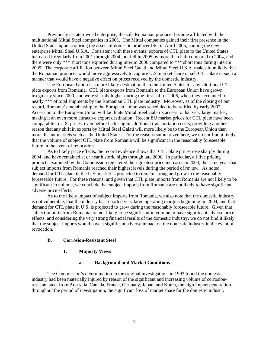Previously a state-owned enterprise, the sole Romanian producer became affiliated with the multinational Mittal Steel companies in 2001. The Mittal companies gained their first presence in the United States upon acquiring the assets of domestic producer ISG in April 2005, naming the new enterprise Mittal Steel U.S.A. Consistent with these events, exports of CTL plate to the United States increased irregularly from 2001 through 2004, but fell in 2005 by more than half compared to 2004, and there were only \*\*\* short tons exported during interim 2006 compared to \*\*\* short tons during interim 2005. The corporate affiliation between Mittal Steel Galati and Mittal Steel U.S.A. makes it unlikely that the Romanian producer would move aggressively to capture U.S. market share or sell CTL plate in such a manner that would have a negative effect on prices received by the domestic industry.

The European Union is a more likely destination than the United States for any additional CTL plate exports from Romania. CTL plate exports from Romania to the European Union have grown irregularly since 2000, and were sharply higher during the first half of 2006, when they accounted for nearly \*\*\* of total shipments by the Romanian CTL plate industry. Moreover, as of the closing of our record, Romania's membership to the European Union was scheduled to be ratified by early 2007. Accession to the European Union will facilitate Mittal Steel Galati's access to that very large market, making it an even more attractive export destination. Recent EU market prices for CTL plate have been comparable to U.S. prices, even before factoring in additional transportation costs, providing another reason that any shift in exports by Mittal Steel Galati will more likely be to the European Union than more distant markets such as the United States. For the reasons summarized here, we do not find it likely that the volume of subject CTL plate from Romania will be significant in the reasonably foreseeable future in the event of revocation.

As to likely price effects, the record evidence shows that CTL plate prices rose sharply during 2004, and have remained at or near historic highs through late 2006. In particular, all five pricing products examined by the Commission registered their greatest price increases in 2004, the same year that subject imports from Romania reached their highest levels during the period of review. As noted, demand for CTL plate in the U.S. market is projected to remain strong and grow in the reasonably foreseeable future. For these reasons, and given that CTL plate imports from Romania are not likely to be significant in volume, we conclude that subject imports from Romania are not likely to have significant adverse price effects.

As to the likely impact of subject imports from Romania, we also note that the domestic industry is not vulnerable, that the industry has reported very large operating margins beginning in 2004, and that demand for CTL plate in U.S. is projected to grow during the reasonably foreseeable future. Given that subject imports from Romania are not likely to be significant in volume or have significant adverse price effects, and considering the very strong financial results of the domestic industry, we do not find it likely that the subject imports would have a significant adverse impact on the domestic industry in the event of revocation.

#### **B. Corrosion-Resistant Steel**

#### **1. Majority Views**

#### **a. Background and Market Conditions**

The Commission's determination in the original investigations in 1993 found the domestic industry had been materially injured by reason of the significant and increasing volume of corrosionresistant steel from Australia, Canada, France, Germany, Japan, and Korea, the high import penetration throughout the period of investigation, the significant loss of market share for the domestic industry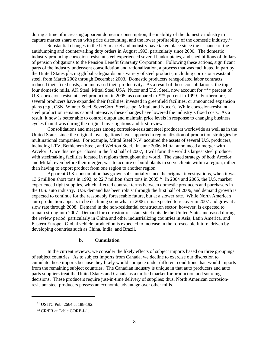during a time of increasing apparent domestic consumption, the inability of the domestic industry to capture market share even with price discounting, and the lower profitability of the domestic industry.<sup>11</sup>

Substantial changes in the U.S. market and industry have taken place since the issuance of the antidumping and countervailing duty orders in August 1993, particularly since 2000. The domestic industry producing corrosion-resistant steel experienced several bankruptcies, and shed billions of dollars of pension obligations to the Pension Benefit Guaranty Corporation. Following these actions, significant parts of the industry underwent consolidation and rationalization, a process that was facilitated in part by the United States placing global safeguards on a variety of steel products, including corrosion-resistant steel, from March 2002 through December 2003. Domestic producers renegotiated labor contracts, reduced their fixed costs, and increased their productivity. As a result of these consolidations, the top four domestic mills, AK Steel, Mittal Steel USA, Nucor and U.S. Steel, now account for \*\*\* percent of U.S. corrosion-resistant steel production in 2005, as compared to \*\*\* percent in 1999. Furthermore, several producers have expanded their facilities, invested in greenfield facilities, or announced expansion plans (e.g., CSN, Winner Steel, SeverCorr, Steelscape, Mittal, and Nucor). While corrosion-resistant steel production remains capital intensive, these changes have lowered the industry's fixed costs. As a result, it now is better able to control output and maintain price levels in response to changing business cycles than it was during the original investigations and first reviews.

Consolidations and mergers among corrosion-resistant steel producers worldwide as well as in the United States since the original investigations have supported a regionalization of production strategies by multinational companies. For example, Mittal Steel N.V. acquired the assets of several U.S. producers, including LTV, Bethlehem Steel, and Weirton Steel. In June 2006, Mittal announced a merger with Arcelor. Once this merger closes in the first half of 2007, it will form the world's largest steel producer with steelmaking facilities located in regions throughout the world. The stated strategy of both Arcelor and Mittal, even before their merger, was to acquire or build plants to serve clients within a region, rather than having to export product from one region to another region.

Apparent U.S. consumption has grown substantially since the original investigations, when it was 13.6 million short tons in 1992, to 22.7 million short tons in 2005.12 In 2004 and 2005, the U.S. market experienced tight supplies, which affected contract terms between domestic producers and purchasers in the U.S. auto industry. U.S. demand has been robust through the first half of 2006, and demand growth is expected to continue for the reasonably foreseeable future, but at a slower rate. While North American auto production appears to be declining somewhat in 2006, it is expected to recover in 2007 and grow at a slow rate through 2008. Demand in the non-residential construction sector, however, is expected to remain strong into 2007. Demand for corrosion-resistant steel outside the United States increased during the review period, particularly in China and other industrializing countries in Asia, Latin America, and Eastern Europe. Global vehicle production is expected to increase in the foreseeable future, driven by developing countries such as China, India, and Brazil.

#### **b. Cumulation**

In the current reviews, we consider the likely effects of subject imports based on three groupings of subject countries. As to subject imports from Canada, we decline to exercise our discretion to cumulate those imports because they likely would compete under different conditions than would imports from the remaining subject countries. The Canadian industry is unique in that auto producers and auto parts suppliers treat the United States and Canada as a unified market for production and sourcing decisions. These producers require just-in-time delivery of supplies; thus, North American corrosionresistant steel producers possess an economic advantage over other mills.

 <sup>11</sup> USITC Pub. 2664 at 188-192.

<sup>&</sup>lt;sup>12</sup> CR/PR at Table CORE-I-1.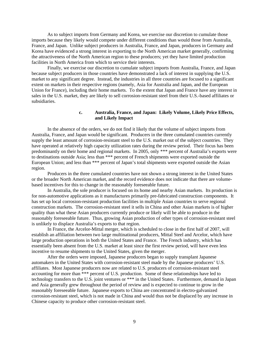As to subject imports from Germany and Korea, we exercise our discretion to cumulate those imports because they likely would compete under different conditions than would those from Australia, France, and Japan. Unlike subject producers in Australia, France, and Japan, producers in Germany and Korea have evidenced a strong interest in exporting to the North American market generally, confirming the attractiveness of the North American region to these producers; yet they have limited production facilities in North America from which to service their interests.

Finally, we exercise our discretion to cumulate subject imports from Australia, France, and Japan because subject producers in those countries have demonstrated a lack of interest in supplying the U.S. market to any significant degree. Instead, the industries in all three countries are focused to a significant extent on markets in their respective regions (namely, Asia for Australia and Japan, and the European Union for France), including their home markets. To the extent that Japan and France have any interest in sales in the U.S. market, they are likely to sell corrosion-resistant steel from their U.S.-based affiliates or subsidiaries.

#### **c. Australia, France, and Japan: Likely Volume, Likely Price Effects, and Likely Impact**

In the absence of the orders, we do not find it likely that the volume of subject imports from Australia, France, and Japan would be significant. Producers in the three cumulated countries currently supply the least amount of corrosion-resistant steel to the U.S. market out of the subject countries. They have operated at relatively high capacity utilization rates during the review period. Their focus has been predominantly on their home and regional markets. In 2005, only \*\*\* percent of Australia's exports were to destinations outside Asia; less than \*\*\* percent of French shipments were exported outside the European Union; and less than \*\*\* percent of Japan's total shipments were exported outside the Asian region.

Producers in the three cumulated countries have not shown a strong interest in the United States or the broader North American market, and the record evidence does not indicate that there are volumebased incentives for this to change in the reasonably foreseeable future.

In Australia, the sole producer is focused on its home and nearby Asian markets. Its production is for non-automotive applications as it manufactures primarily pre-fabricated construction components. It has set up local corrosion-resistant production facilities in multiple Asian countries to serve regional construction markets. The corrosion-resistant steel it sells in China and other Asian markets is of higher quality than what these Asian producers currently produce or likely will be able to produce in the reasonably foreseeable future. Thus, growing Asian production of other types of corrosion-resistant steel is unlikely to displace Australia's exports to that region.

In France, the Arcelor-Mittal merger, which is scheduled to close in the first half of 2007, will establish an affiliation between two large multinational producers, Mittal Steel and Arcelor, which have large production operations in both the United States and France. The French industry, which has essentially been absent from the U.S. market at least since the first review period, will have even less incentive to resume shipments to the United States, given the merger.

After the orders were imposed, Japanese producers began to supply transplant Japanese automakers in the United States with corrosion-resistant steel made by the Japanese producers' U.S. affiliates. Most Japanese producers now are related to U.S. producers of corrosion-resistant steel accounting for more than \*\*\* percent of U.S. production. Some of these relationships have led to technology transfers to the U.S. joint ventures or \*\*\* in the United States. Furthermore, demand in Japan and Asia generally grew throughout the period of review and is expected to continue to grow in the reasonably foreseeable future. Japanese exports to China are concentrated in electro-galvanized corrosion-resistant steel, which is not made in China and would thus not be displaced by any increase in Chinese capacity to produce other corrosion-resistant steel.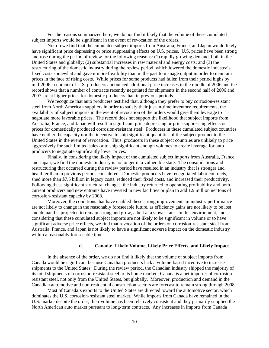For the reasons summarized here, we do not find it likely that the volume of these cumulated subject imports would be significant in the event of revocation of the orders.

Nor do we find that the cumulated subject imports from Australia, France, and Japan would likely have significant price depressing or price suppressing effects on U.S. prices. U.S. prices have been strong and rose during the period of review for the following reasons: (1) rapidly growing demand, both in the United States and globally; (2) substantial increases in raw material and energy costs; and (3) the restructuring of the domestic industry during the review period, which lowered the domestic industry's fixed costs somewhat and gave it more flexibility than in the past to manage output in order to maintain prices in the face of rising costs. While prices for some products had fallen from their period highs by mid-2006, a number of U.S. producers announced additional price increases in the middle of 2006 and the record shows that a number of contracts recently negotiated for shipments in the second half of 2006 and 2007 are at higher prices for domestic producers than in previous periods.

We recognize that auto producers testified that, although they prefer to buy corrosion-resistant steel from North American suppliers in order to satisfy their just-in-time inventory requirements, the availability of subject imports in the event of revocation of the orders would give them leverage to negotiate more favorable prices. The record does not support the likelihood that subject imports from Australia, France, and Japan will result in significant price depressing or price suppressing effects on prices for domestically produced corrosion-resistant steel. Producers in these cumulated subject countries have neither the capacity nor the incentive to ship significant quantities of the subject product to the United States in the event of revocation. Thus, producers in these subject countries are unlikely to price aggressively for such limited sales or to ship significant enough volumes to create leverage for auto producers to negotiate significantly lower prices.

Finally, in considering the likely impact of the cumulated subject imports from Australia, France, and Japan, we find the domestic industry is no longer in a vulnerable state. The consolidations and restructuring that occurred during the review period have resulted in an industry that is stronger and healthier than in previous periods considered. Domestic producers have renegotiated labor contracts, shed more than \$7.5 billion in legacy costs, reduced their fixed costs, and increased their productivity. Following these significant structural changes, the industry returned to operating profitability and both current producers and new entrants have invested in new facilities or plan to add 1.9 million net tons of corrosion-resistant capacity by 2008.

Moreover, the conditions that have enabled these strong improvements in industry performance are not likely to change in the reasonably foreseeable future, as efficiency gains are not likely to be lost and demand is projected to remain strong and grow, albeit at a slower rate. In this environment, and considering that these cumulated subject imports are not likely to be significant in volume or to have significant adverse price effects, we find that revocation of the orders on corrosion-resistant steel from Australia, France, and Japan is not likely to have a significant adverse impact on the domestic industry within a reasonably foreseeable time.

#### **d. Canada: Likely Volume, Likely Price Effects, and Likely Impact**

In the absence of the order, we do not find it likely that the volume of subject imports from Canada would be significant because Canadian producers lack a volume-based incentive to increase shipments to the United States. During the review period, the Canadian industry shipped the majority of its total shipments of corrosion-resistant steel to its home market. Canada is a net importer of corrosionresistant steel, not only from the United States, but globally. Moreover, production and demand in the Canadian automotive and non-residential construction sectors are forecast to remain strong through 2008.

Most of Canada's exports to the United States are directed toward the automotive sector, which dominates the U.S. corrosion-resistant steel market. While imports from Canada have remained in the U.S. market despite the order, their volume has been relatively consistent and they primarily supplied the North American auto market pursuant to long-term contracts. Any increases in imports from Canada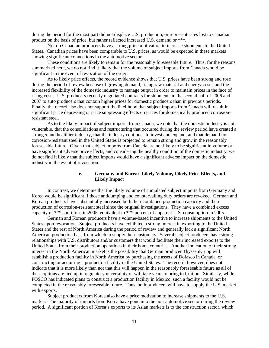during the period for the most part did not displace U.S. production, or represent sales lost to Canadian product on the basis of price, but rather reflected increased U.S. demand or \*\*\*.

Nor do Canadian producers have a strong price motivation to increase shipments to the United States. Canadian prices have been comparable to U.S. prices, as would be expected in these markets showing significant connections in the automotive sector.

These conditions are likely to remain for the reasonably foreseeable future. Thus, for the reasons summarized here, we do not find it likely that the volume of subject imports from Canada would be significant in the event of revocation of the order.

As to likely price effects, the record evidence shows that U.S. prices have been strong and rose during the period of review because of growing demand, rising raw material and energy costs, and the increased flexibility of the domestic industry to manage output in order to maintain prices in the face of rising costs. U.S. producers recently negotiated contracts for shipments in the second half of 2006 and 2007 to auto producers that contain higher prices for domestic producers than in previous periods. Finally, the record also does not support the likelihood that subject imports from Canada will result in significant price depressing or price suppressing effects on prices for domestically produced corrosionresistant steel.

As to the likely impact of subject imports from Canada, we note that the domestic industry is not vulnerable, that the consolidations and restructuring that occurred during the review period have created a stronger and healthier industry, that the industry continues to invest and expand, and that demand for corrosion-resistant steel in the United States is projected to remain strong and grow in the reasonably foreseeable future. Given that subject imports from Canada are not likely to be significant in volume or have significant adverse price effects, and considering the healthy condition of the domestic industry, we do not find it likely that the subject imports would have a significant adverse impact on the domestic industry in the event of revocation.

# **e. Germany and Korea: Likely Volume, Likely Price Effects, and Likely Impact**

In contrast, we determine that the likely volume of cumulated subject imports from Germany and Korea would be significant if those antidumping and countervailing duty orders are revoked. German and Korean producers have substantially increased both their combined production capacity and their production of corrosion-resistant steel since the original investigations. They have a combined excess capacity of \*\*\* short tons in 2005, equivalent to \*\*\* percent of apparent U.S. consumption in 2005.

German and Korean producers have a volume-based incentive to increase shipments to the United States upon revocation. Subject producers have exhibited a strong interest in exporting to the United States and the rest of North America during the period of review and generally lack a significant North American production base from which to supply their customers. Several subject producers have strong relationships with U.S. distributors and/or customers that would facilitate their increased exports to the United States from their production operations in their home countries. Another indication of their strong interest in the North American market is the possibility that German producer ThyssenKrupp will establish a production facility in North America by purchasing the assets of Dofasco in Canada, or constructing or acquiring a production facility in the United States. The record, however, does not indicate that it is more likely than not that this will happen in the reasonably foreseeable future as all of these options are tied up in regulatory uncertainty or will take years to bring to fruition. Similarly, while POSCO has indicated plans to construct a production facility in Mexico, such a facility would not be completed in the reasonably foreseeable future. Thus, both producers will have to supply the U.S. market with exports.

Subject producers from Korea also have a price motivation to increase shipments to the U.S. market. The majority of imports from Korea have gone into the non-automotive sector during the review period. A significant portion of Korea's exports to its Asian markets is to the construction sector, which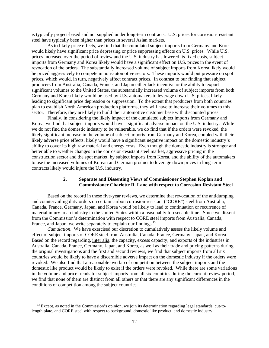is typically project-based and not supplied under long-term contracts. U.S. prices for corrosion-resistant steel have typically been higher than prices in several Asian markets.

As to likely price effects, we find that the cumulated subject imports from Germany and Korea would likely have significant price depressing or price suppressing effects on U.S. prices. While U.S. prices increased over the period of review and the U.S. industry has lowered its fixed costs, subject imports from Germany and Korea likely would have a significant effect on U.S. prices in the event of revocation of the orders. The substantially increased volume of subject imports from Korea likely would be priced aggressively to compete in non-automotive sectors. These imports would put pressure on spot prices, which would, in turn, negatively affect contract prices. In contrast to our finding that subject producers from Australia, Canada, France, and Japan either lack incentive or the ability to export significant volumes to the United States, the substantially increased volume of subject imports from both Germany and Korea likely would be used by U.S. automakers to leverage down U.S. prices, likely leading to significant price depression or suppression. To the extent that producers from both countries plan to establish North American production platforms, they will have to increase their volumes to this sector. Therefore, they are likely to build their automotive customer base with discounted prices.

Finally, in considering the likely impact of the cumulated subject imports from Germany and Korea, we find that subject imports would have a significant adverse impact on the U.S. industry. While we do not find the domestic industry to be vulnerable, we do find that if the orders were revoked, the likely significant increase in the volume of subject imports from Germany and Korea, coupled with their likely adverse price effects, likely would have a significant negative impact on the domestic industry's ability to cover its high raw material and energy costs. Even though the domestic industry is stronger and better able to weather changes in the corrosion-resistant steel market, aggressive pricing in the construction sector and the spot market, by subject imports from Korea, and the ability of the automakers to use the increased volumes of Korean and German product to leverage down prices in long-term contracts likely would injure the U.S. industry.

#### **2. Separate and Dissenting Views of Commissioner Stephen Koplan and Commissioner Charlotte R. Lane with respect to Corrosion-Resistant Steel**

Based on the record in these five-year reviews, we determine that revocation of the antidumping and countervailing duty orders on certain carbon corrosion-resistant ("CORE") steel from Australia, Canada, France, Germany, Japan, and Korea would be likely to lead to continuation or recurrence of material injury to an industry in the United States within a reasonably foreseeable time. Since we dissent from the Commission's determination with respect to CORE steel imports from Australia, Canada, France, and Japan, we write separately to explain our findings.<sup>13</sup>

*Cumulation*. We have exercised our discretion to cumulatively assess the likely volume and effect of subject imports of CORE steel from Australia, Canada, France, Germany, Japan, and Korea. Based on the record regarding, inter alia, the capacity, excess capacity, and exports of the industries in Australia, Canada, France, Germany, Japan, and Korea, as well as their trade and pricing patterns during the original investigations and the first and second reviews, we find that subject imports from all six countries would be likely to have a discernible adverse impact on the domestic industry if the orders were revoked. We also find that a reasonable overlap of competition between the subject imports and the domestic like product would be likely to exist if the orders were revoked. While there are some variations in the volume and price trends for subject imports from all six countries during the current review period, we find that none of them are distinct from all others or that there are any significant differences in the conditions of competition among the subject countries.

 $13$  Except, as noted in the Commission's opinion, we join its determination regarding legal standards, cut-tolength plate, and CORE steel with respect to background, domestic like product, and domestic industry.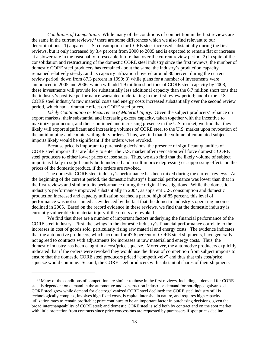*Conditions of Competition*. While many of the conditions of competition in the first reviews are the same in the current reviews, $14$  there are some differences which we also find relevant to our determinations: 1) apparent U.S. consumption for CORE steel increased substantially during the first reviews, but it only increased by 3.4 percent from 2000 to 2005 and is expected to remain flat or increase at a slower rate in the reasonably foreseeable future than over the current review period; 2) in spite of the consolidation and restructuring of the domestic CORE steel industry since the first reviews, the number of domestic CORE steel producers has remained about the same, the industry's production capacity remained relatively steady, and its capacity utilization hovered around 80 percent during the current review period, down from 87.3 percent in 1999; 3) while plans for a number of investments were announced in 2005 and 2006, which will add 1.9 million short tons of CORE steel capacity by 2008, these investments will provide for substantially less additional capacity than the 6.7 million short tons that the industry's positive performance warranted undertaking in the first review period; and 4) the U.S. CORE steel industry's raw material costs and energy costs increased substantially over the second review period, which had a dramatic effect on CORE steel prices.

*Likely Continuation or Recurrence of Material Injury*. Given the subject producers' reliance on export markets, their substantial and increasing excess capacity, taken together with the incentive to maximize production, and their continued and increasing presence in the U.S. market, we find that they likely will export significant and increasing volumes of CORE steel to the U.S. market upon revocation of the antidumping and countervailing duty orders. Thus, we find that the volume of cumulated subject imports likely would be significant if the orders were revoked.

Because price is important to purchasing decisions, the presence of significant quantities of CORE steel imports that are likely to enter the U.S. market after revocation will force domestic CORE steel producers to either lower prices or lose sales. Thus, we also find that the likely volume of subject imports is likely to significantly both undersell and result in price depressing or suppressing effects on the prices of the domestic product, if the orders are revoked.

The domestic CORE steel industry's performance has been mixed during the current reviews. At the beginning of the current period, the domestic industry's financial performance was lower than that in the first reviews and similar to its performance during the original investigations. While the domestic industry's performance improved substantially in 2004, as apparent U.S. consumption and domestic production increased and capacity utilization reached a period high of 85 percent, this level of performance was not sustained as evidenced by the fact that the domestic industry's operating income declined in 2005. Based on the record evidence in these reviews, we find that the domestic industry is currently vulnerable to material injury if the orders are revoked.

We find that there are a number of important factors underlying the financial performance of the CORE steel industry. First, the swings in the domestic industry's financial performance correlate to the increases in cost of goods sold, particularly rising raw material and energy costs. The evidence indicates that the automotive producers, which account for 47.6 percent of CORE steel shipments, have generally not agreed to contracts with adjustments for increases in raw material and energy costs. Thus, the domestic industry has been caught in a cost/price squeeze. Moreover, the automotive producers explicitly indicated that if the orders were revoked they would use the threat of competition from subject imports to ensure that the domestic CORE steel producers priced "competitively" and thus that this cost/price squeeze would continue. Second, the CORE steel producers with substantial shares of their shipments

<sup>&</sup>lt;sup>14</sup> Many of the conditions of competition are similar to those in the first reviews, including – demand for CORE steel is dependent on demand in the automotive and construction industries; demand for hot-dipped galvanized CORE steel grew while demand for electrogalvanized CORE steel declined; the CORE steel industry still is technologically complex, involves high fixed costs, is capital intensive in nature, and requires high capacity utilization rates to remain profitable; price continues to be an important factor in purchasing decisions, given the broad interchangeability of CORE steel; and domestic CORE steel is sold both by contract and on the spot market with little protection from contracts since price concessions are requested by purchasers if spot prices decline.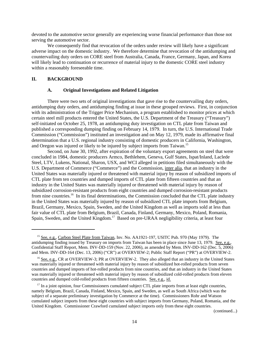devoted to the automotive sector generally are experiencing worse financial performance than those not serving the automotive sector.

We consequently find that revocation of the orders under review will likely have a significant adverse impact on the domestic industry. We therefore determine that revocation of the antidumping and countervailing duty orders on CORE steel from Australia, Canada, France, Germany, Japan, and Korea will likely lead to continuation or recurrence of material injury to the domestic CORE steel industry within a reasonably foreseeable time.

#### **II. BACKGROUND**

#### **A. Original Investigations and Related Litigation**

There were two sets of original investigations that gave rise to the countervailing duty orders, antidumping duty orders, and antidumping finding at issue in these grouped reviews. First, in conjunction with its administration of the Trigger Price Mechanism, a program established to monitor prices at which certain steel mill products entered the United States, the U.S. Department of the Treasury ("Treasury") self-initiated on October 25, 1978, an antidumping duty investigation on CTL plate from Taiwan and published a corresponding dumping finding on February 14, 1979. In turn, the U.S. International Trade Commission ("Commission") instituted an investigation and on May 12, 1979, made its affirmative final determination that a U.S. regional industry consisting of domestic producers in California, Washington, and Oregon was injured or likely to be injured by subject imports from Taiwan.<sup>15</sup>

Second, on June 30, 1992, after expiration of the voluntary export agreements on steel that were concluded in 1984, domestic producers Armco, Bethlehem, Geneva, Gulf States, Ispat/Inland, Laclede Steel, LTV, Lukens, National, Sharon, USX, and WCI alleged in petitions filed simultaneously with the U.S. Department of Commerce ("Commerce") and the Commission, inter alia, that an industry in the United States was materially injured or threatened with material injury by reason of subsidized imports of CTL plate from ten countries and dumped imports of CTL plate from fifteen countries and that an industry in the United States was materially injured or threatened with material injury by reason of subsidized corrosion-resistant products from eight countries and dumped corrosion-resistant products from nine countries.<sup>16</sup> In its final determinations, the Commission concluded that the CTL plate industry in the United States was materially injured by reason of subsidized CTL plate imports from Belgium, Brazil, Germany, Mexico, Spain, Sweden, and the United Kingdom as well as imports sold at less than fair value of CTL plate from Belgium, Brazil, Canada, Finland, Germany, Mexico, Poland, Romania, Spain, Sweden, and the United Kingdom.<sup>17</sup> Based on pre-URAA negligibility criteria, at least four

(continued...)

<sup>&</sup>lt;sup>15</sup> See, e.g., Carbon Steel Plate from Taiwan, Inv. No. AA1921-197, USITC Pub. 970 (May 1979). The antidumping finding issued by Treasury on imports from Taiwan has been in place since June 13, 1979. See, e.g., Confidential Staff Report, Mem. INV-DD-159 (Nov. 22, 2006), as amended by Mem. INV-DD-162 (Dec. 5, 2006) and Mem. INV-DD-164 (Dec. 13, 2006) ("CR") at OVERVIEW-2; Public Staff Report ("PR") at OVERVIEW-2.

<sup>&</sup>lt;sup>16</sup> See, e.g., CR at OVERVIEW-3; PR at OVERVIEW-2. They also alleged that an industry in the United States was materially injured or threatened with material injury by reason of subsidized hot-rolled products from seven countries and dumped imports of hot-rolled products from nine countries, and that an industry in the United States was materially injured or threatened with material injury by reason of subsidized cold-rolled products from eleven countries and dumped cold-rolled products from fifteen countries. See, e.g., id.

<sup>&</sup>lt;sup>17</sup> In a joint opinion, four Commissioners cumulated subject CTL plate imports from at least eight countries, namely Belgium, Brazil, Canada, Finland, Mexico, Spain, and Sweden, as well as South Africa (which was the subject of a separate preliminary investigation by Commerce at the time). Commissioners Rohr and Watson cumulated subject imports from these eight countries with subject imports from Germany, Poland, Romania, and the United Kingdom. Commissioner Crawford cumulated subject imports only from these eight countries.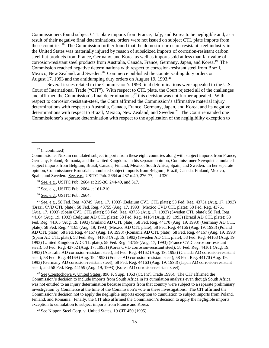Commissioners found subject CTL plate imports from France, Italy, and Korea to be negligible and, as a result of their negative final determinations, orders were not issued on subject CTL plate imports from these countries.18 The Commission further found that the domestic corrosion-resistant steel industry in the United States was materially injured by reason of subsidized imports of corrosion-resistant carbon steel flat products from France, Germany, and Korea as well as imports sold at less than fair value of corrosion-resistant steel products from Australia, Canada, France, Germany, Japan, and Korea.19 The Commission reached negative determinations with respect to corrosion-resistant steel from Brazil, Mexico, New Zealand, and Sweden.<sup>20</sup> Commerce published the countervailing duty orders on August 17, 1993 and the antidumping duty orders on August 19, 1993.<sup>21</sup>

Several issues related to the Commission's 1993 final determinations were appealed to the U.S. Court of International Trade ("CIT"). With respect to CTL plate, the Court rejected all of the challenges and affirmed the Commission's final determinations;<sup>22</sup> this decision was not further appealed. With respect to corrosion-resistant-steel, the Court affirmed the Commission's affirmative material injury determinations with respect to Australia, Canada, France, Germany, Japan, and Korea, and its negative determinations with respect to Brazil, Mexico, New Zealand, and Sweden.<sup>23</sup> The Court remanded one Commissioner's separate determination with respect to the application of the negligibility exception to

20 See, e.g., USITC Pub. 2664.

 21 See, e.g., 58 Fed. Reg. 43749 (Aug. 17, 1993) (Belgium CVD CTL plate); 58 Fed. Reg. 43751 (Aug. 17, 1993) (Brazil CVD CTL plate); 58 Fed. Reg. 43755 (Aug. 17, 1993) (Mexico CVD CTL plate); 58 Fed. Reg. 43761 (Aug. 17, 1993) (Spain CVD CTL plate); 58 Fed. Reg. 43758 (Aug. 17, 1993) (Sweden CTL plate); 58 Fed. Reg. 44164 (Aug. 19, 1993) (Belgium AD CTL plate); 58 Fed. Reg. 44164 (Aug. 19, 1993) (Brazil AD CTL plate); 58 Fed. Reg. 44165 (Aug. 19, 1993) (Finland AD CTL plate); 58 Fed. Reg. 44170 (Aug. 19, 1993) (Germany AD CTL plate); 58 Fed. Reg. 44165 (Aug. 19, 1993) (Mexico AD CTL plate); 58 Fed. Reg. 44166 (Aug. 19, 1993) (Poland AD CTL plate); 58 Fed. Reg. 44167 (Aug. 19, 1993) (Romania AD CTL plate); 58 Fed. Reg. 44167 (Aug. 19, 1993) (Spain AD CTL plate); 58 Fed. Reg. 44168 (Aug. 19, 1993) (Sweden AD CTL plate); 58 Fed. Reg. 44168 (Aug. 19, 1993) (United Kingdom AD CTL plate); 58 Fed. Reg. 43759 (Aug. 17, 1993) (France CVD corrosion-resistant steel); 58 Fed. Reg. 43752 (Aug. 17, 1993) (Korea CVD corrosion-resistant steel); 58 Fed. Reg. 44161 (Aug. 19, 1993) (Australia AD corrosion-resistant steel); 58 Fed. Reg. 44162 (Aug. 19, 1993) (Canada AD corrosion-resistant steel); 58 Fed. Reg. 44169 (Aug. 19, 1993) (France AD corrosion-resistant steel); 58 Fed. Reg. 44170 (Aug. 19, 1993) (Germany AD corrosion-resistant steel); 58 Fed. Reg. 44163 (Aug. 19, 1993) (Japan AD corrosion-resistant steel); and 58 Fed. Reg. 44159 (Aug. 19, 1993) (Korea AD corrosion-resistant steel).

<sup>22</sup> See Czestochowa v. United States, 890 F. Supp. 1053 (Ct. Int'l Trade 1995). The CIT affirmed the Commission's decision to include imports from South Africa in its cumulation analysis even though South Africa was not entitled to an injury determination because imports from that country were subject to a separate preliminary investigation by Commerce at the time of the Commission's vote in these investigations. The CIT affirmed the Commission's decision not to apply the negligible imports exception to cumulation to subject imports from Poland, Finland, and Romania. Finally, the CIT also affirmed the Commission's decision to apply the negligible imports exception to cumulation to subject imports from France and Korea.

<sup>23</sup> See Nippon Steel Corp. v. United States,  $19$  CIT 450 (1995).

 $17$  (...continued)

Commissioner Nuzum cumulated subject imports from these eight countries along with subject imports from France, Germany, Poland, Romania, and the United Kingdom. In his separate opinion, Commissioner Newquist cumulated subject imports from Belgium, Brazil, Canada, Finland, Mexico, South Africa, Spain, and Sweden. In her separate opinion, Commissioner Brunsdale cumulated subject imports from Belgium, Brazil, Canada, Finland, Mexico, Spain, and Sweden. See, e.g., USITC Pub. 2664 at 237 n.40, 276-77, and 330.

 <sup>18</sup> See, e.g., USITC Pub. 2664 at 219-36, 244-49, and 317.

 <sup>19</sup> See, e.g., USITC Pub. 2664 at 161-210.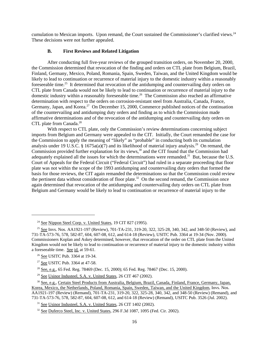cumulation to Mexican imports. Upon remand, the Court sustained the Commissioner's clarified views.<sup>24</sup> These decisions were not further appealed.

# **B. First Reviews and Related Litigation**

After conducting full five-year reviews of the grouped transition orders, on November 20, 2000, the Commission determined that revocation of the finding and orders on CTL plate from Belgium, Brazil, Finland, Germany, Mexico, Poland, Romania, Spain, Sweden, Taiwan, and the United Kingdom would be likely to lead to continuation or recurrence of material injury to the domestic industry within a reasonably foreseeable time.<sup>25</sup> It determined that revocation of the antidumping and countervailing duty orders on CTL plate from Canada would not be likely to lead to continuation or recurrence of material injury to the domestic industry within a reasonably foreseeable time.<sup>26</sup> The Commission also reached an affirmative determination with respect to the orders on corrosion-resistant steel from Australia, Canada, France, Germany, Japan, and Korea.<sup>27</sup> On December 15, 2000, Commerce published notices of the continuation of the countervailing and antidumping duty orders and finding as to which the Commission made affirmative determinations and of the revocation of the antidumping and countervailing duty orders on CTL plate from Canada.<sup>28</sup>

With respect to CTL plate, only the Commission's review determinations concerning subject imports from Belgium and Germany were appealed to the CIT. Initially, the Court remanded the case for the Commission to apply the meaning of "likely" as "probable" in conducting both its cumulation analysis under 19 U.S.C. § 1675a(a)(7) and its likelihood of material injury analysis.<sup>29</sup> On remand, the Commission provided further explanation for its views,  $30$  and the CIT found that the Commission had adequately explained all the issues for which the determinations were remanded.<sup>31</sup> But, because the U.S. Court of Appeals for the Federal Circuit ("Federal Circuit") had ruled in a separate proceeding that floor plate was not within the scope of the 1993 antidumping and countervailing duty orders that formed the basis for those reviews, the CIT again remanded the determinations so that the Commission could review the pertinent data without consideration of floor plate.<sup>32</sup> On the second remand, the Commission once again determined that revocation of the antidumping and countervailing duty orders on CTL plate from Belgium and Germany would be likely to lead to continuation or recurrence of material injury to the

<sup>&</sup>lt;sup>24</sup> See Nippon Steel Corp. v. United States, 19 CIT 827 (1995).

<sup>&</sup>lt;sup>25</sup> See Invs. Nos. AA1921-197 (Review), 701-TA-231, 319-20, 322, 325-28, 340, 342, and 348-50 (Review), and 731-TA-573-76, 578, 582-87, 604, 607-08, 612, and 614-18 (Review), USITC Pub. 3364 at 19-34 (Nov. 2000). Commissioners Koplan and Askey determined, however, that revocation of the order on CTL plate from the United Kingdom would not be likely to lead to continuation or recurrence of material injury to the domestic industry within a foreseeable time. See id. at 59-61.

 <sup>26</sup> See USITC Pub. 3364 at 19-34.

<sup>&</sup>lt;sup>27</sup> See USITC Pub. 3364 at 47-58.

<sup>&</sup>lt;sup>28</sup> See, e.g., 65 Fed. Reg. 78469 (Dec. 15, 2000); 65 Fed. Reg. 78467 (Dec. 15, 2000).

<sup>&</sup>lt;sup>29</sup> See Usinor Industeel, S.A. v. United States, 26 CIT 467 (2002).

 <sup>30</sup> See, e.g., Certain Steel Products from Australia, Belgium, Brazil, Canada, Finland, France, Germany, Japan, Korea, Mexico, the Netherlands, Poland, Romania, Spain, Sweden, Taiwan, and the United Kingdom, Invs. Nos. AA1921-197 (Review) (Remand), 701-TA-231, 319-20, 322, 325-28, 340, 342, and 348-50 (Review) (Remand), and 731-TA-573-76, 578, 582-87, 604, 607-08, 612, and 614-18 (Review) (Remand), USITC Pub. 3526 (Jul. 2002).

<sup>&</sup>lt;sup>31</sup> See Usinor Industeel, S.A. v. United States, 26 CIT 1402 (2002).

 $32$  See Duferco Steel, Inc. v. United States, 296 F.3d 1087, 1095 (Fed. Cir. 2002).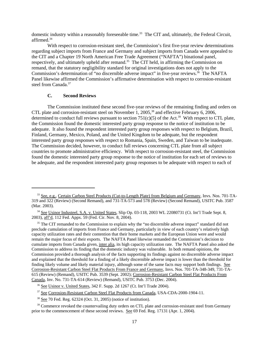domestic industry within a reasonably foreseeable time.<sup>33</sup> The CIT and, ultimately, the Federal Circuit, affirmed.34

With respect to corrosion-resistant steel, the Commission's first five-year review determinations regarding subject imports from France and Germany and subject imports from Canada were appealed to the CIT and a Chapter 19 North American Free Trade Agreement ("NAFTA") binational panel, respectively, and ultimately upheld after remand.<sup>35</sup> The CIT held, in affirming the Commission on remand, that the statutory negligibility standard for original investigations does not apply to the Commission's determination of "no discernible adverse impact" in five-year reviews.<sup>36</sup> The NAFTA Panel likewise affirmed the Commission's affirmative determination with respect to corrosion-resistant steel from Canada.<sup>37</sup>

# **C. Second Reviews**

The Commission instituted these second five-year reviews of the remaining finding and orders on CTL plate and corrosion-resistant steel on November 1, 2005,<sup>38</sup> and effective February 6, 2006, determined to conduct full reviews pursuant to section  $751(c)(5)$  of the Act.<sup>39</sup> With respect to CTL plate, the Commission found the domestic interested party group response to the notice of institution to be adequate. It also found the respondent interested party group responses with respect to Belgium, Brazil, Finland, Germany, Mexico, Poland, and the United Kingdom to be adequate, but the respondent interested party group responses with respect to Romania, Spain, Sweden, and Taiwan to be inadequate. The Commission decided, however, to conduct full reviews concerning CTL plate from all subject countries to promote administrative efficiency. With respect to corrosion-resistant steel, the Commission found the domestic interested party group response to the notice of institution for each set of reviews to be adequate, and the respondent interested party group responses to be adequate with respect to each of

<sup>&</sup>lt;sup>33</sup> See, e.g., Certain Carbon Steel Products (Cut-to-Length Plate) from Belgium and Germany, Invs. Nos. 701-TA-319 and 322 (Review) (Second Remand), and 731-TA-573 and 578 (Review) (Second Remand), USITC Pub. 3587 (Mar. 2003).

<sup>&</sup>lt;sup>34</sup> See Usinor Industeel, S.A. v. United States, Slip Op. 03-118, 2003 WL 22080731 (Ct. Int'l Trade Sept. 8, 2003), aff'd, 112 Fed. Appx. 59 (Fed. Cir. Nov. 8, 2004).

<sup>&</sup>lt;sup>35</sup> The CIT remanded to the Commission to explain why the "no discernible adverse impact" standard did not preclude cumulation of imports from France and Germany, particularly in view of each country's relatively high capacity utilization rates and their contention that their home markets and the European Union were and would remain the major focus of their exports. The NAFTA Panel likewise remanded the Commission's decision to cumulate imports from Canada given, inter alia, its high capacity utilization rate. The NAFTA Panel also asked the Commission to address its finding that the domestic industry was vulnerable. In both remand opinions, the Commission provided a thorough analysis of the facts supporting its findings against no discernible adverse impact and explained that the threshold for a finding of a likely discernible adverse impact is lower than the threshold for finding likely volume and likely material injury, although some of the same facts may support both findings. See Corrosion-Resistant Carbon Steel Flat Products From France and Germany, Invs. Nos. 701-TA-348-349, 731-TA-615 (Review) (Remand), USITC Pub. 3539 (Sept. 2002); Corrosion-Resistant Carbon Steel Flat Products From Canada, Inv. No. 731-TA-614 (Review) (Remand), USITC Pub. 3753 (Dec. 2004).

 <sup>36</sup> See Usinor v. United States, 342 F. Supp. 2d 1267 (Ct. Int'l Trade 2004).

<sup>&</sup>lt;sup>37</sup> See Corrosion-Resistant Carbon Steel Flat Products from Canada, USA-CDA-2000-1904-11.

 <sup>38</sup> See 70 Fed. Reg. 62324 (Oct. 31, 2005) (notice of institution).

<sup>&</sup>lt;sup>39</sup> Commerce revoked the countervailing duty orders on CTL plate and corrosion-resistant steel from Germany prior to the commencement of these second reviews. See 69 Fed. Reg. 17131 (Apr. 1, 2004).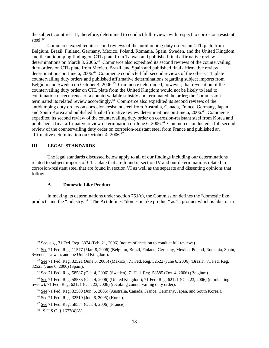the subject countries. It, therefore, determined to conduct full reviews with respect to corrosion-resistant steel.<sup>40</sup>

Commerce expedited its second reviews of the antidumping duty orders on CTL plate from Belgium, Brazil, Finland, Germany, Mexico, Poland, Romania, Spain, Sweden, and the United Kingdom and the antidumping finding on CTL plate from Taiwan and published final affirmative review determinations on March 8, 2006.<sup>41</sup> Commerce also expedited its second reviews of the countervailing duty orders on CTL plate from Mexico, Brazil, and Spain and published final affirmative review determinations on June 6, 2006.<sup>42</sup> Commerce conducted full second reviews of the other CTL plate countervailing duty orders and published affirmative determinations regarding subject imports from Belgium and Sweden on October 4, 2006.<sup>43</sup> Commerce determined, however, that revocation of the countervailing duty order on CTL plate from the United Kingdom would not be likely to lead to continuation or recurrence of a countervailable subsidy and terminated the order; the Commission terminated its related review accordingly.<sup>44</sup> Commerce also expedited its second reviews of the antidumping duty orders on corrosion-resistant steel from Australia, Canada, France, Germany, Japan, and South Korea and published final affirmative review determinations on June 6, 2006.<sup>45</sup> Commerce expedited its second review of the countervailing duty order on corrosion-resistant steel from Korea and published a final affirmative review determination on June 6, 2006.<sup>46</sup> Commerce conducted a full second review of the countervailing duty order on corrosion-resistant steel from France and published an affirmative determination on October 4, 2006.47

# **III. LEGAL STANDARDS**

The legal standards discussed below apply to all of our findings including our determinations related to subject imports of CTL plate that are found in section IV and our determinations related to corrosion-resistant steel that are found in section VI as well as the separate and dissenting opinions that follow.

#### **A. Domestic Like Product**

In making its determinations under section 751(c), the Commission defines the "domestic like product" and the "industry."48 The Act defines "domestic like product" as "a product which is like, or in

 $40$  See, e.g., 71 Fed. Reg. 8874 (Feb. 21, 2006) (notice of decision to conduct full reviews).

 <sup>41</sup> See 71 Fed. Reg. 11577 (Mar. 8, 2006) (Belgium, Brazil, Finland, Germany, Mexico, Poland, Romania, Spain, Sweden, Taiwan, and the United Kingdom).

<sup>&</sup>lt;sup>42</sup> See 71 Fed. Reg. 32521 (June 6, 2006) (Mexico); 71 Fed. Reg. 32522 (June 6, 2006) (Brazil); 71 Fed. Reg. 32523 (June 6, 2006) (Spain).

 <sup>43</sup> See 71 Fed. Reg. 58587 (Oct. 4, 2006) (Sweden); 71 Fed. Reg. 58585 (Oct. 4, 2006) (Belgium).

 <sup>44</sup> See 71 Fed. Reg. 58585 (Oct. 4, 2006) (United Kingdom); 71 Fed. Reg. 62121 (Oct. 23, 2006) (terminating review); 71 Fed. Reg. 62121 (Oct. 23, 2006) (revoking countervailing duty order).

 <sup>45</sup> See 71 Fed. Reg. 32508 (Jun. 6, 2006) (Australia, Canada, France, Germany, Japan, and South Korea ).

 <sup>46</sup> See 71 Fed. Reg. 32519 (Jun. 6, 2006) (Korea).

 <sup>47</sup> See 71 Fed. Reg. 58584 (Oct. 4, 2006) (France).

 <sup>48 19</sup> U.S.C. § 1677(4)(A).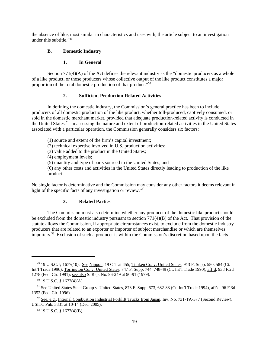the absence of like, most similar in characteristics and uses with, the article subject to an investigation under this subtitle."<sup>49</sup>

## **B. Domestic Industry**

#### **1. In General**

Section  $771(4)$ (A) of the Act defines the relevant industry as the "domestic producers as a whole of a like product, or those producers whose collective output of the like product constitutes a major proportion of the total domestic production of that product."50

# **2. Sufficient Production-Related Activities**

In defining the domestic industry, the Commission's general practice has been to include producers of all domestic production of the like product, whether toll-produced, captively consumed, or sold in the domestic merchant market, provided that adequate production-related activity is conducted in the United States.51 In assessing the nature and extent of production-related activities in the United States associated with a particular operation, the Commission generally considers six factors:

(1) source and extent of the firm's capital investment;

(2) technical expertise involved in U.S. production activities;

(3) value added to the product in the United States;

(4) employment levels;

(5) quantity and type of parts sourced in the United States; and

(6) any other costs and activities in the United States directly leading to production of the like product.

No single factor is determinative and the Commission may consider any other factors it deems relevant in light of the specific facts of any investigation or review. $52$ 

# **3. Related Parties**

The Commission must also determine whether any producer of the domestic like product should be excluded from the domestic industry pursuant to section  $771(4)(B)$  of the Act. That provision of the statute allows the Commission, if appropriate circumstances exist, to exclude from the domestic industry producers that are related to an exporter or importer of subject merchandise or which are themselves importers.<sup>53</sup> Exclusion of such a producer is within the Commission's discretion based upon the facts

 <sup>49 19</sup> U.S.C. § 1677(10). See Nippon, 19 CIT at 455; Timken Co. v. United States, 913 F. Supp. 580, 584 (Ct. Int'l Trade 1996); Torrington Co. v. United States, 747 F. Supp. 744, 748-49 (Ct. Int'l Trade 1990), aff'd, 938 F.2d 1278 (Fed. Cir. 1991); see also S. Rep. No. 96-249 at 90-91 (1979).

 $50$  19 U.S.C. § 1677(4)(A).

<sup>&</sup>lt;sup>51</sup> See United States Steel Group v. United States, 873 F. Supp. 673, 682-83 (Ct. Int'l Trade 1994), aff'd, 96 F.3d 1352 (Fed. Cir. 1996).

 $52$  See, e.g., Internal Combustion Industrial Forklift Trucks from Japan, Inv. No. 731-TA-377 (Second Review), USITC Pub. 3831 at 10-14 (Dec. 2005).

 <sup>53 19</sup> U.S.C. § 1677(4)(B).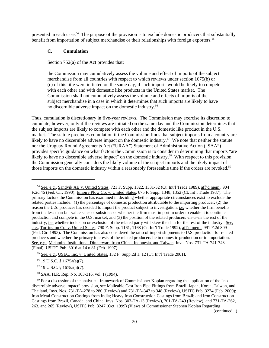presented in each case.<sup>54</sup> The purpose of the provision is to exclude domestic producers that substantially benefit from importation of subject merchandise or their relationships with foreign exporters.<sup>55</sup>

# **C. Cumulation**

Section 752(a) of the Act provides that:

the Commission may cumulatively assess the volume and effect of imports of the subject merchandise from all countries with respect to which reviews under section 1675(b) or (c) of this title were initiated on the same day, if such imports would be likely to compete with each other and with domestic like products in the United States market. The Commission shall not cumulatively assess the volume and effects of imports of the subject merchandise in a case in which it determines that such imports are likely to have no discernible adverse impact on the domestic industry.56

Thus, cumulation is discretionary in five-year reviews. The Commission may exercise its discretion to cumulate, however, only if the reviews are initiated on the same day and the Commission determines that the subject imports are likely to compete with each other and the domestic like product in the U.S. market. The statute precludes cumulation if the Commission finds that subject imports from a country are likely to have no discernible adverse impact on the domestic industry.<sup>57</sup> We note that neither the statute nor the Uruguay Round Agreements Act ("URAA") Statement of Administrative Action ("SAA") provides specific guidance on what factors the Commission is to consider in determining that imports "are likely to have no discernible adverse impact" on the domestic industry.<sup>58</sup> With respect to this provision, the Commission generally considers the likely volume of the subject imports and the likely impact of those imports on the domestic industry within a reasonably foreseeable time if the orders are revoked.<sup>59</sup>

(continued...)

 <sup>54</sup> See, e.g., Sandvik AB v. United States, 721 F. Supp. 1322, 1331-32 (Ct. Int'l Trade 1989), aff'd mem., 904 F.2d 46 (Fed. Cir. 1990); Empire Plow Co. v. United States, 675 F. Supp. 1348, 1352 (Ct. Int'l Trade 1987). The primary factors the Commission has examined in deciding whether appropriate circumstances exist to exclude the related parties include: (1) the percentage of domestic production attributable to the importing producer; (2) the reason the U.S. producer has decided to import the product subject to investigation, i.e. whether the firm benefits from the less than fair value sales or subsidies or whether the firm must import in order to enable it to continue production and compete in the U.S. market; and (3) the position of the related producers vis-a-vis the rest of the industry, i.e. whether inclusion or exclusion of the related party will skew the data for the rest of the industry. See, e.g., Torrington Co. v. United States, 790 F. Supp. 1161, 1168 (Ct. Int'l Trade 1992), aff'd mem., 991 F.2d 809 (Fed. Cir. 1993). The Commission has also considered the ratio of import shipments to U.S. production for related producers and whether the primary interests of the related producers lie in domestic production or in importation. See, e.g., Melamine Institutional Dinnerware from China, Indonesia, and Taiwan, Invs. Nos. 731-TA-741-743 (Final), USITC Pub. 3016 at 14 n.81 (Feb. 1997).

<sup>&</sup>lt;sup>55</sup> See, e.g., USEC, Inc. v. United States,  $132$  F. Supp. 2d 1,  $12$  (Ct. Int<sup>2</sup>l Trade 2001).

 <sup>56 19</sup> U.S.C. § 1675a(a)(7).

 <sup>57 19</sup> U.S.C. § 1675a(a)(7).

 <sup>58</sup> SAA, H.R. Rep. No. 103-316, vol. I (1994).

<sup>&</sup>lt;sup>59</sup> For a discussion of the analytical framework of Commissioner Koplan regarding the application of the "no discernible adverse impact" provision, see Malleable Cast Iron Pipe Fittings from Brazil, Japan, Korea, Taiwan, and Thailand, Invs. Nos. 731-TA-278 to 280 (Review) and 731-TA-347 to 348 (Review), USITC Pub. 3274 (Feb. 2000); Iron Metal Construction Castings from India; Heavy Iron Construction Castings from Brazil; and Iron Construction Castings from Brazil, Canada, and China, Invs. Nos. 303-TA-13 (Review), 701-TA-249 (Review), and 731-TA-262, 263, and 265 (Review), USITC Pub. 3247 (Oct. 1999) (Views of Commissioner Stephen Koplan Regarding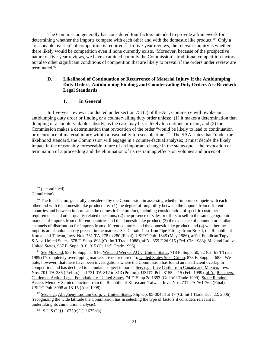The Commission generally has considered four factors intended to provide a framework for determining whether the imports compete with each other and with the domestic like product.<sup>60</sup> Only a "reasonable overlap" of competition is required.<sup>61</sup> In five-year reviews, the relevant inquiry is whether there likely would be competition even if none currently exists. Moreover, because of the prospective nature of five-year reviews, we have examined not only the Commission's traditional competition factors, but also other significant conditions of competition that are likely to prevail if the orders under review are terminated.<sup>62</sup>

#### **D. Likelihood of Continuation or Recurrence of Material Injury If the Antidumping Duty Orders, Antidumping Finding, and Countervailing Duty Orders Are Revoked: Legal Standards**

# **1. In General**

In five-year reviews conducted under section 751(c) of the Act, Commerce will revoke an antidumping duty order or finding or a countervailing duty order unless: (1) it makes a determination that dumping or a countervailable subsidy, as the case may be, is likely to continue or recur, and (2) the Commission makes a determination that revocation of the order "would be likely to lead to continuation or recurrence of material injury within a reasonably foreseeable time."63 The SAA states that "under the likelihood standard, the Commission will engage in a counter-factual analysis; it must decide the likely impact in the reasonably foreseeable future of an important change in the status quo – the revocation or termination of a proceeding and the elimination of its restraining effects on volumes and prices of

 $59$  (...continued) Cumulation).

 $60$  The four factors generally considered by the Commission in assessing whether imports compete with each other and with the domestic like product are: (1) the degree of fungibility between the imports from different countries and between imports and the domestic like product, including consideration of specific customer requirements and other quality related questions; (2) the presence of sales or offers to sell in the same geographic markets of imports from different countries and the domestic like product; (3) the existence of common or similar channels of distribution for imports from different countries and the domestic like product; and (4) whether the imports are simultaneously present in the market. See Certain Cast-Iron Pipe Fittings from Brazil, the Republic of Korea, and Taiwan, Invs. Nos. 731-TA-278 to 280 (Final), USITC Pub. 1845 (May 1986), aff'd, Fundicao Tupy, S.A. v. United States, 678 F. Supp. 898 (Ct. Int'l Trade 1988), aff'd, 859 F.2d 915 (Fed. Cir. 1988); Mukand Ltd. v. United States, 937 F. Supp. 910, 915 (Ct. Int'l Trade 1996).

 <sup>61</sup> See Mukand, 937 F. Supp. at 916; Wieland Werke, AG v. United States, 718 F. Supp. 50, 52 (Ct. Int'l Trade 1989) ("Completely overlapping markets are not required."); United States Steel Group, 873 F. Supp. at 685. We note, however, that there have been investigations where the Commission has found an insufficient overlap in competition and has declined to cumulate subject imports. See, e.g., Live Cattle from Canada and Mexico, Invs. Nos. 701-TA-386 (Prelim.) and 731-TA-812 to 813 (Prelim.), USITC Pub. 3155 at 15 (Feb. 1999), aff'd, Ranchers-Cattlemen Action Legal Foundation v. United States, 74 F. Supp.2d 1353 (Ct. Int'l Trade 1999); Static Random Access Memory Semiconductors from the Republic of Korea and Taiwan, Invs. Nos. 731-TA-761-762 (Final), USITC Pub. 3098 at 13-15 (Apr. 1998).

 $62$  See, e.g., Allegheny Ludlum Corp. v. United States, Slip Op. 05-00488 at 17 (Ct. Int'l Trade Dec. 22, 2006) (recognizing the wide latitude the Commission has in selecting the type of factors it considers relevant in undertaking its cumulation analysis).

 <sup>63 19</sup> U.S.C. §§ 1675(c)(1), 1675a(a).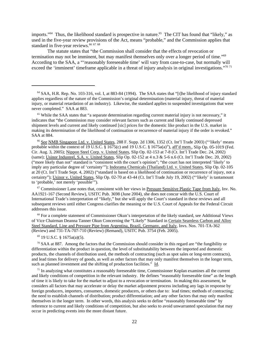imports."<sup>64</sup> Thus, the likelihood standard is prospective in nature.<sup>65</sup> The CIT has found that "likely," as used in the five-year review provisions of the Act, means "probable," and the Commission applies that standard in five-year reviews.<sup>66 67 68</sup>

The statute states that "the Commission shall consider that the effects of revocation or termination may not be imminent, but may manifest themselves only over a longer period of time."69 According to the SAA, a "'reasonably foreseeable time' will vary from case-to-case, but normally will exceed the 'imminent' timeframe applicable in a threat of injury analysis in original investigations."<sup>70 71</sup>

<sup>67</sup> Commissioner Lane notes that, consistent with her views in Pressure Sensitive Plastic Tape from Italy, Inv. No. AA1921-167 (Second Review), USITC Pub. 3698 (June 2004), she does not concur with the U.S. Court of International Trade's interpretation of "likely," but she will apply the Court's standard in these reviews and all subsequent reviews until either Congress clarifies the meaning or the U.S. Court of Appeals for the Federal Circuit addresses this issue.

<sup>68</sup> For a complete statement of Commissioner Okun's interpretation of the likely standard, see Additional Views of Vice Chairman Deanna Tanner Okun Concerning the "Likely" Standard in Certain Seamless Carbon and Alloy Steel Standard, Line and Pressure Pipe from Argentina, Brazil, Germany, and Italy, Invs. Nos. 701-TA-362 (Review) and 731-TA-707-710 (Review) (Remand), USITC Pub. 3754 (Feb. 2005).

69 19 U.S.C. § 1675a(a)(5).

 70 SAA at 887. Among the factors that the Commission should consider in this regard are "the fungibility or differentiation within the product in question, the level of substitutability between the imported and domestic products, the channels of distribution used, the methods of contracting (such as spot sales or long-term contracts), and lead times for delivery of goods, as well as other factors that may only manifest themselves in the longer term, such as planned investment and the shifting of production facilities." Id.

 $71$  In analyzing what constitutes a reasonably foreseeable time, Commissioner Koplan examines all the current and likely conditions of competition in the relevant industry. He defines "reasonably foreseeable time" as the length of time it is likely to take for the market to adjust to a revocation or termination. In making this assessment, he considers all factors that may accelerate or delay the market adjustment process including any lags in response by foreign producers, importers, consumers, domestic producers, or others due to: lead times; methods of contracting; the need to establish channels of distribution; product differentiation; and any other factors that may only manifest themselves in the longer term. In other words, this analysis seeks to define "reasonably foreseeable time" by reference to current and likely conditions of competition, but also seeks to avoid unwarranted speculation that may occur in predicting events into the more distant future.

<sup>&</sup>lt;sup>64</sup> SAA, H.R. Rep. No. 103-316, vol. I, at 883-84 (1994). The SAA states that "[t]he likelihood of injury standard applies regardless of the nature of the Commission's original determination (material injury, threat of material injury, or material retardation of an industry). Likewise, the standard applies to suspended investigations that were never completed." SAA at 883.

<sup>&</sup>lt;sup>65</sup> While the SAA states that "a separate determination regarding current material injury is not necessary," it indicates that "the Commission may consider relevant factors such as current and likely continued depressed shipment levels and current and likely continued [sic] prices for the domestic like product in the U.S. market in making its determination of the likelihood of continuation or recurrence of material injury if the order is revoked." SAA at 884.

<sup>&</sup>lt;sup>66</sup> See NMB Singapore Ltd. v. United States, 288 F. Supp. 2d 1306, 1352 (Ct. Int'l Trade 2003) ("'likely' means probable within the context of 19 U.S.C. § 1675(c) and 19 U.S.C. § 1675a(a)"), aff'd mem., Slip Op. 05-1019 (Fed. Cir. Aug. 3, 2005); Nippon Steel Corp. v. United States, Slip Op. 02-153 at 7-8 (Ct. Int'l Trade Dec. 24, 2002) (same); Usinor Industeel, S.A. v. United States, Slip Op. 02-152 at 4 n.3 & 5-6 n.6 (Ct. Int'l Trade Dec. 20, 2002) ("more likely than not" standard is "consistent with the court's opinion"; "the court has not interpreted 'likely' to imply any particular degree of 'certainty'"); Indorama Chemicals (Thailand) Ltd. v. United States, Slip Op. 02-105 at 20 (Ct. Int'l Trade Sept. 4, 2002) ("standard is based on a likelihood of continuation or recurrence of injury, not a certainty"); Usinor v. United States, Slip Op. 02-70 at 43-44 (Ct. Int'l Trade July 19, 2002) ("'likely' is tantamount to 'probable,' not merely 'possible'").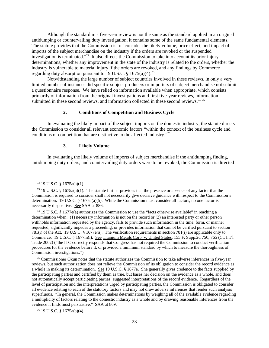Although the standard in a five-year review is not the same as the standard applied in an original antidumping or countervailing duty investigation, it contains some of the same fundamental elements. The statute provides that the Commission is to "consider the likely volume, price effect, and impact of imports of the subject merchandise on the industry if the orders are revoked or the suspended investigation is terminated."72 It also directs the Commission to take into account its prior injury determinations, whether any improvement in the state of the industry is related to the orders, whether the industry is vulnerable to material injury if the orders are revoked, and any findings by Commerce regarding duty absorption pursuant to 19 U.S.C.  $\S$  1675(a)(4).<sup>73</sup>

Notwithstanding the large number of subject countries involved in these reviews, in only a very limited number of instances did specific subject producers or importers of subject merchandise not submit a questionnaire response. We have relied on information available when appropriate, which consists primarily of information from the original investigations and first five-year reviews, information submitted in these second reviews, and information collected in these second reviews.<sup>74 75</sup>

# **2. Conditions of Competition and Business Cycle**

In evaluating the likely impact of the subject imports on the domestic industry, the statute directs the Commission to consider all relevant economic factors "within the context of the business cycle and conditions of competition that are distinctive to the affected industry."76

#### **3. Likely Volume**

In evaluating the likely volume of imports of subject merchandise if the antidumping finding, antidumping duty orders, and countervailing duty orders were to be revoked, the Commission is directed

<sup>75</sup> Commissioner Okun notes that the statute authorizes the Commission to take adverse inferences in five-year reviews, but such authorization does not relieve the Commission of its obligation to consider the record evidence as a whole in making its determination. See 19 U.S.C. § 1677e. She generally gives credence to the facts supplied by the participating parties and certified by them as true, but bases her decision on the evidence as a whole, and does not automatically accept participating parties' suggested interpretations of the record evidence. Regardless of the level of participation and the interpretations urged by participating parties, the Commission is obligated to consider all evidence relating to each of the statutory factors and may not draw adverse inferences that render such analysis superfluous. "In general, the Commission makes determinations by weighing all of the available evidence regarding a multiplicity of factors relating to the domestic industry as a whole and by drawing reasonable inferences from the evidence it finds most persuasive." SAA at 869.

76 19 U.S.C. § 1675a(a)(4).

 $72$  19 U.S.C. § 1675a(a)(1).

<sup>&</sup>lt;sup>73</sup> 19 U.S.C. § 1675a(a)(1). The statute further provides that the presence or absence of any factor that the Commission is required to consider shall not necessarily give decisive guidance with respect to the Commission's determination. 19 U.S.C. § 1675a(a)(5). While the Commission must consider all factors, no one factor is necessarily dispositive. See SAA at 886.

 <sup>74 19</sup> U.S.C. § 1677e(a) authorizes the Commission to use the "facts otherwise available" in reaching a determination when: (1) necessary information is not on the record or (2) an interested party or other person withholds information requested by the agency, fails to provide such information in the time, form, or manner requested, significantly impedes a proceeding, or provides information that cannot be verified pursuant to section 781(i) of the Act. 19 U.S.C. § 1677e(a). The verification requirements in section 781(i) are applicable only to Commerce. 19 U.S.C. § 1677m(i). See Titanium Metals Corp. v. United States, 155 F. Supp.2d 750, 765 (Ct. Int'l Trade 2002) ("the ITC correctly responds that Congress has not required the Commission to conduct verification procedures for the evidence before it, or provided a minimum standard by which to measure the thoroughness of Commission investigations.")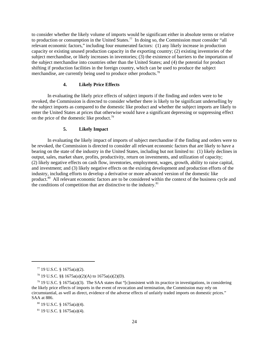to consider whether the likely volume of imports would be significant either in absolute terms or relative to production or consumption in the United States.<sup>77</sup> In doing so, the Commission must consider "all relevant economic factors," including four enumerated factors: (1) any likely increase in production capacity or existing unused production capacity in the exporting country; (2) existing inventories of the subject merchandise, or likely increases in inventories; (3) the existence of barriers to the importation of the subject merchandise into countries other than the United States; and (4) the potential for product shifting if production facilities in the foreign country, which can be used to produce the subject merchandise, are currently being used to produce other products.<sup>78</sup>

# **4. Likely Price Effects**

In evaluating the likely price effects of subject imports if the finding and orders were to be revoked, the Commission is directed to consider whether there is likely to be significant underselling by the subject imports as compared to the domestic like product and whether the subject imports are likely to enter the United States at prices that otherwise would have a significant depressing or suppressing effect on the price of the domestic like product.<sup>79</sup>

# **5. Likely Impact**

In evaluating the likely impact of imports of subject merchandise if the finding and orders were to be revoked, the Commission is directed to consider all relevant economic factors that are likely to have a bearing on the state of the industry in the United States, including but not limited to: (1) likely declines in output, sales, market share, profits, productivity, return on investments, and utilization of capacity; (2) likely negative effects on cash flow, inventories, employment, wages, growth, ability to raise capital, and investment; and (3) likely negative effects on the existing development and production efforts of the industry, including efforts to develop a derivative or more advanced version of the domestic like product.<sup>80</sup> All relevant economic factors are to be considered within the context of the business cycle and the conditions of competition that are distinctive to the industry. $81$ 

 $77$  19 U.S.C. § 1675a(a)(2).

<sup>&</sup>lt;sup>78</sup> 19 U.S.C. §§ 1675a(a)(2)(A) to 1675a(a)(2)(D).

 $79$  19 U.S.C. § 1675a(a)(3). The SAA states that "[c]onsistent with its practice in investigations, in considering the likely price effects of imports in the event of revocation and termination, the Commission may rely on circumstantial, as well as direct, evidence of the adverse effects of unfairly traded imports on domestic prices." SAA at 886.

 <sup>80 19</sup> U.S.C. § 1675a(a)(4).

 <sup>81 19</sup> U.S.C. § 1675a(a)(4).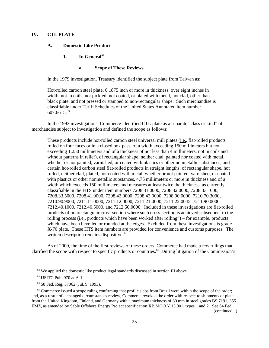# **IV. CTL PLATE**

#### **A. Domestic Like Product**

# **1. In General82**

# **a. Scope of These Reviews**

In the 1979 investigation, Treasury identified the subject plate from Taiwan as:

Hot-rolled carbon steel plate, 0.1875 inch or more in thickness, over eight inches in width, not in coils, not pickled, not coated, or plated with metal, not clad, other than black plate, and not pressed or stamped to non-rectangular shape. Such merchandise is classifiable under Tariff Schedules of the United States Annotated item number 607.6615.83

In the 1993 investigations, Commerce identified CTL plate as a separate "class or kind" of merchandise subject to investigation and defined the scope as follows:

These products include hot-rolled carbon steel universal mill plates (i.e., flat-rolled products rolled on four faces or in a closed box pass, of a width exceeding 150 millimeters but not exceeding 1,250 millimeters and of a thickness of not less than 4 millimeters, not in coils and without patterns in relief), of rectangular shape, neither clad, painted nor coated with metal, whether or not painted, varnished, or coated with plastics or other nonmetallic substances; and certain hot-rolled carbon steel flat-rolled products in straight lengths, of rectangular shape, hot rolled, neither clad, plated, nor coated with metal, whether or not painted, varnished, or coated with plastics or other nonmetallic substances, 4.75 millimeters or more in thickness and of a width which exceeds 150 millimeters and measures at least twice the thickness, as currently classifiable in the HTS under item numbers 7208.31.0000, 7208.32.0000, 7208.33.1000, 7208.33.5000, 7208.41.0000, 7208.42.0000, 7208.43.0000, 7208.90.0000, 7210.70.3000, 7210.90.9000, 7211.11.0000, 7211.12.0000, 7211.21.0000, 7211.22.0045, 7211.90.0000, 7212.40.1000, 7212.40.5000, and 7212.50.0000. Included in these investigations are flat-rolled products of nonrectangular cross-section where such cross-section is achieved subsequent to the rolling process (i.e., products which have been worked after rolling") – for example, products which have been bevelled or rounded at the edges. Excluded from these investigations is grade X-70 plate. These HTS item numbers are provided for convenience and customs purposes. The written description remains dispositive.<sup>84</sup>

As of 2000, the time of the first reviews of these orders, Commerce had made a few rulings that clarified the scope with respect to specific products or countries.<sup>85</sup> During litigation of the Commission's

(continued...)

 $82$  We applied the domestic like product legal standards discussed in section III above.

<sup>&</sup>lt;sup>83</sup> USITC Pub. 970 at A-1.

 <sup>84 58</sup> Fed. Reg. 37062 (Jul. 9, 1993).

<sup>&</sup>lt;sup>85</sup> Commerce issued a scope ruling confirming that profile slabs from Brazil were within the scope of the order; and, as a result of a changed circumstances review, Commerce revoked the order with respect to shipments of plate from the United Kingdom, Finland, and Germany with a maximum thickness of 80 mm in steel grades BS 7191, 355 EMZ, as amended by Sable Offshore Energy Project specification XB MOO Y 15 001, types 1 and 2. See 64 Fed.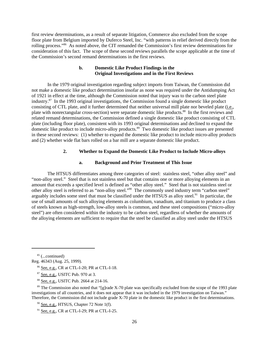first review determinations, as a result of separate litigation, Commerce also excluded from the scope floor plate from Belgium imported by Duferco Steel, Inc. "with patterns in relief derived directly from the rolling process."86 As noted above, the CIT remanded the Commission's first review determinations for consideration of this fact. The scope of these second reviews parallels the scope applicable at the time of the Commission's second remand determinations in the first reviews.

# **b. Domestic Like Product Findings in the Original Investigations and in the First Reviews**

In the 1979 original investigation regarding subject imports from Taiwan, the Commission did not make a domestic like product determination insofar as none was required under the Antidumping Act of 1921 in effect at the time, although the Commission noted that injury was to the carbon steel plate industry.87 In the 1993 original investigations, the Commission found a single domestic like product consisting of CTL plate, and it further determined that neither universal mill plate nor beveled plate (i.e., plate with nonrectangular cross-section) were separate domestic like products.88 In the first reviews and related remand determinations, the Commission defined a single domestic like product consisting of CTL plate (including floor plate), consistent with its 1993 original determinations and declined to expand the domestic like product to include micro-alloy products.89 Two domestic like product issues are presented in these second reviews: (1) whether to expand the domestic like product to include micro-alloy products and (2) whether wide flat bars rolled on a bar mill are a separate domestic like product.

# **2. Whether to Expand the Domestic Like Product to Include Micro-alloys**

#### **a. Background and Prior Treatment of This Issue**

The HTSUS differentiates among three categories of steel: stainless steel, "other alloy steel" and "non-alloy steel." Steel that is not stainless steel but that contains one or more alloying elements in an amount that exceeds a specified level is defined as "other alloy steel." Steel that is not stainless steel or other alloy steel is referred to as "non-alloy steel."90 The commonly used industry term "carbon steel" arguably includes some steel that must be classified under the HTSUS as alloy steel.<sup>91</sup> In particular, the use of small amounts of such alloying elements as columbium, vanadium, and titanium to produce a class of steels known as high-strength, low-alloy steels is common, and these steel compositions ("micro-alloy steel") are often considered within the industry to be carbon steel, regardless of whether the amounts of the alloying elements are sufficient to require that the steel be classified as alloy steel under the HTSUS

 $85$  (...continued)

<sup>89</sup> The Commission also noted that "[g]rade X-70 plate was specifically excluded from the scope of the 1993 plate investigations of all countries, and it does not appear that it was included in the 1979 investigation on Taiwan." Therefore, the Commission did not include grade X-70 plate in the domestic like product in the first determinations.

 $90$  See, e.g., HTSUS, Chapter 72 Note 1(f).

91 See, e.g., CR at CTL-I-29; PR at CTL-I-25.

Reg. 46343 (Aug. 25, 1999).

 <sup>86</sup> See, e.g., CR at CTL-I-20; PR at CTL-I-18.

 <sup>87</sup> See, e.g., USITC Pub. 970 at 3.

 <sup>88</sup> See, e.g., USITC Pub. 2664 at 214-16.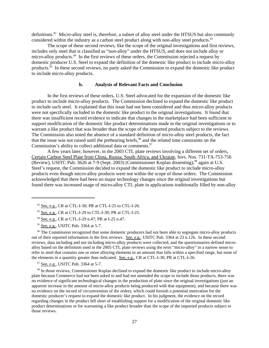definitions.<sup>92</sup> Micro-alloy steel is, therefore, a subset of alloy steel under the HTSUS but also commonly considered within the industry as a carbon steel product along with non-alloy steel products.<sup>93</sup>

The scope of these second reviews, like the scope of the original investigations and first reviews, includes only steel that is classified as "non-alloy" under the HTSUS, and does not include alloy or micro-alloy products.<sup>94</sup> In the first reviews of these orders, the Commission rejected a request by domestic producer U.S. Steel to expand the definition of the domestic like product to include micro-alloy products.<sup>95</sup> In these second reviews, no party asked the Commission to expand the domestic like product to include micro-alloy products.

## **b. Analysis of Relevant Facts and Conclusion**

In the first reviews of these orders, U.S. Steel advocated for the expansion of the domestic like product to include micro-alloy products. The Commission declined to expand the domestic like product to include such steel. It explained that this issue had not been considered and thus micro-alloy products were not specifically included in the domestic like product in the original investigations. It found that there was insufficient record evidence to indicate that changes in the marketplace had been sufficient to support modification of the domestic like product determinations made in the original investigations or to warrant a like product that was broader than the scope of the imported products subject to the reviews. The Commission also noted the absence of a standard definition of micro-alloy steel products, the fact that the issue was not raised until the prehearing briefs,<sup>96</sup> and the related time constraints on the Commission's ability to collect additional data or comments.<sup>97</sup>

A few years later, however, in the 2003 CTL plate reviews involving a different set of orders, Certain Carbon Steel Plate from China, Russia, South Africa, and Ukraine, Invs. Nos. 731-TA-753-756 (Review), USITC Pub. 3626 at 7-9 (Sept. 2003) (Commissioner Koplan dissenting),<sup>98</sup> again at U.S. Steel's request, the Commission decided to expand the domestic like product to include micro-alloy products even though micro-alloy products were not within the scope of those orders. The Commission acknowledged that there had been no major technology changes since the original investigations but found there was increased usage of micro-alloy CTL plate in applications traditionally filled by non-alloy

<sup>96</sup> The Commission recognized that some domestic producers had not been able to segregate micro-alloy products out of their reported information in the first reviews. See, e.g., USITC Pub. 3364 at 23 n.126. In these second reviews, data including and not including micro-alloy products were collected, and the questionnaires defined microalloy based on the definition used in the 2005 CTL plate reviews using the term "micro-alloy" in a narrow sense to refer to steel that contains one or more alloying elements in an amount that falls within a specified range, but none of the elements in a quantity greater than indicated. See, e.g., CR at CTL-I-30; PR at CTL-I-26.

 $92$  See, e.g., CR at CTL-I-30; PR at CTL-I-25 to CTL-I-26.

 <sup>93</sup> See, e.g., CR at CTL-I-29 to CTL-I-30; PR at CTL-I-25.

 <sup>94</sup> See, e.g., CR at CTL-I-29 n.47; PR at I-25 n.47.

<sup>&</sup>lt;sup>95</sup> See, e.g., USITC Pub. 3364 at 5-7.

<sup>&</sup>lt;sup>97</sup> See, e.g., USITC Pub. 3364 at 5-7.

<sup>&</sup>lt;sup>98</sup> In those reviews, Commissioner Koplan declined to expand the domestic like product to include micro-alloy plate because Commerce had not been asked to and had not amended the scope to include those products, there was no evidence of significant technological changes in the production of plate since the original investigations (just an apparent increase in the amount of micro-alloy products being produced with that equipment), and because there was no evidence on the record of circumvention of the orders, which could furnish a potential motivation for the domestic producer's request to expand the domestic like product. In his judgment, the evidence on the record regarding changes in the product fell short of establishing support for a modification of the original domestic like product determinations or for warranting a like product broader than the scope of the imported products subject to those reviews.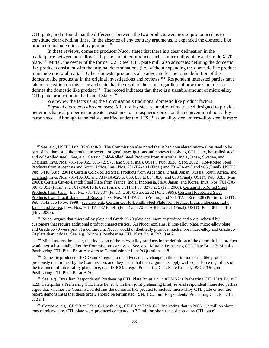CTL plate, and it found that the differences between the two products were not so pronounced as to constitute clear dividing lines. In the absence of any contrary arguments, it expanded the domestic like product to include micro-alloy products.<sup>99</sup>

In these reviews, domestic producer Nucor states that there is a clear delineation in the marketplace between non-alloy CTL plate and other products such as micro-alloy plate and Grade X-70 plate.<sup>100</sup> Mittal, the owner of the former U.S. Steel CTL plate mill, also advocates defining the domestic like product consistent with the original determinations (i.e., without expanding the domestic like product to include micro-alloys).101 Other domestic producers also advocate for the same definition of the domestic like product as in the original investigations and reviews.<sup>102</sup> Respondent interested parties have taken no position on this issue and state that the result is the same regardless of how the Commission defines the domestic like product.<sup>103</sup> The record indicates that there is a sizeable amount of micro-alloy CTL plate production in the United States.<sup>104</sup>

We review the facts using the Commission's traditional domestic like product factors:

*Physical characteristics and uses*: Micro-alloy steel generally refers to steel designed to provide better mechanical properties or greater resistance to atmospheric corrosion than conventional non-alloy carbon steel. Although technically classified under the HTSUS as an alloy steel, micro-alloy steel is more

 $100$  Nucor argues that micro-alloy plate and Grade X-70 plate cost more to produce and are purchased by customers that require additional product characteristics. As Nucor explains, if non-alloy plate, micro-alloy plate, and Grade X-70 were part of a continuum, Nucor would undoubtedly produce much more micro-alloy and Grade X-70 plate than it does. See, e.g., Nucor's Posthearing CTL Plate Br. at Exh. 9 at 2.

<sup>101</sup> Mittal asserts, however, that inclusion of the micro-alloy products in the definition of the domestic like product would not substantially alter the Commission's analysis. See, e.g., Mittal's Prehearing CTL Plate Br. at 7; Mittal's Posthearing CTL Plate Br. at Answers to Commissioner Lane's Questions at 8.

<sup>102</sup> Domestic producers IPSCO and Oregon do not advocate any change in the definition of the like product previously determined by the Commission, and they insist that their arguments apply with equal force regardless of the treatment of micro-alloy plate. See, e.g., IPSCO/Oregon Prehearing CTL Plate Br. at 4; IPSCO/Oregon Posthearing CTL Plate Br. at A-20.

 <sup>99</sup> See, e.g., USITC Pub. 3626 at 8-9. The Commission also noted that it had considered micro-alloy steel to be part of the domestic like product in several original investigations and reviews involving CTL plate, hot-rolled steel, and cold-rolled steel. See, e.g., Certain Cold-Rolled Steel Products from Australia, India, Japan, Sweden, and Thailand, Invs. Nos. 731-TA-965, 971-72, 979, and 981 (Final), USITC Pub. 3536 (Sept. 2002); Hot-Rolled Steel Products from Argentina and South Africa, Invs. Nos. 701-TA-404 (Final) and 731-TA-898 and 905 (Final), USITC Pub. 3446 (Aug. 2001); Certain Cold-Rolled Steel Products from Argentina, Brazil, Japan, Russia, South Africa, and Thailand, Invs. Nos. 701-TA-393 and 731-TA-829 to 830, 833 to 834, 836, and 838 (Final), USITC Pub. 3283 (Mar. 2000); Certain Cut-to-Length Steel Plate from France, India, Indonesia, Italy, Japan, and Korea, Invs. Nos. 701-TA-387 to 391 (Final) and 701-TA-816 to 821 (Final), USITC Pub. 3273 at 5 (Jan. 2000); Certain Hot-Rolled Steel Products from Japan, Inv. No. 731-TA-807 (Final), USITC Pub. 3202 (June 1999); Certain Hot-Rolled Steel Products from Brazil, Japan, and Russia, Invs. Nos. 701-TA-384 (Prelim.) and 731-TA-806 to 808 (Prelim.), USITC Pub. 3142 at 6 (Nov. 1998); see also, e.g., Certain Cut-to-Length Steel Plate from France, India, Indonesia, Italy, Japan, and Korea, Invs. Nos. 701-TA-387 to 391 (Final) and 701-TA-816 to 821 (Final), USITC Pub. 3816 at 4-6 (Nov. 2005).

<sup>&</sup>lt;sup>103</sup> See, e.g., Brazilian Respondents' Posthearing CTL Plate Br. at 1 n.1; AHMSA's Prehearing CTL Plate Br. at 7 n.23; Caterpillar's Prehearing CTL Plate Br. at 4. In their joint prehearing brief, several respondent interested parties argue that whether the Commission defines the domestic like product to include micro-alloy CTL plate or not, the record demonstrates that these orders should be terminated. See, e.g., Joint Respondents' Prehearing CTL Plate Br. at 2 n.1.

 <sup>104</sup> Compare, e.g., CR/PR at Table C-1 with, e.g., CR/PR at Table C-2 (indicating that in 2005, 1.3 million short tons of micro-alloy CTL plate were produced compared to 7.2 million short tons of non-alloy CTL plate).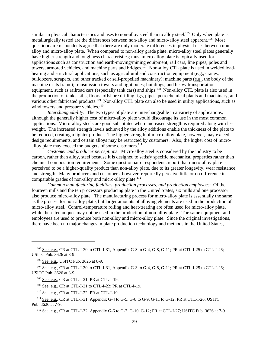similar in physical characteristics and uses to non-alloy steel than to alloy steel.<sup>105</sup> Only when plate is metallurgically tested are the differences between non-alloy and micro-alloy steel apparent.<sup>106</sup> Most questionnaire respondents agree that there are only moderate differences in physical uses between nonalloy and micro-alloy plate. When compared to non-alloy grade plate, micro-alloy steel plates generally have higher strength and toughness characteristics; thus, micro-alloy plate is typically used for applications such as construction and earth-moving/mining equipment, rail cars, line pipes, poles and towers, armored vehicles, and machine parts and bridges.<sup>107</sup> Non-alloy CTL plate is used in welded loadbearing and structural applications, such as agricultural and construction equipment (e.g., cranes, bulldozers, scrapers, and other tracked or self-propelled machinery); machine parts (e.g., the body of the machine or its frame); transmission towers and light poles; buildings; and heavy transportation equipment, such as railroad cars (especially tank cars) and ships.<sup>108</sup> Non-alloy CTL plate is also used in the production of tanks, sills, floors, offshore drilling rigs, pipes, petrochemical plants and machinery, and various other fabricated products.<sup>109</sup> Non-alloy CTL plate can also be used in utility applications, such as wind towers and pressure vehicles.<sup>110</sup>

*Interchangeability*: The two types of plate are interchangeable in a variety of applications, although the generally higher cost of micro-alloy plate would discourage its use in the most common applications. Micro-alloy steels are good substitutes where increased strength is required along with less weight. The increased strength levels achieved by the alloy additions enable the thickness of the plate to be reduced, creating a lighter product. The higher strength of micro-alloy plate, however, may exceed design requirements, and certain alloys may be restricted by customers. Also, the higher cost of microalloy plate may exceed the budgets of some customers.<sup>111</sup>

*Customer and producer perceptions*: Micro-alloy steel is considered by the industry to be carbon, rather than alloy, steel because it is designed to satisfy specific mechanical properties rather than chemical composition requirements. Some questionnaire respondents report that micro-alloy plate is perceived to be a higher-quality product than non-alloy plate, due to its greater longevity, wear resistance, and strength. Many producers and customers, however, reportedly perceive little or no difference in comparable grades of non-alloy and micro-alloy plate. $112$ 

*Common manufacturing facilities, production processes, and production employees*: Of the fourteen mills and the ten processors producing plate in the United States, six mills and one processor also produce micro-alloy plate. The manufacturing process for micro-alloy plate is essentially the same as the process for non-alloy plate, but larger amounts of alloying elements are used in the production of micro-alloy steel. Control-temperature rolling and heat-treating are often used for micro-alloy plate, while these techniques may not be used in the production of non-alloy plate. The same equipment and employees are used to produce both non-alloy and micro-alloy plate. Since the original investigations, there have been no major changes in plate production technology and methods in the United States,

109 See, e.g., CR at CTL-I-21 to CTL-I-22; PR at CTL-I-19.

 $105$  See, e.g., CR at CTL-I-30 to CTL-I-31, Appendix G-3 to G-4, G-8, G-11; PR at CTL-I-25 to CTL-I-26; USITC Pub. 3626 at 8-9.

 <sup>106</sup> See, e.g., USITC Pub. 3626 at 8-9.

 <sup>107</sup> See, e.g., CR at CTL-I-30 to CTL-I-31, Appendix G-3 to G-4, G-8, G-11; PR at CTL-I-25 to CTL-I-26; USITC Pub. 3626 at 8-9.

 <sup>108</sup> See, e.g., CR at CTL-I-21; PR at CTL-I-19.

 <sup>110</sup> See, e.g., CR at CTL-I-22; PR at CTL-I-19.

 $111$  See, e.g., CR at CTL-I-31, Appendix G-4 to G-5, G-8 to G-9, G-11 to G-12; PR at CTL-I-26; USITC Pub. 3626 at 7-9.

 <sup>112</sup> See, e.g., CR at CTL-I-32, Appendix G-6 to G-7, G-10, G-12; PR at CTL-I-27; USITC Pub. 3626 at 7-9.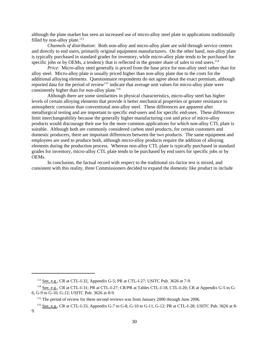although the plate market has seen an increased use of micro-alloy steel plate in applications traditionally filled by non-alloy plate. $113$ 

*Channels of distribution*: Both non-alloy and micro-alloy plate are sold through service centers and directly to end users, primarily original equipment manufacturers. On the other hand, non-alloy plate is typically purchased in standard grades for inventory, while micro-alloy plate tends to be purchased for specific jobs or by OEMs, a tendency that is reflected in the greater share of sales to end users.<sup>114</sup>

*Price*: Micro-alloy steel generally is priced from the base price for non-alloy steel rather than for alloy steel. Micro-alloy plate is usually priced higher than non-alloy plate due to the costs for the additional alloying elements. Questionnaire respondents do not agree about the exact premium, although reported data for the period of review<sup>115</sup> indicate that average unit values for micro-alloy plate were consistently higher than for non-alloy plate.<sup>116</sup>

Although there are some similarities in physical characteristics, micro-alloy steel has higher levels of certain alloying elements that provide it better mechanical properties or greater resistance to atmospheric corrosion than conventional non-alloy steel. These differences are apparent after metallurgical testing and are important to specific end-users and for specific end-uses. These differences limit interchangeability because the generally higher manufacturing cost and price of micro-alloy products would discourage their use for the more common applications for which non-alloy CTL plate is suitable. Although both are commonly considered carbon steel products, for certain customers and domestic producers, there are important differences between the two products. The same equipment and employees are used to produce both, although micro-alloy products require the addition of alloying elements during the production process. Whereas non-alloy CTL plate is typically purchased in standard grades for inventory, micro-alloy CTL plate tends to be purchased by end users for specific jobs or by OEMs.

In conclusion, the factual record with respect to the traditional six-factor test is mixed, and consistent with this reality, three Commissioners decided to expand the domestic like product to include

 <sup>113</sup> See, e.g., CR at CTL-I-32, Appendix G-5; PR at CTL-I-27; USITC Pub. 3626 at 7-9.

 <sup>114</sup> See, e.g., CR at CTL-I-31; PR at CTL-I-27; CR/PR at Tables CTL-I-18, CTL-I-20; CR at Appendix G-5 to G-6, G-9 to G-10, G-12; USITC Pub. 3626 at 8-9.

<sup>&</sup>lt;sup>115</sup> The period of review for these second reviews was from January 2000 through June 2006.

 <sup>116</sup> See, e.g., CR at CTL-I-33, Appendix G-7 to G-8, G-10 to G-11, G-12; PR at CTL-I-28; USITC Pub. 3626 at 8- 9.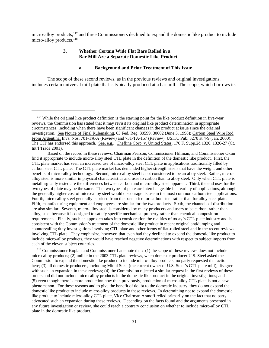micro-alloy products,<sup>117</sup> and three Commissioners declined to expand the domestic like product to include micro-alloy products.<sup>118</sup>

# **3. Whether Certain Wide Flat Bars Rolled in a Bar Mill Are a Separate Domestic Like Product**

# **a. Background and Prior Treatment of This Issue**

The scope of these second reviews, as in the previous reviews and original investigations, includes certain universal mill plate that is typically produced at a bar mill. The scope, which borrows its

 118 Commissioner Koplan and Commissioner Lane note that: (1) the scope of these reviews does not include micro-alloy products; (2) unlike in the 2003 CTL plate reviews, when domestic producer U.S. Steel asked the Commission to expand the domestic like product to include micro-alloy products, no party requested that action here; (3) all domestic producers, including Mittal Steel (the current owner of U.S. Steel's CTL plate mill), disagree with such an expansion in these reviews; (4) the Commission rejected a similar request in the first reviews of these orders and did not include micro-alloy products in the domestic like product in the original investigations; and (5) even though there is more production now than previously, production of micro-alloy CTL plate is not a new phenomenon. For these reasons and to give the benefit of doubt to the domestic industry, they do not expand the domestic like product to include micro-alloy products in these reviews. In determining not to expand the domestic like product to include micro-alloy CTL plate, Vice Chairman Aranoff relied primarily on the fact that no party advocated such an expansion during these reviews. Depending on the facts found and the arguments presented in any future investigation or review, she could reach a contrary conclusion on whether to include micro-alloy CTL plate in the domestic like product.

 $117$  While the original like product definition is the starting point for the like product definition in five-year reviews, the Commission has stated that it may revisit its original like product determination in appropriate circumstances, including when there have been significant changes in the product at issue since the original investigation. See Notice of Final Rulemaking, 63 Fed. Reg. 30599, 30602 (June 5, 1998); Carbon Steel Wire Rod From Argentina, Invs. Nos. 701-TA-A (Review) and 731-TA-157 (Review), USITC Pub. 3270 at 4-9 (Jan. 2000). The CIT has endorsed this approach. See, e.g., Chefline Corp. v. United States, 170 F. Supp.2d 1320, 1326-27 (Ct. Int'l Trade 2001).

Based on the record in these reviews, Chairman Pearson, Commissioner Hillman, and Commissioner Okun find it appropriate to include micro-alloy steel CTL plate in the definition of the domestic like product. First, the CTL plate market has seen an increased use of micro-alloy steel CTL plate in applications traditionally filled by carbon steel CTL plate. The CTL plate market has demanded higher strength steels that have the weight and other benefits of micro-alloy technology. Second, micro-alloy steel is not considered to be an alloy steel. Rather, microalloy steel is more similar in physical characteristics and uses to carbon than to alloy steel. Only when CTL plate is metallurgically tested are the differences between carbon and micro-alloy steel apparent. Third, the end uses for the two types of plate may be the same. The two types of plate are interchangeable in a variety of applications, although the generally higher cost of micro-alloy steel would discourage its use in the most common carbon steel applications. Fourth, micro-alloy steel generally is priced from the base price for carbon steel rather than for alloy steel plate. Fifth, manufacturing equipment and employees are similar for the two products. Sixth, the channels of distribution are also similar. Seventh, micro-alloy steel is considered by many producers and users to be carbon, rather than alloy, steel because it is designed to satisfy specific mechanical property rather than chemical composition requirements. Finally, such an approach takes into consideration the realities of today's CTL plate industry and is consistent with the Commission's treatment of the domestic like product in recent original antidumping and countervailing duty investigations involving CTL plate and other forms of flat-rolled steel and in the recent reviews involving CTL plate. They emphasize, however, that even had they declined to expand the domestic like product to include micro-alloy products, they would have reached negative determinations with respect to subject imports from each of the eleven subject countries.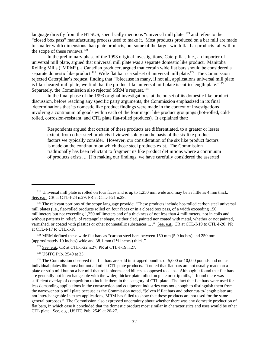language directly from the HTSUS, specifically mentions "universal mill plate"<sup>119</sup> and refers to the "closed box pass" manufacturing process used to make it. Most products produced on a bar mill are made to smaller width dimensions than plate products, but some of the larger width flat bar products fall within the scope of these reviews. $120$ 

In the preliminary phase of the 1993 original investigations, Caterpillar, Inc., an importer of universal mill plate, argued that universal mill plate was a separate domestic like product. Manitoba Rolling Mills ("MRM"), a Canadian producer, argued that certain wide flat bars should be considered a separate domestic like product.<sup>121</sup> Wide flat bar is a subset of universal mill plate.<sup>122</sup> The Commission rejected Caterpillar's request, finding that "[b]ecause in many, if not all, applications universal mill plate is like sheared-mill plate, we find that the product like universal mill plate is cut-to-length plate."<sup>123</sup> Separately, the Commission also rejected MRM's request.<sup>124</sup>

In the final phase of the 1993 original investigations, at the outset of its domestic like product discussion, before reaching any specific party arguments, the Commission emphasized in its final determinations that its domestic like product findings were made in the context of investigations involving a continuum of goods within each of the four major like product groupings (hot-rolled, coldrolled, corrosion-resistant, and CTL plate flat-rolled products). It explained that:

Respondents argued that certain of these products are differentiated, to a greater or lesser extent, from other steel products if viewed solely on the basis of the six like product factors we typically consider. However, our consideration of the six like product factors is made on the continuum on which those steel products exist. The Commission traditionally has been reluctant to fragment its like product definitions where a continuum of products exists. ... [I]n making our findings, we have carefully considered the asserted

 $121$  MRM defined these wide flat bars as "carbon steel bars between 150 mm (5.9 inches) and 250 mm (approximately 10 inches) wide and 38.1 mm (1½ inches) thick."

123 USITC Pub. 2549 at 25.

<sup>&</sup>lt;sup>119</sup> Universal mill plate is rolled on four faces and is up to  $1,250$  mm wide and may be as little as 4 mm thick. See, e.g., CR at CTL-I-24 n.29; PR at CTL-I-21 n.29.

<sup>&</sup>lt;sup>120</sup> The relevant portions of the scope language provide: "These products include hot-rolled carbon steel universal mill plates (i.e., flat-rolled products rolled on four faces or in a closed box pass, of a width exceeding 150 millimeters but not exceeding 1,250 millimeters and of a thickness of not less than 4 millimeters, not in coils and without patterns in relief), of rectangular shape, neither clad, painted nor coated with metal, whether or not painted, varnished, or coated with plastics or other nonmetallic substances ... ." See, e.g., CR at CTL-I-19 to CTL-I-20; PR at CTL-I-17 to CTL-I-18.

<sup>&</sup>lt;sup>122</sup> See, e.g., CR at CTL-I-22 n.27; PR at CTL-I-19 n.27.

 $124$  The Commission observed that flat bars are sold in strapped bundles of 5,000 or 10,000 pounds and not as individual plates like most but not all other CTL plate products. It noted that flat bars are not usually made on a plate or strip mill but on a bar mill that rolls blooms and billets as opposed to slabs. Although it found that flat bars are generally not interchangeable with the wider, thicker plate rolled on plate or strip mills, it found there was sufficient overlap of competition to include them in the category of CTL plate. The fact that flat bars were used for less demanding applications in the construction and equipment industries was not enough to distinguish them from the narrower strip mill plate because as the Commission noted, "[e]ven if flat bars and other cut-to-length plate are not interchangeable in exact applications, MRM has failed to show that these products are not used for the same general purposes." The Commission also expressed uncertainty about whether there was any domestic production of flat bars, in which case it concluded that the domestic product most similar in characteristics and uses would be other CTL plate. See, e.g., USITC Pub. 2549 at 26-27.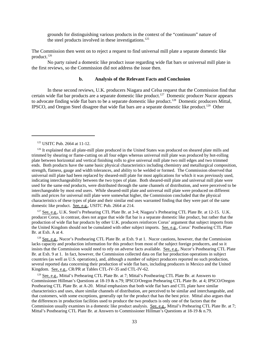grounds for distinguishing various products in the context of the "continuum" nature of the steel products involved in these investigations.<sup>125</sup>

The Commission then went on to reject a request to find universal mill plate a separate domestic like product.126

No party raised a domestic like product issue regarding wide flat bars or universal mill plate in the first reviews, so the Commission did not address the issue then.

#### **b. Analysis of the Relevant Facts and Conclusion**

In these second reviews, U.K. producers Niagara and Celsa request that the Commission find that certain wide flat bar products are a separate domestic like product.<sup>127</sup> Domestic producer Nucor appears to advocate finding wide flat bars to be a separate domestic like product.128 Domestic producers Mittal, IPSCO, and Oregon Steel disagree that wide flat bars are a separate domestic like product.<sup>129</sup> Other

<sup>127</sup> See, e.g., U.K. Steel's Prehearing CTL Plate Br. at 3-4; Niagara's Prehearing CTL Plate Br. at 12-15. U.K. producer Corus, in contrast, does not argue that wide flat bar is a separate domestic like product, but rather that the production of wide flat bar products by other U.K. producers reinforces Corus' argument that subject imports from the United Kingdom should not be cumulated with other subject imports. See, e.g., Corus' Posthearing CTL Plate Br. at Exh. A at 4.

<sup>128</sup> See, e.g., Nucor's Posthearing CTL Plate Br. at Exh. 9 at 1. Nucor cautions, however, that the Commission lacks capacity and production information for this product from most of the subject foreign producers, and so it insists that the Commission would need to rely on adverse facts available. See, e.g., Nucor's Posthearing CTL Plate Br. at Exh. 9 at 1. In fact, however, the Commission collected data on flat bar production operations in subject countries (as well as U.S. operations), and, although a number of subject producers reported no such production, several reported data concerning their production of wide flat bars, including producers in Mexico and the United Kingdom. See, e.g., CR/PR at Tables CTL-IV-35 and CTL-IV-62.

<sup>129</sup> See, e.g., Mittal's Prehearing CTL Plate Br. at 7; Mittal's Posthearing CTL Plate Br. at Answers to Commissioner Hillman's Questions at 18-19 & n.79; IPSCO/Oregon Prehearing CTL Plate Br. at 4; IPSCO/Oregon Posthearing CTL Plate Br. at A-20. Mittal emphasizes that both wide flat bars and CTL plate have similar characteristics and uses, share similar channels of distribution, are perceived to be similar and interchangeable, and that customers, with some exceptions, generally opt for the product that has the best price. Mittal also argues that the differences in production facilities used to produce the two products is only one of the factors that the Commission usually examines in a domestic like product analysis. See, e.g., Mittal's Prehearing CTL Plate Br. at 7; Mittal's Posthearing CTL Plate Br. at Answers to Commissioner Hillman's Questions at 18-19 & n.79.

<sup>&</sup>lt;sup>125</sup> USITC Pub. 2664 at 11-12.

<sup>&</sup>lt;sup>126</sup> It explained that all plate-mill plate produced in the United States was produced on sheared plate mills and trimmed by shearing or flame-cutting on all four edges whereas universal mill plate was produced by hot-rolling plate between horizontal and vertical finishing rolls to give universal mill plate two mill edges and two trimmed ends. Both products have the same basic physical characteristics including chemistry and metallurgical composition, strength, flatness, gauge and width tolerances, and ability to be welded or formed. The Commission observed that universal mill plate had been replaced by sheared-mill plate for most applications for which it was previously used, indicating interchangeability between the two types of plate. Both sheared-mill plate and universal mill plate were used for the same end products, were distributed through the same channels of distribution, and were perceived to be interchangeable by most end users. While sheared-mill plate and universal mill plate were produced on different mills and prices for universal mill plate were somewhat higher, the Commission concluded that the physical characteristics of these types of plate and their similar end uses warranted finding that they were part of the same domestic like product. See, e.g., USITC Pub. 2664 at 214.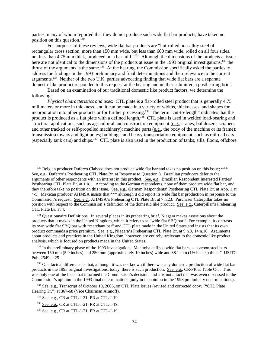parties, many of whom reported that they do not produce such wide flat bar products, have taken no position on this question.<sup>130</sup>

For purposes of these reviews, wide flat bar products are "hot-rolled non-alloy steel of rectangular cross section, more than 150 mm wide, but less than 600 mm wide, rolled on all four sides, not less than 4.75 mm thick, produced on a bar mill."<sup>131</sup> Although the dimensions of the products at issue here are not identical to the dimensions of the products at issue in the 1993 original investigations,<sup>132</sup> the thrust of the arguments is the same.133 At the hearing, the Commission specifically asked the parties to address the findings in the 1993 preliminary and final determinations and their relevance to the current arguments.134 Neither of the two U.K. parties advocating finding that wide flat bars are a separate domestic like product responded to this request at the hearing and neither submitted a posthearing brief.

Based on an examination of our traditional domestic like product factors, we determine the following:

*Physical characteristics and uses*: CTL plate is a flat-rolled steel product that is generally 4.75 millimeters or more in thickness, and it can be made in a variety of widths, thicknesses, and shapes for incorporation into other products or for further processing.135 The term "cut-to-length" indicates that the product is produced as a flat plate with a defined length.<sup>136</sup> CTL plate is used in welded load-bearing and structural applications, such as agricultural and construction equipment (e.g., cranes, bulldozers, scrapers, and other tracked or self-propelled machinery); machine parts (e.g., the body of the machine or its frame); transmission towers and light poles; buildings; and heavy transportation equipment, such as railroad cars (especially tank cars) and ships.137 CTL plate is also used in the production of tanks, sills, floors, offshore

<sup>131</sup> Questionnaire Definitions. In several places in its prehearing brief, Niagara makes assertions about the products that it makes in the United Kingdom, which it refers to as "wide flat SBQ bar." For example, it contrasts its own wide flat SBQ bar with "merchant bar" and CTL plate made in the United States and insists that its own product commands a price premium. See, e.g., Niagara's Prehearing CTL Plate Br. at 9 n.9, 14 n.16. Arguments about products and practices in the United Kingdom, however, are entirely irrelevant to the domestic like product analysis, which is focused on products made in the United States.

<sup>&</sup>lt;sup>130</sup> Belgian producer Duferco Clabecq does not produce wide flat bar and takes no position on this issue; \*\*\*. See, e.g., Duferco's Posthearing CTL Plate Br. at Response to Question 8. Brazilian producers defer to the arguments of other respondents with an interest in this product. See, e.g., Brazilian Respondent Interested Parties' Posthearing CTL Plate Br. at 1 n.1. According to the German respondents, none of them produce wide flat bar, and they therefore take no position on this issue. See, e.g., German Respondents' Posthearing CTL Plate Br. at App. 1 at 4-5. Mexican producer AHMSA insists that \*\*\* although it did report its wide flat bar production in response to the Commission's request. See, e.g., AHMSA's Prehearing CTL Plate Br. at 7 n.23. Purchaser Caterpillar takes no position with respect to the Commission's definition of the domestic like product. See, e.g., Caterpillar's Prehearing CTL Plate Br. at 4.

<sup>&</sup>lt;sup>132</sup> In the preliminary phase of the 1993 investigations, Manitoba defined wide flat bars as "carbon steel bars" between 150 mm (5.9 inches) and 250 mm (approximately 10 inches) wide and 38.1 mm (1½ inches) thick." USITC Pub. 2549 at 25.

<sup>&</sup>lt;sup>133</sup> One factual difference is that, although it was not known if there was any domestic production of wide flat bar products in the 1993 original investigations, today, there is such production. See, e.g., CR/PR at Table C-5. This was only one of the facts that informed the Commission's decision, and it is not a fact that was even discussed in the Commission's opinion in the 1993 final determinations (only in its opinion in the 1993 preliminary determinations).

<sup>&</sup>lt;sup>134</sup> See, e.g., Transcript of October 19, 2006, on CTL Plate Issues (revised and corrected copy) ("CTL Plate Hearing Tr.") at 367-68 (Vice Chairman Aranoff).

 <sup>135</sup> See, e.g., CR at CTL-I-21; PR at CTL-I-19.

<sup>&</sup>lt;sup>136</sup> See, e.g., CR at CTL-I-21; PR at CTL-I-19.

<sup>&</sup>lt;sup>137</sup> See, e.g., CR at CTL-I-21; PR at CTL-I-19.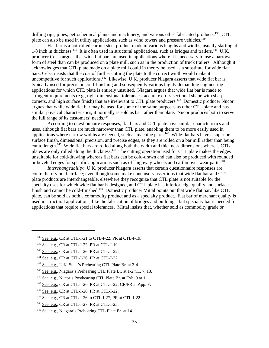drilling rigs, pipes, petrochemical plants and machinery, and various other fabricated products.<sup>138</sup> CTL plate can also be used in utility applications, such as wind towers and pressure vehicles.<sup>139</sup>

Flat bar is a hot-rolled carbon steel product made in various lengths and widths, usually starting at  $1/8$  inch in thickness.<sup>140</sup> It is often used in structural applications, such as bridges and trailers.<sup>141</sup> U.K. producer Celsa argues that wide flat bars are used in applications where it is necessary to use a narrower form of steel than can be produced on a plate mill, such as in the production of truck trailers. Although it acknowledges that CTL plate made on a plate mill could in theory be used as a substitute for wide flat bars, Celsa insists that the cost of further cutting the plate to the correct width would make it uncompetitive for such applications.<sup>142</sup> Likewise, U.K. producer Niagara asserts that wide flat bar is typically used for precision cold-finishing and subsequently various highly demanding engineering applications for which CTL plate is entirely unsuited. Niagara argues that wide flat bar is made to stringent requirements (e.g., tight dimensional tolerances, accurate cross-sectional shape with sharp corners, and high surface finish) that are irrelevant to CTL plate producers.<sup>143</sup> Domestic producer Nucor argues that while wide flat bar may be used for some of the same purposes as other CTL plate and has similar physical characteristics, it normally is sold as bar rather than plate. Nucor produces both to serve the full range of its customers' needs. $144$ 

According to questionnaire responses, flat bars and CTL plate have similar characteristics and uses, although flat bars are much narrower than CTL plate, enabling them to be more easily used in applications where narrow widths are needed, such as machine parts.145 Wide flat bars have a superior surface finish, dimensional precision, and precise edges, as they are rolled on a bar mill rather than being cut to length.<sup>146</sup> Wide flat bars are rolled along both the width and thickness dimensions whereas CTL plates are only rolled along the thickness.<sup>147</sup> The cutting operation used for CTL plate makes the edges unsuitable for cold-drawing whereas flat bars can be cold-drawn and can also be produced with rounded or beveled edges for specific applications such as off-highway wheels and earthmover wear parts.<sup>148</sup>

*Interchangeability*: U.K. producer Niagara asserts that certain questionnaire responses are contradictory on their face; even though some make conclusory assertions that wide flat bar and CTL plate products are interchangeable, elsewhere they recognize that CTL plate is not suitable for the specialty uses for which wide flat bar is designed, and CTL plate has inferior edge quality and surface finish and cannot be cold-finished.<sup>149</sup> Domestic producer Mittal points out that wide flat bar, like CTL plate, can be sold as both a commodity product and as a specialty product. Flat bar of merchant quality is used in structural applications, like the fabrication of bridges and buildings, but specialty bar is needed for applications that require special tolerances. Mittal insists that, whether sold as commodity grade or

- 143 See, e.g., Niagara's Prehearing CTL Plate Br. at 1-2 n.1, 7, 13.
- <sup>144</sup> See, e.g., Nucor's Posthearing CTL Plate Br. at Exh. 9 at 1.
- $145$  See, e.g., CR at CTL-I-26; PR at CTL-I-22; CR/PR at App. F.
- 146 See, e.g., CR at CTL-I-26; PR at CTL-I-22.

 <sup>138</sup> See, e.g., CR at CTL-I-21 to CTL-I-22; PR at CTL-I-19.

 <sup>139</sup> See, e.g., CR at CTL-I-22; PR at CTL-I-19.

 <sup>140</sup> See, e.g., CR at CTL-I-26; PR at CTL-I-22.

<sup>&</sup>lt;sup>141</sup> See, e.g., CR at CTL-I-26; PR at CTL-I-22.

 <sup>142</sup> See, e.g., U.K. Steel's Prehearing CTL Plate Br. at 3-4.

 <sup>147</sup> See, e.g., CR at CTL-I-26 to CTL-I-27; PR at CTL-I-22.

<sup>&</sup>lt;sup>148</sup> See, e.g., CR at CTL-I-27; PR at CTL-I-23.

 <sup>149</sup> See, e.g., Niagara's Prehearing CTL Plate Br. at 14.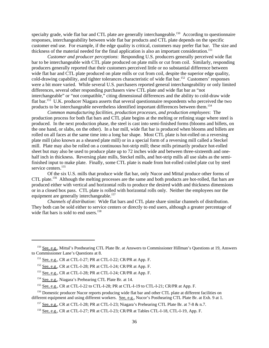specialty grade, wide flat bar and CTL plate are generally interchangeable.<sup>150</sup> According to questionnaire responses, interchangeability between wide flat bar products and CTL plate depends on the specific customer end use. For example, if the edge quality is critical, customers may prefer flat bar. The size and thickness of the material needed for the final application is also an important consideration.<sup>151</sup>

*Customer and producer perceptions*: Responding U.S. producers generally perceived wide flat bar to be interchangeable with CTL plate produced on plate mills or cut from coil. Similarly, responding producers generally reported that their customers perceived little or no substantial difference between wide flat bar and CTL plate produced on plate mills or cut from coil, despite the superior edge quality, cold-drawing capability, and tighter tolerances characteristic of wide flat bar.152 Customers' responses were a bit more varied. While several U.S. purchasers reported general interchangeability or only limited differences, several other responding purchasers view CTL plate and wide flat bar as "not interchangeable" or "not compatible," citing dimensional differences and the ability to cold-draw wide flat bar.153 U.K. producer Niagara asserts that several questionnaire respondents who perceived the two products to be interchangeable nevertheless identified important differences between them.154

*Common manufacturing facilities, production processes, and production employees*: The production process for both flat bars and CTL plate begins at the melting or refining stage where steel is produced. In the next production phase, the steel is cast into semi-finished forms (blooms and billets, on the one hand, or slabs, on the other). In a bar mill, wide flat bar is produced when blooms and billets are rolled on all faces at the same time into a long bar shape. Most CTL plate is hot-rolled on a reversing plate mill (also known as a sheared plate mill) or in a special form of a reversing mill called a Steckel mill. Plate may also be rolled on a continuous hot-strip mill; these mills primarily produce hot-rolled sheet but may also be used to produce plate up to 72 inches wide and between three-sixteenth and onehalf inch in thickness. Reversing plate mills, Steckel mills, and hot-strip mills all use slabs as the semifinished input to make plate. Finally, some CTL plate is made from hot-rolled coiled plate cut by steel service centers.<sup>155</sup>

Of the six U.S. mills that produce wide flat bar, only Nucor and Mittal produce other forms of CTL plate.<sup>156</sup> Although the melting processes are the same and both products are hot-rolled, flat bars are produced either with vertical and horizontal rolls to produce the desired width and thickness dimensions or in a closed box pass. CTL plate is rolled with horizontal rolls only. Neither the employees nor the equipment are generally interchangeable.<sup>157</sup>

*Channels of distribution*: Wide flat bars and CTL plate share similar channels of distribution. They both can be sold either to service centers or directly to end users, although a greater percentage of wide flat bars is sold to end users.<sup>158</sup>

<sup>&</sup>lt;sup>150</sup> See, e.g., Mittal's Posthearing CTL Plate Br. at Answers to Commissioner Hillman's Questions at 19, Answers to Commissioner Lane's Questions at 8.

 <sup>151</sup> See, e.g., CR at CTL-I-27; PR at CTL-I-22; CR/PR at App. F.

 <sup>152</sup> See, e.g., CR at CTL-I-28; PR at CTL-I-24; CR/PR at App. F.

 <sup>153</sup> See, e.g., CR at CTL-I-28; PR at CTL-I-24; CR/PR at App. F.

 <sup>154</sup> See, e.g., Niagara's Prehearing CTL Plate Br. at 14.

<sup>&</sup>lt;sup>155</sup> See, e.g., CR at CTL-I-22 to CTL-I-28; PR at CTL-I-19 to CTL-I-21; CR/PR at App. F.

<sup>&</sup>lt;sup>156</sup> Domestic producer Nucor reports producing wide flat bar and other CTL plate at different facilities on different equipment and using different workers. See, e.g., Nucor's Posthearing CTL Plate Br. at Exh. 9 at 1.

<sup>&</sup>lt;sup>157</sup> See, e.g., CR at CTL-I-28; PR at CTL-I-23; Niagara's Prehearing CTL Plate Br. at 7-8 & n.7.

 <sup>158</sup> See, e.g., CR at CTL-I-27; PR at CTL-I-23; CR/PR at Tables CTL-I-18, CTL-I-19, App. F.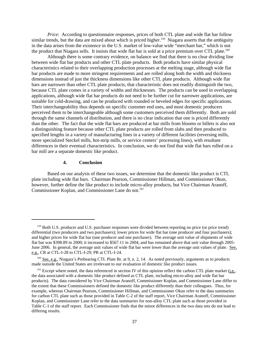*Price*: According to questionnaire responses, prices of both CTL plate and wide flat bar follow similar trends, but the data are mixed about which is priced higher.<sup>159</sup> Niagara asserts that the ambiguity in the data arises from the existence in the U.S. market of low-value wide "merchant bar," which is not the product that Niagara sells. It insists that wide flat bar is sold at a price premium over CTL plate.<sup>160</sup>

Although there is some contrary evidence, on balance we find that there is no clear dividing line between wide flat bar products and other CTL plate products. Both products have similar physical characteristics related to their overlapping production processes at the melting stage, although wide flat bar products are made to more stringent requirements and are rolled along both the width and thickness dimensions instead of just the thickness dimensions like other CTL plate products. Although wide flat bars are narrower than other CTL plate products, that characteristic does not readily distinguish the two, because CTL plate comes in a variety of widths and thicknesses. The products can be used in overlapping applications, although wide flat bar products do not need to be further cut for narrower applications, are suitable for cold-drawing, and can be produced with rounded or beveled edges for specific applications. Their interchangeability thus depends on specific customer end uses, and most domestic producers perceived them to be interchangeable although some customers perceived them differently. Both are sold through the same channels of distribution, and there is no clear indication that one is priced differently than the other. The fact that the wide flat bars are produced at bar mills from blooms or billets is also not a distinguishing feature because other CTL plate products are rolled from slabs and then produced to specified lengths in a variety of manufacturing lines in a variety of different facilities (reversing mills, more specialized Steckel mills, hot-strip mills, or service centers' processing lines), with resultant differences in their eventual characteristics. In conclusion, we do not find that wide flat bars rolled on a bar mill are a separate domestic like product.

# **4. Conclusion**

Based on our analysis of these two issues, we determine that the domestic like product is CTL plate including wide flat bars. Chairman Pearson, Commissioner Hillman, and Commissioner Okun, however, further define the like product to include micro-alloy products, but Vice Chairman Aranoff, Commissioner Koplan, and Commissioner Lane do not.<sup>161</sup>

 <sup>159</sup> Both U.S. producer and U.S. purchaser responses were divided between reporting no price (or price trend) differential (two producers and two purchasers); lower prices for wide flat bar (one producer and four purchasers); and higher prices for wide flat bar (one producer and one purchaser). The average unit value of shipments of wide flat bar was \$398.89 in 2000; it increased to \$567.11 in 2004, and has remained above that unit value through 2005- June 2006. In general, the average unit values of wide flat bar were lower than the average unit values of plate. See, e.g., CR at CTL-I-28 to CTL-I-29; PR at CTL-I-24.

<sup>&</sup>lt;sup>160</sup> See, e.g., Niagara's Prehearing CTL Plate Br. at 9, n. 2, 14. As noted previously, arguments as to products made outside the United States are irrelevant to our evaluation of domestic like product issues.

<sup>&</sup>lt;sup>161</sup> Except where noted, the data referenced in section IV of this opinion reflect the carbon CTL plate market (i.e., the data associated with a domestic like product defined as CTL plate, including micro-alloy and wide flat bar products). The data considered by Vice Chairman Aranoff, Commissioner Koplan, and Commissioner Lane differ to the extent that these Commissioners defined the domestic like product differently than their colleagues. Thus, for example, whereas Chairman Pearson, Commissioner Hillman, and Commissioner Okun refer to the data summaries for carbon CTL plate such as those provided in Table C-2 of the staff report, Vice Chairman Aranoff, Commissioner Koplan, and Commissioner Lane refer to the data summaries for non-alloy CTL plate such as those provided in Table C-1 of the staff report. Each Commissioner finds that the minor differences in the two data sets do not lead to differing results.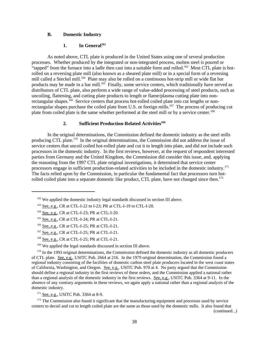# **B. Domestic Industry**

### 1. In General<sup>162</sup>

As noted above, CTL plate is produced in the United States using one of several production processes. Whether produced by the integrated or non-integrated process, molten steel is poured or "tapped" from the furnace into a ladle then cast into a suitable form and rolled.<sup>163</sup> Most CTL plate is hotrolled on a reversing plate mill (also known as a sheared plate mill) or in a special form of a reversing mill called a Steckel mill.<sup>164</sup> Plate may also be rolled on a continuous hot-strip mill or wide flat bar products may be made in a bar mill.<sup>165</sup> Finally, some service centers, which traditionally have served as distributors of CTL plate, also perform a wide range of value-added processing of steel products, such as uncoiling, flattening, and cutting plate products to length or flame/plasma cutting plate into nonrectangular shapes.<sup>166</sup> Service centers that process hot-rolled coiled plate into cut lengths or nonrectangular shapes purchase the coiled plate from U.S. or foreign mills.<sup>167</sup> The process of producing cut plate from coiled plate is the same whether performed at the steel mill or by a service center.<sup>168</sup>

# 2. Sufficient Production-Related Activities<sup>169</sup>

In the original determinations, the Commission defined the domestic industry as the steel mills producing CTL plate.<sup>170</sup> In the original determinations, the Commission did not address the issue of service centers that uncoil coiled hot-rolled plate and cut it to length into plate, and did not include such processors in the domestic industry. In the first reviews, however, at the request of respondent interested parties from Germany and the United Kingdom, the Commission did consider this issue, and, applying the reasoning from the 1997 CTL plate original investigations, it determined that service center processors engage in sufficient production-related activities to be included in the domestic industry.171 The facts relied upon by the Commission, in particular the fundamental fact that processors turn hotrolled coiled plate into a separate domestic like product, CTL plate, have not changed since then.<sup>172</sup>

171 See, e.g., USITC Pub. 3364 at 8-9.

<sup>172</sup> The Commission also found it significant that the manufacturing equipment and processes used by service centers to decoil and cut to length coiled plate are the same as those used by the domestic mills. It also found that

(continued...)

<sup>&</sup>lt;sup>162</sup> We applied the domestic industry legal standards discussed in section III above.

 <sup>163</sup> See, e.g., CR at CTL-I-22 to I-23; PR at CTL-I-19 to CTL-I-20.

<sup>&</sup>lt;sup>164</sup> See, e.g., CR at CTL-I-23; PR at CTL-I-20.

 <sup>165</sup> See, e.g., CR at CTL-I-24; PR at CTL-I-21.

 <sup>166</sup> See, e.g., CR at CTL-I-25; PR at CTL-I-21.

 <sup>167</sup> See, e.g., CR at CTL-I-25; PR at CTL-I-21.

 <sup>168</sup> See, e.g., CR at CTL-I-25; PR at CTL-I-21.

<sup>&</sup>lt;sup>169</sup> We applied the legal standards discussed in section III above.

<sup>&</sup>lt;sup>170</sup> In the 1993 original determinations, the Commission defined the domestic industry as all domestic producers of CTL plate. See, e.g., USITC Pub. 2664 at 216. In the 1979 original determination, the Commission found a regional industry consisting of the facilities of domestic carbon steel plate producers located in the west coast states of California, Washington, and Oregon. See, e.g., USITC Pub. 970 at 4. No party argued that the Commission should define a regional industry in the first reviews of these orders, and the Commission applied a national rather than a regional analysis of the domestic industry in the first reviews. See, e.g., USITC Pub. 3364 at 9-11. In the absence of any contrary arguments in these reviews, we again apply a national rather than a regional analysis of the domestic industry.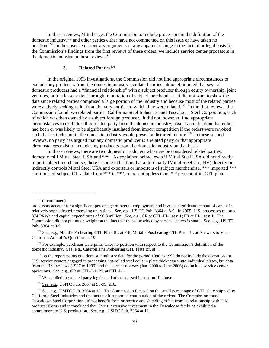In these reviews, Mittal urges the Commission to include processors in the definition of the domestic industry,<sup>173</sup> and other parties either have not commented on this issue or have taken no position.174 In the absence of contrary arguments or any apparent change in the factual or legal basis for the Commission's findings from the first reviews of these orders, we include service center processors in the domestic industry in these reviews.175

# **3. Related Parties176**

In the original 1993 investigations, the Commission did not find appropriate circumstances to exclude any producers from the domestic industry as related parties, although it noted that several domestic producers had a "financial relationship" with a subject producer through equity ownership, joint ventures, or to a lesser extent through importation of subject merchandise. It did not want to skew the data since related parties comprised a large portion of the industry and because most of the related parties were actively seeking relief from the very entities to which they were related.<sup>177</sup> In the first reviews, the Commission found two related parties, California Steel Industries and Tuscaloosa Steel Corporation, each of which was then owned by a subject foreign producer. It did not, however, find appropriate circumstances to exclude either related party from the domestic industry, absent an indication that either had been or was likely to be significantly insulated from import competition if the orders were revoked such that its inclusion in the domestic industry would present a distorted picture.<sup>178</sup> In these second reviews, no party has argued that any domestic producer is a related party or that appropriate circumstances exist to exclude any producers from the domestic industry on that basis.

In these reviews, there are two domestic producers who may be considered related parties: domestic mill Mittal Steel USA and \*\*\*. As explained below, even if Mittal Steel USA did not directly import subject merchandise, there is some indication that a third party (Mittal Steel Co., NV) directly or indirectly controls Mittal Steel USA and exporters or importers of subject merchandise. \*\*\* imported \*\*\* short tons of subject CTL plate from \*\*\* in \*\*\*, representing less than \*\*\* percent of its CTL plate

 $172$  (...continued)

processors account for a significant percentage of overall employment and invest a significant amount of capital in relatively sophisticated processing operations. See, e.g., USITC Pub. 3364 at 8-9. In 2005, U.S. processors reported 874 PRWs and capital expenditures of \$6.8 million. See, e.g., CR at CTL-III-1 at n.1; PR at III-1 at n.1. The Commission did not put much weight on the fact that the value added by service centers is small. See, e.g., USITC Pub. 3364 at 8-9.

<sup>&</sup>lt;sup>173</sup> See, e.g., Mittal's Prehearing CTL Plate Br. at 7-8; Mittal's Posthearing CTL Plate Br. at Answers to Vice-Chairman Aranoff's Questions at 19.

<sup>&</sup>lt;sup>174</sup> For example, purchaser Caterpillar takes no position with respect to the Commission's definition of the domestic industry. See, e.g., Caterpillar's Prehearing CTL Plate Br. at 4.

<sup>&</sup>lt;sup>175</sup> As the report points out, domestic industry data for the period 1990 to 1992 do not include the operations of U.S. service centers engaged in processing hot-rolled steel coils in plate thicknesses into individual plates, but data from the first reviews (1997 to 1999) and the current reviews (Jan. 2000 to June 2006) do include service center operations. See, e.g., CR at CTL-I-1; PR at CTL-I-1.

<sup>&</sup>lt;sup>176</sup> We applied the related party legal standards discussed in section III above.

<sup>&</sup>lt;sup>177</sup> See, e.g., USITC Pub. 2664 at 95-99, 216.

<sup>&</sup>lt;sup>178</sup> See, e.g., USITC Pub. 3364 at 12. The Commission focused on the small percentage of CTL plate shipped by California Steel Industries and the fact that it supported continuation of the orders. The Commission found Tuscaloosa Steel Corporation did not benefit from or receive any shielding effect from its relationship with U.K. producer Corus and it concluded that Corus' extensive investment in the Tuscaloosa facilities exhibited a commitment to U.S. production. See, e.g., USITC Pub. 3364 at 12.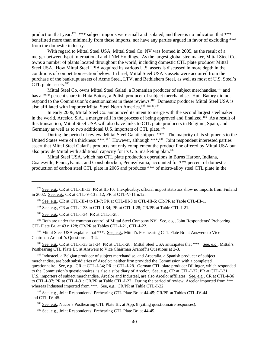production that year.<sup>179</sup> \*\*\* subject imports were small and isolated, and there is no indication that \*\*\* benefitted more than minimally from these imports, nor have any parties argued in favor of excluding \*\*\* from the domestic industry.

With regard to Mittal Steel USA, Mittal Steel Co. NV was formed in 2005, as the result of a merger between Ispat International and LNM Holdings. As the largest global steelmaker, Mittal Steel Co. owns a number of plants located throughout the world, including domestic CTL plate producer Mittal Steel USA. How Mittal Steel USA acquired its various U.S. assets is discussed in more depth in the conditions of competition section below. In brief, Mittal Steel USA's assets were acquired from the purchase of the bankrupt assets of Acme Steel, LTV, and Bethlehem Steel, as well as most of U.S. Steel's CTL plate assets.<sup>180</sup>

Mittal Steel Co. owns Mittal Steel Galati, a Romanian producer of subject merchandise.<sup>181</sup> and has a \*\*\* percent share in Huta Batory, a Polish producer of subject merchandise. Huta Batory did not respond to the Commission's questionnaires in these reviews.<sup>182</sup> Domestic producer Mittal Steel USA is also affiliated with importer Mittal Steel North America,183 \*\*\*.184

In early 2006, Mittal Steel Co. announced its intent to merge with the second largest steelmaker in the world, Arcelor, S.A., a merger still in the process of being approved and finalized.<sup>185</sup> As a result of this transaction, Mittal Steel USA will also have links to CTL plate producers in Belgium, Spain, and Germany as well as to two additional U.S. importers of CTL plate.<sup>186</sup>

During the period of review, Mittal Steel Galati shipped \*\*\*. The majority of its shipments to the United States were of a thickness \*\*\*.<sup>187</sup> However, although \*\*\*.<sup>188</sup> Joint respondent interested parties assert that Mittal Steel Galati's products not only complement the product line offered by Mittal USA but also provide Mittal with additional capacity for its U.S. marketing plan.<sup>189</sup>

Mittal Steel USA, which has CTL plate production operations in Burns Harbor, Indiana, Coatesville, Pennsylvania, and Conshohocken, Pennsylvania, accounted for \*\*\* percent of domestic production of carbon steel CTL plate in 2005 and produces \*\*\* of micro-alloy steel CTL plate in the

<sup>183</sup> Both are under the common control of Mittal Steel Company NV. See, e.g., Joint Respondents' Prehearing CTL Plate Br. at 43 n.128; CR/PR at Tables CTL-I-21, CTL-I-22.

<sup>184</sup> Mittal Steel USA explains that \*\*\*. See, e.g., Mittal's Posthearing CTL Plate Br. at Answers to Vice Chairman Aranoff's Questions at 3-4.

<sup>185</sup> See, e.g., CR at CTL-I-33 to I-34; PR at CTL-I-28. Mittal Steel USA anticipates that \*\*\*. See, e.g., Mittal's Posthearing CTL Plate Br. at Answers to Vice Chairman Aranoff's Questions at 2-3.

<sup>186</sup> Industeel, a Belgian producer of subject merchandise, and Arceralia, a Spanish producer of subject merchandise, are both subsidiaries of Arcelor; neither firm provided the Commission with a completed questionnaire. See, e.g., CR at CTL-I-34; PR at CTL-I-28. German CTL plate producer Dillinger, which responded to the Commission's questionnaires, is also a subsidiary of Arcelor. See, e.g., CR at CTL-I-37; PR at CTL-I-31. U.S. importers of subject merchandise, Arcelor and Industeel, are also Arcelor affiliates. See, e.g., CR at CTL-I-36 to CTL-I-37; PR at CTL-I-31; CR/PR at Table CTL-I-22. During the period of review, Arcelor imported from \*\*\* whereas Industeel imported from \*\*\*. See, e.g., CR/PR at Table CTL-I-22.

<sup>187</sup> See, e.g., Joint Respondents' Prehearing CTL Plate Br. at 44-45; CR/PR at Tables CTL-IV-44 and CTL-IV-45.

<sup>188</sup> See, e.g., Nucor's Posthearing CTL Plate Br. at App. 8 (citing questionnaire responses).

189 See, e.g., Joint Respondents' Prehearing CTL Plate Br. at 44-45.

<sup>&</sup>lt;sup>179</sup> See, e.g., CR at CTL-III-13; PR at III-10. Inexplicably, official import statistics show no imports from Finland in 2002. See, e.g., CR at CTL-V-13 n.12; PR at CTL-V-11 n.12.

<sup>&</sup>lt;sup>180</sup> See, e.g., CR at CTL-III-4 to III-7; PR at CTL-III-3 to CTL-III-5; CR/PR at Table CTL-III-1.

<sup>&</sup>lt;sup>181</sup> See, e.g., CR at CTL-I-33 to CTL-I-34; PR at CTL-I-28; CR/PR at Table CTL-I-21.

 $182$  See, e.g., CR at CTL-I-34; PR at CTL-I-28.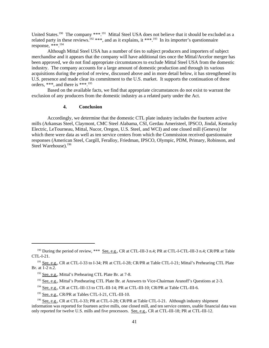United States.<sup>190</sup> The company \*\*\*.<sup>191</sup> Mittal Steel USA does not believe that it should be excluded as a related party in these reviews.<sup>192</sup> \*\*\*, and as it explains, it \*\*\*.<sup>193</sup> In its importer's questionnaire response, \*\*\*.194

Although Mittal Steel USA has a number of ties to subject producers and importers of subject merchandise and it appears that the company will have additional ties once the Mittal/Arcelor merger has been approved, we do not find appropriate circumstances to exclude Mittal Steel USA from the domestic industry. The company accounts for a large amount of domestic production and through its various acquisitions during the period of review, discussed above and in more detail below, it has strengthened its U.S. presence and made clear its commitment to the U.S. market. It supports the continuation of these orders, \*\*\*, and there is \*\*\*.195

Based on the available facts, we find that appropriate circumstances do not exist to warrant the exclusion of any producers from the domestic industry as a related party under the Act.

# **4. Conclusion**

Accordingly, we determine that the domestic CTL plate industry includes the fourteen active mills (Arkansas Steel, Claymont, CMC Steel Alabama, CSI, Gerdau Ameristeel, IPSCO, Jindal, Kentucky Electric, LeTourneau, Mittal, Nucor, Oregon, U.S. Steel, and WCI) and one closed mill (Geneva) for which there were data as well as ten service centers from which the Commission received questionnaire responses (American Steel, Cargill, Feralloy, Friedman, IPSCO, Olympic, PDM, Primary, Robinson, and Steel Warehouse).196

<sup>&</sup>lt;sup>190</sup> During the period of review, \*\*\* <u>See, e.g.</u>, CR at CTL-III-3 n.4; PR at CTL-I-CTL-III-3 n.4; CR/PR at Table CTL-I-21.

<sup>&</sup>lt;sup>191</sup> See, e.g., CR at CTL-I-33 to I-34; PR at CTL-I-28; CR/PR at Table CTL-I-21; Mittal's Prehearing CTL Plate Br. at 1-2 n.2.

 <sup>192</sup> See, e.g., Mittal's Prehearing CTL Plate Br. at 7-8.

<sup>&</sup>lt;sup>193</sup> See, e.g., Mittal's Posthearing CTL Plate Br. at Answers to Vice-Chairman Aranoff's Questions at 2-3.

<sup>&</sup>lt;sup>194</sup> See, e.g., CR at CTL-III-13 to CTL-III-14; PR at CTL-III-10; CR/PR at Table CTL-III-6.

<sup>&</sup>lt;sup>195</sup> See, e.g., CR/PR at Tables CTL-I-21, CTL-III-10.

<sup>&</sup>lt;sup>196</sup> See, e.g., CR at CTL-I-33; PR at CTL-I-28; CR/PR at Table CTL-I-21. Although industry shipment information was reported for fourteen active mills, one closed mill, and ten service centers, usable financial data was only reported for twelve U.S. mills and five processors. See, e.g., CR at CTL-III-18; PR at CTL-III-12.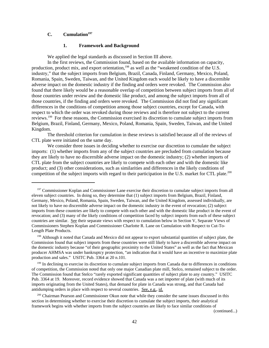# C. Cumulation<sup>197</sup>

#### **1. Framework and Background**

We applied the legal standards as discussed in Section III above.

In the first reviews, the Commission found, based on the available information on capacity, production, product mix, and export orientation,<sup>198</sup> as well as the "weakened condition of the U.S. industry," that the subject imports from Belgium, Brazil, Canada, Finland, Germany, Mexico, Poland, Romania, Spain, Sweden, Taiwan, and the United Kingdom each would be likely to have a discernible adverse impact on the domestic industry if the finding and orders were revoked. The Commission also found that there likely would be a reasonable overlap of competition between subject imports from all of those countries under review and the domestic like product, and among the subject imports from all of those countries, if the finding and orders were revoked. The Commission did not find any significant differences in the conditions of competition among those subject countries, except for Canada, with respect to which the order was revoked during those reviews and is therefore not subject to the current reviews.199 For these reasons, the Commission exercised its discretion to cumulate subject imports from Belgium, Brazil, Finland, Germany, Mexico, Poland, Romania, Spain, Sweden, Taiwan, and the United Kingdom.

The threshold criterion for cumulation in these reviews is satisfied because all of the reviews of CTL plate were initiated on the same day.

We consider three issues in deciding whether to exercise our discretion to cumulate the subject imports: (1) whether imports from any of the subject countries are precluded from cumulation because they are likely to have no discernible adverse impact on the domestic industry; (2) whether imports of CTL plate from the subject countries are likely to compete with each other and with the domestic like product; and (3) other considerations, such as similarities and differences in the likely conditions of competition of the subject imports with regard to their participation in the U.S. market for CTL plate.<sup>200</sup>

(continued...)

<sup>&</sup>lt;sup>197</sup> Commissioner Koplan and Commissioner Lane exercise their discretion to cumulate subject imports from all eleven subject countries. In doing so, they determine that (1) subject imports from Belgium, Brazil, Finland, Germany, Mexico, Poland, Romania, Spain, Sweden, Taiwan, and the United Kingdom, assessed individually, are not likely to have no discernible adverse impact on the domestic industry in the event of revocation; (2) subject imports from these countries are likely to compete with each other and with the domestic like product in the event of revocation; and (3) many of the likely conditions of competition faced by subject imports from each of these subject countries are similar. See their separate views with respect to cumulation below in Section V, Separate Views of Commissioners Stephen Koplan and Commissioner Charlotte R. Lane on Cumulation with Respect to Cut-To-Length Plate Products.

<sup>&</sup>lt;sup>198</sup> Although it noted that Canada and Mexico did not appear to export substantial quantities of subject plate, the Commission found that subject imports from these countries were still likely to have a discernible adverse impact on the domestic industry because "of their geographic proximity to the United States" as well as the fact that Mexican producer AHMSA was under bankruptcy protection, "an indication that it would have an incentive to maximize plate production and sales." USITC Pub. 3364 at 20 n.101.

 $199$  In declining to exercise its discretion to cumulate subject imports from Canada due to differences in conditions of competition, the Commission noted that only one major Canadian plate mill, Stelco, remained subject to the order. The Commission found that Stelco "rarely exported significant quantities of subject plate to any country." USITC Pub. 3364 at 19. Moreover, record evidence showed that Canada was a net importer of plate (with much of its imports originating from the United States), that demand for plate in Canada was strong, and that Canada had antidumping orders in place with respect to several countries. See, e.g., id.

<sup>&</sup>lt;sup>200</sup> Chairman Pearson and Commissioner Okun note that while they consider the same issues discussed in this section in determining whether to exercise their discretion to cumulate the subject imports, their analytical framework begins with whether imports from the subject countries are likely to face similar conditions of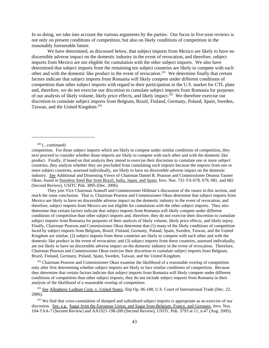In so doing, we take into account the various arguments by the parties. Our focus in five-year reviews is not only on present conditions of competition, but also on likely conditions of competition in the reasonably foreseeable future.

We have determined, as discussed below, that subject imports from Mexico are likely to have no discernible adverse impact on the domestic industry in the event of revocation, and therefore, subject imports from Mexico are not eligible for cumulation with the other subject imports. We also have determined that subject imports from the remaining ten subject countries are likely to compete with each other and with the domestic like product in the event of revocation.201 We determine finally that certain factors indicate that subject imports from Romania will likely compete under different conditions of competition than other subject imports with regard to their participation in the U.S. market for CTL plate and, therefore, we do not exercise our discretion to cumulate subject imports from Romania for purposes of our analysis of likely volume, likely price effects, and likely impact.<sup>202</sup> We therefore exercise our discretion to cumulate subject imports from Belgium, Brazil, Finland, Germany, Poland, Spain, Sweden, Taiwan, and the United Kingdom.<sup>203</sup>

They join Vice Chairman Aranoff and Commissioner Hillman's discussion of the issues in this section, and reach the same conclusion. That is, Chairman Pearson and Commissioner Okun determine that subject imports from Mexico are likely to have no discernible adverse impact on the domestic industry in the event of revocation, and therefore, subject imports from Mexico are not eligible for cumulation with the other subject imports. They also determine that certain factors indicate that subject imports from Romania will likely compete under different conditions of competition than other subject imports and, therefore, they do not exercise their discretion to cumulate subject imports from Romania for purposes of their analysis of likely volume, likely price effects, and likely injury. Finally, Chairman Pearson and Commissioner Okun determine that (1) many of the likely conditions of competition faced by subject imports from Belgium, Brazil, Finland, Germany, Poland, Spain, Sweden, Taiwan, and the United Kingdom are similar; (2) subject imports from these countries are likely to compete with each other and with the domestic like product in the event of revocation; and (3) subject imports from these countries, assessed individually, are not likely to have no discernible adverse impact on the domestic industry in the event of revocation. Therefore, Chairman Pearson and Commissioner Okun exercise their discretion to cumulate subject imports from Belgium, Brazil, Finland, Germany, Poland, Spain, Sweden, Taiwan, and the United Kingdom.

<sup>201</sup> Chairman Pearson and Commissioner Okun examine the likelihood of a reasonable overlap of competition only after first determining whether subject imports are likely to face similar conditions of competition. Because they determine that certain factors indicate that subject imports from Romania will likely compete under different conditions of competition than other subject imports, they do not include subject imports from Romania in their analysis of the likelihood of a reasonable overlap of competition.

<sup>202</sup> See Allegheny Ludlum Corp. v. United States, Slip Op. 06-188, U.S. Court of International Trade (Dec. 22, 2006).

<sup>203</sup> We find that cross-cumulation of dumped and subsidized subject imports is appropriate as an exercise of our discretion. See, e.g., Sugar from the European Union, and Sugar from Belgium, France, and Germany, Invs. Nos. 104-TAA-7 (Second Review) and AA1921-198-200 (Second Review), USITC Pub. 3793 at 11, n.47 (Aug. 2005).

 $200$  (...continued)

competition. For those subject imports which are likely to compete under similar conditions of competition, they next proceed to consider whether those imports are likely to compete with each other and with the domestic like product. Finally, if based on that analysis they intend to exercise their discretion to cumulate one or more subject countries, they analyze whether they are precluded from cumulating such imports because the imports from one or more subject countries, assessed individually, are likely to have no discernible adverse impact on the domestic industry. See Additional and Dissenting Views of Chairman Daniel R. Pearson and Commissioner Deanna Tanner Okun, found in Stainless Steel Bar from Brazil, India, Japan, and Spain, Invs. Nos. 731-TA-678, 679, 681, and 682 (Second Review), USITC Pub. 3895 (Dec. 2006).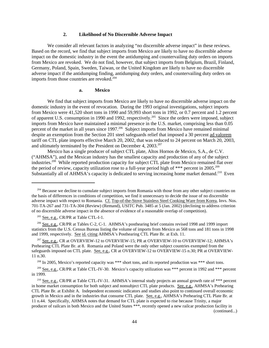### **2. Likelihood of No Discernible Adverse Impact**

We consider all relevant factors in analyzing "no discernible adverse impact" in these reviews. Based on the record, we find that subject imports from Mexico are likely to have no discernible adverse impact on the domestic industry in the event the antidumping and countervailing duty orders on imports from Mexico are revoked. We do not find, however, that subject imports from Belgium, Brazil, Finland, Germany, Poland, Spain, Sweden, Taiwan, or the United Kingdom are likely to have no discernible adverse impact if the antidumping finding, antidumping duty orders, and countervailing duty orders on imports from those countries are revoked.<sup>204</sup>

#### **a. Mexico**

We find that subject imports from Mexico are likely to have no discernible adverse impact on the domestic industry in the event of revocation. During the 1993 original investigations, subject imports from Mexico were 41,520 short tons in 1990 and 59,993 short tons in 1992, or 0.7 percent and 1.2 percent of apparent U.S. consumption in 1990 and 1992, respectively.<sup>205</sup> Since the orders were imposed, subject imports from Mexico have maintained a minimal presence in the U.S. market, comprising less than 0.05 percent of the market in all years since 1997.<sup>206</sup> Subject imports from Mexico have remained minimal despite an exemption from the Section 201 steel safeguards relief that imposed a 30 percent ad valorem tariff on CTL plate imports effective March 20, 2002, that was reduced to 24 percent on March 20, 2003, and ultimately terminated by the President on December 4,  $2003.^{207}$ 

Mexico has a single producer of subject CTL plate, Altos Hornos de Mexico, S.A., de C.V. ("AHMSA"), and the Mexican industry has the smallest capacity and production of any of the subject industries.208 While reported production capacity for subject CTL plate from Mexico remained flat over the period of review, capacity utilization rose to a full-year period high of \*\*\* percent in 2005.<sup>209</sup> Substantially all of AHMSA's capacity is dedicated to serving increasing home market demand.<sup>210</sup> Even

 206 See, e.g., CR/PR at Tables C-2, C-1. AHMSA's posthearing brief contains revised 1998 and 1999 import statistics from the U.S. Census Bureau listing the volume of imports from Mexico as 568 tons and 181 tons in 1998 and 1999, respectively. See id. citing AHMSA's Posthearing CTL Plate Br. at Exh. 11.

<sup>207</sup> See, e.g., CR at OVERVIEW-12 to OVERVIEW-15; PR at OVERVIEW-10 to OVERVIEW-12; AHMSA's Prehearing CTL Plate Br. at 8. Romania and Poland were the only other subject countries exempted from the safeguards imposed on CTL plate. See, e.g., CR at OVERVIEW-12 to OVERVIEW-15 n.30; PR at OVERVIEW-11 n.30.

208 In 2005, Mexico's reported capacity was \*\*\* short tons, and its reported production was \*\*\* short tons.

<sup>209</sup> See, e.g., CR/PR at Table CTL-IV-30. Mexico's capacity utilization was \*\*\* percent in 1992 and \*\*\* percent in 1999.

<sup>210</sup> See, e.g., CR/PR at Table CTL-IV-31. AHMSA's internal study projects an annual growth rate of \*\*\* percent in home market consumption for both subject and nonsubject CTL plate products. See, e.g., AHMSA's Prehearing CTL Plate Br. at Exhibit A. Independent economic indicators and studies also point to continued overall economic growth in Mexico and in the industries that consume CTL plate. See, e.g., AHMSA's Prehearing CTL Plate Br. at 11 n.44. Specifically, AHMSA notes that demand for CTL plate is expected to rise because Trinity, a major producer of railcars in both Mexico and the United States \*\*\*, recently opened a new railcar production facility in (continued...)

<sup>&</sup>lt;sup>204</sup> Because we decline to cumulate subject imports from Romania with those from any other subject countries on the basis of differences in conditions of competition, we find it unnecessary to decide the issue of no discernible adverse impact with respect to Romania. Cf. Top-of-the-Stove Stainless Steel Cooking Ware from Korea, Invs. Nos. 701-TA-267 and 731-TA-304 (Review) (Remand), USITC Pub. 3485 at 5 (Jan. 2002) (declining to address criterion of no discernible adverse impact in the absence of evidence of a reasonable overlap of competition).

<sup>&</sup>lt;sup>205</sup> See, e.g., CR/PR at Table CTL-I-1.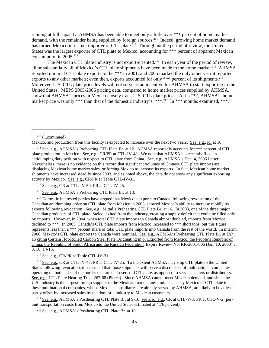running at full capacity, AHMSA has been able to meet only a little over \*\*\* percent of home market demand, with the remainder being supplied by foreign sources.<sup>211</sup> Indeed, growing home market demand has turned Mexico into a net importer of CTL plate.<sup>212</sup> Throughout the period of review, the United States was the largest exporter of CTL plate to Mexico, accounting for \*\*\* percent of apparent Mexican consumption in  $2005.^{213}$ 

The Mexican CTL plate industry is not export-oriented.<sup>214</sup> In each year of the period of review, all or substantially all of Mexico's CTL plate shipments have been made to the home market.<sup>215</sup> AHMSA reported minimal CTL plate exports to the \*\*\* in 2001, and 2005 marked the only other year it reported exports to any other markets; even then, exports accounted for only  $***$  percent of its shipments.<sup>216</sup> Moreover, U.S. CTL plate price levels will not serve as an incentive for AHMSA to start exporting to the United States. MEPS 2005-2006 pricing data, compared to home market prices supplied by AHMSA, show that AHMSA's prices in Mexico closely track U.S. CTL plate prices. At its \*\*\*, AHMSA's home market price was only \*\*\* than that of the domestic industry's, \*\*\*.<sup>217</sup> In \*\*\* months examined, \*\*\*.<sup>218</sup>

Mexico, and production from this facility is expected to increase over the next two years. See, e.g., id. at 16.

<sup>214</sup> Domestic interested parties have argued that Mexico's exports to Canada, following revocation of the Canadian antidumping order on CTL plate from Mexico in 2003, showed Mexico's ability to increase rapidly its exports following revocation. See, e.g., Mittal's Prehearing CTL Plate Br. at 16. In 2003, one of the three major Canadian producers of CTL plate, Stelco, exited from the industry, creating a supply deficit that could be filled only by imports. However, in 2004, when total CTL plate imports to Canada almost doubled, imports from Mexico declined to \*\*\*. In 2005, Canada's CTL plate imports from Mexico increased to \*\*\* short tons, but this figure represents less than a \*\*\* percent share of total CTL plate imports into Canada from the rest of the world. In interim 2006, Mexico's CTL plate exports to Canada were nominal. See, e.g., AHMSA's Prehearing CTL Plate Br. at Exh. 15 citing Certain Hot-Rolled Carbon Steel Plate Originating in or Exported from Mexico, the People's Republic of China, the Republic of South Africa and the Russian Federation, Expiry Review No. RR-2001-006 (Jan. 10, 2003) at 3, 10, 14-15.

<sup>215</sup> See, e.g., CR/PR at Table CTL-IV-31.

 216 See, e.g., CR at CTL-IV-47; PR at CTL-IV-25. To the extent AHMSA may ship CTL plate to the United States following revocation, it has stated that those shipments will serve a discrete set of multinational companies operating on both sides of the border that are end-users of CTL plate, as opposed to service centers or distributors. See, e.g., CTL Plate Hearing Tr. at 267-68 (Pierce). Since AHMSA cannot meet Mexican demand, and since the U.S. industry is the largest foreign supplier to the Mexican market, any limited sales by Mexico of CTL plate to these multinational companies, whose Mexican subsidiaries are already served by AHMSA, are likely to be at least partly offset by increased sales by the domestic industry to Mexican customers.

<sup>217</sup> See, e.g., AHMSA's Posthearing CTL Plate Br. at 9-10; see also, e.g., CR at CTL-V-3; PR at CTL-V-2 (perunit transportation costs from Mexico to the United States estimated at 4.76 percent).

<sup>218</sup> See, e.g., AHMSA's Posthearing CTL Plate Br. at 10.

 $210$  (...continued)

<sup>&</sup>lt;sup>211</sup> See, e.g., AHMSA's Prehearing CTL Plate Br. at 12. AHMSA reportedly accounts for \*\*\* percent of CTL plate production in Mexico. See, e.g., CR/PR at CTL-IV-48. We note that AHMSA has recently filed an antidumping duty petition with respect to CTL plate from China. See, e.g., AHMSA's Dec. 4, 2006 Letter. Nevertheless, there is no evidence on this record that significant volumes of Chinese CTL plate imports are displacing Mexican home market sales, or forcing Mexico to increase its exports. In fact, Mexican home market shipments have increased steadily since 2003, and as noted above, the data do not show any significant exporting activity by Mexico. See, e.g., CR/PR at Table CTL-IV-31.

 $212$  See, e.g., CR at CTL-IV-50; PR at CTL-IV-25.

 <sup>213</sup> See, e.g., AHMSA's Prehearing CTL Plate Br. at 13.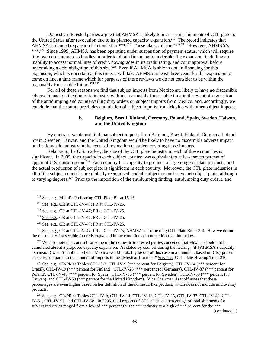Domestic interested parties argue that AHMSA is likely to increase its shipments of CTL plate to the United States after revocation due to its planned capacity expansion.<sup>219</sup> The record indicates that AHMSA's planned expansion is intended to \*\*\*.<sup>220</sup> These plans call for \*\*\*.<sup>221</sup> However, AHMSA's \*\*\*.<sup>222</sup> Since 1999, AHMSA has been operating under suspension of payment status, which will require it to overcome numerous hurdles in order to obtain financing to undertake the expansion, including an inability to access normal lines of credit, downgrades in its credit rating, and court approval before undertaking a debt obligation of this size.<sup>223</sup> Even if AHMSA is able to obtain financing for this expansion, which is uncertain at this time, it will take AHMSA at least three years for this expansion to come on line, a time frame which for purposes of these reviews we do not consider to be within the reasonably foreseeable future.<sup>224 225</sup>

For all of these reasons we find that subject imports from Mexico are likely to have no discernible adverse impact on the domestic industry within a reasonably foreseeable time in the event of revocation of the antidumping and countervailing duty orders on subject imports from Mexico, and, accordingly, we conclude that the statute precludes cumulation of subject imports from Mexico with other subject imports.

# **b. Belgium, Brazil, Finland, Germany, Poland, Spain, Sweden, Taiwan, and the United Kingdom**

By contrast, we do not find that subject imports from Belgium, Brazil, Finland, Germany, Poland, Spain, Sweden, Taiwan, and the United Kingdom would be likely to have no discernible adverse impact on the domestic industry in the event of revocation of orders covering those imports.

Relative to the U.S. market, the size of the CTL plate industry in each of these countries is significant. In 2005, the capacity in each subject country was equivalent to at least seven percent of apparent U.S. consumption.<sup>226</sup> Each country has capacity to produce a large range of plate products, and the actual production of subject plate is significant in each country. Moreover, the CTL plate industries in all of the subject countries are globally recognized, and all subject countries export subject plate, although to varying degrees.<sup>227</sup> Prior to the imposition of the antidumping finding, antidumping duty orders, and

 $223$  See, e.g., CR at CTL-IV-47; PR at CTL-IV-25.

<sup>224</sup> See, e.g., CR at CTL-IV-47; PR at CTL-IV-25; AHMSA's Posthearing CTL Plate Br. at 3-4. How we define the reasonably foreseeable future is explained in the conditions of competition section below.

<sup>225</sup> We also note that counsel for some of the domestic interested parties conceded that Mexico should not be cumulated absent a proposed capacity expansion. As stated by counsel during the hearing, "if {AHMSA's capacity expansion} wasn't public ... {t}hen Mexico would probably be out of this case in a minute ... based on {its} present capacity compared to the amount of imports in the {Mexican} market." See, e.g., CTL Plate Hearing Tr. at 210.

 226 See, e.g., CR/PR at Tables CTL-C-2, CTL-IV-9 (\*\*\* percent for Belgium), CTL-IV-14 (\*\*\* percent for Brazil), CTL-IV-19 (\*\*\* percent for Finland), CTL-IV-25 (\*\*\* percent for Germany), CTL-IV-37 (\*\*\* percent for Poland), CTL-IV-48 (\*\*\* percent for Spain), CTL-IV-50 (\*\*\* percent for Sweden), CTL-IV-53 (\*\*\* percent for Taiwan), and CTL-IV-58 (\*\*\* percent for the United Kingdom). Vice Chairman Aranoff notes that these percentages are even higher based on her definition of the domestic like product, which does not include micro-alloy products.

 227 See, e.g., CR/PR at Tables CTL-IV-9, CTL-IV-14, CTL-IV-19, CTL-IV-25, CTL-IV-37, CTL-IV-49, CTL-IV-51, CTL-IV-53, and CTL-IV-58. In 2005, total exports of CTL plate as a percentage of total shipments for subject industries ranged from a low of \*\*\* percent for the \*\*\* industry to a high of \*\*\* percent for the \*\*\*

(continued...)

 <sup>219</sup> See, e.g., Mittal's Prehearing CTL Plate Br. at 15-16.

 $220$  See, e.g., CR at CTL-IV-47; PR at CTL-IV-25.

 $221$  See, e.g., CR at CTL-IV-47; PR at CTL-IV-25.

 $222$  See, e.g., CR at CTL-IV-47; PR at CTL-IV-25.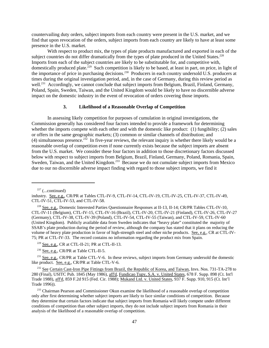countervailing duty orders, subject imports from each country were present in the U.S. market, and we find that upon revocation of the orders, subject imports from each country are likely to have at least some presence in the U.S. market.

With respect to product mix, the types of plate products manufactured and exported in each of the subject countries do not differ dramatically from the types of plate produced in the United States.<sup>228</sup> Imports from each of the subject countries are likely to be substitutable for, and competitive with, domestically produced plate.<sup>229</sup> Such competition is likely to be based, at least in part, on price, in light of the importance of price in purchasing decisions.<sup>230</sup> Producers in each country undersold U.S. producers at times during the original investigation period, and, in the case of Germany, during this review period as well.<sup>231</sup> Accordingly, we cannot conclude that subject imports from Belgium, Brazil, Finland, Germany, Poland, Spain, Sweden, Taiwan, and the United Kingdom would be likely to have no discernible adverse impact on the domestic industry in the event of revocation of orders covering those imports.

# **3. Likelihood of a Reasonable Overlap of Competition**

In assessing likely competition for purposes of cumulation in original investigations, the Commission generally has considered four factors intended to provide a framework for determining whether the imports compete with each other and with the domestic like product: (1) fungibility; (2) sales or offers in the same geographic markets; (3) common or similar channels of distribution; and (4) simultaneous presence.<sup>232</sup> In five-year reviews, the relevant inquiry is whether there likely would be a reasonable overlap of competition even if none currently exists because the subject imports are absent from the U.S. market. We consider these four factors in addition to those discretionary factors discussed below with respect to subject imports from Belgium, Brazil, Finland, Germany, Poland, Romania, Spain, Sweden, Taiwan, and the United Kingdom.<sup>233</sup> Because we do not cumulate subject imports from Mexico due to our no discernible adverse impact finding with regard to those subject imports, we find it

 $227$  (...continued)

<sup>230</sup> See, e.g., CR/PR at Table CTL-II-5.

<sup>231</sup> See, e.g., CR/PR at Table CTL-V-6. In these reviews, subject imports from Germany undersold the domestic like product. See, e.g., CR/PR at Table CTL-V-6.

<sup>232</sup> See Certain Cast-Iron Pipe Fittings from Brazil, the Republic of Korea, and Taiwan, Invs. Nos. 731-TA-278 to 280 (Final), USITC Pub. 1845 (May 1986), aff'd, Fundicao Tupy, S.A. v. United States, 678 F. Supp. 898 (Ct. Int'l Trade 1988), aff'd, 859 F.2d 915 (Fed. Cir. 1988); Mukand Ltd. v. United States, 937 F. Supp. 910, 915 (Ct. Int'l Trade 1996)).

<sup>233</sup> Chairman Pearson and Commissioner Okun examine the likelihood of a reasonable overlap of competition only after first determining whether subject imports are likely to face similar conditions of competition. Because they determine that certain factors indicate that subject imports from Romania will likely compete under different conditions of competition than other subject imports, they do not include subject imports from Romania in their analysis of the likelihood of a reasonable overlap of competition.

industry. See, e.g., CR/PR at Tables CTL-IV-9, CTL-IV-14, CTL-IV-19, CTL-IV-25, CTL-IV-37, CTL-IV-49, CTL-IV-51, CTL-IV-53, and CTL-IV-58.

 <sup>228</sup> See, e.g., Domestic Interested Parties Questionnaire Responses at II-13, II-14; CR/PR Tables CTL-IV-10, CTL-IV-11 (Belgium), CTL-IV-15, CTL-IV-16 (Brazil), CTL-IV-20, CTL-IV-21 (Finland), CTL-IV-26, CTL-IV-27 (Germany), CTL-IV-38, CTL-IV-39 (Poland), CTL-IV-54, CTL-IV-55 (Taiwan), and CTL-IV-59, CTL-IV-60 (United Kingdom). Publicly available data from Sweden indicates that "heavy plate" constituted the majority of SSAB's plate production during the period of review, although the company has stated that it plans on reducing the volume of heavy plate production in favor of high-strength steel and other niche products. See, e.g., CR at CTL-IV-75; PR at CTL-IV-33. The record contains no information regarding the product mix from Spain.

 $229$  See, e.g., CR at CTL-II-21; PR at CTL-II-13.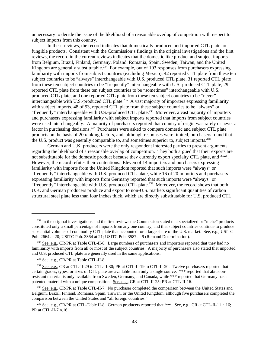unnecessary to decide the issue of the likelihood of a reasonable overlap of competition with respect to subject imports from this country.

In these reviews, the record indicates that domestically produced and imported CTL plate are fungible products. Consistent with the Commission's findings in the original investigations and the first reviews, the record in the current reviews indicates that the domestic like product and subject imports from Belgium, Brazil, Finland, Germany, Poland, Romania, Spain, Sweden, Taiwan, and the United Kingdom are generally substitutable.<sup>234</sup> For example, out of  $103$  responses from purchasers expressing familiarity with imports from subject countries (excluding Mexico), 42 reported CTL plate from these ten subject countries to be "always" interchangeable with U.S. produced CTL plate, 31 reported CTL plate from these ten subject countries to be "frequently" interchangeable with U.S.-produced CTL plate, 29 reported CTL plate from these ten subject countries to be "sometimes" interchangeable with U.S. produced CTL plate, and one reported CTL plate from these ten subject countries to be "never" interchangeable with U.S.-produced CTL plate.<sup>235</sup> A vast majority of importers expressing familiarity with subject imports, 48 of 53, reported CTL plate from these subject countries to be "always" or "frequently" interchangeable with U.S.-produced CTL plate.<sup>236</sup> Moreover, a vast majority of importers and purchasers expressing familiarity with subject imports reported that imports from subject countries were used interchangeably. A majority of purchasers reported that country of origin was rarely or never a factor in purchasing decisions.<sup>237</sup> Purchasers were asked to compare domestic and subject CTL plate products on the basis of 20 ranking factors, and, although responses were limited, purchasers found that the U.S. product was generally comparable to, and sometimes superior to, subject imports.<sup>238</sup>

German and U.K. producers were the only respondent interested parties to present arguments regarding the likelihood of a reasonable overlap of competition. They both argued that their exports are not substitutable for the domestic product because they currently export specialty CTL plate, and \*\*\*. However, the record refutes their contentions. Eleven of 14 importers and purchasers expressing familiarity with imports from the United Kingdom reported that such imports were "always" or "frequently" interchangeable with U.S.-produced CTL plate, while 16 of 20 importers and purchasers expressing familiarity with imports from Germany reported that such imports were "always" or "frequently" interchangeable with U.S.-produced CTL plate.<sup>239</sup> Moreover, the record shows that both U.K. and German producers produce and export to non-U.S. markets significant quantities of carbon structural steel plate less than four inches thick, which are directly substitutable for U.S. produced CTL

<sup>&</sup>lt;sup>234</sup> In the original investigations and the first reviews the Commission stated that specialized or "niche" products constituted only a small percentage of imports from any one country, and that subject countries continue to produce substantial volumes of commodity CTL plate that accounted for a large share of the U.S. market. See, e.g., USITC Pub. 2664 at 20; USITC Pub. 3364 at 21; USITC Pub. 3587 at 9 (Remand Determination).

<sup>&</sup>lt;sup>235</sup> See, e.g., CR/PR at Table CTL-II-8. Large numbers of purchasers and importers reported that they had no familiarity with imports from all or most of the subject countries. A majority of purchasers also stated that imported and U.S. produced CTL plate are generally used in the same applications.

<sup>&</sup>lt;sup>236</sup> See, e.g., CR/PR at Table CTL-II-8.

<sup>&</sup>lt;sup>237</sup> See, e.g., CR at CTL-II-29 to CTL-II-30; PR at CTL-II-19 to CTL-II-20. Twelve purchasers reported that certain grades, types, or sizes of CTL plate are available from only a single source. \*\*\* reported that abrasionresistant material is only available from Sweden, Germany, and Canada, while \*\*\* reported that Germany has a patented material with a unique composition. See, e.g., CR at CTL-II-25; PR at CTL-II-16.

<sup>&</sup>lt;sup>238</sup> See, e.g., CR/PR at Table CTL-II-7. No purchaser completed the comparison between the United States and Belgium, Brazil, Finland, Romania, Spain, Taiwan, or the United Kingdom, although five purchasers completed the comparison between the United States and "all foreign countries."

<sup>&</sup>lt;sup>239</sup> See, e.g., CR/PR at CTL-Table II-8. German producers reported that \*\*\*. See, e.g., CR at CTL-II-11 n.16; PR at CTL-II-7 n.16.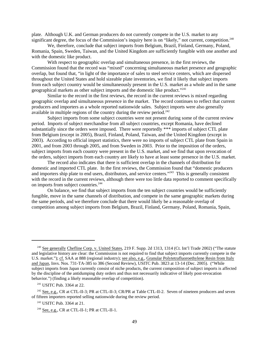plate. Although U.K. and German producers do not currently compete in the U.S. market to any significant degree, the focus of the Commission's inquiry here is on "likely," not current, competition.<sup>240</sup>

We, therefore, conclude that subject imports from Belgium, Brazil, Finland, Germany, Poland, Romania, Spain, Sweden, Taiwan, and the United Kingdom are sufficiently fungible with one another and with the domestic like product.

With respect to geographic overlap and simultaneous presence, in the first reviews, the Commission found that the record was "mixed" concerning simultaneous market presence and geographic overlap, but found that, "in light of the importance of sales to steel service centers, which are dispersed throughout the United States and hold sizeable plate inventories, we find it likely that subject imports from each subject country would be simultaneously present in the U.S. market as a whole and in the same geographical markets as other subject imports and the domestic like product."241

Similar to the record in the first reviews, the record in the current reviews is mixed regarding geographic overlap and simultaneous presence in the market. The record continues to reflect that current producers and importers as a whole reported nationwide sales. Subject imports were also generally available in multiple regions of the country during the review period.<sup>242</sup>

Subject imports from some subject countries were not present during some of the current review period. Imports of subject merchandise from all subject countries, except Romania, have declined substantially since the orders were imposed. There were reportedly \*\*\* imports of subject CTL plate from Belgium (except in 2005), Brazil, Finland, Poland, Taiwan, and the United Kingdom (except in 2003). According to official import statistics, there were no imports of subject CTL plate from Spain in 2001, and from 2003 through 2005, and from Sweden in 2003. Prior to the imposition of the orders, subject imports from each country were present in the U.S. market, and we find that upon revocation of the orders, subject imports from each country are likely to have at least some presence in the U.S. market.

The record also indicates that there is sufficient overlap in the channels of distribution for domestic and imported CTL plate. In the first reviews, the Commission found that "domestic producers and importers ship plate to end users, distributors, and service centers."<sup>243</sup> This is generally consistent with the record in the current reviews, although there were too little data reported to comment specifically on imports from subject countries.<sup>244</sup>

On balance, we find that subject imports from the ten subject countries would be sufficiently fungible, move in the same channels of distribution, and compete in the same geographic markets during the same periods, and we therefore conclude that there would likely be a reasonable overlap of competition among subject imports from Belgium, Brazil, Finland, Germany, Poland, Romania, Spain,

<sup>&</sup>lt;sup>240</sup> See generally Chefline Corp. v. United States, 219 F. Supp. 2d 1313, 1314 (Ct. Int'l Trade 2002) ("The statute and legislative history are clear: the Commission is not required to find that subject imports currently compete in the U.S. market."); cf. SAA at 888 (regional industry); see also, e.g., Granular Polytetrafluoroethylene Resin from Italy and Japan, Invs. Nos. 731-TA-385 to 386 (Second Review), USITC Pub. 3823 at 13-14 (Dec. 2005). ("While subject imports from Japan currently consist of niche products, the current composition of subject imports is affected by the discipline of the antidumping duty orders and thus not necessarily indicative of likely post-revocation behavior.") (finding a likely reasonable overlap of competition).

 <sup>241</sup> USITC Pub. 3364 at 22.

<sup>&</sup>lt;sup>242</sup> See, e.g., CR at CTL-II-3; PR at CTL-II-3; CR/PR at Table CTL-II-2. Seven of nineteen producers and seven of fifteen importers reported selling nationwide during the review period.

<sup>&</sup>lt;sup>243</sup> USITC Pub. 3364 at 21.

 $244$  See, e.g., CR at CTL-II-1; PR at CTL-II-1.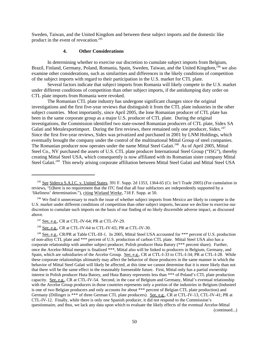Sweden, Taiwan, and the United Kingdom and between these subject imports and the domestic like product in the event of revocation.<sup>245</sup>

# **4. Other Considerations**

In determining whether to exercise our discretion to cumulate subject imports from Belgium, Brazil, Finland, Germany, Poland, Romania, Spain, Sweden, Taiwan, and the United Kingdom,<sup>246</sup> we also examine other considerations, such as similarities and differences in the likely conditions of competition of the subject imports with regard to their participation in the U.S. market for CTL plate.

Several factors indicate that subject imports from Romania will likely compete in the U.S. market under different conditions of competition than other subject imports, if the antidumping duty order on CTL plate imports from Romania were revoked.

The Romanian CTL plate industry has undergone significant changes since the original investigations and the first five-year reviews that distinguish it from the CTL plate industries in the other subject countries. Most importantly, since April 2005, the lone Romanian producer of CTL plate has been in the same corporate group as a major U.S. producer of CTL plate. During the original investigations, the Commission identified two state-owned Romanian producers of CTL plate, Sidex SA Galati and Metalexportimport. During the first reviews, there remained only one producer, Sidex.<sup>247</sup> Since the first five-year reviews, Sidex was privatized and purchased in 2001 by LNM Holdings, which eventually brought the company under the control of the multinational Mittal Group of steel companies. The Romanian producer now operates under the name Mittal Steel Galati.<sup>248</sup> As of April 2005, Mittal Steel Co., NV purchased the assets of U.S. CTL plate producer International Steel Group ("ISG"), thereby creating Mittal Steel USA, which consequently is now affiliated with its Romanian sister company Mittal Steel Galati.<sup>249</sup> This newly arising corporate affiliation between Mittal Steel Galati and Mittal Steel USA

<sup>248</sup> See, e.g., CR at CTL-IV-64 to CTL-IV-65; PR at CTL-IV-30.

<sup>&</sup>lt;sup>245</sup> See Siderca S.A.I.C. v. United States, 391 F. Supp. 2d 1353, 1364-65 (Ct. Int'l Trade 2005) (For cumulation in reviews, "[t]here is no requirement that the ITC find that all four subfactors are independently supported by a 'likeliness' determination."), citing Wieland Werke, 718 F. Supp. at 50.

<sup>&</sup>lt;sup>246</sup> We find it unnecessary to reach the issue of whether subject imports from Mexico are likely to compete in the U.S. market under different conditions of competition than other subject imports, because we decline to exercise our discretion to cumulate such imports on the basis of our finding of no likely discernible adverse impact, as discussed above.

 $247$  See, e.g., CR at CTL-IV-64; PR at CTL-IV-29.

<sup>&</sup>lt;sup>249</sup> See, e.g., CR/PR at Table CTL-III-1. In 2005, Mittal Steel USA accounted for \*\*\* percent of U.S. production of non-alloy CTL plate and \*\*\* percent of U.S. production of carbon CTL plate. Mittal Steel USA also has a corporate relationship with another subject producer, Polish producer Huta Batory (\*\*\* percent share). Further, once the Arcelor-Mittal merger is finalized \*\*\*, Mittal also will be linked to producers in Belgium, Germany, and Spain, which are subsidiaries of the Arcelor Group. See, e.g., CR at CTL-I-33 to CTL-I-34; PR at CTL-I-28. While these corporate relationships ultimately may affect the behavior of those producers in the same manner in which the behavior of Mittal Steel Galati will likely be affected, at this time we cannot determine that it is more likely than not that there will be the same effect in the reasonably foreseeable future. First, Mittal only has a partial ownership interest in Polish producer Huta Batory, and Huta Batory represents less than \*\*\* of Poland's CTL plate production capacity. See, e.g., CR at CTL-IV-54. Second, in the case of Belgium and Germany, Mittal's eventual relationship with the Arcelor Group producers in those countries represents only a portion of the industries in Belgium (Industeel is one of two Belgian producers and only accounts for about \*\*\* percent of Belgian CTL plate production) and Germany (Dillinger is \*\*\* of three German CTL plate producers). See, e.g., CR at CTL-IV-13, CTL-IV-41; PR at CTL-IV-12. Finally, while there is only one Spanish producer, it did not respond to the Commission's questionnaire, and thus, we lack any data upon which to evaluate the likely effects of the eventual Arcelor-Mittal (continued...)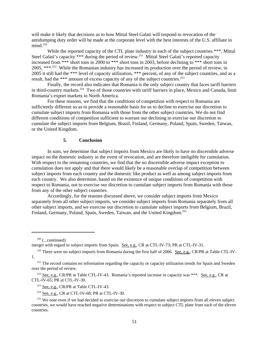will make it likely that decisions as to how Mittal Steel Galati will respond to revocation of the antidumping duty order will be made at the corporate level with the best interests of the U.S. affiliate in mind $^{250}$ 

While the reported capacity of the CTL plate industry in each of the subject countries \*\*\*, Mittal Steel Galati's capacity \*\*\* during the period of review.<sup>251</sup> Mittal Steel Galati's reported capacity increased from \*\*\* short tons in 2000 to \*\*\* short tons in 2003, before declining to \*\*\* short tons in 2005, \*\*\*.252 While the Romanian industry has increased its production over the period of review, in 2005 it still had the \*\*\* level of capacity utilization, \*\*\* percent, of any of the subject countries, and as a result, had the \*\*\* amount of excess capacity of any of the subject countries.<sup>253</sup>

Finally, the record also indicates that Romania is the only subject country that faces tariff barriers in third-country markets.<sup>254</sup> Two of those countries with tariff barriers in place, Mexico and Canada, limit Romania's export markets in North America.

For these reasons, we find that the conditions of competition with respect to Romania are sufficiently different so as to provide a reasonable basis for us to decline to exercise our discretion to cumulate subject imports from Romania with those from the other subject countries. We do not find different conditions of competition sufficient to warrant our declining to exercise our discretion to cumulate the subject imports from Belgium, Brazil, Finland, Germany, Poland, Spain, Sweden, Taiwan, or the United Kingdom.

# **5. Conclusion**

In sum, we determine that subject imports from Mexico are likely to have no discernible adverse impact on the domestic industry in the event of revocation, and are therefore ineligible for cumulation. With respect to the remaining countries, we find that the no discernible adverse impact exception to cumulation does not apply and that there would likely be a reasonable overlap of competition between subject imports from each country and the domestic like product as well as among subject imports from each country. We also determine, based on the existence of unique conditions of competition with respect to Romania, not to exercise our discretion to cumulate subject imports from Romania with those from any of the other subject countries.

Accordingly, for the reasons discussed above, we consider subject imports from Mexico separately from all other subject imports, we consider subject imports from Romania separately from all other subject imports, and we exercise our discretion to cumulate subject imports from Belgium, Brazil, Finland, Germany, Poland, Spain, Sweden, Taiwan, and the United Kingdom.<sup>255</sup>

 $249$  (...continued)

merger with regard to subject imports from Spain. See, e.g., CR at CTL-IV-73; PR at CTL-IV-31.

<sup>&</sup>lt;sup>250</sup> There were no subject imports from Romania during the first half of 2006. See, e.g., CR/PR at Table CTL-IV-1.

<sup>&</sup>lt;sup>251</sup> The record contains no information regarding the capacity or capacity utilization trends for Spain and Sweden over the period of review.

<sup>&</sup>lt;sup>252</sup> See, e.g., CR/PR at Table CTL-IV-43. Romania's reported increase in capacity was \*\*\*. See, e.g., CR at CTL-IV-65; PR at CTL-IV-30.

<sup>&</sup>lt;sup>253</sup> See, e.g., CR/PR at Table CTL-IV-43.

 $254$  See, e.g., CR at CTL-IV-68; PR at CTL-IV-30.

<sup>&</sup>lt;sup>255</sup> We note even if we had decided to exercise our discretion to cumulate subject imports from all eleven subject countries, we would have reached negative determinations with respect to subject CTL plate from each of the eleven countries.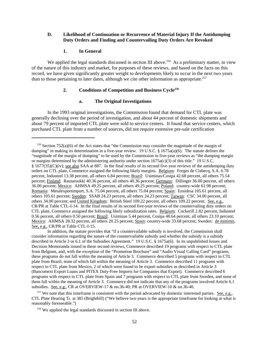## **D. Likelihood of Continuation or Recurrence of Material Injury If the Antidumping Duty Orders and Finding and Countervailing Duty Orders Are Revoked**

## **1. In General**

We applied the legal standards discussed in section III above.<sup>256</sup> As a preliminary matter, in view of the nature of this industry and market, for purposes of these reviews, and based on the facts on this record, we have given significantly greater weight to developments likely to occur in the next two years than to those pertaining to later dates, although we cite other information as appropriate.<sup>257</sup>

# **2. Conditions of Competition and Business Cycle258**

## **a. The Original Investigations**

In the 1993 original investigations, the Commission found that demand for CTL plate was generally declining over the period of investigation, and about 44 percent of domestic shipments and about 79 percent of imported CTL plate were sold to service centers. It found that service centers, which purchased CTL plate from a number of sources, did not require extensive pre-sale certification

In addition, the statute provides that "if a countervailable subsidy is involved, the Commission shall consider information regarding the nature of the countervailable subsidy and whether the subsidy is a subsidy described in Article 3 or 6.1 of the Subsidies Agreement." 19 U.S.C. § 1675a(6). In its unpublished Issues and Decision Memoranda issued in these second reviews, Commerce described 19 programs with respect to CTL plate from Belgium, and, with the exception of the "Promotion Brochure" and "Audio Visual Calling Card" programs, these programs do not fall within the meaning of Article 3. Commerce described 5 programs with respect to CTL plate from Brazil, none of which fall within the meaning of Article 3. Commerce described 11 programs with respect to CTL plate from Mexico, 2 of which were found to be export subsidies as described in Article 3 (Bancomext Export Loans and PITEX Duty-Free Imports for Companies that Export). Commerce described 6 programs with respect to CTL plate from Spain and 7 programs with respect to CTL plate from Sweden, and none of them fall within the meaning of Article 3. Commerce did not indicate that any of the programs involved Article 6.1 subsidies. See, e.g., CR at OVERVIEW-17 & nn.36-40; PR at OVERVIEW-10 & nn.36-40.

 $257$  We note that this timeframe is consistent with the period advocated by domestic interested parties. See, e.g., CTL Plate Hearing Tr. at 385 (Brightbill) ("We believe two years is the appropriate timeframe for looking at what is reasonably foreseeable.")

<sup>&</sup>lt;sup>256</sup> Section 752(a)(6) of the Act states that "the Commission may consider the magnitude of the margin of dumping" in making its determination in a five-year review. 19 U.S.C. § 1675a(a)(6). The statute defines the "magnitude of the margin of dumping" to be used by the Commission in five-year reviews as "the dumping margin or margins determined by the administering authority under section 1675a(c)(3) of this title." 19 U.S.C. § 1677(35)(C)(iv); see also SAA at 887. In the final results of its second five-year reviews of the antidumping duty orders on CTL plate, Commerce assigned the following likely margins. Belgium: Forges de Clabecq, S.A. 6.78 percent, Industeel 13.38 percent, all others 6.84 percent; Brazil: Usiminas/Cosipa 42.68 percent, all others 75.54 percent; Finland: Rautaruukki 40.36 percent, all others 40.36 percent; Germany: Dillinger 36.00 percent, all others 36.00 percent; Mexico: AHMSA 49.25 percent, all others 49.25 percent; Poland: country-wide 61.98 percent; Romania: Metalexportimport, S.A. 75.04 percent, all others 75.04 percent; Spain: Ensidesa 105.61 percent, all others 105.61 percent; Sweden: SSAB 24.23 percent, all others 24.23 percent; Taiwan: CSC 34.00 percent, all others 34.00 percent; and United Kingdom: British Steel 109.22 percent, all others 109.22 percent. See, e.g., CR/PR at Table CTL-I-14. In the final results of its second five-year reviews of the countervailing duty orders on CTL plate, Commerce assigned the following likely subsidization rates. Belgium: Cockerill 2.82 percent, Industeel 0.56 percent, all others 0.50 percent; Brazil: Usiminas 5.44 percent, Cosipa 48.64 percent, all others 23.10 percent; Mexico: AHMSA 28.32 percent, all others 20.25 percent; Spain: country-wide 33.68 percent; Sweden: de minimis. See, e.g., CR/PR at Table CTL-I-15.

 <sup>258</sup> We applied the legal standards discussed in section III above.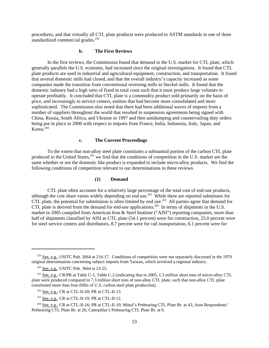procedures, and that virtually all CTL plate products were produced to ASTM standards in one of three standardized commercial grades.<sup>259</sup>

# **b. The First Reviews**

In the first reviews, the Commission found that demand in the U.S. market for CTL plate, which generally parallels the U.S. economy, had increased since the original investigations. It found that CTL plate products are used in industrial and agricultural equipment, construction, and transportation. It found that several domestic mills had closed, and that the overall industry's capacity increased as some companies made the transition from conventional reversing mills to Steckel mills. It found that the domestic industry had a high ratio of fixed to total costs such that it must produce large volumes to operate profitably. It concluded that CTL plate is a commodity product sold primarily on the basis of price, and increasingly to service centers, entities that had become more consolidated and more sophisticated. The Commission also noted that there had been additional waves of imports from a number of suppliers throughout the world that resulted in suspension agreements being signed with China, Russia, South Africa, and Ukraine in 1997 and then antidumping and countervailing duty orders being put in place in 2000 with respect to imports from France, India, Indonesia, Italy, Japan, and Korea.<sup>260</sup>

# **c. The Current Proceedings**

To the extent that non-alloy steel plate constitutes a substantial portion of the carbon CTL plate produced in the United States,<sup>261</sup> we find that the conditions of competition in the U.S. market are the same whether or not the domestic like product is expanded to include micro-alloy products. We find the following conditions of competition relevant to our determinations in these reviews.

# **(1) Demand**

CTL plate often accounts for a relatively large percentage of the total cost of end-use products, although the cost share varies widely depending on end use.<sup>262</sup> While there are reported substitutes for CTL plate, the potential for substitution is often limited by end use.<sup>263</sup> All parties agree that demand for CTL plate is derived from the demand for end-use applications.<sup>264</sup> In terms of shipments in the U.S. market in 2005 compiled from American Iron & Steel Institute ("AISI") reporting companies, more than half of shipments classified by AISI as CTL plate (54.1 percent) were for construction, 25.0 percent were for steel service centers and distributors, 8.7 percent were for rail transportation, 6.1 percent were for

 <sup>259</sup> See, e.g., USITC Pub. 2664 at 216-17. Conditions of competition were not separately discussed in the 1979 original determination concerning subject imports from Taiwan, which involved a regional industry.

<sup>&</sup>lt;sup>260</sup> See, e.g., USITC Pub. 3664 at 23-25.

<sup>&</sup>lt;sup>261</sup> See, e.g., CR/PR at Table C-1, Table C-2 (indicating that in 2005, 1.3 million short tons of micro-alloy CTL plate were produced compared to 7.3 million short tons of non-alloy CTL plate, such that non-alloy CTL plate constituted more than four-fifths of U.S. carbon steel plate production).

 <sup>262</sup> See, e.g., CR at CTL-II-20; PR at CTL-II-13.

 $263$  See, e.g., CR at CTL-II-19; PR at CTL-II-12.

 <sup>264</sup> See, e.g., CR at CTL-II-16; PR at CTL-II-10; Mittal's Prehearing CTL Plate Br. at 43; Joint Respondents' Prehearing CTL Plate Br. at 26; Caterpillar's Prehearing CTL Plate Br. at 6.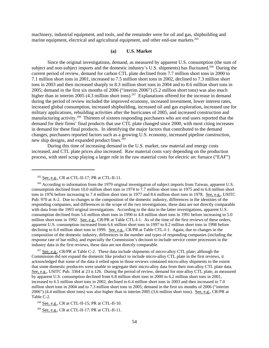machinery, industrial equipment, and tools, and the remainder were for oil and gas, shipbuilding and marine equipment, electrical and agricultural equipment, and other end-use markets.<sup>265</sup>

#### **(a) U.S. Market**

Since the original investigations, demand, as measured by apparent U.S. consumption (the sum of subject and non-subject imports and the domestic industry's U.S. shipments) has fluctuated.<sup>266</sup> During the current period of review, demand for carbon CTL plate declined from 7.7 million short tons in 2000 to 7.1 million short tons in 2001, increased to 7.5 million short tons in 2002, declined to 7.3 million short tons in 2003 and then increased sharply to 8.3 million short tons in 2004 and to 8.6 million short tons in 2005; demand in the first six months of 2006 ("interim 2006") (5.2 million short tons) was also much higher than in interim 2005 (4.3 million short tons).<sup>267</sup> Explanations offered for the increase in demand during the period of review included the improved economy, increased investment, lower interest rates, increased global consumption, increased shipbuilding, increased oil and gas exploration, increased use for military applications, rebuilding activities after the hurricanes of 2005, and increased construction and manufacturing activity.<sup>268</sup> Thirteen of sixteen responding purchasers who are end users reported that the demand for their firms' final products that use CTL plate changed since 2000, with most citing increases in demand for these final products. In identifying the major factors that contributed to the demand changes, purchasers reported factors such as a growing U.S. economy, increased pipeline construction, new ship designs, and expanded product lines.<sup>269</sup>

During this time of increasing demand in the U.S. market, raw material and energy costs increased, and CTL plate prices also increased. Raw material costs vary depending on the production process, with steel scrap playing a larger role in the raw material costs for electric arc furnace ("EAF")

<sup>267</sup> See, e.g., CR/PR at Table C-2. These data include shipments of micro-alloy CTL plate; although the Commission did not expand the domestic like product to include micro-alloy CTL plate in the first reviews, it acknowledged that some of the data it relied upon in those reviews contained micro-alloy shipments to the extent that some domestic producers were unable to segregate their micro-alloy data from their non-alloy CTL plate data. See, e.g., USITC Pub. 3364 at 23 n.126. During the period of review, demand for non-alloy CTL plate, as measured by apparent U.S. consumption declined from 6.8 million short tons in 2000 to 6.2 million short tons in 2001, increased to 6.5 million short tons in 2002, declined to 6.4 million short tons in 2003 and then increased to 7.0 million short tons in 2004 and to 7.3 million short tons in 2005; demand in the first six months of 2006 ("interim 2006") (4.4 million short tons) was also higher than in interim 2005 (3.6 million short tons). See, e.g., CR/PR at Table C-2.

268 See, e.g., CR at CTL-II-15; PR at CTL-II-10.

269 See, e.g., CR at CTL-II-17; PR at CTL-II-11.

 $^{265}$  See, e.g., CR at CTL-II-17; PR at CTL-II-11.

<sup>&</sup>lt;sup>266</sup> According to information from the 1979 original investigation of subject imports from Taiwan, apparent U.S. consumption declined from 10.0 million short tons in 1974 to 7.7 million short tons in 1975 and to 6.8 million short tons in 1976 before increasing to 7.4 million short tons in 1977 and 8.6 million short tons in 1978. See, e.g., USITC Pub. 970 at A-2. Due to changes in the composition of the domestic industry, differences in the identities of the responding companies, and differences in the scope of the two investigations, these data are not directly comparable with data from the 1993 original investigations. According to the data in the latter investigations, apparent U.S. consumption declined from 5.6 million short tons in 1990 to 4.8 million short tons in 1991 before increasing to 5.0 million short tons in 1992. <u>See, e.g.</u>, CR/PR at Table CTL-I-1. As of the time of the first reviews of these orders, apparent U.S. consumption increased from 6.6 million short tons in 1997 to 8.2 million short tons in 1998 before declining to 6.0 million short tons in 1999. See, e.g., CR/PR at Table CTL-I-1. Again, due to changes in the composition of the domestic industry, differences in the number and types of responding companies (including the response rate of bar mills), and especially the Commission's decision to include service center processors in the industry data in the first reviews, these data are not directly comparable.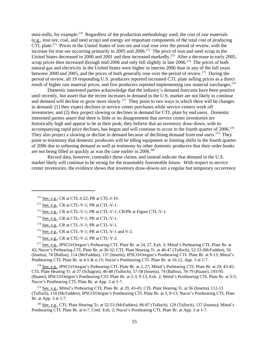mini-mills, for example.<sup>270</sup> Regardless of the production methodology used, the cost of raw materials (e.g., iron ore, coal, and steel scrap) and energy are important components of the total cost of producing CTL plate.271 Prices in the United States of iron ore and coal rose over the period of review, with the increase for iron ore occurring primarily in 2005 and 2006.<sup>272</sup> The price of iron and steel scrap in the United States decreased in 2000 and 2001 and then increased markedly.<sup>273</sup> After a decrease in early 2005, scrap prices then increased through mid-2006 and only fell slightly in late 2006.<sup>274</sup> The prices of both natural gas and electricity in the United States were higher in interim 2006 than in any of the full years between 2000 and 2005, and the prices of both generally rose over the period of review.275 During the period of review, all 19 responding U.S. producers reported increased CTL plate selling prices as a direct result of higher raw material prices, and five producers reported implementing raw material surcharges.<sup>276</sup>

Domestic interested parties acknowledge that the industry's demand forecasts have been positive until recently, but assert that the recent increases in demand in the U.S. market are not likely to continue and demand will decline or grow more slowly.<sup>277</sup> They point to two ways in which there will be changes in demand: (1) they expect declines in service center purchases while service centers work off inventories; and (2) they project slowing or declines in demand for CTL plate by end users. Domestic interested parties assert that there is little or no disagreement that service center inventories are historically high and appear to be at their peak; they believe that an inventory draw-down, with its accompanying rapid price declines, has begun and will continue to occur in the fourth quarter of 2006.<sup>278</sup> They also project a slowing or decline in demand because of declining demand from end users.<sup>279</sup> They point to testimony that domestic producers will be idling equipment or limiting shifts in the fourth quarter of 2006 due to softening demand as well as testimony by other domestic producers that their order books are not being filled as quickly as was the case earlier in 2006.<sup>280</sup>

Record data, however, contradict these claims, and instead indicate that demand in the U.S. market likely will continue to be strong for the reasonably foreseeable future. With respect to service center inventories, the evidence shows that inventory draw-downs are a regular but temporary occurrence

 $272$  See, e.g., CR at CTL-V-1; PR at CTL-V-1; CR/PR at Figure CTL-V-1.

 $275$  See, e.g., CR at CTL-V-1; PR at CTL-V-1 and V-2.

 $276$  See, e.g., CR at CTL-V-2; PR at CTL-V-2.

<sup>277</sup> See, e.g., IPSCO/Oregon's Prehearing CTL Plate Br. at 24, 27, Exh. 3; Mittal's Prehearing CTL Plate Br. at 43; Nucor's Prehearing CTL Plate Br. at 30-32; CTL Plate Hearing Tr. at 46-47 (Tulloch), 52-53 (McFadden), 56 (Insetta), 74 (Ballou), 114 (McFadden), 137 (Insetta); IPSCO/Oregon's Posthearing CTL Plate Br. at 9-13; Mittal's Posthearing CTL Plate Br. at 4-5 & n.13; Nucor's Posthearing CTL Plate Br. at 10-12, App. 3 at 1-7.

<sup>278</sup> See, e.g., IPSCO/Oregon's Prehearing CTL Plate Br. at 2, 27; Mittal's Prehearing CTL Plate Br. at 29, 43-45; CTL Plate Hearing Tr. at 37 (Schagrin), 46-48 (Tulloch), 57-58 (Insetta), 74 (Ballou), 78-79 (Ruane), 193-95 (Ruane); IPSCO/Oregon's Posthearing CTL Plate Br. at 2-3, 9-13, Exh. 2; Mittal's Posthearing CTL Plate Br. at 3-5; Nucor's Posthearing CTL Plate Br. at App. 3 at 1-7.

<sup>279</sup> See, e.g., Mittal's Prehearing CTL Plate Br. at 29, 43-45; CTL Plate Hearing Tr. at 56 (Insetta), 112-13 (Tulloch), 114 (McFadden); IPSCO/Oregon's Posthearing CTL Plate Br. at 3, 9-13; Nucor's Posthearing CTL Plate Br. at App. 3 at 1-7.

 280 See, e.g., CTL Plate Hearing Tr. at 52-53 (McFadden), 86-87 (Tulloch), 129 (Tulloch), 137 (Insetta); Mittal's Posthearing CTL Plate Br. at 6-7, Conf. Exh. 2; Nucor's Posthearing CTL Plate Br. at App. 3 at 1-7.

 $270$  See, e.g., CR at CTL-I-22; PR at CTL-I-19.

 $271$  See, e.g., CR at CTL-V-1; PR at CTL-V-1.

 $273$  See, e.g., CR at CTL-V-1; PR at CTL-V-1.

 $274$  See, e.g., CR at CTL-V-1; PR at CTL-V-1.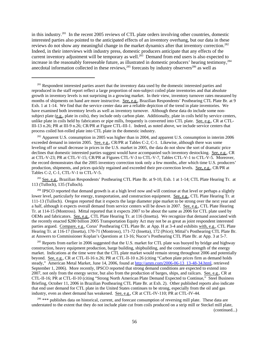in this industry.281 In the recent 2005 reviews of CTL plate orders involving other countries, domestic interested parties also pointed to the anticipated effects of an inventory overhang, but our data in these reviews do not show any meaningful change in the market dynamics after that inventory correction.<sup>282</sup> Indeed, in their interviews with industry press, domestic producers anticipate that any effects of the current inventory adjustment will be temporary as well.<sup>283</sup> Demand from end users is also expected to increase in the reasonably foreseeable future, as illustrated in domestic producers' hearing testimony,<sup>284</sup> anecdotal information collected in these reviews,  $285$  forecasts by industry observers<sup>286</sup> as well as

<sup>282</sup> Apparent U.S. consumption in 2005 was higher than in 2004, and apparent U.S. consumption in interim 2006 exceeded demand in interim 2005. See, e.g., CR/PR at Tables C-2, C-1. Likewise, although there was some leveling off or small decrease in prices in the U.S. market in 2005, the data do not show the sort of dramatic price declines that domestic interested parties suggest would have accompanied such inventory destocking. See, e.g., CR at CTL-V-23; PR at CTL-V-15; CR/PR at Figures CTL-V-3 to CTL-V-7, Tables CTL-V-1 to CTL-V-5. Moreover, the record demonstrates that the 2005 inventory correction took only a few months, after which time U.S. producers' production, shipments, and prices quickly regained and exceeded their pre-correction levels. See, e.g., CR/PR at Tables C-2, C-1, CTL-V-1 to CTL-V-5.

<sup>283</sup> See, e.g., Brazilian Respondents' Posthearing CTL Plate Br. at 9-10, Exh. 1 at 1-14; CTL Plate Hearing Tr. at 113 (Tulloch), 135 (Tulloch).

<sup>284</sup> IPSCO reported that demand growth is at a high level now and will continue at that level or perhaps a slightly lower level, particularly for energy, transportation, and construction equipment. See, e.g., CTL Plate Hearing Tr. at 111-13 (Tulloch). Oregon reported that it expects the large diameter pipe market to be strong over the next year and a half, although it expects overall demand from service centers will be down in 2007. See, e.g., CTL Plate Hearing Tr. at 114-15 (Montross). Mittal reported that it expects 2007 to be about the same as 2006 for CTL plate used by OEMs and fabricators. See, e.g., CTL Plate Hearing Tr. at 116 (Insetta). We recognize that demand associated with the recently enacted \$280 billion 2005 Transportation Equity Act may not be as great as joint respondent interested parties argued. Compare, e.g., Corus' Posthearing CTL Plate Br. at App. H at 3-4 and exhibits with, e.g., CTL Plate Hearing Tr. at 116-17 (Insetta), 170-71 (Montross), 171-72 (Insetta), 172 (Price); Mittal's Posthearing CTL Plate Br. at Answers to Commissioner Koplan's Questions at 13-16; Nucor's Posthearing CTL Plate Br. at App. 3 at 5-7.

<sup>285</sup> Reports from earlier in 2006 suggested that the U.S. market for CTL plate was buoyed by bridge and highway construction, heavy equipment production, barge building, shipbuilding, and the continued strength of the energy market. Indications at the time were that the CTL plate market would remain strong throughout 2006 and potentially beyond. See, e.g., CR at CTL-II-16 n.26; PR at CTL-II-10 n.26 (citing "Carbon plate prices firm as demand holds steady," American Metal Market, June 14, 2006, found at http://amm.com/2006-06-13 13-48-34.html, retrieved September 1, 2006). More recently, IPSCO reported that strong demand conditions are expected to extend into 2007, not only from the energy sector, but also from the production of barges, ships, and railcars. See, e.g., CR at CTL-II-16; PR at CTL-II-10 (citing "Strong North American Plate Demand Expected to Continue," Steel Business Briefing, October 11, 2006 in Brazilian Posthearing CTL Plate Br. at Exh. 2). Other published reports also indicate that end user demand for CTL plate in the United States continues to be strong, especially from the oil and gas industry, even as sheet demand has weakened. See, e.g., CR at CTL-IV-110; PR at CTL-IV-44.

 $286$  \*\*\* publishes data on historical, current, and forecast consumption of reversing mill plate. These data are understated to the extent that they do not include plate cut from coils produced on a strip mill or Steckel mill plate, (continued...)

<sup>&</sup>lt;sup>281</sup> Respondent interested parties assert that the inventory data used by the domestic interested parties and reproduced in the staff report reflect a large proportion of non-subject coiled plate inventories and that absolute growth in inventory levels is not surprising in a growing market. In their view, inventory turnover rates measured by months of shipments on hand are more instructive. See, e.g., Brazilian Respondents' Posthearing CTL Plate Br. at 9 Exh. 1 at 1-14. We find that the service center data are a reliable depiction of the trend in plate inventories. We have examined both inventory levels as well as inventory turnover. Although these data do include some nonsubject plate (e.g., plate in coils), they include only carbon plate. Additionally, plate in coils held by service centers, unlike plate in coils held by fabricators or pipe mills, frequently is converted into CTL plate. See, e.g., CR at CTL-III-13 n.26; PR at III-9 n.26; CR/PR at Figure CTL-III-1. Indeed, as noted above, we include service centers that process coiled hot-rolled plate into CTL plate in the domestic industry.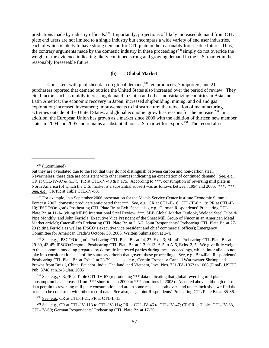predictions made by industry officials.<sup>287</sup> Importantly, projections of likely increased demand from CTL plate end users are not limited to a single industry but encompass a wide variety of end user industries, each of which is likely to have strong demand for CTL plate in the reasonably foreseeable future. Thus, the contrary arguments made by the domestic industry in these proceedings<sup>288</sup> simply do not override the weight of the evidence indicating likely continued strong and growing demand in the U.S. market in the reasonably foreseeable future.

#### **(b) Global Market**

Consistent with published data on global demand,<sup>289</sup> ten producers, 7 importers, and 21 purchasers reported that demand outside the United States also increased over the period of review. They cited factors such as rapidly increasing demand in China and other industrializing countries in Asia and Latin America; the economic recovery in Japan; increased shipbuilding, mining, and oil and gas exploration; increased investment; improvements to infrastructure; the relocation of manufacturing activities outside of the United States; and global economic growth as reasons for the increase.<sup>290</sup> In addition, the European Union has grown as a market since 2000 with the addition of thirteen new member states in 2004 and 2005 and remains a substantial non-U.S. market for exports.<sup>291</sup> The record also

<sup>287</sup> For example, in a September 2006 presentation for the Metals Service Center Institute Economic Summit Forecast 2007, domestic producers anticipated that \*\*\*. See, e.g., CR at CTL-II-16, CTL-III-8 n.19; PR at CTL-II-10; IPSCO/Oregon's Posthearing CTL Plate Br. at Exh. 5; see also, e.g., German Respondents' Prehearing CTL Plate Br. at 11-14 (citing MEPS International Steel Review, \*\*\*, SBB Global Market Outlook, Welded Steel Tube & Pipe Monthly, and John Ferriola, Executive Vice President of the Sheet Mill Group of Nucor in an American Metal Market article); Caterpillar's Prehearing CTL Plate Br. at 2, 6-7; Joint Respondents' Prehearing CTL Plate Br. at 27- 29 (citing Ferriola as well as IPSCO's executive vice president and chief commercial officer); Emergency Committee for American Trade's October 30, 2006, Written Submission at 3-4.

<sup>288</sup> See, e.g., IPSCO/Oregon's Prehearing CTL Plate Br. at 24, 27, Exh. 3; Mittal's Prehearing CTL Plate Br. at 29-30, 43-45; IPSCO/Oregon's Posthearing CTL Plate Br. at 2-3, 9-13, A-5 to A-6, Exhs. 2, 5. We give little weight to the economic modeling prepared by domestic interested parties during these proceedings, which, inter alia, do not take into consideration each of the statutory criteria that govern these proceedings. See, e.g., Brazilian Respondents' Posthearing CTL Plate Br. at Exh. 1 at 23-29; see also, e.g., Certain Frozen or Canned Warmwater Shrimp and Prawns from Brazil, China, Ecuador, India, Thailand, and Vietnam, Invs. Nos. 731-TA-1063 to 1068 (Final), USITC Pub. 3748 at n.246 (Jan. 2005).

<sup>289</sup> See, e.g., CR/PR at Table CTL-IV-67 (reproducing \*\*\* data indicating that global reversing mill plate consumption has increased from \*\*\* short tons in 2000 to \*\*\* short tons in 2005). As noted above, although these data pertain to reversing mill plate consumption and are in some respects both over- and under-inclusive, we find the trends to be consistent with other record data. See also, e.g., Joint Respondents' Prehearing CTL Plate Br. at 35-36.

<sup>290</sup> See, e.g., CR at CTL-II-21; PR at CTL-II-13.

<sup>291</sup> See, e.g., CR at CTL-IV-113 to CTL-IV-114; PR at CTL-IV-46 to CTL-IV-47; CR/PR at Tables CTL-IV-68, CTL-IV-69; German Respondents' Prehearing CTL Plate Br. at 17-20.

 $286$  (...continued)

but they are overstated due to the fact that they do not distinguish between carbon and non-carbon steel. Nevertheless, these data are consistent with other sources indicating an expectation of continued demand. See, e.g., CR at CTL-IV-97 & n.175; PR at CTL-IV-40 & n.175. According to \*\*\*, consumption of reversing mill plate in North America (of which the U.S. market is a substantial subset) was as follows between 1994 and 2005: \*\*\*. \*\*\*. See, e.g., CR/PR at Table CTL-IV-68.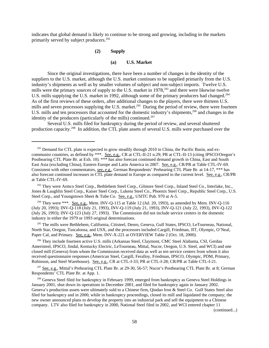indicates that global demand is likely to continue to be strong and growing, including in the markets primarily served by subject producers.<sup>292</sup>

### **(2) Supply**

#### **(a) U.S. Market**

Since the original investigations, there have been a number of changes in the identity of the suppliers to the U.S. market, although the U.S. market continues to be supplied primarily from the U.S. industry's shipments as well as by smaller volumes of subject and non-subject imports. Twelve U.S. mills were the primary sources of supply to the U.S. market in 1978,<sup>293</sup> and there were likewise twelve U.S. mills supplying the U.S. market in 1992, although some of the primary producers had changed.<sup>294</sup> As of the first reviews of these orders, after additional changes to the players, there were thirteen U.S. mills and seven processors supplying the U.S. market.<sup>295</sup> During the period of review, there were fourteen U.S. mills and ten processors that accounted for the domestic industry's shipments,<sup>296</sup> and changes in the identity of the producers (particularly of the mills) continued.<sup>297</sup>

Several U.S. mills filed for bankruptcy during the period of review, and several shuttered production capacity.298 In addition, the CTL plate assets of several U.S. mills were purchased over the

<sup>294</sup> They were \*\*\*. See, e.g., Mem. INV-O-115 at Table 12 (Jul. 20, 1993), as amended by Mem. INV-O-116 (July 20, 1993); INV-Q-118 (July 21, 1993), INV-Q-119 (July 21, 1993), INV-Q-121 (July 22, 1993), INV-Q-122 (July 26, 1993); INV-Q-123 (July 27, 1993). The Commission did not include service centers in the domestic industry in either the 1979 or 1993 original determinations.

<sup>295</sup> The mills were Bethlehem, California, Citisteel, Denro, Geneva, Gulf States, IPSCO, LeTourneau, National, North Star, Oregon, Tuscaloosa, and USX, and the processors included Cargill, Friedman, JIT, Olympic, O'Neal, Paper Cal, and Primary. See, e.g., Mem. INV-X-221 at OVERVIEW Table 2 (Oct. 18, 2000).

 296 They include fourteen active U.S. mills (Arkansas Steel, Claymont, CMC Steel Alabama, CSI, Gerdau Ameristeel, IPSCO, Jindal, Kentucky Electric, LeTourneau, Mittal, Nucor, Oregon, U.S. Steel, and WCI) and one closed mill (Geneva) from whom the Commission received data as well as ten service centers from whom it also received questionnaire responses (American Steel, Cargill, Feralloy, Friedman, IPSCO, Olympic, PDM, Primary, Robinson, and Steel Warehouse). See, e.g., CR at CTL-I-33; PR at CTL-I-28; CR/PR at Table CTL-I-21.

 $297$  See, e.g., Mittal's Prehearing CTL Plate Br. at 29-30, 56-57; Nucor's Posthearing CTL Plate Br. at 8; German Respondents' CTL Plate Br. at App. 1.

<sup>298</sup> Geneva Steel filed for bankruptcy in February 1999, emerged from bankruptcy as Geneva Steel Holdings in January 2001, shut down its operations in December 2001, and filed for bankruptcy again in January 2002. Geneva's production assets were ultimately sold to a Chinese firm, Qindao Iron & Steel Co. Gulf States Steel also filed for bankruptcy and in 2000, while in bankruptcy proceedings, closed its mill and liquidated the company; the new owner announced plans to develop the property into an industrial park and sell the equipment to a Chinese company. LTV also filed for bankruptcy in 2000, National Steel filed in 2002, and WCI entered chapter 11

(continued...)

 $292$  Demand for CTL plate is expected to grow steadily through 2010 in China, the Pacific Basin, and excommunist countries, as defined by \*\*\*. See, e.g., CR at CTL-II-21 n.29; PR at CTL-II-13 (citing IPSCO/Oregon's Posthearing CTL Plate Br. at Exh. 10). \*\*\* has also forecast continued demand growth in China, East and South East Asia (excluding China), Eastern Europe and Latin America in 2007. See, e.g., CR/PR at Table CTL-IV-69. Consistent with other commentators, <u>see, e.g.</u>, German Respondents' Prehearing CTL Plate Br. at 14-17, \*\*\* has also forecast continued increases in CTL plate demand in Europe as compared to the current level. See, e.g., CR/PR at Table CTL-IV-69.

<sup>&</sup>lt;sup>293</sup> They were Armco Steel Corp., Bethlehem Steel Corp., Gilmore Steel Corp., Inland Steel Co., Interlake, Inc., Jones & Laughlin Steel Corp., Kaiser Steel Corp., Lukens Steel Co., Phoenix Steel Corp., Republic Steel Corp., U.S. Steel Corp., and Youngstown Sheet & Tube Co. See, e.g., USITC Pub. 970 at A-5.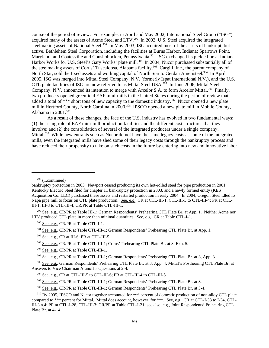course of the period of review. For example, in April and May 2002, International Steel Group ("ISG") acquired many of the assets of Acme Steel and LTV.<sup>299</sup> In 2003, U.S. Steel acquired the integrated steelmaking assets of National Steel.<sup>300</sup> In May 2003, ISG acquired most of the assets of bankrupt, but active, Bethlehem Steel Corporation, including the facilities at Burns Harbor, Indiana; Sparrows Point, Maryland; and Coatesville and Conshohocken, Pennsylvania.<sup>301</sup> ISG exchanged its pickle line at Indiana Harbor Works for U.S. Steel's Gary Works' plate mill.<sup>302</sup> In 2004, Nucor purchased substantially all of the steelmaking assets of Corus' Tuscaloosa, Alabama facility.303 Cargill, Inc., the parent company of North Star, sold the fixed assets and working capital of North Star to Gerdau Ameristeel.<sup>304</sup> In April 2005, ISG was merged into Mittal Steel Company, N.V. (formerly Ispat International N.V.), and the U.S. CTL plate facilities of ISG are now referred to as Mittal Steel USA.<sup>305</sup> In June 2006, Mittal Steel Company, N.V. announced its intention to merge with Arcelor S.A. to form Arcelor Mittal.<sup>306</sup> Finally, two producers opened greenfield EAF mini-mills in the United States during the period of review that added a total of \*\*\* short tons of new capacity to the domestic industry.<sup>307</sup> Nucor opened a new plate mill in Hertford County, North Carolina in 2000.<sup>308</sup> IPSCO opened a new plate mill in Mobile County, Alabama in 2001.<sup>309</sup>

As a result of these changes, the face of the U.S. industry has evolved in two fundamental ways: (1) the rising role of EAF mini-mill production facilities and the different cost structures that they involve; and (2) the consolidation of several of the integrated producers under a single company, Mittal.<sup>310</sup> While new entrants such as Nucor do not have the same legacy costs as some of the integrated mills, even the integrated mills have shed some of their legacy costs through the bankruptcy process and have reduced their propensity to take on such costs in the future by entering into new and innovative labor

<sup>301</sup> See, e.g., CR/PR at Table CTL-III-1; German Respondents' Prehearing CTL Plate Br. at App. 1.

302 See, e.g., CR at III-6; PR at CTL-III-5.

<sup>304</sup> See, e.g., CR/PR at Table CTL-III-1.

<sup>305</sup> See, e.g., CR/PR at Table CTL-III-1; German Respondents' Prehearing CTL Plate Br. at 3, App. 3.

<sup>306</sup> See, e.g., German Respondents' Prehearing CTL Plate Br. at 3, App. 4; Mittal's Posthearing CTL Plate Br. at Answers to Vice Chairman Aranoff's Questions at 2-4.

 $298$  (...continued)

bankruptcy protection in 2003. Newport ceased producing its own hot-rolled steel for pipe production in 2001. Kentucky Electric Steel filed for chapter 11 bankruptcy protection in 2003, and a newly formed entity (KES Acquisition Co. LLC) purchased these assets and restarted production in early 2004. In 2004, Oregon Steel idled its Napa pipe mill to focus on CTL plate production. See, e.g., CR at CTL-III-1, CTL-III-3 to CTL-III-4; PR at CTL-III-1, III-3 to CTL-III-4; CR/PR at Table CTL-III-1.

 <sup>299</sup> See, e.g., CR/PR at Table III-1; German Respondents' Prehearing CTL Plate Br. at App. 1. Neither Acme nor LTV produced CTL plate in more than minimal quantities. See, e.g., CR at Table CTL-I-1.

 <sup>300</sup> See, e.g., CR/PR at Table CTL-I-1.

 <sup>303</sup> See, e.g., CR/PR at Table CTL-III-1; Corus' Prehearing CTL Plate Br. at 8, Exh. 5.

 <sup>307</sup> See, e.g., CR at CTL-III-5 to CTL-III-6; PR at CTL-III-4 to CTL-III-5.

 <sup>308</sup> See, e.g., CR/PR at Table CTL-III-1; German Respondents' Prehearing CTL Plate Br. at 3.

 <sup>309</sup> See, e.g., CR/PR at Table CTL-III-1; German Respondents' Prehearing CTL Plate Br. at 3-4.

<sup>&</sup>lt;sup>310</sup> By 2005, IPSCO and Nucor together accounted for \*\*\* percent of domestic production of non-alloy CTL plate compared to \*\*\* percent for Mittal. Mittal does account, however, for \*\*\*. See, e.g., CR at CTL-I-33 to I-34, CTL-III-3 n.4; PR at CTL-I-28, CTL-III-3; CR/PR at Table CTL-I-21; see also, e.g., Joint Respondents' Prehearing CTL Plate Br. at 4-14.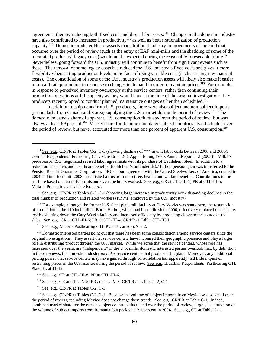agreements, thereby reducing both fixed costs and direct labor costs.<sup>311</sup> Changes in the domestic industry have also contributed to increases in productivity<sup>312</sup> as well as better rationalization of production capacity.313 Domestic producer Nucor asserts that additional industry improvements of the kind that occurred over the period of review (such as the entry of EAF mini-mills and the shedding of some of the integrated producers' legacy costs) would not be expected during the reasonably foreseeable future.<sup>314</sup> Nevertheless, going forward the U.S. industry will continue to benefit from significant events such as these. The removal of some legacy costs has reduced the U.S. industry's fixed costs and gives it more flexibility when setting production levels in the face of rising variable costs (such as rising raw material costs). The consolidation of some of the U.S. industry's production assets will likely also make it easier to re-calibrate production in response to changes in demand in order to maintain prices.<sup>315</sup> For example, in response to perceived inventory oversupply at the service centers, rather than continuing their production operations at full capacity as they would have at the time of the original investigations, U.S. producers recently opted to conduct planned maintenance outages earlier than scheduled.<sup>316</sup>

In addition to shipments from U.S. producers, there were also subject and non-subject imports (particularly from Canada and Korea) supplying the U.S. market during the period of review.317 The domestic industry's share of apparent U.S. consumption fluctuated over the period of review, but was always at least 89 percent.<sup>318</sup> Market share for the nine cumulated subject countries also fluctuated over the period of review, but never accounted for more than one percent of apparent U.S. consumption.<sup>319</sup>

<sup>313</sup> For example, although the former U.S. Steel plate mill facility at Gary Works was shut down, the resumption of production at the 110 inch mill at Burns Harbor, which had been idle since 2000, effectively replaced the capacity lost by shutting down the Gary Works facility and increased efficiency by producing closer to the source of the slabs. See, e.g., CR at CTL-III-6; PR at CTL-III-4; CR/PR at Table CTL-III-1.

<sup>315</sup> Domestic interested parties point out that there has been some consolidation among service centers since the original investigations. They assert that service centers have increased their geographic presence and play a larger role in distributing product through the U.S. market. While we agree that the service centers, whose role has increased over the years, are "independent" of the U.S. mills, domestic interested parties overlook that, by definition in these reviews, the domestic industry *includes* service centers that produce CTL plate. Moreover, any additional pricing power that service centers may have gained through consolidation has apparently had little impact on restraining prices in the U.S. market during the period of review. See, e.g., Brazilian Respondents' Posthearing CTL Plate Br. at 11-12.

317 See, e.g., CR at CTL-IV-5; PR at CTL-IV-5; CR/PR at Tables C-2, C-1.

 $318$  See, e.g., CR/PR at Tables C-2, C-1.

<sup>319</sup> See, e.g., CR/PR at Tables C-2, C-1. Because the volume of subject imports from Mexico was so small over the period of review, including Mexico does not change these trends. See, e.g., CR/PR at Table C-1. Indeed, combined market share for the eleven subject countries fluctuated over the period of review, largely as a function of the volume of subject imports from Romania, but peaked at 2.1 percent in 2004. See, e.g., CR at Table C-1.

<sup>&</sup>lt;sup>311</sup> See, e.g., CR/PR at Tables C-2, C-1 (showing declines of \*\*\* in unit labor costs between 2000 and 2005); German Respondents' Prehearing CTL Plate Br. at 2-3, App. 1 (citing ISG's Annual Report at 2 (2003)). Mittal's predecessor, ISG, negotiated revised labor agreements with its purchase of Bethlehem Steel. In addition to a reduction in salaries and healthcare benefits, Bethlehem's unfunded \$3.7 billion pension plan was transferred to the Pension Benefit Guarantee Corporation. ISG's labor agreement with the United Steelworkers of America, created in 2004 and in effect until 2008, established a trust to fund retiree, health, and welfare benefits. Contributions to the trust are based on quarterly profits and overtime hours worked. See, e.g., CR at CTL-III-7; PR at CTL-III-5; Mittal's Prehearing CTL Plate Br. at 57.

<sup>&</sup>lt;sup>312</sup> See, e.g., CR/PR at Tables C-2, C-1 (showing large increases in productivity notwithstanding declines in the total number of production and related workers (PRWs) employed by the U.S. industry).

 <sup>314</sup> See, e.g., Nucor's Posthearing CTL Plate Br. at App. 7 at 2.

 <sup>316</sup> See, e.g., CR at CTL-III-8; PR at CTL-III-6.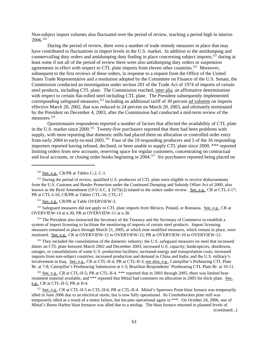Non-subject import volumes also fluctuated over the period of review, reaching a period high in interim 2006.320

During the period of review, there were a number of trade remedy measures in place that may have contributed to fluctuations in import levels in the U.S. market. In addition to the antidumping and countervailing duty orders and antidumping duty finding in place concerning subject imports,<sup>321</sup> during at least some if not all of the period of review there were also antidumping duty orders or suspension agreements in effect with respect to CTL plate imports from eleven other countries.<sup>322</sup> Moreover, subsequent to the first reviews of these orders, in response to a request from the Office of the United States Trade Representative and a resolution adopted by the Committee on Finance of the U.S. Senate, the Commission conducted an investigation under section 201 of the Trade Act of 1974 of imports of certain steel products, including CTL plate. The Commission reached, inter alia, an affirmative determination with respect to certain flat-rolled steel including CTL plate. The President subsequently implemented corresponding safeguard measures,<sup>323</sup> including an additional tariff of 30 percent ad valorem on imports effective March 20, 2002, that was reduced to 24 percent on March 20, 2003, and ultimately terminated by the President on December 4, 2003, after the Commission had conducted a mid-term review of the measures.324

Questionnaire respondents reported a number of factors that affected the availability of CTL plate in the U.S. market since 2000.<sup>325</sup> Twenty-five purchasers reported that there had been problems with supply, with most reporting that domestic mills had placed them on allocation or controlled order entry from early 2004 to early-to-mid 2005.<sup>326</sup> Four of the 19 responding producers and 5 of the 16 responding importers reported having refused, declined, or been unable to supply CTL plate since 2000. \*\*\* reported limiting orders from new accounts, reserving space for regular customers, concentrating on contractual and local accounts, or closing order books beginning in 2004.<sup>327</sup> Six purchasers reported being placed on

322 See, e.g., CR/PR at Table OVERVIEW-3.

<sup>323</sup> Safeguard measures did not apply to CTL plate imports from Mexico, Poland, or Romania. See, e.g., CR at OVERVIEW-14 at n.30; PR at OVERVIEW-11 at n.30.

<sup>324</sup> The President also instructed the Secretary of the Treasury and the Secretary of Commerce to establish a system of import licensing to facilitate the monitoring of imports of certain steel products. Import licensing measures remained in place through March 21, 2005, at which time modified measures, which remain in place, were instituted. See, e.g., CR at OVERVIEW-12 to OVERVIEW-15; PR at OVERVIEW-10 to OVERVIEW-12.

<sup>325</sup> They included the consolidation of the domestic industry; the U.S. safeguard measures on steel that increased duties on CTL plate between March 2002 and December 2003; increased U.S. capacity; bankruptcies, shutdowns, outages, or consolidations of some U.S. production facilities; increased energy and transportation costs; increased imports from non-subject countries; increased production and demand in China and India; and the U.S. military's involvement in Iraq. See, e.g., CR at CTL-II-4; PR at CTL-II-3; see also, e.g., Caterpillar's Prehearing CTL Plate Br. at 7-8; Caterpillar's Posthearing Submission at 1-3; Brazilian Respondents' Posthearing CTL Plate Br. at 10-11.

<sup>326</sup> See, e.g., CR at CTL-II-5; PR at CTL-II-4. \*\*\* reported that in 2003 through 2005, there was limited heattreatment material available, and \*\*\* reported that Mittal had customers on allocation in 2005 for thick plate. See, e.g., CR at CTL-II-5; PR at II-4.

<sup>327</sup> See, e.g., CR at CTL-II-5 to CTL-II-6; PR at CTL-II-4. Mittal's Sparrows Point blast furnace was temporarily idled in June 2006 due to an electrical storm, but is now fully operational. Its Conshohocken plate mill was temporarily idled as a result of a motor failure, but became operational again in \*\*\*. On October 24, 2006, one of Mittal's Burns Harbor blast furnaces was idled due to a mishap. The blast furnace returned to planned levels of

(continued...)

 <sup>320</sup> See, e.g., CR/PR at Tables C-2, C-1.

<sup>&</sup>lt;sup>321</sup> During the period of review, qualified U.S. producers of CTL plate were eligible to receive disbursements from the U.S. Customs and Border Protection under the Continued Dumping and Subsidy Offset Act of 2000, also known as the Byrd Amendment (19 U.S.C. § 1675(c)) related to the orders under review. See, e.g., CR at CTL-I-17; PR at CTL-I-16; CR/PR at Tables CTL-16, CTL-17.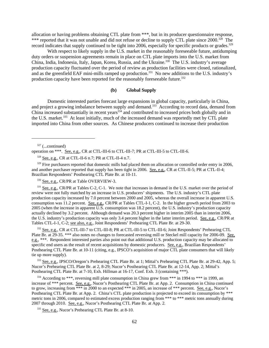allocation or having problems obtaining CTL plate from \*\*\*, but in its producer questionnaire response, \*\*\* reported that it was not unable and did not refuse or decline to supply CTL plate since 2000.<sup>328</sup> The record indicates that supply continued to be tight into 2006, especially for specific products or grades.<sup>329</sup>

With respect to likely supply in the U.S. market in the reasonably foreseeable future, antidumping duty orders or suspension agreements remain in place on CTL plate imports into the U.S. market from China, India, Indonesia, Italy, Japan, Korea, Russia, and the Ukraine.<sup>330</sup> The U.S. industry's average production capacity fluctuated over the period of review as production facilities were closed, rationalized, and as the greenfield EAF mini-mills ramped up production.<sup>331</sup> No new additions to the U.S. industry's production capacity have been reported for the reasonably foreseeable future.<sup>332</sup>

#### **(b) Global Supply**

Domestic interested parties forecast large expansions in global capacity, particularly in China, and project a growing imbalance between supply and demand.<sup>333</sup> According to record data, demand from China increased substantially in recent years $334$  and contributed to increased prices both globally and in the U.S. market.<sup>335</sup> At least initially, much of the increased demand was reportedly met by CTL plate imported into China from other sources. As Chinese producers continued to increase their production

operation on \*\*\*. See, e.g., CR at CTL-III-6 to CTL-III-7; PR at CTL-III-5 to CTL-III-6.

328 See, e.g., CR at CTL-II-6 n.7; PR at CTL-II-4 n.7.

 $329$  Five purchasers reported that domestic mills had placed them on allocation or controlled order entry in 2006, and another purchaser reported that supply has been tight in 2006. See, e.g., CR at CTL-II-5; PR at CTL-II-4; Brazilian Respondents' Posthearing CTL Plate Br. at 10-11.

<sup>330</sup> See, e.g., CR/PR at Table OVERVIEW-3.

<sup>331</sup> See, e.g., CR/PR at Tables C-2, C-1. We note that increases in demand in the U.S. market over the period of review were not fully matched by an increase in U.S. producers' shipments. The U.S. industry's CTL plate production capacity increased by 7.0 percent between 2000 and 2005, whereas the overall increase in apparent U.S. consumption was 11.2 percent. See, e.g., CR/PR at Tables CTL-I-1, C-2. In the higher growth period from 2003 to 2005 (when the increase in apparent U.S. consumption was 18.2 percent), the U.S. industry's production capacity actually declined by 3.2 percent. Although demand was 20.3 percent higher in interim 2005 than in interim 2006, the U.S. industry's production capacity was only 3.4 percent higher in the latter interim period. See, e.g., CR/PR at Tables CTL-I-1, C-2; see also, e.g., Joint Respondents' Prehearing CTL Plate Br. at 29-30.

<sup>332</sup> See, e.g., CR at CTL-III-7 to CTL-III-8; PR at CTL-III-5 to CTL-III-6; Joint Respondents' Prehearing CTL Plate Br. at 29-35. \*\*\* also notes no changes to forecasted reversing mill or Steckel mill capacity for 2006-09. See, e.g., \*\*\*. Respondent interested parties also point out that additional U.S. production capacity may be allocated to specific end users as the result of recent acquisitions by domestic producers. See, e.g., Brazilian Respondents' Posthearing CTL Plate Br. at 10-11 (citing, e.g., IPSCO's acquisition of major CTL plate consumers that will likely tie up more supply).

<sup>333</sup> See, e.g., IPSCO/Oregon's Prehearing CTL Plate Br. at 1; Mittal's Prehearing CTL Plate Br. at 29-42, App. 5; Nucor's Prehearing CTL Plate Br. at 2, 8-29; Nucor's Posthearing CTL Plate Br. at 12-14, App. 2; Mittal's Posthearing CTL Plate Br. at 7-10, Exh. Hillman at 16-17, Conf. Exh. 3 (containing \*\*\*).

<sup>334</sup> According to \*\*\*, reversing mill plate consumption in China grew from \*\*\* in 1994 to \*\*\* in 1999, an increase of \*\*\* percent. <u>See, e.g.</u>, Nucor's Posthearing CTL Plate Br. at App. 2. Consumption in China continued to grow, increasing from \*\*\* in 2000 to an expected \*\*\* in 2005, an increase of \*\*\* percent. <u>See, e.g.</u>, Nucor's Posthearing CTL Plate Br. at App. 2. China's CTL plate production is projected to exceed its consumption by \*\*\* metric tons in 2006, compared to estimated excess production ranging from \*\*\* to \*\*\* metric tons annually during 2007 through 2010. See, e.g., Nucor's Posthearing CTL Plate Br. at App. 2.

335 See, e.g., Nucor's Prehearing CTL Plate Br. at 8-10.

 $327$  (...continued)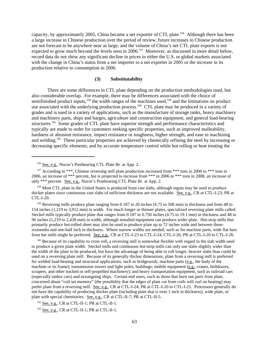capacity, by approximately 2005, China became a net exporter of CTL plate.<sup>336</sup> Although there has been a large increase in Chinese production over the period of review, future increases in Chinese production are not forecast to be anywhere near as large, and the volume of China's net CTL plate exports is not expected to grow much beyond the levels seen in 2006.<sup>337</sup> Moreover, as discussed in more detail below, record data do not show any significant decline in prices in either the U.S. or global markets associated with the change in China's status from a net importer to a net exporter in 2005 or the increase in its production relative to consumption in 2006.

#### **(3) Substitutability**

There are some differences in CTL plate depending on the production methodologies used, but also considerable overlap. For example, there may be differences associated with the choice of semifinished product inputs,<sup>338</sup> the width ranges of the machines used,<sup>339</sup> and the limitations on product use associated with the underlying production process.<sup>340</sup> CTL plate may be produced in a variety of grades and is used in a variety of applications, such as the manufacture of storage tanks, heavy machinery and machinery parts, ships and barges, agriculture and construction equipment, and general load-bearing structures.341 Some grades of CTL plate have superior strength and performance characteristics and typically are made to order for customers seeking specific properties, such as improved malleability, hardness or abrasion resistance, impact resistance or toughness, higher strength, and ease in machining and welding.342 These particular properties are achieved by chemically refining the steel by increasing or decreasing specific elements, and by accurate temperature control while hot rolling or heat treating the

<sup>339</sup> Reversing mills produce plate ranging from 0.187 to 20 inches (4.75 to 508 mm) in thickness and from 48 to 154 inches (1,219 to 3,912 mm) in width. For much longer or thinner plates, specialized reversing plate mills called Steckel mills typically produce plate that ranges from 0.187 to 0.750 inches (4.75 to 19.1 mm) in thickness and 48 to 96 inches (1,219 to 2,438 mm) in width, although installed equipment can produce wider plate. Hot-strip mills that primarily produce hot-rolled sheet may also be used to produce plate up to 72 inches wide and between threesixteenths and one-half inch in thickness. Where narrow widths are needed, such as for machine parts, wide flat bars from bar mills might be preferred. See, e.g., CR at CTL-I-23 to CTL-I-24, CTL-I-26; PR at CTL-I-20 to CTL-I-26.

<sup>340</sup> Because of its capability to cross roll, a reversing mill is somewhat flexible with regard to the slab width used to produce a given plate width. Steckel mills and continuous hot-strip mills can only use slabs slightly wider than the width of the plate to be produced, but have the advantage of being able to roll longer, heavier slabs than could be used on a reversing plate mill. Because of its generally thicker dimensions, plate from a reversing mill is preferred for welded load-bearing and structural applications, such as bridgework; machine parts (e.g., the body of the machine or its frame); transmission towers and light poles; buildings; mobile equipment (e.g., cranes, bulldozers, scrapers, and other tracked or self-propelled machinery); and heavy transportation equipment, such as railroad cars (especially tanker cars) and oceangoing ships. Certain end users, such as those that burn out parts from plate, concerned about "coil set memory" (the possibility that the edges of plate cut from coils will curl on heating) may prefer plate from a reversing mill. See, e.g., CR at CTL-I-24; PR at CTL-I-20 to CTL-I-21. Processors generally do not have the capability of producing thicker plate (including plate that is over 1 inch in thickness), wide plate, or plate with special chemistries. See, e.g., CR at CTL-II-7; PR at CTL-II-5.

341 See, e.g., CR at CTL-II-1; PR at CTL-II-1.

<sup>342</sup> See, e.g., CR at CTL-II-1; PR at CTL-II-1.

 <sup>336</sup> See, e.g., Nucor's Posthearing CTL Plate Br. at App. 2.

<sup>&</sup>lt;sup>337</sup> According to \*\*\*, Chinese reversing mill plate production increased from \*\*\* tons in 2000 to \*\*\* tons in 2006, an increase of \*\*\* percent, but is projected to increase from \*\*\* in 2006 to \*\*\* tons in 2008, an increase of only \*\*\* percent. See, e.g., Nucor's Posthearing CTL Plate Br. at App. 2.

<sup>&</sup>lt;sup>338</sup> Most CTL plate in the United States is produced from cast slabs, although ingots may be used to produce thicker plates since continuous cast slabs of sufficient thickness are not available. See, e.g., CR at CTL-I-23; PR at CTL-I-20.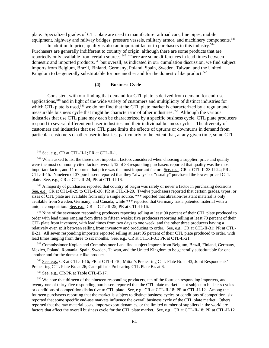plate. Specialized grades of CTL plate are used to manufacture railroad cars, line pipes, mobile equipment, highway and railway bridges, pressure vessels, military armor, and machinery components.<sup>343</sup>

In addition to price, quality is also an important factor to purchasers in this industry.<sup>344</sup> Purchasers are generally indifferent to country of origin, although there are some products that are reportedly only available from certain sources.<sup>345</sup> There are some differences in lead times between domestic and imported products,<sup>346</sup> but overall, as indicated in our cumulation discussion, we find subject imports from Belgium, Brazil, Finland, Germany, Poland, Spain, Sweden, Taiwan, and the United Kingdom to be generally substitutable for one another and for the domestic like product.<sup>347</sup>

## **(4) Business Cycle**

Consistent with our finding that demand for CTL plate is derived from demand for end-use applications,<sup>348</sup> and in light of the wide variety of customers and multiplicity of distinct industries for which CTL plate is used, $349$  we do not find that the CTL plate market is characterized by a regular and measurable business cycle that might be characteristic of other industries.350 Although the various industries that use CTL plate may each be characterized by a specific business cycle, CTL plate producers respond to several different end-user industries and their individual business cycles. The diversity of customers and industries that use CTL plate limits the effects of upturns or downturns in demand from particular customers or other user industries, particularly to the extent that, at any given time, some CTL

<sup>346</sup> Nine of the seventeen responding producers reporting selling at least 90 percent of their CTL plate produced to order with lead times ranging from three to fifteen weeks; five producers reporting selling at least 70 percent of their CTL plate from inventory, with lead times from two days to one week; and the other three producers having a relatively even split between selling from inventory and producing to order. See, e.g., CR at CTL-II-31; PR at CTL-II-21. All seven responding importers reported selling at least 95 percent of their CTL plate produced to order, with lead times ranging from three to six months. See, e.g., CR at CTL-II-31; PR at CTL-II-21.

<sup>347</sup> Commissioner Koplan and Commissioner Lane find subject imports from Belgium, Brazil, Finland, Germany, Mexico, Poland, Romania, Spain, Sweden, Taiwan, and the United Kingdom to be generally substitutable for one another and for the domestic like product.

 348 See, e.g., CR at CTL-II-16; PR at CTL-II-10; Mittal's Prehearing CTL Plate Br. at 43; Joint Respondents' Prehearing CTL Plate Br. at 26; Caterpillar's Prehearing CTL Plate Br. at 6.

<sup>349</sup> See, e.g., CR/PR at Table CTL-II-17.

<sup>350</sup> We note that thirteen of the nineteen responding producers, ten of the fourteen responding importers, and twenty-one of thirty-five responding purchasers reported that the CTL plate market is not subject to business cycles or conditions of competition distinctive to CTL plate. See, e.g., CR at CTL-II-18; PR at CTL-II-12. Among the fourteen purchasers reporting that the market is subject to distinct business cycles or conditions of competition, six reported that some specific end-use markets influence the overall business cycle of the CTL plate market. Others reported that the raw material costs, import/export dynamics, or the limited number of suppliers in the world are factors that affect the overall business cycle for the CTL plate market. See, e.g., CR at CTL-II-18; PR at CTL-II-12.

 <sup>343</sup> See, e.g., CR at CTL-II-1; PR at CTL-II-1.

<sup>&</sup>lt;sup>344</sup> When asked to list the three most important factors considered when choosing a supplier, price and quality were the most commonly cited factors overall; 12 of 38 responding purchasers reported that quality was the most important factor, and 11 reported that price was the most important factor. See, e.g., CR at CTL-II-23-II-24; PR at CTL-II-15. Nineteen of 37 purchasers reported that they "always" or "usually" purchased the lowest priced CTL plate. See, e.g., CR at CTL-II-24; PR at CTL-II-16.

<sup>&</sup>lt;sup>345</sup> A majority of purchasers reported that country of origin was rarely or never a factor in purchasing decisions. See, e.g., CR at CTL-II-29 to CTL-II-30; PR at CTL-II-20. Twelve purchasers reported that certain grades, types, or sizes of CTL plate are available from only a single source. \*\*\* reported that abrasion-resistant material is only available from Sweden, Germany, and Canada, while \*\*\* reported that Germany has a patented material with a unique composition. See, e.g., CR at CTL-II-25; PR at CTL-II-16.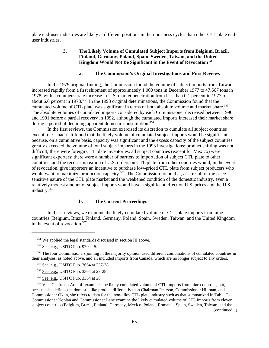plate end-user industries are likely at different positions in their business cycles than other CTL plate enduser industries.

## **3. The Likely Volume of Cumulated Subject Imports from Belgium, Brazil, Finland, Germany, Poland, Spain, Sweden, Taiwan, and the United** Kingdom Would Not Be Significant in the Event of Revocation<sup>351</sup>

## **a. The Commission's Original Investigations and First Reviews**

In the 1979 original finding, the Commission found the volume of subject imports from Taiwan increased rapidly from a first shipment of approximately 1,000 tons in December 1977 to 47,667 tons in 1978, with a commensurate increase in U.S. market penetration from less than 0.1 percent in 1977 to about 6.6 percent in 1978.352 In the 1993 original determinations, the Commission found that the cumulated volume of CTL plate was significant in terms of both absolute volume and market share.<sup>353</sup> The absolute volumes of cumulated imports considered by each Commissioner decreased between 1990 and 1991 before a partial recovery in 1992, although the cumulated imports increased their market share during a period of declining apparent domestic consumption.<sup>354</sup>

In the first reviews, the Commission exercised its discretion to cumulate all subject countries except for Canada. It found that the likely volume of cumulated subject imports would be significant because, on a cumulative basis, capacity was significant and the excess capacity of the subject countries greatly exceeded the volume of total subject imports in the 1993 investigations; product shifting was not difficult; there were foreign CTL plate inventories; all subject countries (except for Mexico) were significant exporters; there were a number of barriers to importation of subject CTL plate to other countries; and the recent imposition of U.S. orders on CTL plate from other countries would, in the event of revocation, give importers an incentive to purchase low-priced CTL plate from subject producers who would want to maximize production capacity.<sup>355</sup> The Commission found that, as a result of the pricesensitive nature of the CTL plate market and the weakened condition of the domestic industry, even a relatively modest amount of subject imports would have a significant effect on U.S. prices and the U.S. industry.356

### **b. The Current Proceedings**

In these reviews, we examine the likely cumulated volume of CTL plate imports from nine countries (Belgium, Brazil, Finland, Germany, Poland, Spain, Sweden, Taiwan, and the United Kingdom) in the event of revocation.<sup>357</sup>

(continued...)

<sup>&</sup>lt;sup>351</sup> We applied the legal standards discussed in section III above.

 $352$  See, e.g., USITC Pub. 970 at 5.

<sup>&</sup>lt;sup>353</sup> The four Commissioners joining in the majority opinion used different combinations of cumulated countries in their analyses, as noted above, and all included imports from Canada, which are no longer subject to any orders.

 <sup>354</sup> See, e.g., USITC Pub. 2664 at 237-38.

 <sup>355</sup> See, e.g., USITC Pub. 3364 at 27-28.

 <sup>356</sup> See, e.g., USITC Pub. 3364 at 28.

<sup>&</sup>lt;sup>357</sup> Vice Chairman Aranoff examines the likely cumulated volume of CTL imports from nine countries, but, because she defines the domestic like product differently than Chairman Pearson, Commissioner Hillman, and Commissioner Okun, she refers to data for the non-alloy CTL plate industry such as that summarized in Table C-1. Commissioner Koplan and Commissioner Lane examine the likely cumulated volume of CTL imports from eleven subject countries (Belgium, Brazil, Finland, Germany, Mexico, Poland, Romania, Spain, Sweden, Taiwan, and the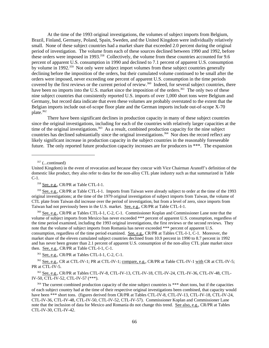At the time of the 1993 original investigations, the volumes of subject imports from Belgium, Brazil, Finland, Germany, Poland, Spain, Sweden, and the United Kingdom were individually relatively small. None of these subject countries had a market share that exceeded 2.0 percent during the original period of investigation. The volume from each of these sources declined between 1990 and 1992, before these orders were imposed in 1993.<sup>358</sup> Collectively, the volume from these countries accounted for 9.6 percent of apparent U.S. consumption in 1990 and declined to 7.1 percent of apparent U.S. consumption by volume in 1992.<sup>359</sup> Not only were subject import volumes from these subject countries generally declining before the imposition of the orders, but their cumulated volume continued to be small after the orders were imposed, never exceeding one percent of apparent U.S. consumption in the time periods covered by the first reviews or the current period of review.<sup>360</sup> Indeed, for several subject countries, there have been no imports into the U.S. market since the imposition of the orders.<sup>361</sup> The only two of these nine subject countries that consistently reported U.S. imports of over 1,000 short tons were Belgium and Germany, but record data indicate that even these volumes are probably overstated to the extent that the Belgian imports include out-of-scope floor plate and the German imports include out-of-scope X-70 plate.362

There have been significant declines in production capacity in many of these subject countries since the original investigations, including for each of the countries with relatively larger capacities at the time of the original investigations.<sup>363</sup> As a result, combined production capacity for the nine subject countries has declined substantially since the original investigations.<sup>364</sup> Nor does the record reflect any likely significant increase in production capacity in the subject countries in the reasonably foreseeable future. The only reported future production capacity increases are for producers in \*\*\*. The expansion

 $357$  (...continued)

 360 See, e.g., CR/PR at Tables CTL-I-1, C-2, C-1. Commissioner Koplan and Commissioner Lane note that the volume of subject imports from Mexico has never exceeded \*\*\* percent of apparent U.S. consumption, regardless of the time period examined, including the 1993 original investigations, the first reviews or the second reviews. They note that the volume of subject imports from Romania has never exceeded \*\*\* percent of apparent U.S. consumption, regardless of the time period examined. See, e.g., CR/PR at Tables CTL-I-1, C-1. Moreover, the market share of the eleven cumulated subject countries declined from 10.9 percent in 1990 to 8.7 percent in 1992 and has never been greater than 2.1 percent of apparent U.S. consumption of the non-alloy CTL plate market since then. See, e.g., CR/PR at Table CTL-I-1, C-1.

 $361$  See, e.g., CR/PR at Tables CTL-I-1, C-2, C-1.

<sup>362</sup> See, e.g., CR at CTL-IV-1; PR at CTL-IV-1; compare, e.g., CR/PR at Table CTL-IV-1 with CR at CTL-IV-5; PR at CTL-IV-5.

 363 See, e.g., CR/PR at Tables CTL-IV-8, CTL-IV-13, CTL-IV-18, CTL-IV-24, CTL-IV-36, CTL-IV-48, CTL-IV-50, CTL-IV-52, CTL-IV-57 (\*\*\*).

United Kingdom) in the event of revocation and because they concur with Vice Chairman Aranoff's definition of the domestic like product, they also refer to data for the non-alloy CTL plate industry such as that summarized in Table C-1.

<sup>&</sup>lt;sup>358</sup> See, e.g., CR/PR at Table CTL-I-1.

<sup>&</sup>lt;sup>359</sup> See, e.g., CR/PR at Table CTL-I-1. Imports from Taiwan were already subject to order at the time of the 1993 original investigations; at the time of the 1979 original investigation of subject imports from Taiwan, the volume of CTL plate from Taiwan did increase over the period of investigation, but from a level of zero, since imports from Taiwan had not previously been in the U.S. market. See, e.g., CR/PR at Table CTL-I-1.

<sup>&</sup>lt;sup>364</sup> The current combined production capacity of the nine subject countries is \*\*\* short tons, but if the capacities of each subject country had at the time of their respective original investigations been combined, that capacity would have been \*\*\* short tons. (figures derived from CR/PR at Tables CTL-IV-8, CTL-IV-13, CTL-IV-18, CTL-IV-24, CTL-IV-36, CTL-IV-48, CTL-IV-50, CTL-IV-52, CTL-IV-57). Commissioner Koplan and Commissioner Lane note that the inclusion of data for Mexico and Romania do not change this trend. See also, e.g., CR/PR at Tables CTL-IV-30, CTL-IV-42.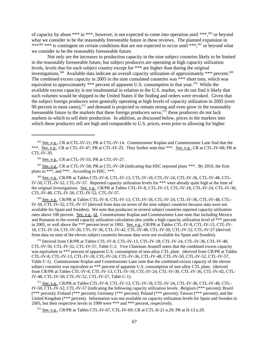of capacity by about \*\*\* in \*\*\*, however, is not expected to come into operation until \*\*\*,365 or beyond what we consider to be the reasonably foreseeable future in these reviews. The planned expansion in \*\*\*<sup>366</sup> \*\*\* is contingent on certain conditions that are not expected to occur until \*\*\*,<sup>367</sup> or beyond what we consider to be the reasonably foreseeable future.

Not only are the increases in production capacity in the nine subject countries likely to be limited in the reasonably foreseeable future, but subject producers are operating at high capacity utilization levels, levels that for each subject country except for \*\*\* are higher than during the original investigations.<sup>368</sup> Available data indicate an overall capacity utilization of approximately \*\*\* percent.<sup>369</sup> The combined excess capacity in 2005 in the nine cumulated countries was \*\*\* short tons, which was equivalent to approximately \*\*\* percent of apparent U.S. consumption in that year.<sup>370</sup> While the available excess capacity is not insubstantial in relation to the U.S. market, we do not find it likely that such volumes would be shipped to the United States if the finding and orders were revoked. Given that the subject foreign producers were generally operating at high levels of capacity utilization in 2005 (over 90 percent in most cases),371 and demand is projected to remain strong and even grow in the reasonably foreseeable future in the markets that these foreign producers serve,  $372$  these producers do not lack markets in which to sell their production. In addition, as discussed below, prices in the markets into which these producers sell are high and comparable to U.S. prices, even prior to allowing for higher

 367 See, e.g., CR at CTL-IV-58; PR at CTL-IV-28 (indicating that HSC reported plans \*\*\*. By 2010, the firm plans to \*\*\*, and \*\*\*. According to HSC, \*\*\*.

 368 See, e.g., CR/PR at Tables CTL-IV-8, CTL-IV-13, CTL-IV-18, CTL-IV-24, CTL-IV-36, CTL-IV-48, CTL-IV-50, CTL-IV-52, CTL-IV-57. Reported capacity utilization levels for \*\*\* were already quite high at the time of the original investigations. See, e.g., CR/PR at Tables CTL-IV-8, CTL-IV-13, CTL-IV-18, CTL-IV-24, CTL-IV-36, CTL-IV-48, CTL-IV-50, CTL-IV-52, CTL-IV-57.

 369 See, e.g., CR/PR at Tables CTL-IV-8, CTL-IV-13, CTL-IV-18, CTL-IV-24, CTL-IV-36, CTL-IV-48, CTL-IV-50, CTL-IV-52, CTL-IV-57 (derived from data on seven of the nine subject countries because data were not available for Spain and Sweden). We note that producers in several subject countries reported capacity utilization rates above 100 percent. See, e.g., id. Commissioner Koplan and Commissioner Lane note that including Mexico and Romania in the overall capacity utilization calculation also yields a high capacity utilization level of \*\*\* percent in 2005, or well above the \*\*\* percent level in 1992. See, e.g., CR/PR at Tables CTL-IV-8, CTL-IV-13, CTL-IV-18, CTL-IV-24, CTL-IV-30, CTL-IV-36, CTL-IV-42, CTL-IV-48, CTL-IV-50, CTL-IV-52, CTL-IV-57 (derived from data on nine of the eleven subject countries because data were not available for Spain and Sweden).

 370 Derived from CR/PR at Tables CTL-IV-8, CTL-IV-13, CTL-IV-18, CTL-IV-24, CTL-IV-36, CTL-IV-48, CTL-IV-50, CTL-IV-52, CTL-IV-57, Table C-2. Vice Chairman Aranoff notes that the combined excess capacity was equivalent to \*\*\* percent of apparent U.S. consumption of non-alloy CTL plate. (derived from CR/PR at Tables CTL-IV-8, CTL-IV-13, CTL-IV-18, CTL-IV-24, CTL-IV-36, CTL-IV-48, CTL-IV-50, CTL-IV-52, CTL-IV-57, Table C-1). Commissioner Koplan and Commissioner Lane note that the combined excess capacity of the eleven subject countries was equivalent to \*\*\* percent of apparent U.S. consumption of non-alloy CTL plate. (derived from CR/PR at Tables CTL-IV-8, CTL-IV-13, CTL-IV-18, CTL-IV-24, CTL-IV-30, CTL-IV-36, CTL-IV-42, CTL-IV-48, CTL-IV-50, CTL-IV-52, CTL-IV-57, Table C-1).

 371 See, e.g., CR/PR at Tables CTL-IV-8, CTL-IV-13, CTL-IV-18, CTL-IV-24, CTL-IV-36, CTL-IV-48, CTL-IV-50, CTL-IV-52, CTL-IV-57 (indicating the following capacity utilization levels: Belgium (\*\*\* percent); Brazil (\*\*\* percent); Finland (\*\*\* percent); Germany (\*\*\* percent); Poland (\*\*\* percent); Taiwan (\*\*\* percent); and the United Kingdom (\*\*\* percent). Information was not available on capacity utilization levels for Spain and Sweden in 2005, but their respective levels in 1999 were \*\*\* and \*\*\* percent, respectively.

372 See, e.g., CR/PR at Tables CTL-IV-67, CTL-IV-69; CR at CTL-II-21 n.29; PR at II-13 n.29.

 <sup>365</sup> See, e.g., CR at CTL-IV-21; PR at CTL-IV-14. Commissioner Koplan and Commissioner Lane find that the \*\*\*. See, e.g., CR at CTL-IV-47; PR at CTL-IV-25. They further note that \*\*\*. See, e.g., CR at CTL-IV-68; PR at CTL-IV-30.

 <sup>366</sup> See, e.g., CR at CTL-IV-55; PR at CTL-IV-27.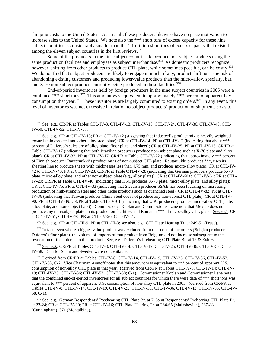shipping costs to the United States. As a result, these producers likewise have no price motivation to increase sales to the United States. We note also the \*\*\* short tons of excess capacity for these nine subject countries is considerably smaller than the 1.1 million short tons of excess capacity that existed among the eleven subject countries in the first reviews.<sup>373</sup>

Some of the producers in the nine subject countries do produce non-subject products using the same production facilities and employees as subject merchandise.<sup>374</sup> As domestic producers recognize, however, shifting from other products to produce CTL plate, while sometimes possible, can be costly.<sup>375</sup> We do not find that subject producers are likely to engage in much, if any, product shifting at the risk of abandoning existing customers and producing lower-value products than the micro-alloy, specialty, bar, and X-70 non-subject products currently being produced in these facilities. $376$ 

End-of-period inventories held by foreign producers in the nine subject countries in 2005 were a combined \*\*\* short tons.<sup>377</sup> This amount was equivalent to approximately \*\*\* percent of apparent U.S. consumption that year.<sup>378</sup> These inventories are largely committed to existing orders.<sup>379</sup> In any event, this level of inventories was not excessive in relation to subject producers' production or shipments so as to

 374 See, e.g., CR at CTL-IV-13; PR at CTL-IV-12 (suggesting that Industeel's product mix is heavily weighted toward stainless steel and other alloy steel plate); CR at CTL-IV-14; PR at CTL-IV-12 (indicating that about \*\*\* percent of Duferco's sales are of alloy plate, floor plate, and sheet); CR at CTL-IV-25; PR at CTL-IV-15; CR/PR at Table CTL-IV-17 (indicating that both Brazilian producers produce non-subject plate such as X-70 plate and alloy plate); CR at CTL-IV-32; PR at CTL-IV-17; CR/PR at Table CTL-IV-22 (indicating that approximately \*\*\* percent of Finnish producer Rautaruukki's production is of non-subject CTL plate. Rautaruukki produces \*\*\*, uses its sheeting line to produce sheets with thicknesses less than 4.75 mm, and produces micro-alloy plate); CR at CTL-IV-42 to CTL-IV-43; PR at CTL-IV-23; CR/PR at Table CTL-IV-28 (indicating that German producers produce X-70 plate, micro-alloy plate, and other non-subject plate (e.g., alloy plate)); CR at CTL-IV-60 to CTL-IV-61; PR at CTL-IV-29; CR/PR at Table CTL-IV-40 (indicating that HSC produces X-70 plate, micro-alloy plate, and alloy plate); CR at CTL-IV-75; PR at CTL-IV-33 (indicating that Swedish producer SSAB has been focusing on increasing production of high-strength steel and other niche products such as quenched steel); CR at CTL-IV-82; PR at CTL-IV-36 (indicating that Taiwan producer China Steel does not produce any non-subject CTL plate); CR at CTL-IV-90; PR at CTL-IV-39; CR/PR at Table CTL-IV-61 (indicating that U.K. producers produce micro-alloy CTL plate, alloy plate, and non-subject bars)). Commissioner Koplan and Commissioner Lane note that Mexico does not produce any non-subject plate on its production facilities, and Romania \*\*\* of micro-alloy CTL plate. See, e.g., CR at CTL-IV-51, CTL-IV-70; PR at CTL-IV-26, CTL-IV-31.

375 See, e.g., CR at CTL-III-9; PR at CTL-III-3; see also, e.g., CTL Plate Hearing Tr. at 249-51 (Prusa).

<sup>376</sup> In fact, even where a higher-value product was excluded from the scope of the orders (Belgian producer Duferco's floor plate), the volume of imports of that product from Belgium did not increase subsequent to the revocation of the order as to that product. See, e.g., Duferco's Prehearing CTL Plate Br. at 17 & Exh. 6.

377 See, e.g., CR/PR at Tables CTL-IV-8, CTL-IV-14, CTL-IV-19, CTL-IV-25, CTL-IV-36, CTL-IV-53, CTL-IV-58. Data for Spain and Sweden were not available.

<sup>378</sup> Derived from CR/PR at Tables CTL-IV-8, CTL-IV-14, CTL-IV-19, CTL-IV-25, CTL-IV-36, CTL-IV-53, CTL-IV-58, C-2. Vice Chairman Aranoff notes that this amount was equivalent to \*\*\* percent of apparent U.S. consumption of non-alloy CTL plate in that year. (derived from CR/PR at Tables CTL-IV-8, CTL-IV-14; CTL-IV-19; CTL-IV-25; CTL-IV-36; CTL-IV-53; CTL-IV-58; C-1). Commissioner Koplan and Commissioner Lane note that the combined end-of-period inventories for all subject countries for which there were data of \*\*\* short tons was equivalent to \*\*\* percent of apparent U.S. consumption of non-alloy CTL plate in 2005. (derived from CR/PR at Tables CTL-IV-8, CTL-IV-14, CTL-IV-19, CTL-IV-25, CTL-IV-31, CTL-IV-36, CTL-IV-43, CTL-IV-53, CTL-IV-58, C-1).

<sup>379</sup> See, e.g., German Respondents' Posthearing CTL Plate Br. at 7; Joint Respondents' Prehearing CTL Plate Br. at 23-24; CR at CTL-IV-30; PR at CTL-IV-16; CTL Plate Hearing Tr. at 264-65 (Malashevich), 287-88 (Cunningham), 371 (Montalbine).

 <sup>373</sup> See, e.g., CR/PR at Tables CTL-IV-8, CTL-IV-13, CTL-IV-18, CTL-IV-24, CTL-IV-36, CTL-IV-48, CTL-IV-50, CTL-IV-52, CTL-IV-57.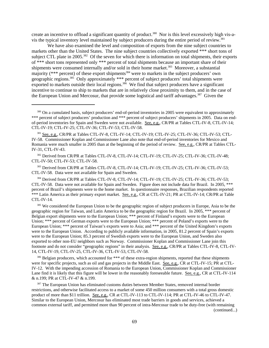create an incentive to offload a significant quantity of product.<sup>380</sup> Nor is this level excessively high vis-avis the typical inventory level maintained by subject producers during the entire period of review.<sup>381</sup>

We have also examined the level and composition of exports from the nine subject countries to markets other than the United States. The nine subject countries collectively exported \*\*\* short tons of subject CTL plate in 2005.<sup>382</sup> Of the seven for which there is information on total shipments, their exports of \*\*\* short tons represented only \*\*\* percent of total shipments because an important share of their shipments were consumed internally and/or sold in their home market.<sup>383</sup> Moreover, a substantial majority ( $***$  percent) of these export shipments<sup>384</sup> were to markets in the subject producers' own geographic regions.<sup>385</sup> Only approximately \*\*\* percent of subject producers' total shipments were exported to markets outside their local regions.<sup>386</sup> We find that subject producers have a significant incentive to continue to ship to markets that are in relatively close proximity to them, and in the case of the European Union and Mercosur, that provide some logistical and tariff advantages.<sup>387</sup> Given the

 382 Derived from CR/PR at Tables CTL-IV-8, CTL-IV-14; CTL-IV-19; CTL-IV-25; CTL-IV-36; CTL-IV-48; CTL-IV-50; CTL-IV-53; CTL-IV-58.

 383 Derived from CR/PR at Tables CTL-IV-8, CTL-IV-14; CTL-IV-19; CTL-IV-25; CTL-IV-36; CTL-IV-53; CTL-IV-58. Data were not available for Spain and Sweden.

<sup>384</sup> Derived from CR/PR at Tables CTL-IV-8, CTL-IV-14; CTL-IV-19; CTL-IV-25; CTL-IV-36; CTL-IV-53; CTL-IV-58. Data were not available for Spain and Sweden. Figure does not include data for Brazil. In 2005, \*\*\* percent of Brazil's shipments were to the home market. In questionnaire responses, Brazilian respondents reported \*\*\* Latin America as their primary export market. See, e.g., CR at CTL-IV-21; PR at CTL-IV-14; CR/PR at Table CTL-IV-14.

<sup>385</sup> We considered the European Union to be the geographic region of subject producers in Europe, Asia to be the geographic region for Taiwan, and Latin America to be the geographic region for Brazil. In 2005, \*\*\* percent of Belgian export shipments were to the European Union; \*\*\* percent of Finland's exports were to the European Union; \*\*\* percent of German exports were to the European Union; \*\*\* percent of Poland's exports were to the European Union; \*\*\* percent of Taiwan's exports were to Asia; and \*\*\* percent of the United Kingdom's exports were to the European Union. According to publicly available information, in 2005, 81.2 percent of Spain's exports were to the European Union; 85.3 percent of Swedish exports were to the European Union, and Sweden also exported to other non-EU neighbors such as Norway. Commissioner Koplan and Commissioner Lane join this footnote and do not consider "geographic regions" in their analysis. See, e.g., CR/PR at Tables CTL-IV-8, CTL-IV-14, CTL-IV-19, CTL-IV-25, CTL-IV-36, CTL-IV-53, CTL-IV-58.

<sup>386</sup> Belgian producers, which accounted for \*\*\* of these extra-region shipments, reported that these shipments were for specific projects, such as oil and gas projects in the Middle East. See, e.g., CR at CTL-IV-15; PR at CTL-IV-12. With the impending accession of Romania to the European Union, Commissioner Koplan and Commissioner Lane find it is likely that this figure will be lower in the reasonably foreseeable future. See, e.g., CR at CTL-IV-114 & n.199; PR at CTL-IV-47 & n.199.

<sup>387</sup> The European Union has eliminated customs duties between Member States, removed internal border restrictions, and otherwise facilitated access to a market of some 450 million consumers with a total gross domestic product of more than \$11 trillion. See, e.g., CR at CTL-IV-113 to CTL-IV-114; PR at CTL-IV-46 to CTL-IV-47. Similar to the European Union, Mercosur has eliminated most trade barriers in goods and services, achieved a common external tariff, and permitted more than 90 percent of intra-Mercosur trade to be duty-free (with remaining (continued...)

<sup>&</sup>lt;sup>380</sup> On a cumulated basis, subject producers' end-of-period inventories in 2005 were equivalent to approximately \*\*\* percent of subject producers' production and \*\*\* percent of subject producers' shipments in 2005. Data on endof-period inventories for Spain and Sweden were not available. See, e.g., CR/PR at Tables CTL-IV-8, CTL-IV-14; CTL-IV-19; CTL-IV-25; CTL-IV-36; CTL-IV-53; CTL-IV-58.

 <sup>381</sup> See, e.g., CR/PR at Tables CTL-IV-8, CTL-IV-14; CTL-IV-19; CTL-IV-25; CTL-IV-36; CTL-IV-53; CTL-IV-58. Commissioner Koplan and Commissioner Lane also note that end-of-period inventories for Mexico and Romania were much smaller in 2005 than at the beginning of the period of review. See, e.g., CR/PR at Tables CTL-IV-31, CTL-IV-43.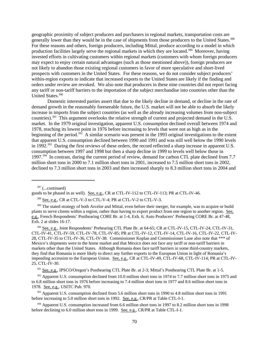geographic proximity of subject producers and purchasers in regional markets, transportation costs are generally lower than they would be in the case of shipments from those producers to the United States.<sup>388</sup> For these reasons and others, foreign producers, including Mittal, produce according to a model in which production facilities largely serve the regional markets in which they are located.<sup>389</sup> Moreover, having invested efforts in cultivating customers within regional markets (customers with whom foreign producers may expect to enjoy certain natural advantages (such as those mentioned above)), foreign producers are not likely to abandon those existing regional customers in favor of more speculative and short-lived prospects with customers in the United States. For these reasons, we do not consider subject producers' within-region exports to indicate that increased exports to the United States are likely if the finding and orders under review are revoked. We also note that producers in these nine countries did not report facing any tariff or non-tariff barriers to the importation of the subject merchandise into countries other than the United States.390

Domestic interested parties assert that due to the likely decline in demand, or decline in the rate of demand growth in the reasonably foreseeable future, the U.S. market will not be able to absorb the likely increase in imports from the subject countries (as well as the already increasing volumes from non-subject countries).391 This argument overlooks the relative strength of current and projected demand in the U.S. market. In the 1979 original investigation, apparent U.S. consumption declined overall between 1974 and 1978, reaching its lowest point in 1976 before increasing to levels that were not as high as in the beginning of the period.<sup>392</sup> A similar scenario was present in the 1993 original investigations to the extent that apparent U.S. consumption declined between 1990 and 1991 and was still well below the 1990 levels in 1992.<sup>393</sup> During the first reviews of these orders, the record reflected a sharp increase in apparent U.S. consumption between 1997 and 1998 but then a sharp decline in 1999 to levels well below those in 1997.394 In contrast, during the current period of review, demand for carbon CTL plate declined from 7.7 million short tons in 2000 to 7.1 million short tons in 2001, increased to 7.5 million short tons in 2002, declined to 7.3 million short tons in 2003 and then increased sharply to 8.3 million short tons in 2004 and

 $387$  (...continued)

goods to be phased in as well). See, e.g., CR at CTL-IV-112 to CTL-IV-113; PR at CTL-IV-46.

388 See, e.g., CR at CTL-V-3 to CTL-V-4; PR at CTL-V-2 to CTL-V-3.

<sup>389</sup> The stated strategy of both Arcelor and Mittal, even before their merger, for example, was to acquire or build plants to serve clients within a region, rather than having to export product from one region to another region. See, e.g., French Respondents' Posthearing CORE Br. at 1-4, Exh. 6; Auto Producers' Prehearing CORE Br. at 47-48, Exh. 2 at slides 16-17.

<sup>390</sup> See, e.g., Joint Respondents' Prehearing CTL Plate Br. at 64-65; CR at CTL-IV-15, CTL-IV-24, CTL-IV-31, CTL-IV-41, CTL-IV-59, CTL-IV-78, CTL-IV-85; PR at CTL-IV-12, CTL-IV-14, CTL-IV-16, CTL-IV-22, CTL-IV-28, CTL-IV-35 to CTL-IV-36, CTL-IV-38. Commissioner Koplan and Commissioner Lane also note that \*\*\* of Mexico's shipments were to the home market and that Mexico does not face any tariff or non-tariff barriers in markets other than the United States. Although Romania does face tariff barriers in some third-country markets, they find that Romania is more likely to direct any further exports to the European Union in light of Romania's impending accession to the European Union. See, e.g., CR at CTL-IV-49, CTL-IV-68, CTL-IV-114; PR at CTL-IV-25, CTL-IV-30.

<sup>391</sup> See, e.g., IPSCO/Oregon's Posthearing CTL Plate Br. at 2-3; Mittal's Posthearing CTL Plate Br. at 1-5.

<sup>392</sup> Apparent U.S. consumption declined from 10.0 million short tons in 1974 to 7.7 million short tons in 1975 and to 6.8 million short tons in 1976 before increasing to 7.4 million short tons in 1977 and 8.6 million short tons in 1978. See, e.g., USITC Pub. 970.

<sup>393</sup> Apparent U.S. consumption declined from 5.6 million short tons in 1990 to 4.8 million short tons in 1991 before increasing to 5.0 million short tons in 1992. See, e.g., CR/PR at Table CTL-I-1.

<sup>394</sup> Apparent U.S. consumption increased from 6.6 million short tons in 1997 to 8.2 million short tons in 1998 before declining to 6.0 million short tons in 1999. See, e.g., CR/PR at Table CTL-I-1.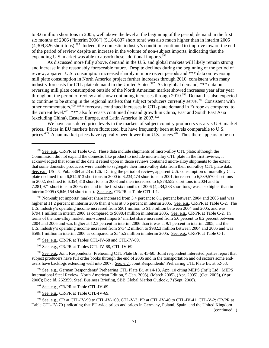to 8.6 million short tons in 2005, well above the level at the beginning of the period; demand in the first six months of 2006 ("interim 2006") (5,184,837 short tons) was also much higher than in interim 2005 (4,309,826 short tons).395 Indeed, the domestic industry's condition continued to improve toward the end of the period of review despite an increase in the volume of non-subject imports, indicating that the expanding U.S. market was able to absorb these additional imports.<sup>396</sup>

As discussed more fully above, demand in the U.S. and global markets will likely remain strong and increase in the reasonably foreseeable future. Despite declines during the beginning of the period of review, apparent U.S. consumption increased sharply in more recent periods and \*\*\* data on reversing mill plate consumption in North America project further increases through 2010, consistent with many industry forecasts for CTL plate demand in the United States.<sup>397</sup> As to global demand, \*\*\* data on reversing mill plate consumption outside of the North American market showed increases year after year throughout the period of review and show continuing increases through 2010.398 Demand is also expected to continue to be strong in the regional markets that subject producers currently serve.<sup>399</sup> Consistent with other commentators,<sup>400</sup> \*\*\* forecasts continued increases in CTL plate demand in Europe as compared to the current level.<sup>401</sup> \*\*\* also forecasts continued demand growth in China, East and South East Asia (excluding China), Eastern Europe, and Latin America in 2007.402

We have considered price levels in the markets of subject country producers vis-a-vis U.S. market prices. Prices in EU markets have fluctuated, but have frequently been at levels comparable to U.S. prices.<sup>403</sup> Asian market prices have typically been lower than U.S. prices.<sup>404</sup> Thus there appears to be no

<sup>396</sup> Non-subject imports' market share increased from 5.4 percent to 8.1 percent between 2004 and 2005 and was higher at 11.2 percent in interim 2006 than it was at 8.6 percent in interim 2005. See, e.g., CR/PR at Table C-2. The U.S. industry's operating income increased from \$901 million to \$1.3 billion between 2004 and 2005, and was \$794.1 million in interim 2006 as compared to \$698.4 million in interim 2005. See, e.g., CR/PR at Table C-2. In terms of the non-alloy market, non-subject imports' market share increased from 5.6 percent to 8.2 percent between 2004 and 2005 and was higher at 12.3 percent in interim 2006 than it was at 9.1 percent in interim 2005, and the U.S. industry's operating income increased from \$734.2 million to \$982.3 million between 2004 and 2005 and was \$598.1 million in interim 2006 as compared to \$545.5 million in interim 2005. See, e.g., CR/PR at Table C-1.

398 See, e.g., CR/PR at Tables CTL-IV-68, CTL-IV-69.

<sup>399</sup> See, e.g., Joint Respondents' Prehearing CTL Plate Br. at 45-60. Joint respondent interested parties report that subject producers have full order books through the end of 2006 and in the transportation and oil sectors some endusers have backlogs extending well into 2007. See, e.g., Joint Respondents' Prehearing CTL Plate Br. at 52-53.

 400 See, e.g., German Respondents' Prehearing CTL Plate Br. at 14-18, App. 10 citing MEPS (Int'l) Ltd., MEPS International Steel Review, North American Edition, 5 (Jan. 2005), (March 2005), (Apr. 2005), (Oct. 2005), (Apr. 2006); Doc Id. 262359; Steel Business Briefing, SBB Global Market Outlook, 7 (Sept. 2006).

402 See, e.g., CR/PR at Table CTL-IV-69.

 403 See, e.g., CR at CTL-IV-99 to CTL-IV-100, CTL-V-3; PR at CTL-IV-40 to CTL-IV-41, CTL-V-2; CR/PR at Table CTL-IV-70 (indicating that EU-wide prices and prices in Germany, Poland, Spain, and the United Kingdom (continued...)

<sup>&</sup>lt;sup>395</sup> See, e.g., CR/PR at Table C-2. These data include shipments of micro-alloy CTL plate; although the Commission did not expand the domestic like product to include micro-alloy CTL plate in the first reviews, it acknowledged that some of the data it relied upon in those reviews contained micro-alloy shipments to the extent that some domestic producers were unable to segregate their micro-alloy data from their non-alloy CTL plate data. See, e.g., USITC Pub. 3364 at 23 n.126. During the period of review, apparent U.S. consumption of non-alloy CTL plate declined from 6,814,613 short tons in 2000 to 6,234,474 short tons in 2001, increased to 6,539,570 short tons in 2002, declined to 6,354,810 short tons in 2003 and then increased to 6,978,552 short tons in 2004 and to 7,281,971 short tons in 2005; demand in the first six months of 2006 (4,434,283 short tons) was also higher than in interim 2005 (3,646,154 short tons). See, e.g., CR/PR at Table CTL-I-1.

<sup>&</sup>lt;sup>397</sup> See, e.g., CR/PR at Tables CTL-IV-68 and CTL-IV-69.

<sup>&</sup>lt;sup>401</sup> See, e.g., CR/PR at Table CTL-IV-69.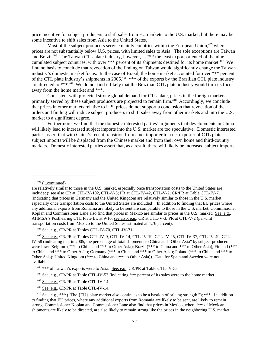price incentive for subject producers to shift sales from EU markets to the U.S. market, but there may be some incentive to shift sales from Asia to the United States.

Most of the subject producers service mainly countries within the European Union,<sup>405</sup> where prices are not substantially below U.S. prices, with limited sales to Asia. The sole exceptions are Taiwan and Brazil.<sup>406</sup> The Taiwan CTL plate industry, however, is \*\*\* the least export-oriented of the nine cumulated subject countries, with over \*\*\* percent of its shipments destined for its home market.<sup>407</sup> We find no basis to conclude that revocation of the finding on Taiwan would significantly change the Taiwan industry's domestic market focus. In the case of Brazil, the home market accounted for over \*\*\* percent of the CTL plate industry's shipments in 2005.<sup>408</sup> \*\*\* of the exports by the Brazilian CTL plate industry are directed to \*\*\*.409 We do not find it likely that the Brazilian CTL plate industry would turn its focus away from the home market and \*\*\*.

Consistent with projected strong global demand for CTL plate, prices in the foreign markets primarily served by these subject producers are projected to remain firm.<sup>410</sup> Accordingly, we conclude that prices in other markets relative to U.S. prices do not support a conclusion that revocation of the orders and finding will induce subject producers to shift sales away from other markets and into the U.S. market to a significant degree.

Furthermore, we find that the domestic interested parties' arguments that developments in China will likely lead to increased subject imports into the U.S. market are too speculative. Domestic interested parties assert that with China's recent transition from a net importer to a net exporter of CTL plate, subject imports will be displaced from the Chinese market and from their own home and third-country markets. Domestic interested parties assert that, as a result, there will likely be increased subject imports

 $403$  (...continued)

404 See, e.g., CR/PR at Tables CTL-IV-70, CTL-IV-71.

408 See, e.g., CR/PR at Table CTL-IV-14.

409 See, e.g., CR/PR at Table CTL-IV-14.

are relatively similar to those in the U.S. market, especially once transportation costs to the United States are included); see also CR at CTL-IV-102, CTL-V-3; PR at CTL-IV-42, CTL-V-2; CR/PR at Table CTL-IV-71 (indicating that prices in Germany and the United Kingdom are relatively similar to those in the U.S. market, especially once transportation costs to the United States are included). In addition to finding that EU prices where any additional exports from Romania are likely to be sent are comparable to those in the U.S. market, Commissioner Koplan and Commissioner Lane also find that prices in Mexico are similar to prices in the U.S. market. See, e.g., AHMSA's Posthearing CTL Plate Br. at 9-10; see also, e.g., CR at CTL-V-3; PR at CTL-V-2 (per-unit transportation costs from Mexico to the United States estimated at 4.76 percent).

 <sup>405</sup> See, e.g., CR/PR at Tables CTL-IV-9, CTL-IV-14, CTL-IV-19, CTL-IV-25, CTL-IV-37, CTL-IV-49, CTL-IV-58 (indicating that in 2005, the percentage of total shipments to China and "Other Asia" by subject producers were low: Belgium (\*\*\* to China and \*\*\* to Other Asia); Brazil (\*\*\* to China and \*\*\* to Other Asia); Finland (\*\*\* to China and \*\*\* to Other Asia); Germany (\*\*\* to China and \*\*\* to Other Asia); Poland (\*\*\* to China and \*\*\* to Other Asia); United Kingdom (\*\*\* to China and \*\*\* to Other Asia)). Data for Spain and Sweden were not available.

<sup>&</sup>lt;sup>406</sup> \*\*\* of Taiwan's exports were to Asia. <u>See, e.g.</u>, CR/PR at Table CTL-IV-53.

 <sup>407</sup> See, e.g., CR/PR at Table CTL-IV-53 (indicating \*\*\* percent of its sales were to the home market.

<sup>&</sup>lt;sup>410</sup> See, e.g., \*\*\* ("The {EU} plate market also continues to be a bastion of pricing strength."); \*\*\*. In addition to finding that EU prices, where any additional exports from Romania are likely to be sent, are likely to remain strong, Commissioner Koplan and Commissioner Lane also find that prices in Mexico, where \*\*\* of Mexican shipments are likely to be directed, are also likely to remain strong like the prices in the neighboring U.S. market.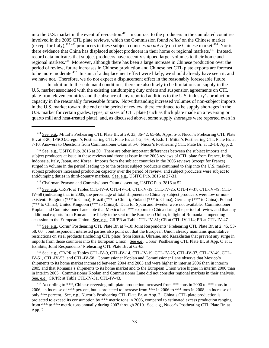into the U.S. market in the event of revocation.<sup>411</sup> In contrast to the producers in the cumulated countries involved in the 2005 CTL plate reviews, which the Commission found *relied* on the Chinese market (except for Italy),<sup>412 413</sup> producers in these subject countries *do not rely* on the Chinese market.<sup>414</sup> Nor is there evidence that China has displaced subject producers in their home or regional markets.<sup>415</sup> Instead, record data indicates that subject producers have recently shipped larger volumes to their home and regional markets.416 Moreover, although there has been a large increase in Chinese production over the period of review, future increases in Chinese production and Chinese net CTL plate exports are forecast to be more moderate.<sup>417</sup> In sum, if a displacement effect were likely, we should already have seen it, and we have not. Therefore, we do not expect a displacement effect in the reasonably foreseeable future.

In addition to these demand conditions, there are also likely to be limitations on supply in the U.S. market associated with the existing antidumping duty orders and suspension agreements on CTL plate from eleven countries and the absence of any reported additions to the U.S. industry's production capacity in the reasonably foreseeable future. Notwithstanding increased volumes of non-subject imports in the U.S. market toward the end of the period of review, there continued to be supply shortages in the U.S. market for certain grades, types, or sizes of CTL plate (such as thick plate made on a reversing or quarto mill and heat-treated plate), and, as discussed above, some supply shortages were reported even in

413 Chairman Pearson and Commissioner Okun dissenting, USITC Pub. 3816 at 52.

 414 See, e.g., CR/PR at Tables CTL-IV-9, CTL-IV-14, CTL-IV-19, CTL-IV-25, CTL-IV-37, CTL-IV-49, CTL-IV-58 (indicating that in 2005, the percentage of total shipments to China by subject producers were low or nonexistent: Belgium (\*\*\* to China); Brazil (\*\*\* to China); Finland (\*\*\* to China); Germany (\*\*\* to China); Poland (\*\*\* to China); United Kingdom (\*\*\* to China)). Data for Spain and Sweden were not available. Commissioner Koplan and Commissioner Lane note that Mexico had \*\*\* exports to China during the period of review and that any additional exports from Romania are likely to be sent to the European Union, in light of Romania's impending accession to the European Union. See, e.g., CR/PR at Table CTL-IV-31; CR at CTL-IV-114; PR at CTL-IV-47.

 415 See, e.g., Corus' Posthearing CTL Plate Br. at 7-10; Joint Respondents' Prehearing CTL Plate Br. at 2, 45, 53- 58, 60. Joint respondent interested parties also point out that the European Union already maintains quantitative restrictions on steel products (including CTL plate) from Russia, Ukraine, and Kazakhstan that prevent any surge in imports from those countries into the European Union. See e.g., Corus' Posthearing CTL Plate Br. at App. O at 1, Exhibits; Joint Respondents' Prehearing CTL Plate Br. at 62-63.

 416 See, e.g., CR/PR at Tables CTL-IV-9, CTL-IV-14, CTL-IV-19, CTL-IV-25, CTL-IV-37, CTL-IV-49, CTL-IV-51, CTL-IV-53, and CTL-IV-58. Commissioner Koplan and Commissioner Lane observe that Mexico's shipments to its home market increased between 2004 and 2005 and were higher in interim 2006 than in interim 2005 and that Romania's shipments to its home market and to the European Union were higher in interim 2006 than in interim 2005. Commissioner Koplan and Commissioner Lane did not consider regional markets in their analysis. See, e.g., CR/PR at Table CTL-IV-31, CTL-IV-43.

<sup>417</sup> According to \*\*\*, Chinese reversing mill plate production increased from \*\*\* tons in 2000 to \*\*\* tons in 2006, an increase of \*\*\* percent, but is projected to increase from \*\*\* in 2006 to \*\*\* tons in 2008, an increase of only \*\*\* percent. See, e.g., Nucor's Posthearing CTL Plate Br. at App. 2. China's CTL plate production is projected to exceed its consumption by \*\*\* metric tons in 2006, compared to estimated excess production ranging from \*\*\* to \*\*\* metric tons annually during 2007 through 2010. See, e.g., Nucor's Posthearing CTL Plate Br. at App. 2.

<sup>&</sup>lt;sup>411</sup> See, e.g., Mittal's Prehearing CTL Plate Br. at 29, 33, 36-42, 65-66, Apps. 5-6; Nucor's Prehearing CTL Plate Br. at 8-20; IPSCO/Oregon's Posthearing CTL Plate Br. at 1-2, 4-6, 9, Exh. 1; Mittal's Posthearing CTL Plate Br. at 7-10, Answers to Questions from Commissioner Okun at 5-6; Nucor's Posthearing CTL Plate Br. at 12-14, App. 2.

<sup>&</sup>lt;sup>412</sup> See, e.g., USITC Pub. 3816 at 30. There are other important differences between the subject imports and subject producers at issue in these reviews and those at issue in the 2005 reviews of CTL plate from France, India, Indonesia, Italy, Japan, and Korea. Imports from the subject countries in the 2005 reviews (except for France) surged in volume in the period leading up to the orders; subject producers continued to ship into the U.S. market; subject producers increased production capacity over the period of review; and subject producers were subject to antidumping duties in third-country markets. See, e.g., USITC Pub. 3816 at 27-31.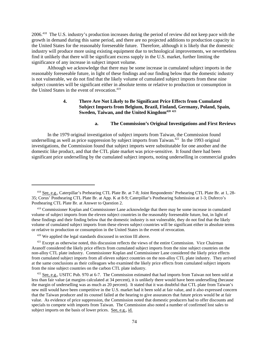2006.418 The U.S. industry's production increases during the period of review did not keep pace with the growth in demand during this same period, and there are no projected additions to production capacity in the United States for the reasonably foreseeable future. Therefore, although it is likely that the domestic industry will produce more using existing equipment due to technological improvements, we nevertheless find it unlikely that there will be significant excess supply in the U.S. market, further limiting the significance of any increase in subject import volume.

Although we acknowledge that there may be some increase in cumulated subject imports in the reasonably foreseeable future, in light of these findings and our finding below that the domestic industry is not vulnerable, we do not find that the likely volume of cumulated subject imports from these nine subject countries will be significant either in absolute terms or relative to production or consumption in the United States in the event of revocation.<sup>419</sup>

# **4. There Are Not Likely to Be Significant Price Effects from Cumulated Subject Imports from Belgium, Brazil, Finland, Germany, Poland, Spain, Sweden, Taiwan, and the United Kingdom420 <sup>421</sup>**

### **a. The Commission's Original Investigations and First Reviews**

In the 1979 original investigation of subject imports from Taiwan, the Commission found underselling as well as price suppression by subject imports from Taiwan.<sup>422</sup> In the 1993 original investigations, the Commission found that subject imports were substitutable for one another and the domestic like product, and that the CTL plate market was price-sensitive. It found there had been significant price underselling by the cumulated subject imports, noting underselling in commercial grades

 <sup>418</sup> See, e.g., Caterpillar's Prehearing CTL Plate Br. at 7-8; Joint Respondents' Prehearing CTL Plate Br. at 1, 28- 35; Corus' Posthearing CTL Plate Br. at App. K at 8-9; Caterpillar's Posthearing Submission at 1-3; Duferco's Posthearing CTL Plate Br. at Answer to Question 2.

 <sup>419</sup> Commissioner Koplan and Commissioner Lane acknowledge that there may be some increase in cumulated volume of subject imports from the eleven subject countries in the reasonably foreseeable future, but, in light of these findings and their finding below that the domestic industry is not vulnerable, they do not find that the likely volume of cumulated subject imports from these eleven subject countries will be significant either in absolute terms or relative to production or consumption in the United States in the event of revocation.

 <sup>420</sup> We applied the legal standards discussed in section III above.

<sup>&</sup>lt;sup>421</sup> Except as otherwise noted, this discussion reflects the views of the entire Commission. Vice Chairman Aranoff considered the likely price effects from cumulated subject imports from the nine subject countries on the non-alloy CTL plate industry. Commissioner Koplan and Commissioner Lane considered the likely price effects from cumulated subject imports from all eleven subject countries on the non-alloy CTL plate industry. They arrived at the same conclusions as their colleagues who examined the likely price effects from cumulated subject imports from the nine subject countries on the carbon CTL plate industry.

<sup>&</sup>lt;sup>422</sup> See, e.g., USITC Pub. 970 at 6-7. The Commission estimated that had imports from Taiwan not been sold at less than fair value (at margins calculated at 34 percent), it is unlikely there would have been underselling (because the margin of underselling was as much as 20 percent). It stated that it was doubtful that CTL plate from Taiwan's new mill would have been competitive in the U.S. market had it been sold at fair value, and it also expressed concern that the Taiwan producer and its counsel failed at the hearing to give assurances that future prices would be at fair value. As evidence of price suppression, the Commission noted that domestic producers had to offer discounts and specials to compete with imports from Taiwan. The Commission also noted a number of confirmed lost sales to subject imports on the basis of lower prices. See, e.g., id.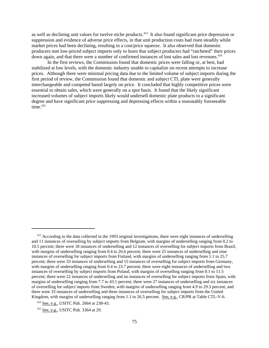as well as declining unit values for twelve niche products.<sup>423</sup> It also found significant price depression or suppression and evidence of adverse price effects, in that unit production costs had risen steadily while market prices had been declining, resulting in a cost/price squeeze. It also observed that domestic producers met low-priced subject imports only to learn that subject producers had "ratcheted" their prices down again, and that there were a number of confirmed instances of lost sales and lost revenues.<sup>424</sup>

In the first reviews, the Commission found that domestic prices were falling or, at best, had stabilized at low levels, with the domestic industry unable to capitalize on recent attempts to increase prices. Although there were minimal pricing data due to the limited volume of subject imports during the first period of review, the Commission found that domestic and subject CTL plate were generally interchangeable and competed based largely on price. It concluded that highly competitive prices were essential to obtain sales, which were generally on a spot basis. It found that the likely significant increased volumes of subject imports likely would undersell domestic plate products to a significant degree and have significant price suppressing and depressing effects within a reasonably foreseeable  $time.<sup>425</sup>$ 

 $423$  According to the data collected in the 1993 original investigations, there were eight instances of underselling and 11 instances of overselling by subject imports from Belgium, with margins of underselling ranging from 0.2 to 10.5 percent; there were 18 instances of underselling and 12 instances of overselling for subject imports from Brazil, with margins of underselling ranging from 0.4 to 26.6 percent; there were 25 instances of underselling and nine instances of overselling for subject imports from Finland, with margins of underselling ranging from 1.1 to 25.7 percent; there were 33 instances of underselling and 15 instances of overselling for subject imports from Germany, with margins of underselling ranging from 0.4 to 23.7 percent; there were eight instances of underselling and two instances of overselling by subject imports from Poland, with margins of overselling ranging from 0.1 to 11.5 percent; there were 22 instances of underselling and no instances of overselling for subject imports from Spain, with margins of underselling ranging from 7.7 to 43.1 percent; there were 27 instances of underselling and six instances of overselling for subject imports from Sweden, with margins of underselling ranging from 4.9 to 29.3 percent; and there were 33 instances of underselling and three instances of overselling for subject imports from the United Kingdom, with margins of underselling ranging from 1.1 to 26.5 percent. See, e.g., CR/PR at Table CTL-V-6.

<sup>424</sup> See, e.g., USITC Pub. 2664 at 238-43.

 <sup>425</sup> See, e.g., USITC Pub. 3364 at 29.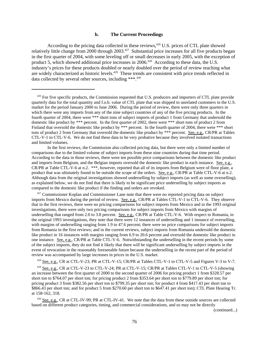#### **b. The Current Proceedings**

According to the pricing data collected in these reviews,  $426$  U.S. prices of CTL plate showed relatively little change from 2000 through 2003.<sup>427</sup> Substantial price increases for all five products began in the first quarter of 2004, with some leveling off or small decreases in early 2005, with the exception of product 5, which showed additional price increases in 2006.<sup>428</sup> According to these data, the U.S. industry's prices for these products doubled or nearly doubled over the period of review reaching what are widely characterized as historic levels.<sup>429</sup> These trends are consistent with price trends reflected in data collected by several other sources, including \*\*\*.430

In the first reviews, the Commission also collected pricing data, but there were only a limited number of comparisons due to the limited volume of subject imports from these nine countries during that time period. According to the data in those reviews, there were ten possible price comparisons between the domestic like product and imports from Belgium, and the Belgian imports oversold the domestic like product in each instance. See, e.g., CR/PR at Table CTL-V-6 at n.2. \*\*\*, however, reported that all of its imports from Belgium were of floor plate, a product that was ultimately found to be outside the scope of the orders. See, e.g., CR/PR at Table CTL-V-6 at n.2. Although data from the original investigations showed underselling by subject imports (as well as some overselling), as explained below, we do not find that there is likely to be significant price underselling by subject imports as compared to the domestic like product if the finding and orders are revoked.

<sup>427</sup> Commissioner Koplan and Commissioner Lane note that there were no reported pricing data on subject imports from Mexico during the period of review. See, e.g., CR/PR at Tables CTL-V-1 to CTL-V-6. They observe that in the first reviews, there were no pricing comparisons for subject imports from Mexico and in the 1993 original investigations, there were only two pricing comparisons for subject imports from Mexico with margins of underselling that ranged from 2.0 to 3.8 percent. See, e.g., CR/PR at Table CTL-V-6. With respect to Romania, in the original 1993 investigations, they note that there were 12 instances of underselling and 1 instance of overselling, with margins of underselling ranging from 1.9 to 47.6 percent; there were no price comparisons for subject imports from Romania in the first reviews; and in the current reviews, subject imports from Romania undersold the domestic like product in 16 instances with margins ranging from 6.9 to 20.6 percent and oversold the domestic like product in one instance. See, e.g., CR/PR at Table CTL-V-6. Notwithstanding the underselling in the recent periods by some of the subject imports, they do not find it likely that there will be significant underselling by subject imports in the event of revocation in the reasonably foreseeable future because the underselling in the recent part of the period of review was accompanied by large increases in prices in the U.S. market.

428 See, e.g., CR at CTL-V-23; PR at CTL-V-15; CR/PR at Tables CTL-V-1 to CTL-V-5 and Figures V-3 to V-7.

 $429$  See, e.g., CR at CTL-V-23 to CTL-V-24; PR at CTL-V-15; CR/PR at Tables CTL-V-1 to CTL-V-5 (showing an increase between the first quarter of 2000 to the second quarter of 2006 for pricing product 1 from \$328.57 per short ton to \$764.07 per short ton; for pricing product 2 from \$353.64 per short ton to \$779.89 per short ton; for pricing product 3 from \$382.56 per short ton to \$799.35 per short ton; for product 4 from \$417.43 per short ton to \$866.43 per short ton; and for product 5 from \$270.60 per short ton to \$647.41 per short ton); CTL Plate Hearing Tr. at 158-162, 318.

430 See, e.g., CR at CTL-IV-99; PR at CTL-IV-41. We note that the data from these outside sources are collected based on different product categories, timing, and commercial considerations, and so may not be directly

(continued...)

<sup>&</sup>lt;sup>426</sup> For five specific products, the Commission requested that U.S. producers and importers of CTL plate provide quarterly data for the total quantity and f.o.b. value of CTL plate that was shipped to unrelated customers in the U.S. market for the period January 2000 to June 2006. During the period of review, there were only three quarters in which there were any imports from any of the nine subject countries of any of the five pricing products. In the fourth quarter of 2004, there were \*\*\* short tons of subject imports of product 1 from Germany that undersold the domestic like product by \*\*\* percent. In the first quarter of 2002, there were \*\*\* short tons of product 2 from Finland that oversold the domestic like product by \*\*\* percent. In the fourth quarter of 2004, there were \*\*\* short tons of product 2 from Germany that oversold the domestic like product by \*\*\* percent. See, e.g., CR/PR at Tables CTL-V-1 to CTL-V-6. We do not find these data to be very probative because they involved isolated transactions and limited volumes.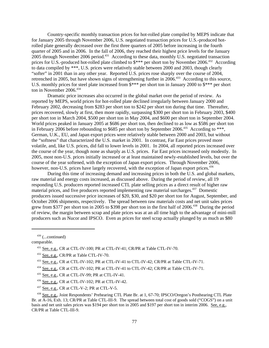Country-specific monthly transaction prices for hot-rolled plate compiled by MEPS indicate that for January 2005 through November 2006, U.S. negotiated transaction prices for U.S.-produced hotrolled plate generally decreased over the first three quarters of 2005 before increasing in the fourth quarter of 2005 and in 2006. In the fall of 2006, they reached their highest price levels for the January  $2005$  through November 2006 period.<sup>431</sup> According to these data, monthly U.S. negotiated transaction prices for U.S.-produced hot-rolled plate climbed to  $\frac{1}{2}$  + per short ton by November 2006.<sup>432</sup> According to data compiled by \*\*\*, U.S. prices were relatively stable between 2000 and 2003, though clearly "softer" in 2001 than in any other year. Reported U.S. prices rose sharply over the course of 2004, retrenched in 2005, but have shown signs of strengthening further in 2006.<sup>433</sup> According to this source, U.S. monthly prices for steel plate increased from \$\*\*\* per short ton in January 2000 to \$\*\*\* per short ton in November 2006.<sup>434</sup>

Dramatic price increases also occurred in the global market over the period of review. As reported by MEPS, world prices for hot-rolled plate declined irregularly between January 2000 and February 2002, decreasing from \$283 per short ton to \$242 per short ton during that time. Thereafter, prices recovered, slowly at first, then more rapidly, surpassing \$300 per short ton in February 2003, \$400 per short ton in March 2004, \$500 per short ton in May 2004, and \$600 per short ton in September 2004. World prices peaked in January 2005 at \$686 per short ton, then declined to as low as \$586 per short ton in February 2006 before rebounding to \$685 per short ton by September 2006.<sup>435</sup> According to \*\*\*, German, U.K., EU, and Japan export prices were relatively stable between 2000 and 2003, but without the "softness" that characterized the U.S. market in 2001. In contrast, Far East prices proved more volatile, and, like U.S. prices, did fall to lower levels in 2001. In 2004, all reported prices increased over the course of the year, though none as sharply as U.S. prices. Far East prices increased only modestly. In 2005, most non-U.S. prices initially increased or at least maintained newly-established levels, but over the course of the year softened, with the exception of Japan export prices. Through November 2006, however, non-U.S. prices have largely recovered, with the exception of Japan export prices.<sup>436</sup>

During this time of increasing demand and increasing prices in both the U.S. and global markets, raw material and energy costs increased, as discussed above. During the period of review, all 19 responding U.S. producers reported increased CTL plate selling prices as a direct result of higher raw material prices, and five producers reported implementing raw material surcharges.<sup>437</sup> Domestic producers issued successive price increases of \$20, \$30, and \$20 per short ton for August, September, and October 2006 shipments, respectively. The spread between raw materials costs and net unit sales prices grew from \$377 per short ton in 2005 to \$398 per short ton in the first half of 2006.<sup>438</sup> During the period of review, the margin between scrap and plate prices was at an all time high to the advantage of mini-mill producers such as Nucor and IPSCO. Even as prices for steel scrap actually plunged by as much as \$80

 $430$  (...continued)

comparable.

- 436 See, e.g., CR at CTL-IV-102; PR at CTL-IV-42.
- 437 See, e.g., CR at CTL-V-2; PR at CTL-V-5.

 438 See, e.g., Joint Respondents' Prehearing CTL Plate Br. at 1, 67-70; IPSCO/Oregon's Posthearing CTL Plate Br. at A-16, Exh. 13; CR/PR at Table CTL-III-9. The spread between total cost of goods sold ("COGS") on a unit basis and net unit sales prices was \$194 per short ton in 2005 and \$197 per short ton in interim 2006. See, e.g., CR/PR at Table CTL-III-9.

<sup>&</sup>lt;sup>431</sup> See, e.g., CR at CTL-IV-100; PR at CTL-IV-41; CR/PR at Table CTL-IV-70.

 <sup>432</sup> See, e.g., CR/PR at Table CTL-IV-70.

 <sup>433</sup> See, e.g., CR at CTL-IV-102; PR at CTL-IV-41 to CTL-IV-42; CR/PR at Table CTL-IV-71.

<sup>434</sup> See, e.g., CR at CTL-IV-102; PR at CTL-IV-41 to CTL-IV-42; CR/PR at Table CTL-IV-71.

 <sup>435</sup> See, e.g., CR at CTL-IV-99; PR at CTL-IV-41.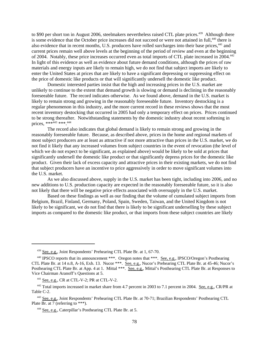to \$90 per short ton in August 2006, steelmakers nevertheless raised CTL plate prices.<sup>439</sup> Although there is some evidence that the October price increases did not succeed or were not attained in full,<sup>440</sup> there is also evidence that in recent months, U.S. producers have rolled surcharges into their base prices,<sup>441</sup> and current prices remain well above levels at the beginning of the period of review and even at the beginning of 2004. Notably, these price increases occurred even as total imports of CTL plate increased in 2004.442 In light of this evidence as well as evidence about future demand conditions, although the prices of raw materials and energy inputs are likely to remain high, we do not find that subject imports are likely to enter the United States at prices that are likely to have a significant depressing or suppressing effect on the price of domestic like products or that will significantly undersell the domestic like product.

Domestic interested parties insist that the high and increasing prices in the U.S. market are unlikely to continue to the extent that demand growth is slowing or demand is declining in the reasonably foreseeable future. The record indicates otherwise. As we found above, demand in the U.S. market is likely to remain strong and growing in the reasonably foreseeable future. Inventory destocking is a regular phenomenon in this industry, and the more current record in these reviews shows that the most recent inventory destocking that occurred in 2005 had only a temporary effect on prices. Prices continued to be strong thereafter. Notwithstanding statements by the domestic industry about recent softening in prices, \*\*\*<sup>443</sup> \*\*\* <sup>444</sup>

The record also indicates that global demand is likely to remain strong and growing in the reasonably foreseeable future. Because, as described above, prices in the home and regional markets of most subject producers are at least as attractive if not more attractive than prices in the U.S. market, we do not find it likely that any increased volumes from subject countries in the event of revocation (the level of which we do not expect to be significant, as explained above) would be likely to be sold at prices that significantly undersell the domestic like product or that significantly depress prices for the domestic like product. Given their lack of excess capacity and attractive prices in their existing markets, we do not find that subject producers have an incentive to price aggressively in order to move significant volumes into the U.S. market.

As we also discussed above, supply in the U.S. market has been tight, including into 2006, and no new additions to U.S. production capacity are expected in the reasonably foreseeable future, so it is also not likely that there will be negative price effects associated with oversupply in the U.S. market.

Based on these findings as well as our finding that the volume of cumulated subject imports from Belgium, Brazil, Finland, Germany, Poland, Spain, Sweden, Taiwan, and the United Kingdom is not likely to be significant, we do not find that there is likely to be significant underselling by these subject imports as compared to the domestic like product, or that imports from these subject countries are likely

 <sup>439</sup> See, e.g., Joint Respondents' Prehearing CTL Plate Br. at 1, 67-70.

<sup>&</sup>lt;sup>440</sup> IPSCO reports that its announcement \*\*\*. Oregon notes that \*\*\*. <u>See, e.g.</u>, IPSCO/Oregon's Posthearing CTL Plate Br. at 14 n.8, A-16, Exh. 13. Nucor \*\*\*. See, e.g., Nucor's Prehearing CTL Plate Br. at 45-46; Nucor's Posthearing CTL Plate Br. at App. 4 at 1. Mittal \*\*\*. See, e.g., Mittal's Posthearing CTL Plate Br. at Responses to Vice Chairman Aranoff's Questions at 5.

 <sup>441</sup> See, e.g., CR at CTL-V-2; PR at CTL-V-2.

<sup>&</sup>lt;sup>442</sup> Total imports increased in market share from 4.7 percent in 2003 to 7.1 percent in 2004. See, e.g., CR/PR at Table C-2.

 <sup>443</sup> See, e.g., Joint Respondents' Prehearing CTL Plate Br. at 70-71; Brazilian Respondents' Posthearing CTL Plate Br. at 7 (referring to \*\*\*).

 <sup>444</sup> See, e.g., Caterpillar's Posthearing CTL Plate Br. at 5.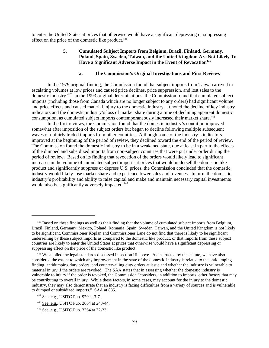to enter the United States at prices that otherwise would have a significant depressing or suppressing effect on the price of the domestic like product.<sup>445</sup>

# **5. Cumulated Subject Imports from Belgium, Brazil, Finland, Germany, Poland, Spain, Sweden, Taiwan, and the United Kingdom Are Not Likely To** Have a Significant Adverse Impact in the Event of Revocation<sup>446</sup>

## **a. The Commission's Original Investigations and First Reviews**

In the 1979 original finding, the Commission found that subject imports from Taiwan arrived in escalating volumes at low prices and caused price declines, price suppression, and lost sales to the domestic industry.447 In the 1993 original determinations, the Commission found that cumulated subject imports (including those from Canada which are no longer subject to any orders) had significant volume and price effects and caused material injury to the domestic industry. It noted the decline of key industry indicators and the domestic industry's loss of market share during a time of declining apparent domestic consumption, as cumulated subject imports contemporaneously increased their market share.<sup>448</sup>

In the first reviews, the Commission found that the domestic industry's condition improved somewhat after imposition of the subject orders but began to decline following multiple subsequent waves of unfairly traded imports from other countries. Although some of the industry's indicators improved at the beginning of the period of review, they declined toward the end of the period of review. The Commission found the domestic industry to be in a weakened state, due at least in part to the effects of the dumped and subsidized imports from non-subject countries that were put under order during the period of review. Based on its finding that revocation of the orders would likely lead to significant increases in the volume of cumulated subject imports at prices that would undersell the domestic like product and significantly suppress or depress U.S. prices, the Commission concluded that the domestic industry would likely lose market share and experience lower sales and revenues. In turn, the domestic industry's profitability and ability to raise capital and make and maintain necessary capital investments would also be significantly adversely impacted.<sup>449</sup>

<sup>&</sup>lt;sup>445</sup> Based on these findings as well as their finding that the volume of cumulated subject imports from Belgium, Brazil, Finland, Germany, Mexico, Poland, Romania, Spain, Sweden, Taiwan, and the United Kingdom is not likely to be significant, Commissioner Koplan and Commissioner Lane do not find that there is likely to be significant underselling by these subject imports as compared to the domestic like product, or that imports from these subject countries are likely to enter the United States at prices that otherwise would have a significant depressing or suppressing effect on the price of the domestic like product.

<sup>&</sup>lt;sup>446</sup> We applied the legal standards discussed in section III above. As instructed by the statute, we have also considered the extent to which any improvement in the state of the domestic industry is related to the antidumping finding, antidumping duty orders, and countervailing duty orders at issue and whether the industry is vulnerable to material injury if the orders are revoked. The SAA states that in assessing whether the domestic industry is vulnerable to injury if the order is revoked, the Commission "considers, in addition to imports, other factors that may be contributing to overall injury. While these factors, in some cases, may account for the injury to the domestic industry, they may also demonstrate that an industry is facing difficulties from a variety of sources and is vulnerable to dumped or subsidized imports." SAA at 885.

 <sup>447</sup> See, e.g., USITC Pub. 970 at 3-7.

 <sup>448</sup> See, e.g., USITC Pub. 2664 at 243-44.

 <sup>449</sup> See, e.g., USITC Pub. 3364 at 32-33.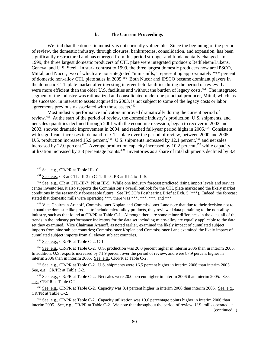#### **b. The Current Proceedings**

We find that the domestic industry is not currently vulnerable. Since the beginning of the period of review, the domestic industry, through closures, bankruptcies, consolidation, and expansion, has been significantly restructured and has emerged from this period stronger and fundamentally changed. In 1999, the three largest domestic producers of CTL plate were integrated producers Bethlehem/Lukens, Geneva, and U.S. Steel. In stark contrast to 1999, the three largest domestic producers now are IPSCO, Mittal, and Nucor, two of which are non-integrated "mini-mills," representing approximately \*\*\* percent of domestic non-alloy CTL plate sales in 2005.<sup>450</sup> Both Nucor and IPSCO became dominant players in the domestic CTL plate market after investing in greenfield facilities during the period of review that were more efficient than the older U.S. facilities and without the burden of legacy costs.<sup>451</sup> The integrated segment of the industry was rationalized and consolidated under one principal producer, Mittal, which, as the successor in interest to assets acquired in 2003, is not subject to some of the legacy costs or labor agreements previously associated with those assets.452

Most industry performance indicators improved dramatically during the current period of review.453 At the start of the period of review, the domestic industry's production, U.S. shipments, and net sales quantities declined through 2001 with the economic recession, began to recover in 2002 and 2003, showed dramatic improvement in 2004, and reached full-year period highs in 2005.454 Consistent with significant increases in demand for CTL plate over the period of review, between 2000 and 2005 U.S. production increased 15.9 percent,<sup>455</sup> U.S. shipments increased by 12.1 percent,<sup>456</sup> and net sales increased by 22.0 percent.<sup>457</sup> Average production capacity increased by 10.2 percent.<sup>458</sup> while capacity utilization increased by 3.3 percentage points.<sup>459</sup> Inventories as a share of total shipments declined by 3.4

<sup>453</sup> Vice Chairman Aranoff, Commissioner Koplan and Commissioner Lane note that due to their decision not to expand the domestic like product to include micro-alloy products, they reviewed data pertaining to the non-alloy industry, such as that found at CR/PR at Table C-1. Although there are some minor differences in the data, all of the trends in the industry performance indicators for the data set including micro-alloy are equally applicable to the data set they examined. Vice Chairman Aranoff, as noted earlier, examined the likely impact of cumulated subject imports from nine subject countries; Commissioner Koplan and Commissioner Lane examined the likely impact of cumulated subject imports from all eleven subject countries.

454 <u>See, e.g.</u>, CR/PR at Table C-2, C-1.

 455 See, e.g., CR/PR at Table C-2. U.S. production was 20.0 percent higher in interim 2006 than in interim 2005. In addition, U.S. exports increased by 71.9 percent over the period of review, and were 87.9 percent higher in interim 2006 than in interim 2005. See, e.g., CR/PR at Table C-2.

 456 See, e.g., CR/PR at Table C-2. U.S. shipments were 16.5 percent higher in interim 2006 than interim 2005. See, e.g., CR/PR at Table C-2.

<sup>457</sup> See, e.g., CR/PR at Table C-2. Net sales were 20.0 percent higher in interim 2006 than interim 2005. See, e.g., CR/PR at Table C-2.

 458 See, e.g., CR/PR at Table C-2. Capacity was 3.4 percent higher in interim 2006 than interim 2005. See, e.g., CR/PR at Table C-2.

 459 See, e.g., CR/PR at Table C-2. Capacity utilization was 10.6 percentage points higher in interim 2006 than interim 2005. See, e.g., CR/PR at Table C-2. We note that throughout the period of review, U.S. mills operated at

(continued...)

 $450$  See, e.g., CR/PR at Table III-10.

 <sup>451</sup> See, e.g., CR at CTL-III-3 to CTL-III-5; PR at III-4 to III-5.

 <sup>452</sup> See, e.g., CR at CTL-III-7; PR at III-5. While one industry forecast predicted rising import levels and service center inventories, it also supports the Commission's overall outlook for the CTL plate market and the likely market conditions in the reasonably foreseeable future. See IPSCO's Posthearing Brief at Exh. 5 (\*\*\*). Indeed, the forecast stated that domestic mills were operating \*\*\*, there was \*\*\*, \*\*\*, \*\*\*, and \*\*\*.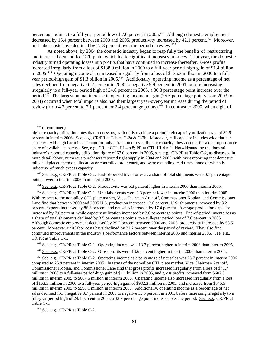percentage points, to a full-year period low of 7.0 percent in 2005.460 Although domestic employment decreased by 16.4 percent between 2000 and 2005, productivity increased by 42.1 percent.<sup>461</sup> Moreover, unit labor costs have declined by  $27.8$  percent over the period of review.<sup>462</sup>

As noted above, by 2004 the domestic industry began to reap fully the benefits of restructuring and increased demand for CTL plate, which led to significant increases in prices. That year, the domestic industry turned operating losses into profits that have continued to increase thereafter. Gross profits increased irregularly from a loss of \$138.0 million in 2000 to a full-year period-high gain of \$1.4 billion in 2005.463 Operating income also increased irregularly from a loss of \$135.3 million in 2000 to a fullyear period-high gain of \$1.3 billion in 2005.<sup>464</sup> Additionally, operating income as a percentage of net sales declined from negative 6.2 percent in 2000 to negative 9.9 percent in 2001, before increasing irregularly to a full-year period high of 24.6 percent in 2005, a 30.8 percentage point increase over the period.465 The largest annual increase in operating income margin (25.5 percentage points from 2003 to 2004) occurred when total imports also had their largest year-over-year increase during the period of review (from 4.7 percent to 7.1 percent, or 2.4 percentage points).<sup>466</sup> In contrast to 2000, when eight of

 $459$  (...continued)

 460 See, e.g., CR/PR at Table C-2. End-of-period inventories as a share of total shipments were 0.7 percentage points lower in interim 2006 than interim 2005.

<sup>461</sup> See, e.g., CR/PR at Table C-2. Productivity was 5.3 percent higher in interim 2006 than interim 2005.

<sup>462</sup> See, e.g., CR/PR at Table C-2. Unit labor costs were 1.3 percent lower in interim 2006 than interim 2005. With respect to the non-alloy CTL plate market, Vice Chairman Aranoff, Commissioner Koplan, and Commissioner Lane find that between 2000 and 2005 U.S. production increased 12.6 percent, U.S. shipments increased by 8.2 percent, exports increased by 86.6 percent, and net sales increased by 17.4 percent. Average production capacity increased by 7.0 percent, while capacity utilization increased by 3.0 percentage points. End-of-period inventories as a share of total shipments declined by 3.5 percentage points, to a full-year period low of 7.0 percent in 2005. Although domestic employment decreased by 29.2 percent between 2000 and 2005, productivity increased by 53.5 percent. Moreover, unit labor costs have declined by 31.2 percent over the period of review. They also find continued improvements in the industry's performance factors between interim 2005 and interim 2006. See, e.g., CR/PR at Table C-1.

463 See, e.g., CR/PR at Table C-2. Operating income was 13.7 percent higher in interim 2006 than interim 2005.

464 See, e.g., CR/PR at Table C-2. Gross profits were 13.6 percent higher in interim 2006 than interim 2005.

 465 See, e.g., CR/PR at Table C-2. Operating income as a percentage of net sales was 25.7 percent in interim 2006 compared to 25.9 percent in interim 2005. In terms of the non-alloy CTL plate market, Vice Chairman Aranoff, Commissioner Koplan, and Commissioner Lane find that gross profits increased irregularly from a loss of \$41.7 million in 2000 to a full-year period-high gain of \$1.1 billion in 2005, and gross profits increased from \$602.5 million in interim 2005 to \$667.6 million in interim 2006. Operating income also increased irregularly from a loss of \$153.3 million in 2000 to a full-year period-high gain of \$982.3 million in 2005, and increased from \$545.5 million in interim 2005 to \$598.1 million in interim 2006. Additionally, operating income as a percentage of net sales declined from negative 8.7 percent in 2000 to negative 13.5 percent in 2001, before increasing irregularly to a full-year period high of 24.1 percent in 2005, a 32.9 percentage point increase over the period. See, e.g., CR/PR at Table C-1.

466 See, e.g., CR/PR at Table C-2.

higher capacity utilization rates than processors, with mills reaching a period high capacity utilization rate of 82.5 percent in interim 2006. See, e.g., CR/PR at Tables C-2a & C-2b. Moreover, mill capacity includes wide flat bar capacity. Although bar mills account for only a fraction of overall plate capacity, they account for a disproportionate share of available capacity. See, e.g., CR at CTL-III-4 n.8; PR at CTL-III-4 n.8. Notwithstanding the domestic industry's reported capacity utilization figure of 67.0 percent in 2005, see, e.g., CR/PR at Table C-2, as discussed in more detail above, numerous purchasers reported tight supply in 2004 and 2005, with most reporting that domestic mills had placed them on allocation or controlled order entry, and were extending lead times, none of which is indicative of much excess capacity.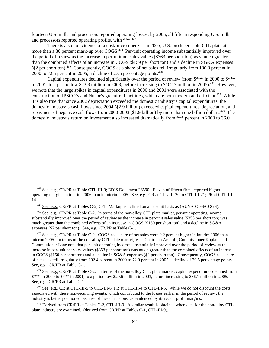fourteen U.S. mills and processors reported operating losses, by 2005, all fifteen responding U.S. mills and processors reported operating profits, with \*\*\*.<sup>467</sup>

There is also no evidence of a cost/price squeeze. In 2005, U.S. producers sold CTL plate at more than a 30 percent mark-up over COGS.<sup>468</sup> Per-unit operating income substantially improved over the period of review as the increase in per-unit net sales values (\$363 per short ton) was much greater than the combined effects of an increase in COGS (\$159 per short ton) and a decline in SG&A expenses (\$2 per short ton).469 Consequently, COGS as a share of net sales fell irregularly from 100.0 percent in 2000 to 72.5 percent in 2005, a decline of 27.5 percentage points. $470$ 

Capital expenditures declined significantly over the period of review (from  $\frac{1}{2}$ \*\* in 2000 to  $\frac{1}{2}$ \*\* in 2001, to a period low \$23.3 million in 2003, before increasing to \$102.7 million in 2005).<sup>471</sup> However, we note that the large spikes in capital expenditures in 2000 and 2001 were associated with the construction of IPSCO's and Nucor's greenfield facilities, which are both modern and efficient.<sup>472</sup> While it is also true that since 2002 depreciation exceeded the domestic industry's capital expenditures, the domestic industry's cash flows since 2004 (\$2.9 billion) exceeded capital expenditures, depreciation, and repayment of negative cash flows from 2000-2003 (\$1.9 billion) by more than one billion dollars.<sup>473</sup> The domestic industry's return on investment also increased dramatically from \*\*\* percent in 2000 to 36.0

 <sup>467</sup> See, e.g., CR/PR at Table CTL-III-9; EDIS Document 26590. Eleven of fifteen firms reported higher operating margins in interim 2006 than in interim 2005. See, e.g., CR at CTL-III-20 to CTL-III-21; PR at CTL-III-14.

 <sup>468</sup> See, e.g., CR/PR at Tables C-2, C-1. Markup is defined on a per-unit basis as (AUV-COGS/COGS).

 <sup>469</sup> See, e.g., CR/PR at Table C-2. In terms of the non-alloy CTL plate market, per-unit operating income substantially improved over the period of review as the increase in per-unit sales value (\$353 per short ton) was much greater than the combined effects of an increase in COGS (\$150 per short ton) and a decline in SG&A expenses (\$2 per short ton). See, e.g., CR/PR at Table C-1.

<sup>&</sup>lt;sup>470</sup> See, e.g., CR/PR at Table C-2. COGS as a share of net sales were 0.2 percent higher in interim 2006 than interim 2005. In terms of the non-alloy CTL plate market, Vice Chairman Aranoff, Commissioner Koplan, and Commissioner Lane note that per-unit operating income substantially improved over the period of review as the increase in per-unit net sales values (\$353 per short ton) was much greater than the combined effects of an increase in COGS (\$150 per short ton) and a decline in SG&A expenses (\$2 per short ton). Consequently, COGS as a share of net sales fell irregularly from 102.4 percent in 2000 to 72.9 percent in 2005, a decline of 29.5 percentage points. See, e.g., CR/PR at Table C-1.

 $471$  See, e.g., CR/PR at Table C-2. In terms of the non-alloy CTL plate market, capital expenditures declined from \$\*\*\* in 2000 to \$\*\*\* in 2001, to a period low \$20.6 million in 2003, before increasing to \$86.1 million in 2005. See, e.g., CR/PR at Table C-1.

<sup>&</sup>lt;sup>472</sup> See, e.g., CR at CTL-III-5 to CTL-III-6; PR at CTL-III-4 to CTL-III-5. While we do not discount the costs associated with these non-recurring events, which contributed to the losses earlier in the period of review, the industry is better positioned because of these decisions, as evidenced by its recent profit margins.

 <sup>473</sup> Derived from CR/PR at Tables C-2, CTL-III-9. A similar result is obtained when data for the non-alloy CTL plate industry are examined. (derived from CR/PR at Tables C-1, CTL-III-9).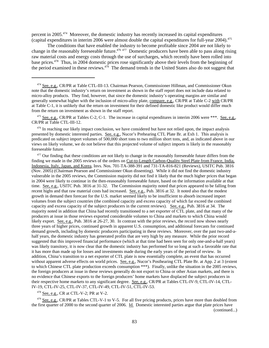percent in 2005.474 Moreover, the domestic industry has recently increased its capital expenditures (capital expenditures in interim 2006 were almost double the capital expenditures for full-year 2004).<sup>475</sup>

The conditions that have enabled the industry to become profitable since 2004 are not likely to change in the reasonably foreseeable future.<sup>476 477</sup> Domestic producers have been able to pass along rising raw material costs and energy costs through the use of surcharges, which recently have been rolled into base prices.478 Thus, in 2004 domestic prices rose significantly above their levels from the beginning of the period examined in these reviews.<sup>479</sup> The demand trends in the United States also do not suggest that

<sup>475</sup> See, e.g., CR/PR at Tables C-2, C-1. The increase in capital expenditures in interim 2006 were \*\*\*. See, e.g., CR/PR at Table CTL-III-12.

<sup>476</sup> In reaching our likely impact conclusion, we have considered but have not relied upon, the impact analysis presented by domestic interested parties. See, e.g., Nucor's Prehearing CTL Plate Br. at Exh 1. This analysis is predicated on subject import volumes of 500,000 short tons to two million short tons, and, as indicated above in our views on likely volume, we do not believe that this projected volume of subject imports is likely in the reasonably foreseeable future.

 $477$  Our finding that these conditions are not likely to change in the reasonably foreseeable future differs from the finding we made in the 2005 reviews of the orders on Cut-to-Length Carbon-Quality Steel Plate from France, India, Indonesia, Italy, Japan, and Korea, Invs. Nos. 701-TA-388-391 and 731-TA-816-821 (Reviews), USITC Pub. 3816 (Nov. 2005) (Chairman Pearson and Commissioner Okun dissenting). While it did not find the domestic industry vulnerable in the 2005 reviews, the Commission majority did not find it likely that the much higher prices that began in 2004 were likely to continue in the then-reasonably foreseeable future, based on the information available at that time. See, e.g., USITC Pub. 3816 at 31-32. The Commission majority noted that prices appeared to be falling from recent highs and that raw material costs had increased. See, e.g., Pub. 3816 at 32. It noted also that the modest growth in demand then forecast for the U.S. market seemed likely to be insufficient to absorb increased import volumes from the subject countries (the combined capacity and excess capacity of which far exceed the combined capacity and excess capacity of the subject producers in the current reviews). See, e.g., Pub. 3816 at 34. The majority noted in addition that China had recently transitioned to a net exporter of CTL plate, and that many of the producers at issue in those reviews exported considerable volumes to China and markets to which China would likely export. See, e.g., Pub. 3816 at 26-27, 30. In contrast with the prior reviews, the record now shows nearly three years of higher prices, continued growth in apparent U.S. consumption, and additional forecasts for continued demand growth, including by domestic producers participating in these reviews. Moreover, over the past two-and-ahalf years, the domestic industry has generated profits that are very high by any measure. While the prior record suggested that this improved financial performance (which at that time had been seen for only one-and-a-half years) was likely transitory, it is now clear that the domestic industry has performed for so long at such a favorable rate that it has more than made up for losses and investments made during the early years of the period of review. In addition, China's transition to a net exporter of CTL plate is now essentially complete, an event that has occurred without apparent adverse effects on world prices. See, e.g., Nucor's Posthearing CTL Plate Br. at App. 2 at 3 (extent to which Chinese CTL plate production exceeds consumption \*\*\*). Finally, unlike the situation in the 2005 reviews, the foreign producers at issue in these reviews generally do not export to China or other Asian markets, and there is no evidence that Chinese exports to the foreign producers' home markets have displaced the subject producers in their respective home markets to any significant degree. See, e.g., CR/PR at Tables CTL-IV-9, CTL-IV-14, CTL-IV-19, CTL-IV-25, CTL-IV-37, CTL-IV-49, CTL-IV-51, CTL-IV-53.

478 See, e.g., CR at CTL-V-2; PR at V-2.

 $479$  See, e.g., CR/PR at Tables CTL-V-1 to V-5. For all five pricing products, prices have more than doubled from the first quarter of 2000 to the second quarter of 2006. Id. Domestic interested parties argue that plate prices have

(continued...)

 <sup>474</sup> See, e.g., CR/PR at Table CTL-III-13. Chairman Pearson, Commissioner Hillman, and Commissioner Okun note that the domestic industry's return on investment as shown in the staff report does not include data related to micro-alloy products. They find, however, that since the domestic industry's operating margins are similar and generally somewhat higher with the inclusion of micro-alloy plate, compare, e.g., CR/PR at Table C-2 with CR/PR at Table C-1, it is unlikely that the return on investment for their defined domestic like product would differ much from the return on investment as shown in the staff report.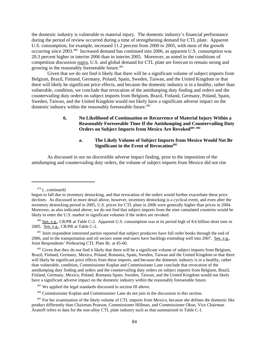the domestic industry is vulnerable to material injury. The domestic industry's financial performance during the period of review occurred during a time of strengthening demand for CTL plate. Apparent U.S. consumption, for example, increased 11.2 percent from 2000 to 2005, with most of the growth occurring since 2003.480 Increased demand has continued into 2006, as apparent U.S. consumption was 20.3 percent higher in interim 2006 than in interim 2005. Moreover, as noted in the conditions of competition discussion supra, U.S. and global demand for CTL plate are forecast to remain strong and growing in the reasonably foreseeable future.<sup>481</sup>

Given that we do not find it likely that there will be a significant volume of subject imports from Belgium, Brazil, Finland, Germany, Poland, Spain, Sweden, Taiwan, and the United Kingdom or that there will likely be significant price effects, and because the domestic industry is in a healthy, rather than vulnerable, condition, we conclude that revocation of the antidumping duty finding and orders and the countervailing duty orders on subject imports from Belgium, Brazil, Finland, Germany, Poland, Spain, Sweden, Taiwan, and the United Kingdom would not likely have a significant adverse impact on the domestic industry within the reasonably foreseeable future.<sup>482</sup>

## **6. No Likelihood of Continuation or Recurrence of Material Injury Within a Reasonably Foreseeable Time If the Antidumping and Countervailing Duty Orders on Subject Imports from Mexico Are Revoked483 <sup>484</sup>**

## **a. The Likely Volume of Subject Imports from Mexico Would Not Be Significant in the Event of Revocation**<sup>485</sup>

As discussed in our no discernible adverse impact finding, prior to the imposition of the antidumping and countervailing duty orders, the volume of subject imports from Mexico did not rise

 $479$  (...continued)

begun to fall due to inventory destocking, and that revocation of the orders would further exacerbate these price declines. As discussed in more detail above, however, inventory destocking is a cyclical event, and even after the inventory destocking period in 2005, U.S. prices for CTL plate in 2006 were generally higher than prices in 2004. Moreover, as also indicated above, we do not find that subject imports from the nine cumulated countries would be likely to enter the U.S. market in significant volumes if the orders are revoked.

 <sup>480</sup> See, e.g., CR/PR at Table C-2. Apparent U.S. consumption was at its period high of 8.6 billion short tons in 2005. See, e.g., CR/PR at Table C-2.

<sup>&</sup>lt;sup>481</sup> Joint respondent interested parties reported that subject producers have full order books through the end of 2006, and in the transportation and oil sectors some end-users have backlogs extending well into 2007. See, e.g., Joint Respondents' Prehearing CTL Plate Br. at 45-60.

<sup>&</sup>lt;sup>482</sup> Given that they do not find it likely that there will be a significant volume of subject imports from Belgium, Brazil, Finland, Germany, Mexico, Poland, Romania, Spain, Sweden, Taiwan and the United Kingdom or that there will likely be significant price effects from these imports, and because the domestic industry is in a healthy, rather than vulnerable, condition, Commissioner Koplan and Commissioner Lane conclude that revocation of the antidumping duty finding and orders and the countervailing duty orders on subject imports from Belgium, Brazil, Finland, Germany, Mexico, Poland, Romania Spain, Sweden, Taiwan, and the United Kingdom would not likely have a significant adverse impact on the domestic industry within the reasonably foreseeable future.

<sup>&</sup>lt;sup>483</sup> We applied the legal standards discussed in section III above.

 <sup>484</sup> Commissioner Koplan and Commissioner Lane do not join in the discussion in this section.

<sup>&</sup>lt;sup>485</sup> For her examination of the likely volume of CTL imports from Mexico, because she defines the domestic like product differently than Chairman Pearson, Commissioner Hillman, and Commissioner Okun, Vice Chairman Aranoff refers to data for the non-alloy CTL plate industry such as that summarized in Table C-1.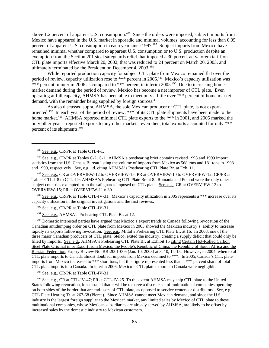above 1.2 percent of apparent U.S. consumption.<sup>486</sup> Since the orders were imposed, subject imports from Mexico have appeared in the U.S. market in sporadic and minimal volumes, accounting for less than 0.05 percent of apparent U.S. consumption in each year since 1997.<sup>487</sup> Subject imports from Mexico have remained minimal whether compared to apparent U.S. consumption or to U.S. production despite an exemption from the Section 201 steel safeguards relief that imposed a 30 percent ad valorem tariff on CTL plate imports effective March 20, 2002, that was reduced to 24 percent on March 20, 2003, and ultimately terminated by the President on December 4, 2003.<sup>488</sup>

While reported production capacity for subject CTL plate from Mexico remained flat over the period of review, capacity utilization rose to \*\*\* percent in 2005.<sup>489</sup> Mexico's capacity utilization was \*\*\* percent in interim 2006 as compared to \*\*\* percent in interim 2005.<sup>490</sup> Due to increasing home market demand during the period of review, Mexico has become a net importer of CTL plate. Even operating at full capacity, AHMSA has been able to meet only a little over \*\*\* percent of home market demand, with the remainder being supplied by foreign sources.<sup>491</sup>

As also discussed supra, AHMSA, the sole Mexican producer of CTL plate, is not exportoriented.<sup>492</sup> In each year of the period of review, \*\*\* of its CTL plate shipments have been made to the home market.<sup>493</sup> AHMSA reported minimal CTL plate exports to the \*\*\* in 2001, and 2005 marked the only other year it reported exports to any other markets; even then, total exports accounted for only \*\*\* percent of its shipments.494

 488 See, e.g., CR at OVERVIEW-12 to OVERVIEW-15; PR at OVERVIEW-10 to OVERVIEW-12; CR/PR at Tables CTL-I-8 to CTL-I-9; AHMSA's Prehearing CTL Plate Br. at 8. Romania and Poland were the only other subject countries exempted from the safeguards imposed on CTL plate. See, e.g., CR at OVERVIEW-12 to OVERVIEW-15; PR at OVERVIEW-11 n.30.

489 See, e.g., CR/PR at Table CTL-IV-31. Mexico's capacity utilization in 2005 represents a \*\*\* increase over its capacity utilization in the original investigations and the first reviews.

490 See, e.g., CR/PR at Table CTL-IV-31.

<sup>491</sup> See, e.g., AHMSA's Prehearing CTL Plate Br. at 12.

<sup>492</sup> Domestic interested parties have argued that Mexico's export trends to Canada following revocation of the Canadian antidumping order on CTL plate from Mexico in 2003 showed the Mexican industry's ability to increase rapidly its exports following revocation. See, e.g., Mittal's Prehearing CTL Plate Br. at 16. In 2003, one of the three major Canadian producers of CTL plate, Stelco, exited the industry, creating a supply deficit that could only be filled by imports. See, e.g., AHMSA's Prehearing CTL Plate Br. at Exhibit 15 citing Certain Hot-Rolled Carbon Steel Plate Original in or Export from Mexico, the People's Republic of China, the Republic of South Africa and the Russian Federation, Expiry Review No. RR-2001-006 (Jan. 10, 2003) at 3, 10, 14-15. However, in 2004, when total CTL plate imports to Canada almost doubled, imports from Mexico declined to \*\*\*. In 2005, Canada's CTL plate imports from Mexico increased to \*\*\* short tons, but this figure represented less than a \*\*\* percent share of total CTL plate imports into Canada. In interim 2006, Mexico's CTL plate exports to Canada were negligible.

493 See, e.g., CR/PR at Table CTL-IV-31.

 494 See, e.g., CR at CTL-IV-47; PR at CTL-IV-25. To the extent AHMSA may ship CTL plate to the United States following revocation, it has stated that it will be to serve a discrete set of multinational companies operating on both sides of the border that are end-users of CTL plate, as opposed to service centers or distributors. See, e.g., CTL Plate Hearing Tr. at 267-68 (Pierce). Since AHMSA cannot meet Mexican demand, and since the U.S. industry is the largest foreign supplier to the Mexican market, any limited sales by Mexico of CTL plate to these multinational companies, whose Mexican subsidiaries are already served by AHMSA, are likely to be offset by increased sales by the domestic industry to Mexican customers.

<sup>&</sup>lt;sup>486</sup> See, e.g., CR/PR at Table CTL-I-1.

 <sup>487</sup> See, e.g., CR/PR at Tables C-2, C-1. AHMSA's posthearing brief contains revised 1998 and 1999 import statistics from the U.S. Census Bureau listing the volume of imports from Mexico as 568 tons and 181 tons in 1998 and 1999, respectively. See, e.g., id. citing AHMSA's Posthearing CTL Plate Br. at Exh. 11.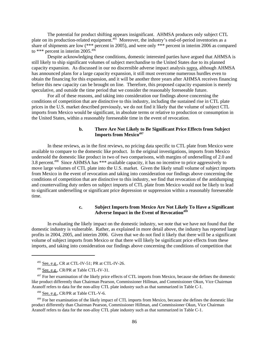The potential for product shifting appears insignificant. AHMSA produces only subject CTL plate on its production-related equipment.<sup>495</sup> Moreover, the industry's end-of-period inventories as a share of shipments are low (\*\*\* percent in 2005), and were only \*\*\* percent in interim 2006 as compared to \*\*\* percent in interim 2005.<sup>496</sup>

Despite acknowledging these conditions, domestic interested parties have argued that AHMSA is still likely to ship significant volumes of subject merchandise to the United States due to its planned capacity expansion. As discussed in our no discernible adverse impact analysis supra, although AHMSA has announced plans for a large capacity expansion, it still must overcome numerous hurdles even to obtain the financing for this expansion, and it will be another three years after AHMSA receives financing before this new capacity can be brought on line. Therefore, this proposed capacity expansion is merely speculative, and outside the time period that we consider the reasonably foreseeable future.

For all of these reasons, and taking into consideration our findings above concerning the conditions of competition that are distinctive to this industry, including the sustained rise in CTL plate prices in the U.S. market described previously, we do not find it likely that the volume of subject CTL imports from Mexico would be significant, in absolute terms or relative to production or consumption in the United States, within a reasonably foreseeable time in the event of revocation.

## **b. There Are Not Likely to Be Significant Price Effects from Subject Imports from Mexico<sup>497</sup>**

In these reviews, as in the first reviews, no pricing data specific to CTL plate from Mexico were available to compare to the domestic like product. In the original investigations, imports from Mexico undersold the domestic like product in two of two comparisons, with margins of underselling of 2.0 and 3.8 percent.498 Since AHMSA has \*\*\* available capacity, it has no incentive to price aggressively to move large volumes of CTL plate into the U.S. market. Given the likely small volume of subject imports from Mexico in the event of revocation and taking into consideration our findings above concerning the conditions of competition that are distinctive to this industry, we find that revocation of the antidumping and countervailing duty orders on subject imports of CTL plate from Mexico would not be likely to lead to significant underselling or significant price depression or suppression within a reasonably foreseeable time.

# **c. Subject Imports from Mexico Are Not Likely To Have a Significant** Adverse Impact in the Event of Revocation<sup>499</sup>

In evaluating the likely impact on the domestic industry, we note that we have not found that the domestic industry is vulnerable. Rather, as explained in more detail above, the industry has reported large profits in 2004, 2005, and interim 2006. Given that we do not find it likely that there will be a significant volume of subject imports from Mexico or that there will likely be significant price effects from these imports, and taking into consideration our findings above concerning the conditions of competition that

 <sup>495</sup> See, e.g., CR at CTL-IV-51; PR at CTL-IV-26.

 <sup>496</sup> See, e.g., CR/PR at Table CTL-IV-31.

 $497$  For her examination of the likely price effects of CTL imports from Mexico, because she defines the domestic like product differently than Chairman Pearson, Commissioner Hillman, and Commissioner Okun, Vice Chairman Aranoff refers to data for the non-alloy CTL plate industry such as that summarized in Table C-1.

 <sup>498</sup> See, e.g., CR/PR at Table CTL-V-6.

 <sup>499</sup> For her examination of the likely impact of CTL imports from Mexico, because she defines the domestic like product differently than Chairman Pearson, Commissioner Hillman, and Commissioner Okun, Vice Chairman Aranoff refers to data for the non-alloy CTL plate industry such as that summarized in Table C-1.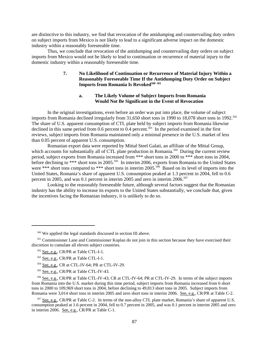are distinctive to this industry, we find that revocation of the antidumping and countervailing duty orders on subject imports from Mexico is not likely to lead to a significant adverse impact on the domestic industry within a reasonably foreseeable time.

Thus, we conclude that revocation of the antidumping and countervailing duty orders on subject imports from Mexico would not be likely to lead to continuation or recurrence of material injury to the domestic industry within a reasonably foreseeable time.

# **7. No Likelihood of Continuation or Recurrence of Material Injury Within a Reasonably Foreseeable Time If the Antidumping Duty Order on Subject** Imports from Romania Is Revoked<sup>500 501</sup>

# **a. The Likely Volume of Subject Imports from Romania Would Not Be Significant in the Event of Revocation**

In the original investigations, even before an order was put into place, the volume of subject imports from Romania declined irregularly from 31,650 short tons in 1990 to 18,078 short tons in 1992.<sup>502</sup> The share of U.S. apparent consumption of CTL plate held by subject imports from Romania likewise declined in this same period from  $\overline{0.6}$  percent to  $\overline{0.4}$  percent.<sup>503</sup> In the period examined in the first reviews, subject imports from Romania maintained only a minimal presence in the U.S. market of less than 0.05 percent of apparent U.S. consumption.

Romanian export data were reported by Mittal Steel Galati, an affiliate of the Mittal Group, which accounts for substantially all of CTL plate production in Romania.<sup>504</sup> During the current review period, subject exports from Romania increased from \*\*\* short tons in 2000 to \*\*\* short tons in 2004, before declining to \*\*\* short tons in 2005.<sup>505</sup> In interim 2006, exports from Romania to the United States were \*\*\* short tons compared to \*\*\* short tons in interim 2005.<sup>506</sup> Based on its level of imports into the United States, Romania's share of apparent U.S. consumption peaked at 1.3 percent in 2004, fell to 0.6 percent in 2005, and was 0.1 percent in interim 2005 and zero in interim  $2006$ .<sup>507</sup>

Looking to the reasonably foreseeable future, although several factors suggest that the Romanian industry has the ability to increase its exports to the United States substantially, we conclude that, given the incentives facing the Romanian industry, it is unlikely to do so.

 <sup>500</sup> We applied the legal standards discussed in section III above.

<sup>&</sup>lt;sup>501</sup> Commissioner Lane and Commissioner Koplan do not join in this section because they have exercised their discretion to cumulate all eleven subject countries.

 <sup>502</sup> See, e.g., CR/PR at Table CTL-I-1.

 <sup>503</sup> See, e.g., CR/PR at Table CTL-I-1.

 <sup>504</sup> See, e.g., CR at CTL-IV-64; PR at CTL-IV-29.

 <sup>505</sup> See, e.g., CR/PR at Table CTL-IV-43.

 <sup>506</sup> See, e.g., CR/PR at Table CTL-IV-43; CR at CTL-IV-64; PR at CTL-IV-29. In terms of the subject imports from Romania into the U.S. market during this time period, subject imports from Romania increased from 6 short tons in 2000 to 109,969 short tons in 2004, before declining to 49,813 short tons in 2005. Subject imports from Romania were 3,014 short tons in interim 2005 and zero short tons in interim 2006. See, e.g., CR/PR at Table C-2.

 <sup>507</sup> See, e.g., CR/PR at Table C-2. In terms of the non-alloy CTL plate market, Romania's share of apparent U.S. consumption peaked at 1.6 percent in 2004, fell to 0.7 percent in 2005, and was 0.1 percent in interim 2005 and zero in interim 2006. See, e.g., CR/PR at Table C-1.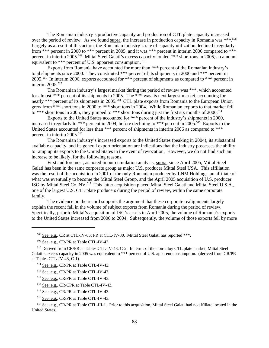The Romanian industry's productive capacity and production of CTL plate capacity increased over the period of review. As we found supra, the increase in production capacity in Romania was \*\*\*.<sup>508</sup> Largely as a result of this action, the Romanian industry's rate of capacity utilization declined irregularly from \*\*\* percent in 2000 to \*\*\* percent in 2005, and it was \*\*\* percent in interim 2006 compared to \*\*\* percent in interim 2005.<sup>509</sup> Mittal Steel Galati's excess capacity totaled \*\*\* short tons in 2005, an amount equivalent to \*\*\* percent of U.S. apparent consumption.<sup>510</sup>

Exports from Romania have accounted for more than \*\*\* percent of the Romanian industry's total shipments since 2000. They constituted \*\*\* percent of its shipments in 2000 and \*\*\* percent in 2005.511 In interim 2006, exports accounted for \*\*\* percent of shipments as compared to \*\*\* percent in interim 2005.<sup>512</sup>

The Romanian industry's largest market during the period of review was \*\*\*, which accounted for almost \*\*\* percent of its shipments in 2005. The \*\*\* was its next largest market, accounting for nearly \*\*\* percent of its shipments in 2005.<sup>513</sup> CTL plate exports from Romania to the European Union grew from \*\*\* short tons in 2000 to \*\*\* short tons in 2004. While Romanian exports to that market fell to \*\*\* short tons in 2005, they jumped to \*\*\* short tons during just the first six months of  $2006$ .<sup>514</sup>

Exports to the United States accounted for \*\*\* percent of the industry's shipments in 2000, increased irregularly to \*\*\* percent in 2004, before declining to \*\*\* percent in 2005.<sup>515</sup> Exports to the United States accounted for less than \*\*\* percent of shipments in interim 2006 as compared to \*\*\* percent in interim 2005.<sup>516</sup>

The Romanian industry's increased exports to the United States (peaking in 2004), its substantial available capacity, and its general export orientation are indications that the industry possesses the ability to ramp up its exports to the United States in the event of revocation. However, we do not find such an increase to be likely, for the following reasons.

First and foremost, as noted in our cumulation analysis, supra, since April 2005, Mittal Steel Galati has been in the same corporate group as major U.S. producer Mittal Steel USA. This affiliation was the result of the acquisition in 2001 of the only Romanian producer by LNM Holdings, an affiliate of what was eventually to become the Mittal Steel Group, and the April 2005 acquisition of U.S. producer ISG by Mittal Steel Co. NV.517 This latter acquisition placed Mittal Steel Galati and Mittal Steel U.S.A., one of the largest U.S. CTL plate producers during the period of review, within the same corporate family.

The evidence on the record supports the argument that these corporate realignments largely explain the recent fall in the volume of subject exports from Romania during the period of review. Specifically, prior to Mittal's acquisition of ISG's assets in April 2005, the volume of Romania's exports to the United States increased from 2000 to 2004. Subsequently, the volume of those exports fell by more

<sup>&</sup>lt;sup>508</sup> See, e.g., CR at CTL-IV-65; PR at CTL-IV-30. Mittal Steel Galati has reported \*\*\*.

 <sup>509</sup> See, e.g., CR/PR at Table CTL-IV-43.

 <sup>510</sup> Derived from CR/PR at Tables CTL-IV-43, C-2. In terms of the non-alloy CTL plate market, Mittal Steel Galati's excess capacity in 2005 was equivalent to \*\*\* percent of U.S. apparent consumption. (derived from CR/PR at Tables CTL-IV-43, C-1).

 <sup>511</sup> See, e.g., CR/PR at Table CTL-IV-43.

 <sup>512</sup> See, e.g., CR/PR at Table CTL-IV-43.

 <sup>513</sup> See, e.g., CR/PR at Table CTL-IV-43.

 <sup>514</sup> See, e.g., CR/CPR at Table CTL-IV-43.

 <sup>515</sup> See, e.g., CR/PR at Table CTL-IV-43.

 <sup>516</sup> See, e.g., CR/PR at Table CTL-IV-43.

 <sup>517</sup> See, e.g., CR/PR at Table CTL-III-1. Prior to this acquisition, Mittal Steel Galati had no affiliate located in the United States.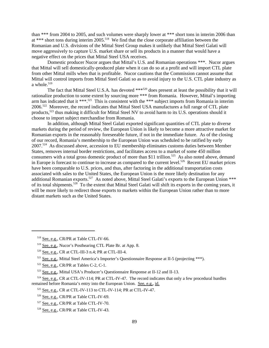than \*\*\* from 2004 to 2005, and such volumes were sharply lower at \*\*\* short tons in interim 2006 than at \*\*\* short tons during interim 2005.<sup>518</sup> We find that the close corporate affiliation between the Romanian and U.S. divisions of the Mittal Steel Group makes it unlikely that Mittal Steel Galati will move aggressively to capture U.S. market share or sell its products in a manner that would have a negative effect on the prices that Mittal Steel USA receives.

Domestic producer Nucor argues that Mittal's U.S. and Romanian operations \*\*\*. Nucor argues that Mittal will sell domestically-produced plate when it can do so at a profit and will import CTL plate from other Mittal mills when that is profitable. Nucor cautions that the Commission cannot assume that Mittal will control imports from Mittal Steel Galati so as to avoid injury to the U.S. CTL plate industry as a whole.<sup>519</sup>

The fact that Mittal Steel U.S.A. has devoted \*\*\*<sup>520</sup> does present at least the possibility that it will rationalize production to some extent by sourcing more \*\*\* from Romania. However, Mittal's importing arm has indicated that it \*\*\*.<sup>521</sup> This is consistent with the \*\*\* subject imports from Romania in interim 2006.522 Moreover, the record indicates that Mittal Steel USA manufactures a full range of CTL plate products,<sup>523</sup> thus making it difficult for Mittal Steel NV to avoid harm to its U.S. operations should it choose to import subject merchandise from Romania.

In addition, although Mittal Steel Galati exported significant quantities of CTL plate to diverse markets during the period of review, the European Union is likely to become a more attractive market for Romanian exports in the reasonably foreseeable future, if not in the immediate future. As of the closing of our record, Romania's membership to the European Union was scheduled to be ratified by early 2007.524 As discussed above, accession to EU membership eliminates customs duties between Member States, removes internal border restrictions, and facilitates access to a market of some 450 million consumers with a total gross domestic product of more than \$11 trillion.<sup>525</sup> As also noted above, demand in Europe is forecast to continue to increase as compared to the current level.<sup>526</sup> Recent EU market prices have been comparable to U.S. prices, and thus, after factoring in the additional transportation costs associated with sales to the United States, the European Union is the more likely destination for any additional Romanian exports.<sup>527</sup> As noted above, Mittal Steel Galati's exports to the European Union \*\*\* of its total shipments.<sup>528</sup> To the extent that Mittal Steel Galati will shift its exports in the coming years, it will be more likely to redirect those exports to markets within the European Union rather than to more distant markets such as the United States.

 <sup>518</sup> See, e.g., CR/PR at Table CTL-IV-66.

 <sup>519</sup> See, e.g., Nucor's Posthearing CTL Plate Br. at App. 8.

 <sup>520</sup> See, e.g., CR at CTL-III-3 n.4; PR at CTL-III-4.

 $521$  See, e.g., Mittal Steel America's Importer's Questionnaire Response at II-5 (projecting \*\*\*).

 $522$  See, e.g., CR/PR at Tables C-2, C-1.

 <sup>523</sup> See, e.g., Mittal USA's Producer's Questionnaire Response at II-12 and II-13.

 $524$  See, e.g., CR at CTL-IV-114; PR at CTL-IV-47. The record indicates that only a few procedural hurdles remained before Romania's entry into the European Union. See, e.g., id.

 <sup>525</sup> See, e.g., CR at CTL-IV-113 to CTL-IV-114; PR at CTL-IV-47.

 <sup>526</sup> See, e.g., CR/PR at Table CTL-IV-69.

 <sup>527</sup> See, e.g., CR/PR at Table CTL-IV-70.

 <sup>528</sup> See, e.g., CR/PR at Table CTL-IV-43.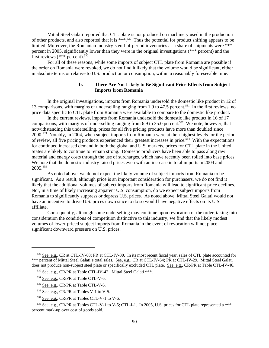Mittal Steel Galati reported that CTL plate is not produced on machinery used in the production of other products, and also reported that it is \*\*\*.529 Thus the potential for product shifting appears to be limited. Moreover, the Romanian industry's end-of-period inventories as a share of shipments were \*\*\* percent in 2005, significantly lower than they were in the original investigations (\*\*\* percent) and the first reviews  $(***$  percent).<sup>530</sup>

For all of these reasons, while some imports of subject CTL plate from Romania are possible if the order on Romania were revoked, we do not find it likely that the volume would be significant, either in absolute terms or relative to U.S. production or consumption, within a reasonably foreseeable time.

## **b. There Are Not Likely to Be Significant Price Effects from Subject Imports from Romania**

In the original investigations, imports from Romania undersold the domestic like product in 12 of 13 comparisons, with margins of underselling ranging from 1.9 to 47.5 percent.<sup>531</sup> In the first reviews, no price data specific to CTL plate from Romania were available to compare to the domestic like product.

In the current reviews, imports from Romania undersold the domestic like product in 16 of 17 comparisons, with margins of underselling ranging from 6.9 to 35.0 percent.<sup>532</sup> We note, however, that notwithstanding this underselling, prices for all five pricing products have more than doubled since 2000.533 Notably, in 2004, when subject imports from Romania were at their highest levels for the period of review, all five pricing products experienced their greatest increases in price.534 With the expectations for continued increased demand in both the global and U.S. markets, prices for CTL plate in the United States are likely to continue to remain strong. Domestic producers have been able to pass along raw material and energy costs through the use of surcharges, which have recently been rolled into base prices. We note that the domestic industry raised prices even with an increase in total imports in 2004 and 2005.535

As noted above, we do not expect the likely volume of subject imports from Romania to be significant. As a result, although price is an important consideration for purchasers, we do not find it likely that the additional volumes of subject imports from Romania will lead to significant price declines. Nor, in a time of likely increasing apparent U.S. consumption, do we expect subject imports from Romania to significantly suppress or depress U.S. prices. As noted above, Mittal Steel Galati would not have an incentive to drive U.S. prices down since to do so would have negative effects on its U.S. affiliate.

Consequently, although some underselling may continue upon revocation of the order, taking into consideration the conditions of competition distinctive to this industry, we find that the likely modest volumes of lower-priced subject imports from Romania in the event of revocation will not place significant downward pressure on U.S. prices.

 <sup>529</sup> See, e.g., CR at CTL-IV-68; PR at CTL-IV-30. In its most recent fiscal year, sales of CTL plate accounted for \*\*\* percent of Mittal Steel Galati's total sales. See, e.g., CR at CTL-IV-64; PR at CTL-IV-29. Mittal Steel Galati does not produce non-subject steel plate or specifically excluded CTL plate. See, e.g., CR/PR at Table CTL-IV-46.

 <sup>530</sup> See, e.g., CR/PR at Table CTL-IV-42. Mittal Steel Galati \*\*\*.

<sup>&</sup>lt;sup>531</sup> See, e.g., CR/PR at Table CTL-V-6.

 <sup>532</sup> See, e.g., CR/PR at Table CTL-V-6.

 <sup>533</sup> See, e.g., CR/PR at Tables V-1 to V-5.

 <sup>534</sup> See, e.g., CR/PR at Tables CTL-V-1 to V-6.

<sup>535</sup> See, e.g., CR/PR at Tables CTL-V-1 to V-5; CTL-I-1. In 2005, U.S. prices for CTL plate represented a \*\*\* percent mark-up over cost of goods sold.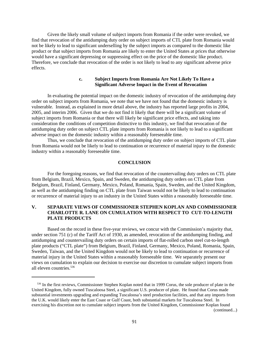Given the likely small volume of subject imports from Romania if the order were revoked, we find that revocation of the antidumping duty order on subject imports of CTL plate from Romania would not be likely to lead to significant underselling by the subject imports as compared to the domestic like product or that subject imports from Romania are likely to enter the United States at prices that otherwise would have a significant depressing or suppressing effect on the price of the domestic like product. Therefore, we conclude that revocation of the order is not likely to lead to any significant adverse price effects.

## **c. Subject Imports from Romania Are Not Likely To Have a Significant Adverse Impact in the Event of Revocation**

In evaluating the potential impact on the domestic industry of revocation of the antidumping duty order on subject imports from Romania, we note that we have not found that the domestic industry is vulnerable. Instead, as explained in more detail above, the industry has reported large profits in 2004, 2005, and interim 2006. Given that we do not find it likely that there will be a significant volume of subject imports from Romania or that there will likely be significant price effects, and taking into consideration the conditions of competition distinctive to this industry, we find that revocation of the antidumping duty order on subject CTL plate imports from Romania is not likely to lead to a significant adverse impact on the domestic industry within a reasonably foreseeable time.

Thus, we conclude that revocation of the antidumping duty order on subject imports of CTL plate from Romania would not be likely to lead to continuation or recurrence of material injury to the domestic industry within a reasonably foreseeable time.

### **CONCLUSION**

For the foregoing reasons, we find that revocation of the countervailing duty orders on CTL plate from Belgium, Brazil, Mexico, Spain, and Sweden, the antidumping duty orders on CTL plate from Belgium, Brazil, Finland, Germany, Mexico, Poland, Romania, Spain, Sweden, and the United Kingdom, as well as the antidumping finding on CTL plate from Taiwan would not be likely to lead to continuation or recurrence of material injury to an industry in the United States within a reasonably foreseeable time.

# **V. SEPARATE VIEWS OF COMMISSIONER STEPHEN KOPLAN AND COMMISSIONER CHARLOTTE R. LANE ON CUMULATION WITH RESPECT TO CUT-TO-LENGTH PLATE PRODUCTS**

Based on the record in these five-year reviews, we concur with the Commission's majority that, under section 751 (c) of the Tariff Act of 1930, as amended, revocation of the antidumping finding, and antidumping and countervailing duty orders on certain imports of flat-rolled carbon steel cut-to-length plate products ("CTL plate") from Belgium, Brazil, Finland, Germany, Mexico, Poland, Romania, Spain, Sweden, Taiwan, and the United Kingdom would not be likely to lead to continuation or recurrence of material injury in the United States within a reasonably foreseeable time. We separately present our views on cumulation to explain our decision to exercise our discretion to cumulate subject imports from all eleven countries.<sup>536</sup>

<sup>536</sup> In the first reviews, Commissioner Stephen Koplan noted that in 1999 Corus, the sole producer of plate in the United Kingdom, fully owned Tuscaloosa Steel, a significant U.S. producer of plate. He found that Corus made substantial investments upgrading and expanding Tuscaloosa's steel production facilities, and that any imports from the U.K. would likely enter the East Coast or Gulf Coast, both substantial markets for Tuscaloosa Steel. In exercising his discretion not to cumulate subject imports from the United Kingdom, Commissioner Koplan found (continued...)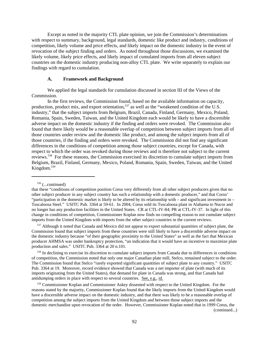Except as noted in the majority CTL plate opinion, we join the Commission's determinations with respect to summary, background, legal standards, domestic like product and industry, conditions of competition, likely volume and price effects, and likely impact on the domestic industry in the event of revocation of the subject finding and orders. As noted throughout those discussions, we examined the likely volume, likely price effects, and likely impact of cumulated imports from all eleven subject countries on the domestic industry producing non-alloy CTL plate. We write separately to explain our findings with regard to cumulation.

#### **A. Framework and Background**

We applied the legal standards for cumulation discussed in section III of the Views of the Commission.

In the first reviews, the Commission found, based on the available information on capacity, production, product mix, and export orientation,<sup>537</sup> as well as the "weakened condition of the U.S. industry," that the subject imports from Belgium, Brazil, Canada, Finland, Germany, Mexico, Poland, Romania, Spain, Sweden, Taiwan, and the United Kingdom each would be likely to have a discernible adverse impact on the domestic industry if the finding and orders were revoked. The Commission also found that there likely would be a reasonable overlap of competition between subject imports from all of those countries under review and the domestic like product, and among the subject imports from all of those countries, if the finding and orders were revoked. The Commission did not find any significant differences in the conditions of competition among those subject countries, except for Canada, with respect to which the order was revoked during those reviews and is therefore not subject to the current reviews.538 For these reasons, the Commission exercised its discretion to cumulate subject imports from Belgium, Brazil, Finland, Germany, Mexico, Poland, Romania, Spain, Sweden, Taiwan, and the United Kingdom.<sup>539</sup>

<sup>537</sup> Although it noted that Canada and Mexico did not appear to export substantial quantities of subject plate, the Commission found that subject imports from these countries were still likely to have a discernible adverse impact on the domestic industry because "of their geographic proximity to the United States" as well as the fact that Mexican producer AHMSA was under bankruptcy protection, "an indication that it would have an incentive to maximize plate production and sales." USITC Pub. 3364 at 20 n.101.

<sup>538</sup> In declining to exercise its discretion to cumulate subject imports from Canada due to differences in conditions of competition, the Commission noted that only one major Canadian plate mill, Stelco, remained subject to the order. The Commission found that Stelco "rarely exported significant quantities of subject plate to any country." USITC Pub. 3364 at 19. Moreover, record evidence showed that Canada was a net importer of plate (with much of its imports originating from the United States), that demand for plate in Canada was strong, and that Canada had antidumping orders in place with respect to several countries. See, e.g., id.

539 Commissioner Koplan and Commissioner Askey dissented with respect to the United Kingdom. For the reasons stated by the majority, Commissioner Koplan found that the likely imports from the United Kingdom would have a discernible adverse impact on the domestic industry, and that there was likely to be a reasonable overlap of competition among the subject imports from the United Kingdom and between those subject imports and the domestic merchandise upon revocation of the order. However, Commissioner Koplan noted that in 1999 Corus, the (continued...)

92

 $536$  (...continued)

that these "conditions of competition position Corus very differently from all other subject producers given that no other subject producer in any subject country has such a relationship with a domestic producer," and that Corus' "participation in the domestic market is likely to be altered by its relationship with – and significant investment in – Tuscaloosa Steel." USITC Pub. 3364 at 59-61. In 2004, Corus sold its Tuscaloosa plant in Alabama to Nucor and no longer has any production facilities in the United States. CR at CTL-IV-84; PR at CTL-IV-37. In light of this change in conditions of competition, Commissioner Koplan now finds no compelling reason to not cumulate subject imports from the United Kingdom with imports from the other subject countries in the current reviews.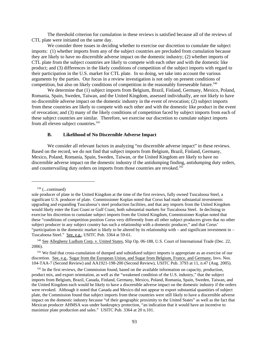The threshold criterion for cumulation in these reviews is satisfied because all of the reviews of CTL plate were initiated on the same day.

We consider three issues in deciding whether to exercise our discretion to cumulate the subject imports: (1) whether imports from any of the subject countries are precluded from cumulation because they are likely to have no discernible adverse impact on the domestic industry; (2) whether imports of CTL plate from the subject countries are likely to compete with each other and with the domestic like product; and (3) differences in the likely conditions of competition of the subject imports with regard to their participation in the U.S. market for CTL plate. In so doing, we take into account the various arguments by the parties. Our focus in a review investigation is not only on present conditions of competition, but also on likely conditions of competition in the reasonably foreseeable future.<sup>540</sup>

We determine that (1) subject imports from Belgium, Brazil, Finland, Germany, Mexico, Poland, Romania, Spain, Sweden, Taiwan, and the United Kingdom, assessed individually, are not likely to have no discernible adverse impact on the domestic industry in the event of revocation; (2) subject imports from these countries are likely to compete with each other and with the domestic like product in the event of revocation; and (3) many of the likely conditions of competition faced by subject imports from each of these subject countries are similar. Therefore, we exercise our discretion to cumulate subject imports from all eleven subject countries.<sup>541</sup>

#### **B. Likelihood of No Discernible Adverse Impact**

We consider all relevant factors in analyzing "no discernible adverse impact" in these reviews. Based on the record, we do not find that subject imports from Belgium, Brazil, Finland, Germany, Mexico, Poland, Romania, Spain, Sweden, Taiwan, or the United Kingdom are likely to have no discernible adverse impact on the domestic industry if the antidumping finding, antidumping duty orders, and countervailing duty orders on imports from those countries are revoked.<sup>542</sup>

 $539$  (...continued)

 541 We find that cross-cumulation of dumped and subsidized subject imports is appropriate as an exercise of our discretion. See, e.g., Sugar from the European Union, and Sugar from Belgium, France, and Germany, Invs. Nos. 104-TAA-7 (Second Review) and AA1921-198-200 (Second Review), USITC Pub. 3793 at 11, n.47 (Aug. 2005).

<sup>542</sup> In the first reviews, the Commission found, based on the available information on capacity, production, product mix, and export orientation, as well as the "weakened condition of the U.S. industry," that the subject imports from Belgium, Brazil, Canada, Finland, Germany, Mexico, Poland, Romania, Spain, Sweden, Taiwan, and the United Kingdom each would be likely to have a discernible adverse impact on the domestic industry if the orders were revoked. Although it noted that Canada and Mexico did not appear to export substantial quantities of subject plate, the Commission found that subject imports from these countries were still likely to have a discernible adverse impact on the domestic industry because "of their geographic proximity to the United States" as well as the fact that Mexican producer AHMSA was under bankruptcy protection, "an indication that it would have an incentive to maximize plate production and sales." USITC Pub. 3364 at 20 n.101.

sole producer of plate in the United Kingdom at the time of the first reviews, fully owned Tuscaloosa Steel, a significant U.S. producer of plate. Commissioner Koplan noted that Corus had made substantial investments upgrading and expanding Tuscaloosa's steel production facilities, and that any imports from the United Kingdom would likely enter the East Coast or Gulf Coast, both substantial markets for Tuscaloosa Steel. In declining to exercise his discretion to cumulate subject imports from the United Kingdom, Commissioner Koplan noted that these "conditions of competition position Corus very differently from all other subject producers given that no other subject producer in any subject country has such a relationship with a domestic producer," and that Corus' "participation in the domestic market is likely to be altered by its relationship with – and significant investment in – Tuscaloosa Steel." See, e.g., USITC Pub. 3364 at 59-61.

 <sup>540</sup> See Allegheny Ludlum Corp. v. United States, Slip Op. 06-188, U.S. Court of International Trade (Dec. 22, 2006).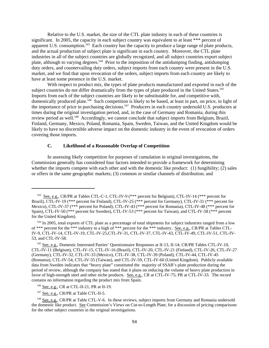Relative to the U.S. market, the size of the CTL plate industry in each of these countries is significant. In 2005, the capacity in each subject country was equivalent to at least \*\*\* percent of apparent U.S. consumption.<sup>543</sup> Each country has the capacity to produce a large range of plate products, and the actual production of subject plate is significant in each country. Moreover, the CTL plate industries in all of the subject countries are globally recognized, and all subject countries export subject plate, although to varying degrees.<sup>544</sup> Prior to the imposition of the antidumping finding, antidumping duty orders, and countervailing duty orders, subject imports from each country were present in the U.S. market, and we find that upon revocation of the orders, subject imports from each country are likely to have at least some presence in the U.S. market.

With respect to product mix, the types of plate products manufactured and exported in each of the subject countries do not differ dramatically from the types of plate produced in the United States.<sup>545</sup> Imports from each of the subject countries are likely to be substitutable for, and competitive with, domestically produced plate.<sup>546</sup> Such competition is likely to be based, at least in part, on price, in light of the importance of price in purchasing decisions.<sup>547</sup> Producers in each country undersold U.S. producers at times during the original investigation period, and, in the case of Germany and Romania, during this review period as well.<sup>548</sup> Accordingly, we cannot conclude that subject imports from Belgium, Brazil, Finland, Germany, Mexico, Poland, Romania, Spain, Sweden, Taiwan, and the United Kingdom would be likely to have no discernible adverse impact on the domestic industry in the event of revocation of orders covering those imports.

### **C. Likelihood of a Reasonable Overlap of Competition**

In assessing likely competition for purposes of cumulation in original investigations, the Commission generally has considered four factors intended to provide a framework for determining whether the imports compete with each other and with the domestic like product: (1) fungibility; (2) sales or offers in the same geographic markets; (3) common or similar channels of distribution; and

 <sup>543</sup> See, e.g., CR/PR at Tables CTL-C-1, CTL-IV-9 (\*\*\* percent for Belgium), CTL-IV-14 (\*\*\* percent for Brazil), CTL-IV-19 (\*\*\* percent for Finland), CTL-IV-25 (\*\*\* percent for Germany), CTL-IV-31 (\*\*\* percent for Mexico), CTL-IV-37 (\*\*\* percent for Poland), CTL-IV-43 (\*\*\* percent for Romania), CTL-IV-48 (\*\*\* percent for Spain), CTL-IV-50 (\*\*\* percent for Sweden), CTL-IV-53 (\*\*\* percent for Taiwan), and CTL-IV-58 (\*\*\* percent for the United Kingdom).

<sup>&</sup>lt;sup>544</sup> In 2005, total exports of CTL plate as a percentage of total shipments for subject industries ranged from a low of \*\*\* percent for the \*\*\* industry to a high of \*\*\* percent for the \*\*\* industry. See, e.g., CR/PR at Tables CTL-IV-9, CTL-IV-14, CTL-IV-19, CTL-IV-25,CTL-IV-31, CTL-IV-37, CTL-IV-43, CTL-IV-49, CTL-IV-51, CTL-IV-53, and CTL-IV-58.

 <sup>545</sup> See, e.g., Domestic Interested Parties' Questionnaire Responses at II-13, II-14; CR/PR Tables CTL-IV-10, CTL-IV-11 (Belgium), CTL-IV-15, CTL-IV-16 (Brazil), CTL-IV-20, CTL-IV-21 (Finland), CTL-IV-26, CTL-IV-27 (Germany), CTL-IV-32, CTL-IV-33 (Mexico), CTL-IV-38, CTL-IV-39 (Poland), CTL-IV-44, CTL-IV-45 (Romania), CTL-IV-54, CTL-IV-55 (Taiwan), and CTL-IV-59, CTL-IV-60 (United Kingdom). Publicly available data from Sweden indicates that "heavy plate" constituted the majority of SSAB's plate production during the period of review, although the company has stated that it plans on reducing the volume of heavy plate production in favor of high-strength steel and other niche products. See, e.g., CR at CTL-IV-75; PR at CTL-IV-33. The record contains no information regarding the product mix from Spain.

 <sup>546</sup> See, e.g., CR at CTL-II-21, PR at II-19.

<sup>&</sup>lt;sup>547</sup> See, e.g., CR/PR at Table CTL-II-5.

 <sup>548</sup> See, e.g., CR/PR at Table CTL-V-6. In these reviews, subject imports from Germany and Romania undersold the domestic like product. See Commission's Views on Cut-to-Length Plate, for a discussion of pricing comparisons for the other subject countries in the original investigations.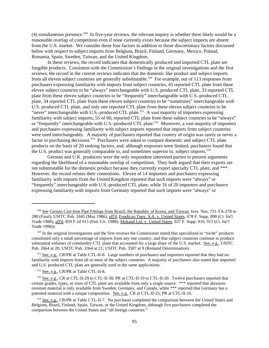(4) simultaneous presence.549 In five-year reviews, the relevant inquiry is whether there likely would be a reasonable overlap of competition even if none currently exists because the subject imports are absent from the U.S. market. We consider these four factors in addition to those discretionary factors discussed below with respect to subject imports from Belgium, Brazil, Finland, Germany, Mexico, Poland, Romania, Spain, Sweden, Taiwan, and the United Kingdom.

In these reviews, the record indicates that domestically produced and imported CTL plate are fungible products. Consistent with the Commission's findings in the original investigations and the first reviews, the record in the current reviews indicates that the domestic like product and subject imports from all eleven subject countries are generally substitutable.<sup>550</sup> For example, out of 113 responses from purchasers expressing familiarity with imports from subject countries, 45 reported CTL plate from these eleven subject countries to be "always" interchangeable with U.S. produced CTL plate, 33 reported CTL plate from these eleven subject countries to be "frequently" interchangeable with U.S.-produced CTL plate, 34 reported CTL plate from these eleven subject countries to be "sometimes" interchangeable with U.S. produced CTL plate, and only one reported CTL plate from these eleven subject countries to be "never" interchangeable with U.S.-produced CTL plate.<sup>551</sup> A vast majority of importers expressing familiarity with subject imports, 55 of 60, reported CTL plate from these subject countries to be "always" or "frequently" interchangeable with U.S.-produced CTL plate.<sup>552</sup> Moreover, a vast majority of importers and purchasers expressing familiarity with subject imports reported that imports from subject countries were used interchangeably. A majority of purchasers reported that country of origin was rarely or never a factor in purchasing decisions.<sup>553</sup> Purchasers were asked to compare domestic and subject CTL plate products on the basis of 20 ranking factors, and, although responses were limited, purchasers found that the U.S. product was generally comparable to, and sometimes superior to, subject imports.<sup>554</sup>

German and U.K. producers were the only respondent interested parties to present arguments regarding the likelihood of a reasonable overlap of competition. They both argued that their exports are not substitutable for the domestic product because they currently export specialty CTL plate, and \*\*\*. However, the record refutes their contentions. Eleven of 14 importers and purchasers expressing familiarity with imports from the United Kingdom reported that such imports were "always" or "frequently" interchangeable with U.S.-produced CTL plate, while 16 of 20 importers and purchasers expressing familiarity with imports from Germany reported that such imports were "always" or

 <sup>549</sup> See Certain Cast-Iron Pipe Fittings from Brazil, the Republic of Korea, and Taiwan, Invs. Nos. 731-TA-278 to 280 (Final), USITC Pub. 1845 (May 1986), aff'd, Fundicao Tupy, S.A. v. United States, 678 F. Supp. 898 (Ct. Int'l Trade 1988), aff'd, 859 F.2d 915 (Fed. Cir. 1988); Mukand Ltd. v. United States, 937 F. Supp. 910, 915 (Ct. Int'l Trade 1996)).

 <sup>550</sup> In the original investigations and the first reviews the Commission stated that specialized or "niche" products constituted only a small percentage of imports from any one country, and that subject countries continue to produce substantial volumes of commodity CTL plate that accounted for a large share of the U.S. market. See, e.g., USITC Pub. 2664 at 20; USITC Pub. 3364 at 21; USITC Pub. 3587 at 9 (Remand Determination).

 <sup>551</sup> See, e.g., CR/PR at Table CTL-II-8. Large numbers of purchasers and importers reported that they had no familiarity with imports from all or most of the subject countries. A majority of purchasers also stated that imported and U.S. produced CTL plate are generally used in the same applications.

 <sup>552</sup> See, e.g., CR/PR at Table CTL-II-8.

 <sup>553</sup> See, e.g., CR at CTL-II-29 to CTL-II-30; PR at CTL-II-19 to CTL-II-20. Twelve purchasers reported that certain grades, types, or sizes of CTL plate are available from only a single source. \*\*\* reported that abrasionresistant material is only available from Sweden, Germany, and Canada, while \*\*\* reported that Germany has a patented material with a unique composition. See, e.g., CR at CTL-II-25; PR at CTL-II-16.

 <sup>554</sup> See, e.g., CR/PR at Table CTL-II-7. No purchaser completed the comparison between the United States and Belgium, Brazil, Finland, Spain, Taiwan, or the United Kingdom, although five purchasers completed the comparison between the United States and "all foreign countries."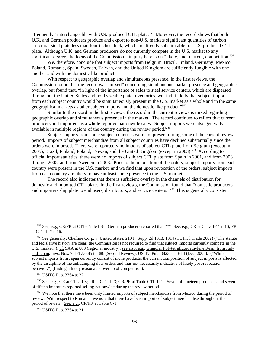"frequently" interchangeable with U.S.-produced CTL plate.<sup>555</sup> Moreover, the record shows that both U.K. and German producers produce and export to non-U.S. markets significant quantities of carbon structural steel plate less than four inches thick, which are directly substitutable for U.S. produced CTL plate. Although U.K. and German producers do not currently compete in the U.S. market to any significant degree, the focus of the Commission's inquiry here is on "likely," not current, competition.<sup>556</sup>

We, therefore, conclude that subject imports from Belgium, Brazil, Finland, Germany, Mexico, Poland, Romania, Spain, Sweden, Taiwan, and the United Kingdom are sufficiently fungible with one another and with the domestic like product.

With respect to geographic overlap and simultaneous presence, in the first reviews, the Commission found that the record was "mixed" concerning simultaneous market presence and geographic overlap, but found that, "in light of the importance of sales to steel service centers, which are dispersed throughout the United States and hold sizeable plate inventories, we find it likely that subject imports from each subject country would be simultaneously present in the U.S. market as a whole and in the same geographical markets as other subject imports and the domestic like product."557

Similar to the record in the first reviews, the record in the current reviews is mixed regarding geographic overlap and simultaneous presence in the market. The record continues to reflect that current producers and importers as a whole reported nationwide sales. Subject imports were also generally available in multiple regions of the country during the review period.<sup>558</sup>

Subject imports from some subject countries were not present during some of the current review period. Imports of subject merchandise from all subject countries have declined substantially since the orders were imposed. There were reportedly no imports of subject CTL plate from Belgium (except in 2005), Brazil, Finland, Poland, Taiwan, and the United Kingdom (except in 2003).559 According to official import statistics, there were no imports of subject CTL plate from Spain in 2001, and from 2003 through 2005, and from Sweden in 2003. Prior to the imposition of the orders, subject imports from each country were present in the U.S. market, and we find that upon revocation of the orders, subject imports from each country are likely to have at least some presence in the U.S. market.

The record also indicates that there is sufficient overlap in the channels of distribution for domestic and imported CTL plate. In the first reviews, the Commission found that "domestic producers and importers ship plate to end users, distributors, and service centers."560 This is generally consistent

<sup>555</sup> See, e.g., CR/PR at CTL-Table II-8. German producers reported that \*\*\* See, e.g., CR at CTL-II-11 n.16; PR at CTL-II-7 n.16.

 <sup>556</sup> See generally, Chefline Corp. v. United States, 219 F. Supp. 2d 1313, 1314 (Ct. Int'l Trade 2002) ("The statute and legislative history are clear: the Commission is not required to find that subject imports currently compete in the U.S. market."); cf. SAA at 888 (regional industry); see also, e.g., Granular Polytetrafluoroethylene Resin from Italy and Japan, Invs. Nos. 731-TA-385 to 386 (Second Review), USITC Pub. 3823 at 13-14 (Dec. 2005). ("While subject imports from Japan currently consist of niche products, the current composition of subject imports is affected by the discipline of the antidumping duty orders and thus not necessarily indicative of likely post-revocation behavior.") (finding a likely reasonable overlap of competition).

 <sup>557</sup> USITC Pub. 3364 at 22.

 <sup>558</sup> See, e.g., CR at CTL-II-3; PR at CTL-II-3; CR/PR at Table CTL-II-2. Seven of nineteen producers and seven of fifteen importers reported selling nationwide during the review period.

<sup>&</sup>lt;sup>559</sup> We note that there have been only limited imports of subject merchandise from Mexico during the period of review. With respect to Romania, we note that there have been imports of subject merchandise throughout the period of review. See, e.g., CR/PR at Table C-1.

 <sup>560</sup> USITC Pub. 3364 at 21.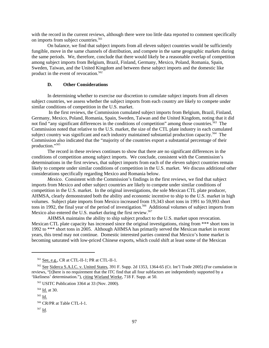with the record in the current reviews, although there were too little data reported to comment specifically on imports from subject countries.<sup>561</sup>

On balance, we find that subject imports from all eleven subject countries would be sufficiently fungible, move in the same channels of distribution, and compete in the same geographic markets during the same periods. We, therefore, conclude that there would likely be a reasonable overlap of competition among subject imports from Belgium, Brazil, Finland, Germany, Mexico, Poland, Romania, Spain, Sweden, Taiwan, and the United Kingdom and between these subject imports and the domestic like product in the event of revocation.<sup>562</sup>

### **D. Other Considerations**

In determining whether to exercise our discretion to cumulate subject imports from all eleven subject countries, we assess whether the subject imports from each country are likely to compete under similar conditions of competition in the U.S. market.

 In the first reviews, the Commission cumulated subject imports from Belgium, Brazil, Finland, Germany, Mexico, Poland, Romania, Spain, Sweden, Taiwan and the United Kingdom, noting that it did not find "any significant differences in the conditions of competition" among those countries.<sup>563</sup> The Commission noted that relative to the U.S. market, the size of the CTL plate industry in each cumulated subject country was significant and each industry maintained substantial production capacity.<sup>564</sup> The Commission also indicated that the "majority of the countries export a substantial percentage of their production."565

The record in these reviews continues to show that there are no significant differences in the conditions of competition among subject imports. We conclude, consistent with the Commission's determinations in the first reviews, that subject imports from each of the eleven subject countries remain likely to compete under similar conditions of competition in the U.S. market. We discuss additional other considerations specifically regarding Mexico and Romania below.

*Mexico*. Consistent with the Commission's findings in the first reviews, we find that subject imports from Mexico and other subject countries are likely to compete under similar conditions of competition in the U.S. market. In the original investigations, the sole Mexican CTL plate producer, AHMSA, clearly demonstrated both the ability and economic incentive to ship to the U.S. market in high volumes. Subject plate imports from Mexico increased from 19,343 short tons in 1991 to 59,993 short tons in 1992, the final year of the period of investigation.<sup>566</sup> Additional volumes of subject imports from Mexico also entered the U.S. market during the first review.<sup>567</sup>

AHMSA maintains the ability to ship subject product to the U.S. market upon revocation. Mexican CTL plate capacity has increased since the original investigations, rising from \*\*\* short tons in 1992 to \*\*\* short tons in 2005. Although AHMSA has primarily served the Mexican market in recent years, this trend may not continue. Domestic interested parties contend that Mexico's home market is becoming saturated with low-priced Chinese exports, which could shift at least some of the Mexican

 <sup>561</sup> See, e.g., CR at CTL-II-1; PR at CTL-II-1.

 <sup>562</sup> See Siderca S.A.I.C. v. United States, 391 F. Supp. 2d 1353, 1364-65 (Ct. Int'l Trade 2005) (For cumulation in reviews, "[t]here is no requirement that the ITC find that all four subfactors are independently supported by a 'likeliness' determination."), citing Wieland Werke, 718 F. Supp. at 50.

 <sup>563</sup> USITC Publication 3364 at 33 (Nov. 2000).

 <sup>564</sup> Id. at 30.

 <sup>565</sup> Id.

 <sup>566</sup> CR/PR at Table CTL-I-1.

 <sup>567</sup> Id.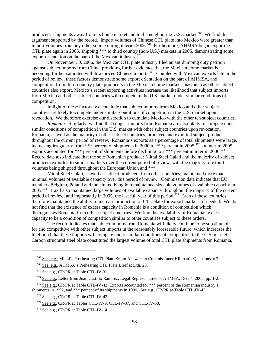producer's shipments away from its home market and to the neighboring U.S. market.<sup>568</sup> We find this argument supported by the record. Import volumes of Chinese CTL plate into Mexico were greater than import volumes from any other source during interim 2006.<sup>569</sup> Furthermore, AHMSA began exporting CTL plate again in 2005, shipping \*\*\* to third country (non-U.S.) markets in 2005, demonstrating some export orientation on the part of the Mexican industry.<sup>570</sup>

On November 30, 2006, the Mexican CTL plate industry filed an antidumping duty petition against subject imports from China, providing further evidence that the Mexican home market is becoming further saturated with low-priced Chinese imports.<sup>571</sup> Coupled with Mexican exports late in the period of review, these factors demonstrate some export orientation on the part of AHMSA, and competition from third-country plate producers in the Mexican home market. Inasmuch as other subject countries also export, Mexico's recent exporting activities increase the likelihood that subject imports from Mexico and other subject countries will compete in the U.S. market under similar conditions of competition.

In light of these factors, we conclude that subject imports from Mexico and other subject countries are likely to compete under similar conditions of competition in the U.S. market upon revocation. We therefore exercise our discretion to cumulate Mexico with the other ten subject countries.

*Romania*. Similarly, we find that subject imports from Romania are also likely to compete under similar conditions of competition in the U.S. market with other subject countries upon revocation. Romania, as well as the majority of other subject countries, produced and exported subject product throughout the current period of review. Romania's exports as a percentage of total shipments were large, increasing irregularly from \*\*\* percent of shipments in 2000 to \*\*\* percent in 2005.<sup>572</sup> In interim 2005, exports accounted for \*\*\* percent of shipments before declining to  $a^{***}$  percent in interim 2006.<sup>573</sup> Record data also indicate that the sole Romanian producer Mittal Steel Galati and the majority of subject producers exported to similar markets over the current period of review, with the majority of export volumes being shipped throughout the European Union and \*\*\*.

Mittal Steel Galati, as well as subject producers from other countries, maintained more than minimal volumes of available capacity over this period of review. Commission data indicate that EU members Belgium, Poland and the United Kingdom maintained sizeable volumes of available capacity in 2005.574 Brazil also maintained large volumes of available capacity throughout the majority of the current period of review, and importantly in 2005, the last full year of this period.<sup>575</sup> Each of these countries therefore maintained the ability to increase production of CTL plate for export markets, if needed. We do not find that the existence of excess capacity in Romania is a condition of competition which distinguishes Romania from other subject countries. We find the availability of Romanian excess capacity to be a condition of competition similar to other countries subject to these orders.

The record indicates that subject imports from Romania will likely continue to be substitutable for and competitive with other subject imports in the reasonably foreseeable future, which increases the likelihood that these imports will compete under similar conditions of competition in the U.S. market. Carbon structural steel plate constituted the largest volume of total CTL plate shipments from Romania,

 <sup>568</sup> See, e.g., Mittal's Posthearing CTL Plate Br., at Answers to Commissioner Hillman's Questions at 7.

 <sup>569</sup> See, e.g., AHMSA's Prehearing CTL Plate Brief at Exh. 28.

 <sup>570</sup> See e.g., CR/PR at Table CTL-IV-31.

 <sup>571</sup> See e.g., Letter from Juan Castillo Ramirez, Legal Representative of AHMSA, Dec. 4, 2006, pp. 1-2.

 <sup>572</sup> See e.g., CR/PR at Table CTL-IV-43. Exports accounted for \*\*\* percent of the Romanian industry's shipments in 1992, and \*\*\* percent of its shipments in 1999. See e.g., CR/PR at Table CTL-IV-42.

 <sup>573</sup> See e.g., CR/PR at Table CTL-IV-43.

 <sup>574</sup> See e.g., CR/PR at Tables CTL-IV-9, CTL-IV-37, and CTL-IV-58.

 <sup>575</sup> See e.g., CR/PR at Table CTL-IV-14.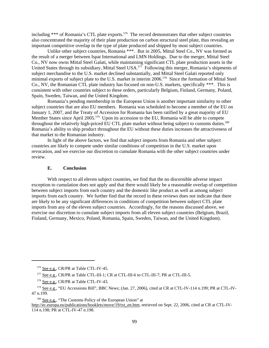including  $***$  of Romania's CTL plate exports.<sup>576</sup> The record demonstrates that other subject countries also concentrated the majority of their plate production on carbon structural steel plate, thus revealing an important competitive overlap in the type of plate produced and shipped by most subject countries.

Unlike other subject countries, Romania \*\*\*. But in 2005, Mittal Steel Co., NV was formed as the result of a merger between Ispat International and LMN Holdings. Due to the merger, Mittal Steel Co., NV now owns Mittal Steel Galati, while maintaining significant CTL plate production assets in the United States through its subsidiary, Mittal Steel USA.<sup>577</sup> Following this merger, Romania's shipments of subject merchandise to the U.S. market declined substantially, and Mittal Steel Galati reported only minimal exports of subject plate to the U.S. market in interim 2006.<sup>578</sup> Since the formation of Mittal Steel Co., NV, the Romanian CTL plate industry has focused on non-U.S. markets, specifically \*\*\*. This is consistent with other countries subject to these orders, particularly Belgium, Finland, Germany, Poland, Spain, Sweden, Taiwan, and the United Kingdom.

Romania's pending membership in the European Union is another important similarity to other subject countries that are also EU members. Romania was scheduled to become a member of the EU on January 1, 2007, and the Treaty of Accession for Romania has been ratified by a great majority of EU Member States since April 2005.<sup>579</sup> Upon its accession to the EU, Romania will be able to compete throughout the relatively high-priced EU CTL plate market without being subject to customs duties.<sup>580</sup> Romania's ability to ship product throughout the EU without these duties increases the attractiveness of that market to the Romanian industry.

In light of the above factors, we find that subject imports from Romania and other subject countries are likely to compete under similar conditions of competition in the U.S. market upon revocation, and we exercise our discretion to cumulate Romania with the other subject countries under review.

#### **E. Conclusion**

With respect to all eleven subject countries, we find that the no discernible adverse impact exception to cumulation does not apply and that there would likely be a reasonable overlap of competition between subject imports from each country and the domestic like product as well as among subject imports from each country. We further find that the record in these reviews does not indicate that there are likely to be any significant differences in conditions of competition between subject CTL plate imports from any of the eleven subject countries. Accordingly, for the reasons discussed above, we exercise our discretion to cumulate subject imports from all eleven subject countries (Belgium, Brazil, Finland, Germany, Mexico, Poland, Romania, Spain, Sweden, Taiwan, and the United Kingdom).

<sup>&</sup>lt;sup>576</sup> See e.g., CR/PR at Table CTL-IV-45.

 <sup>577</sup> See e.g., CR/PR at Table CTL-III-1; CR at CTL-III-6 to CTL-III-7; PR at CTL-III-5.

<sup>&</sup>lt;sup>578</sup> See e.g., CR/PR at Table CTL-IV-43.

 <sup>579</sup> See e.g., "EU Accessions Bill", BBC News; (Jan. 27, 2006), cited at CR at CTL-IV-114 n.199; PR at CTL-IV-47 n.199.

 <sup>580</sup> See e.g., "The Customs Policy of the European Union" at

http://ec.europa.eu/publications/booklets/move/19/txt\_en.htm, retrieved on Sept. 22, 2006, cited at CR at CTL-IV-114 n.198; PR at CTL-IV-47 n.198.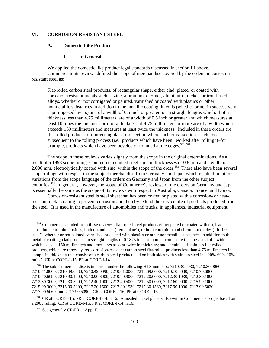## **VI. CORROSION-RESISTANT STEEL**

#### **A. Domestic Like Product**

#### **1. In General**

We applied the domestic like product legal standards discussed in section III above. Commerce in its reviews defined the scope of merchandise covered by the orders on corrosionresistant steel as:

Flat-rolled carbon steel products, of rectangular shape, either clad, plated, or coated with corrosion-resistant metals such as zinc, aluminum, or zinc-, aluminum-, nickel- or iron-based alloys, whether or not corrugated or painted, varnished or coated with plastics or other nonmetallic substances in addition to the metallic coating, in coils (whether or not in successively superimposed layers) and of a width of 0.5 inch or greater, or in straight lengths which, if of a thickness less than 4.75 millimeters, are of a width of 0.5 inch or greater and which measures at least 10 times the thickness or if of a thickness of 4.75 millimeters or more are of a width which exceeds 150 millimeters and measures at least twice the thickness. Included in these orders are flat-rolled products of nonrectangular cross-section where such cross-section is achieved subsequent to the rolling process (i.e., products which have been "worked after rolling")–for example, products which have been beveled or rounded at the edges.<sup>581 582</sup>

The scope in these reviews varies slightly from the scope in the original determinations. As a result of a 1998 scope ruling, Commerce included steel coils in thicknesses of 0.8 mm and a width of 2,000 mm, electrolytically coated with zinc, within the scope of the order.<sup>583</sup> There also have been several scope rulings with respect to the subject merchandise from Germany and Japan which resulted in minor variations from the scope language of the orders on Germany and Japan from the other subject countries.584 In general, however, the scope of Commerce's reviews of the orders on Germany and Japan is essentially the same as the scope of its reviews with respect to Australia, Canada, France, and Korea.

Corrosion-resistant steel is steel sheet that has been coated or plated with a corrosion- or heatresistant metal coating to prevent corrosion and thereby extend the service life of products produced from the steel. It is used in the manufacture of automobiles and trucks, in appliances, industrial equipment,

<sup>&</sup>lt;sup>581</sup> Commerce excluded from these reviews "flat rolled steel products either plated or coated with tin, lead, chromium, chromium oxides, both tin and lead ('terne plate'), or both chromium and chromium oxides ('tin-free steel'), whether or not painted, varnished or coated with plastics or other nonmetallic substances in addition to the metallic coating; clad products in straight lengths of 0.1875 inch or more in composite thickness and of a width which exceeds 150 millimeters and measures at least twice in thickness; and certain clad stainless flat-rolled products, which are three-layered corrosion-resistant carbon steel flat-rolled products less than 4.75 millimeters in composite thickness that consist of a carbon steel product clad on both sides with stainless steel in a 20%-60%-20% ratio." CR at CORE-I-15, PR at CORE-I-14.

<sup>&</sup>lt;sup>582</sup> The subject merchandise is imported under the following HTS numbers: 7210.30.0030, 7210.30.0060, 7210.41.0000, 7210.49.0030, 7210.49.0090, 7210.61.0000, 7210.69.0000, 7210.70.6030, 7210.70.6060, 7210.70.6090, 7210.90.1000, 7210.90.6000, 7210.90.9000, 7212.20.0000, 7212.30.1030, 7212.30.1090, 7212.30.3000, 7212.30.5000, 7212.40.1000, 7212.40.5000, 7212.50.0000, 7212.60.0000, 7215.90.1000, 7215.90.3000, 7215.90.5000, 7217.20.1500, 7217.30.1530, 7217.30.1560, 7217.90.1000, 7217.90.5030, 7217.90.5060, and 7217.90.5090. CR at CORE-I-16, PR at CORE-I-15.

 <sup>583</sup> CR at CORE-I-15, PR at CORE-I-14, n.16. Annealed nickel plate is also within Commerce's scope, based on a 2005 ruling. CR at CORE-I-15, PR at CORE-I-14, n.16.

<sup>&</sup>lt;sup>584</sup> See generally CR/PR at App. E.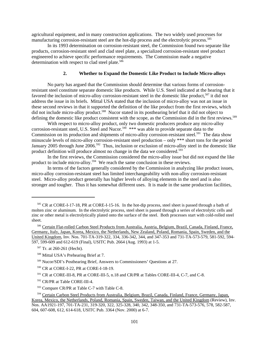agricultural equipment, and in many construction applications. The two widely used processes for manufacturing corrosion-resistant steel are the hot-dip process and the electrolytic process.<sup>585</sup>

In its 1993 determination on corrosion-resistant steel, the Commission found two separate like products, corrosion-resistant steel and clad steel plate, a specialized corrosion-resistant steel product engineered to achieve specific performance requirements. The Commission made a negative determination with respect to clad steel plate.<sup>586</sup>

### **2. Whether to Expand the Domestic Like Product to Include Micro-alloys**

No party has argued that the Commission should determine that various forms of corrosionresistant steel constitute separate domestic like products. While U.S. Steel indicated at the hearing that it favored the inclusion of micro-alloy corrosion-resistant steel in the domestic like product,<sup>587</sup> it did not address the issue in its briefs. Mittal USA stated that the inclusion of micro-alloy was not an issue in these second reviews in that it supported the definition of the like product from the first reviews, which did not include micro-alloy product.<sup>588</sup> Nucor stated in its posthearing brief that it did not object to defining the domestic like product consistent with the scope, as the Commission did in the first reviews.<sup>589</sup>

With respect to micro-alloy product, only two domestic producers produce any micro-alloy corrosion-resistant steel, U.S. Steel and Nucor.<sup>590</sup> \*\*\* was able to provide separate data to the Commission on its production and shipments of micro-alloy corrosion-resistant steel.<sup>591</sup> The data show minuscule levels of micro-alloy corrosion-resistant steel production – only \*\*\* short tons for the period January 2005 through June 2006.<sup>592</sup> Thus, inclusion or exclusion of micro-alloy steel in the domestic like product definition will produce almost no change in the data we considered.<sup>593</sup>

In the first reviews, the Commission considered the micro-alloy issue but did not expand the like product to include micro-alloy.<sup>594</sup> We reach the same conclusion in these reviews.

In terms of the factors generally considered by the Commission in analyzing like product issues, micro-alloy corrosion-resistant steel has limited interchangeability with non-alloy corrosion-resistant steel. Micro-alloy product generally has higher levels of alloying elements in the steel and is also stronger and tougher. Thus it has somewhat different uses. It is made in the same production facilities,

 <sup>585</sup> CR at CORE-I-17-18, PR at CORE-I-15-16. In the hot-dip process, steel sheet is passed through a bath of molten zinc or aluminum. In the electrolytic process, steel sheet is passed through a series of electrolytic cells and zinc or other metal is electrolytically plated onto the surface of the steel. Both processes start with cold-rolled steel sheet.

 <sup>586</sup> Certain Flat-rolled Carbon Steel Products from Australia, Austria, Belgium, Brazil, Canada, Finland, France, Germany, Italy, Japan, Korea, Mexico, the Netherlands, New Zealand, Poland, Romania, Spain, Sweden, and the United Kingdom*,* Inv. Nos. 701-TA-319-322, 334, 336-342, 344, and 347-353 and 731-TA-573-579, 581-592, 594- 597, 599-609 and 612-619 (Final), USITC Pub. 2664 (Aug. 1993) at 1-5.

 <sup>587</sup> Tr. at 260-261 (Hecht).

 <sup>588</sup> Mittal USA's Prehearing Brief at 7.

 <sup>589</sup> Nucor/SDI's Posthearing Brief, Answers to Commissioners' Questions at 27.

 <sup>590</sup> CR at CORE-I-22, PR at CORE-I-18-19.

 <sup>591</sup> CR at CORE-III-8, PR at CORE-III-5, n.18 and CR/PR at Tables CORE-III-4, C-7, and C-8.

 <sup>592</sup> CR/PR at Table CORE-III-4.

 <sup>593</sup> Compare CR/PR at Table C-7 with Table C-8.

<sup>&</sup>lt;sup>594</sup> Certain Carbon Steel Products from Australia, Belgium, Brazil, Canada, Finland, France, Germany, Japan, Korea, Mexico, the Netherlands, Poland, Romania, Spain, Sweden, Taiwan, and the United Kingdom (Review), Inv. Nos. AA1921-197, 701-TA-231, 319-320, 322, 325-328, 340, 342, 348-350, and 731-TA-573-576, 578, 582-587, 604, 607-608, 612, 614-618, USITC Pub. 3364 (Nov. 2000) at 6-7.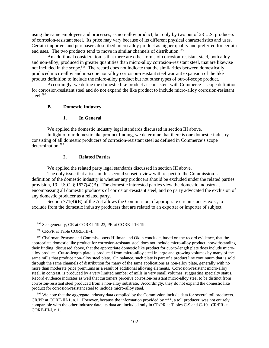using the same employees and processes, as non-alloy product, but only by two out of 23 U.S. producers of corrosion-resistant steel. Its price may vary because of its different physical characteristics and uses. Certain importers and purchasers described micro-alloy product as higher quality and preferred for certain end uses. The two products tend to move in similar channels of distribution.<sup>595</sup>

An additional consideration is that there are other forms of corrosion-resistant steel, both alloy and non-alloy, produced in greater quantities than micro-alloy corrosion-resistant steel, that are likewise not included in the scope.<sup>596</sup> The record does not indicate that the similarities between domestically produced micro-alloy and in-scope non-alloy corrosion-resistant steel warrant expansion of the like product definition to include the micro-alloy product but not other types of out-of-scope product.

Accordingly, we define the domestic like product as consistent with Commerce's scope definition for corrosion-resistant steel and do not expand the like product to include micro-alloy corrosion-resistant steel.<sup>597</sup>

#### **B. Domestic Industry**

#### **1. In General**

We applied the domestic industry legal standards discussed in section III above.

In light of our domestic like product finding, we determine that there is one domestic industry consisting of all domestic producers of corrosion-resistant steel as defined in Commerce's scope determination.<sup>598</sup>

## **2. Related Parties**

We applied the related party legal standards discussed in section III above.

The only issue that arises in this second sunset review with respect to the Commission's definition of the domestic industry is whether any producers should be excluded under the related parties provision, 19 U.S.C. § 1677(4)(B). The domestic interested parties view the domestic industry as encompassing all domestic producers of corrosion-resistant steel, and no party advocated the exclusion of any domestic producer as a related party.

Section 771(4)(B) of the Act allows the Commission, if appropriate circumstances exist, to exclude from the domestic industry producers that are related to an exporter or importer of subject

<sup>598</sup> We note that the aggregate industry data compiled by the Commission include data for several toll producers. CR/PR at CORE-III-1, n.1. However, because the information provided by \*\*\*, a toll producer, was not entirely comparable with the other industry data, its data are included only in CR/PR at Tables C-9 and C-10. CR/PR at CORE-III-I, n.1.

 <sup>595</sup> See generally, CR at CORE I-19-23, PR at CORE-I-16-19.

 <sup>596</sup> CR/PR at Table CORE-III-4.

<sup>&</sup>lt;sup>597</sup> Chairman Pearson and Commissioners Hillman and Okun conclude, based on the record evidence, that the appropriate domestic like product for corrosion-resistant steel does not include micro-alloy product, notwithstanding their finding, discussed above, that the appropriate domestic like product for cut-to-length plate does include microalloy product. Cut-to-length plate is produced from micro-alloy steel in large and growing volumes by many of the same mills that produce non-alloy steel plate. On balance, such plate is part of a product line continuum that is sold through the same channels of distribution for many of the same applications as non-alloy plate, generally with no more than moderate price premiums as a result of additional alloying elements. Corrosion-resistant micro-alloy steel, in contrast, is produced by a very limited number of mills in very small volumes, suggesting specialty status. Record evidence indicates as well that customers perceive corrosion-resistant micro-alloy steel to be distinct from corrosion-resistant steel produced from a non-alloy substrate. Accordingly, they do not expand the domestic like product for corrosion-resistant steel to include micro-alloy steel.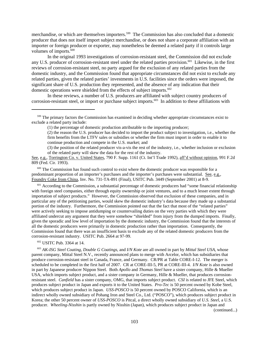merchandise, or which are themselves importers.<sup>599</sup> The Commission has also concluded that a domestic producer that does not itself import subject merchandise, or does not share a corporate affiliation with an importer or foreign producer or exporter, may nonetheless be deemed a related party if it controls large volumes of imports.<sup>600</sup>

In the original 1993 investigations of corrosion-resistant steel, the Commission did not exclude any U.S. producer of corrosion-resistant steel under the related parties provision.<sup>601</sup> Likewise, in the first reviews of corrosion-resistant steel, no party argued for the exclusion of any related parties from the domestic industry, and the Commission found that appropriate circumstances did not exist to exclude any related parties, given the related parties' investments in U.S. facilities since the orders were imposed, the significant share of U.S. production they represented, and the absence of any indication that their domestic operations were shielded from the effects of subject imports. $602$ 

In these reviews, a number of U.S. producers are affiliated with subject country producers of corrosion-resistant steel, or import or purchase subject imports.<sup>603</sup> In addition to these affiliations with

(3) the position of the related producer vis-a-vis the rest of the industry, i.e., whether inclusion or exclusion of the related party will skew the data for the rest of the industry.

<sup>600</sup> The Commission has found such control to exist where the domestic producer was responsible for a predominant proportion of an importer's purchases and the importer's purchases were substantial. See, e.g., Foundry Coke from China, Inv. No. 731-TA-891 (Final), USITC Pub. 3449 (September 2001) at 8-9.

<sup>601</sup> According to the Commission, a substantial percentage of domestic producers had "some financial relationship with foreign steel companies, either through equity ownership or joint ventures, and to a much lesser extent through importation of subject products." However, the Commission observed that exclusion of these companies, and in particular any of the petitioning parties, would skew the domestic industry's data because they made up a substantial portion of the industry. Furthermore, the Commission pointed out that the fact that most of the "related parties" were actively seeking to impose antidumping or countervailing duties on the very parties with which they were affiliated undercut any argument that they were somehow "shielded" from injury from the dumped imports. Finally, given the sporadic and low level of importation by the domestic industry, the Commission found that the interests of all the domestic producers were primarily in domestic production rather than importation. Consequently, the Commission found that there was an insufficient basis to exclude any of the related domestic producers from the corrosion-resistant industry. USITC Pub. 2664 at 97-99.

602 USITC Pub. 3364 at 14.

 603 *AK-ISG Steel Coating, Double G Coatings*, and *I/N Kote* are all owned in part by *Mittal Steel USA*, whose parent company, Mittal Steel N.V., recently announced plans to merge with Arcelor, which has subsidiaries that produce corrosion-resistant steel in Canada, France, and Germany. CR/PR at Table CORE-I-12. The merger is scheduled to be completed in the first half of 2007. CR at CORE-III-5, PR at CORE-III-4. *I/N Kote* is also owned in part by Japanese producer Nippon Steel. Both *Apollo* and *Thomas Steel* have a sister company, Hille & Mueller USA, which imports subject product, and a sister company in Germany, Hille & Mueller, that produces corrosionresistant steel. *Canfield* has a sister company, OMG, that imports subject product. *CSI* is related to JFE Steel, which produces subject product in Japan and exports it to the United States. *Pro-Tec* is 50 percent owned by Kobe Steel, which produces subject product in Japan. *USS-POSCO* is 50 percent owned by POSCO California, which is an indirect wholly owned subsidiary of Pohang Iron and Steel Co., Ltd. ("POSCO"), which produces subject product in Korea; the other 50 percent owner of *USS-POSCO* is Pitcal, a direct wholly owned subsidiary of *U.S. Steel*, a U.S. producer. *Wheeling-Nisshin* is partly owned by Nisshin (Japan), which produces subject product in Japan and (continued...)

<sup>&</sup>lt;sup>599</sup> The primary factors the Commission has examined in deciding whether appropriate circumstances exist to exclude a related party include:

<sup>(1)</sup> the percentage of domestic production attributable to the importing producer;

<sup>(2)</sup> the reason the U.S. producer has decided to import the product subject to investigation, i.e., whether the firm benefits from the LTFV sales or subsidies or whether the firm must import in order to enable it to continue production and compete in the U.S. market; and

See, e.g., Torrington Co. v. United States, 790 F. Supp. 1161 (Ct. Int'l Trade 1992), aff'd without opinion, 991 F.2d 809 (Fed. Cir. 1993).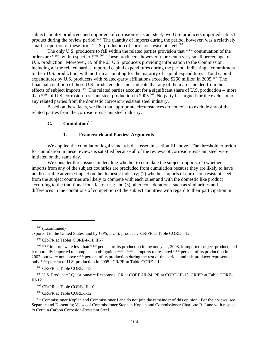subject country producers and importers of corrosion-resistant steel, two U.S. producers imported subject product during the review period.<sup>604</sup> The quantity of imports during the period, however, was a relatively small proportion of these firms' U.S. production of corrosion-resistant steel.<sup>605</sup>

The only U.S. producers to fall within the related parties provision that \*\*\* continuation of the orders are \*\*\*, with respect to \*\*\*.606 These producers, however, represent a very small percentage of U.S. production. Moreover, 19 of the 23 U.S. producers providing information to the Commission, including all the related parties, reported capital expenditures during the period, indicating a commitment to their U.S. production, with no firm accounting for the majority of capital expenditures. Total capital expenditures by U.S. producers with related-party affiliations exceeded \$250 million in 2005.<sup>607</sup> The financial condition of these U.S. producers does not indicate that any of them are shielded from the effects of subject imports.<sup>608</sup> The related parties account for a significant share of U.S. production -- more than \*\*\* of U.S. corrosion-resistant steel production in 2005.<sup>609</sup> No party has argued for the exclusion of any related parties from the domestic corrosion-resistant steel industry.

Based on these facts, we find that appropriate circumstances do not exist to exclude any of the related parties from the corrosion-resistant steel industry.

## C. Cumulation<sup>610</sup>

#### **1. Framework and Parties' Arguments**

We applied the cumulation legal standards discussed in section III above. The threshold criterion for cumulation in these reviews is satisfied because all of the reviews of corrosion-resistant steel were initiated on the same day.

We consider three issues in deciding whether to cumulate the subject imports: (1) whether imports from any of the subject countries are precluded from cumulation because they are likely to have no discernible adverse impact on the domestic industry; (2) whether imports of corrosion-resistant steel from the subject countries are likely to compete with each other and with the domestic like product according to the traditional four-factor test; and (3) other considerations, such as similarities and differences in the conditions of competition of the subject countries with regard to their participation in

 $603$  (...continued)

606 CR/PR at Table CORE-I-13.

 607 U.S. Producers' Questionnaire Responses; CR at CORE-III-24, PR at CORE-III-15, CR/PR at Table CORE-III-12.

608 CR/PR at Table CORE-III-10.

609 CR/PR at Table CORE-I-12.

exports it to the United States, and by *WPS*, a U.S. producer. CR/PR at Table CORE-I-12.

 <sup>604</sup> CR/PR at Tables CORE-I-14, III-7.

<sup>&</sup>lt;sup>605</sup> \*\*\* imports were less than \*\*\* percent of its production in the one year, 2003, it imported subject product, and it reportedly imported to complete an obligation \*\*\*. \*\*\*'s imports represented \*\*\* percent of its production in 2002, but were not above \*\*\* percent of its production during the rest of the period, and this producer represented only \*\*\* percent of U.S. production in 2005. CR/PR at Table CORE-I-12.

<sup>&</sup>lt;sup>610</sup> Commissioner Koplan and Commissioner Lane do not join the remainder of this opinion. For their views, see Separate and Dissenting Views of Commissioner Stephen Koplan and Commissioner Charlotte R. Lane with respect to Certain Carbon Corrosion-Resistant Steel.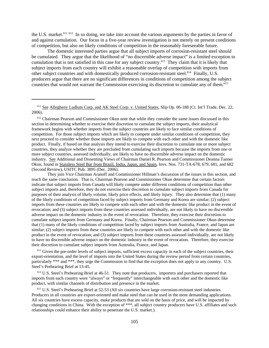the U.S. market.<sup>611 612</sup> In so doing, we take into account the various arguments by the parties in favor of and against cumulation. Our focus in a five-year review investigation is not merely on present conditions of competition, but also on likely conditions of competition in the reasonably foreseeable future.

The domestic interested parties argue that all subject imports of corrosion-resistant steel should be cumulated. They argue that the likelihood of "no discernible adverse impact" is a limited exception to cumulation that is not satisfied in this case for any subject country.613 They claim that it is likely that subject imports from each country will exhibit a reasonable overlap of competition with imports from other subject countries and with domestically produced corrosion-resistant steel.<sup>614</sup> Finally, U.S. producers argue that there are no significant differences in conditions of competition among the subject countries that would not warrant the Commission exercising its discretion to cumulate any of them.<sup>615</sup>

<sup>612</sup> Chairman Pearson and Commissioner Okun note that while they consider the same issues discussed in this section in determining whether to exercise their discretion to cumulate the subject imports, their analytical framework begins with whether imports from the subject countries are likely to face similar conditions of competition. For those subject imports which are likely to compete under similar conditions of competition, they next proceed to consider whether those imports are likely to compete with each other and with the domestic like product. Finally, if based on that analysis they intend to exercise their discretion to cumulate one or more subject countries, they analyze whether they are precluded from cumulating such imports because the imports from one or more subject countries, assessed individually, are likely to have no discernible adverse impact on the domestic industry. See Additional and Dissenting Views of Chairman Daniel R. Pearson and Commissioner Deanna Tanner Okun, found in Stainless Steel Bar from Brazil, India, Japan, and Spain, Invs. Nos. 731-TA-678, 679, 681, and 682 (Second Review), USITC Pub. 3895 (Dec. 2006).

They join Vice Chairman Aranoff and Commissioner Hillman's discussion of the issues in this section, and reach the same conclusion. That is, Chairman Pearson and Commissioner Okun determine that certain factors indicate that subject imports from Canada will likely compete under different conditions of competition than other subject imports and, therefore, they do not exercise their discretion to cumulate subject imports from Canada for purposes of their analysis of likely volume, likely price effects, and likely injury. They also determine that (1) many of the likely conditions of competition faced by subject imports from Germany and Korea are similar; (2) subject imports from these countries are likely to compete with each other and with the domestic like product in the event of revocation; and (3) subject imports from these countries assessed individually, are not likely to have no discernible adverse impact on the domestic industry in the event of revocation. Therefore, they exercise their discretion to cumulate subject imports from Germany and Korea. Finally, Chairman Pearson and Commissioner Okun determine that (1) many of the likely conditions of competition faced by subject imports from Australia, France, and Japan are similar; (2) subject imports from these countries are likely to compete with each other and with the domestic like product in the event of revocation; and (3) subject imports from these countries assessed individually, are not likely to have no discernible adverse impact on the domestic industry in the event of revocation. Therefore, they exercise their discretion to cumulate subject imports from Australia, France, and Japan.

<sup>613</sup> Given the pre-order levels of subject imports, sufficient excess capacity in each of the subject countries, their export-orientation, and the level of imports into the United States during the review period from certain countries, particularly \*\*\* and \*\*\*, they urge the Commission to find that the exception does not apply to any country. U.S. Steel's Prehearing Brief at 13-45.

<sup>614</sup> U.S. Steel's Prehearing Brief at 46-51. They note that producers, importers and purchasers reported that imports from each country were "always" or "frequently" interchangeable with each other and the domestic like product, with similar channels of distribution and presence in the market.

 615 U.S. Steel's Prehearing Brief at 52-53 (All six countries have large corrosion-resistant steel industries. Producers in all countries are export-oriented and make steel that can be used in the most demanding applications. All six countries have excess capacity, make products that are sold on the basis of price, and will be impacted by changing conditions in China. With the exception of \*\*\*, all subject country producers have U.S. affiliates and such relationships could enhance their ability to penetrate the U.S. market.).

<sup>&</sup>lt;sup>611</sup> See Allegheny Ludlum Corp. and AK Steel Corp. v. United States, Slip Op. 06-188 (Ct. Int'l Trade, Dec. 22, 2006).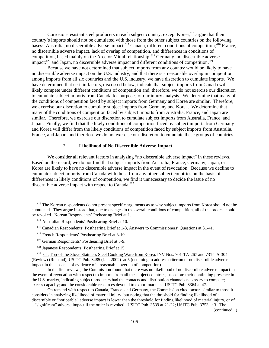Corrosion-resistant steel producers in each subject country, except Korea,<sup>616</sup> argue that their country's imports should not be cumulated with those from the other subject countries on the following bases: Australia, no discernible adverse impact;<sup>617</sup> Canada, different conditions of competition;<sup>618</sup> France, no discernible adverse impact, lack of overlap of competition, and differences in conditions of competition, based mainly on the Arcelor-Mittal relationship;619 Germany, no discernible adverse impact; $620$  and Japan, no discernible adverse impact and different conditions of competition. $621$ 

Because we have not determined that subject imports from any country would be likely to have no discernible adverse impact on the U.S. industry, and that there is a reasonable overlap in competition among imports from all six countries and the U.S. industry, we have discretion to cumulate imports. We have determined that certain factors, discussed below, indicate that subject imports from Canada will likely compete under different conditions of competition and, therefore, we do not exercise our discretion to cumulate subject imports from Canada for purposes of our injury analysis. We determine that many of the conditions of competition faced by subject imports from Germany and Korea are similar. Therefore, we exercise our discretion to cumulate subject imports from Germany and Korea. We determine that many of the conditions of competition faced by subject imports from Australia, France, and Japan are similar. Therefore, we exercise our discretion to cumulate subject imports from Australia, France, and Japan. Finally, we find that the likely conditions of competition faced by subject imports from Germany and Korea will differ from the likely conditions of competition faced by subject imports from Australia, France, and Japan, and therefore we do not exercise our discretion to cumulate these groups of countries.

#### **2. Likelihood of No Discernible Adverse Impact**

We consider all relevant factors in analyzing "no discernible adverse impact" in these reviews. Based on the record, we do not find that subject imports from Australia, France, Germany, Japan, or Korea are likely to have no discernible adverse impact in the event of revocation. Because we decline to cumulate subject imports from Canada with those from any other subject countries on the basis of differences in likely conditions of competition, we find it unnecessary to decide the issue of no discernible adverse impact with respect to Canada.<sup>622</sup>

(continued...)

<sup>&</sup>lt;sup>616</sup> The Korean respondents do not present specific arguments as to why subject imports from Korea should not be cumulated. They argue instead that, due to changes in the overall conditions of competition, all of the orders should be revoked. Korean Respondents' Prehearing Brief at 1.

 <sup>617</sup> Australian Respondents' Posthearing Brief at 10.

 <sup>618</sup> Canadian Respondents' Posthearing Brief at 1-8, Answers to Commissioners' Questions at 31-41.

 <sup>619</sup> French Respondents' Posthearing Brief at 8-10.

 <sup>620</sup> German Respondents' Posthearing Brief at 5-9.

 <sup>621</sup> Japanese Respondents' Posthearing Brief at 15.

<sup>&</sup>lt;sup>622</sup> Cf. Top-of-the-Stove Stainless Steel Cooking Ware from Korea, INV Nos. 701-TA-267 and 731-TA-304 (Review) (Remand), USITC Pub. 3485 (Jan. 2002) at 5 (declining to address criterion of no discernible adverse impact in the absence of evidence of a reasonable overlap of competition).

In the first reviews, the Commission found that there was no likelihood of no discernible adverse impact in the event of revocation with respect to imports from all the subject countries, based on: their continuing presence in the U.S. market, indicating subject producers had the contacts and distribution channels necessary to compete; excess capacity; and the considerable resources devoted to export markets. USITC Pub. 3364 at 47.

On remand with respect to Canada, France, and Germany, the Commission cited factors similar to those it considers in analyzing likelihood of material injury, but noting that the threshold for finding likelihood of a discernible or "noticeable" adverse impact is lower than the threshold for finding likelihood of material injury, or of a "significant" adverse impact if the order is revoked. USITC Pub. 3539 at 21-22; USITC Pub. 3753 at 3. The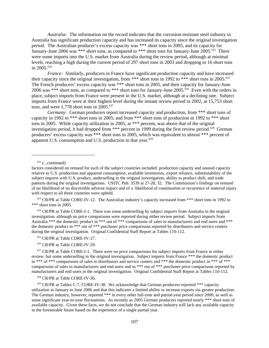*Australia:* The information on the record indicates that the corrosion-resistant steel industry in Australia has significant production capacity and has increased its capacity since the original investigation period. The Australian producer's excess capacity was \*\*\* short tons in 2005, and its capacity for January-June 2006 was \*\*\* short tons, as compared to \*\*\* short tons for January-June  $2005.\overline{623}$  There were some imports into the U.S. market from Australia during the review period, although at minimal levels, reaching a high during the current period of 297 short tons in 2003 and dropping to 16 short tons in 2005.624

*France:* Similarly, producers in France have significant production capacity and have increased their capacity since the original investigation, from \*\*\* short tons in 1992 to \*\*\* short tons in 2005.<sup>625</sup> The French producers' excess capacity was \*\*\* short tons in 2005, and their capacity for January-June 2006 was \*\*\* short tons, as compared to \*\*\* short tons for January-June 2005.<sup> $\delta$ 26</sup> Even with the orders in place, subject imports from France were present in the U.S. market, although at a declining rate. Subject imports from France were at their highest level during the instant review period in 2002, at 15,753 short tons, and were 1,778 short tons in  $2005$ .<sup>627</sup>

*Germany:* German producers report increased capacity and production, from \*\*\* short tons of capacity in 1992 to \*\*\* short tons in 2005, and from \*\*\* short tons of production in 1992 to \*\*\* short tons in 2005. While capacity utilization in 2005, at \*\*\* percent, was above that of the original investigation period, it had dropped from \*\*\* percent in 1999 during the first review period.<sup>628</sup> German producers' excess capacity was \*\*\* short tons in 2005, which was equivalent to almost \*\*\* percent of apparent U.S. consumption and U.S. production in that year. $629$ 

 $622$  (...continued)

 623 CR/PR at Table CORE-IV-12. The Australian industry's capacity increased from \*\*\* short tons in 1992 to \*\*\* short tons in 2005.

 $624$  CR/PR at Table CORE-I-1. There was some underselling by subject imports from Australia in the original investigation, although no price comparisons were reported during either review period. Subject imports from Australia \*\*\* the domestic product in \*\*\* out of \*\*\* comparisons of sales to manufacturers and end users and \*\*\* the domestic product in \*\*\* out of \*\*\* purchaser price comparisons reported by distributors and service centers during the original investigation. Original Confidential Staff Report at Tables 110-112.

625 CR/PR at Table CORE-IV-27.

626 CR/PR at Table CORE-IV-29.

<sup>627</sup> CR/PR at Table CORE-I-1. There were no price comparisons for subject imports from France in either review, but some underselling in the original investigation. Subject imports from France \*\*\* the domestic product in \*\*\* of \*\*\* comparisons of sales to distributors and service centers and \*\*\* the domestic product in \*\*\* of \*\*\* comparisons of sales to manufacturers and end users and in \*\*\* out of \*\*\* purchaser price comparisons reported by manufacturers and end users in the original investigation. Original Confidential Staff Report at Tables 110-112.

628 CR/PR at Table CORE-IV-36.

factors considered on remand for each of the subject countries included: production capacity and unused capacity relative to U.S. production and apparent consumption, available inventories, export reliance, substitutability of the subject imports with U.S. product, underselling in the original investigation, ability to product shift, and trade patterns during the original investigations. USITC Pub. 3539 at 27-28, 32. The Commission's findings on remand of no likelihood of no discernible adverse impact and of a likelihood of continuation or recurrence of material injury with respect to all three countries were upheld.

 $629$  CR/PR at Tables C-7, CORE-IV-38. We acknowledge that German producers reported  $***$  capacity utilization in January to June 2006 and that this indicates a limited ability to increase exports via greater production. The German industry, however, reported \*\*\* in every other full-year and partial-year period since 2000, as well as some significant year-to-year fluctuations. As recently as 2005 German producers reported nearly \*\*\* short tons of available capacity. Given these facts, we do not conclude that the German industry will lack any available capacity in the foreseeable future based on the experience of a single partial year.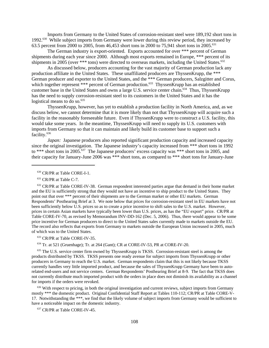Imports from Germany to the United States of corrosion-resistant steel were 189,192 short tons in 1992.630 While subject imports from Germany were lower during this review period, they increased by 63.5 percent from 2000 to 2005, from 46,453 short tons in 2000 to 75,941 short tons in 2005.<sup>631</sup>

The German industry is export-oriented. Exports accounted for over \*\*\* percent of German shipments during each year since 2000. Although most exports remained in Europe, \*\*\* percent of its shipments in 2005 (over \*\*\* tons) were directed to overseas markets, including the United States. $632$ 

As discussed below, producers accounting for the vast majority of German production lack any production affiliate in the United States. These unaffiliated producers are ThyssenKrupp, the \*\*\* German producer and exporter to the United States, and the \*\*\* German producers, Salzgitter and Corus, which together represent \*\*\* percent of German production.<sup>633</sup> ThyssenKrupp has an established customer base in the United States and owns a large U.S. service center chain.<sup>634</sup> Thus, ThyssenKrupp has the need to supply corrosion-resistant steel to its customers in the United States and it has the logistical means to do so.<sup>635</sup>

ThyssenKrupp, however, has yet to establish a production facility in North America, and, as we discuss below, we cannot determine that it is more likely than not that ThyssenKrupp will acquire such a facility in the reasonably foreseeable future. Even if ThyssenKrupp were to construct a U.S. facility, this would take some years. In the meantime, ThyssenKrupp will need to supply its U.S. customers with imports from Germany so that it can maintain and likely build its customer base to support such a facility.<sup>636</sup>

*Japan:* Japanese producers also reported significant production capacity and increased capacity since the original investigation. The Japanese industry's capacity increased from \*\*\* short tons in 1992 to \*\*\* short tons in 2005.<sup>637</sup> The Japanese producers' excess capacity was \*\*\* short tons in 2005, and their capacity for January-June 2006 was \*\*\* short tons, as compared to \*\*\* short tons for January-June

 632 CR/PR at Table CORE-IV-38. German respondent interested parties argue that demand in their home market and the EU is sufficiently strong that they would not have an incentive to ship product to the United States. They point out that over \*\*\* percent of their shipments are to the German market or other EU markets. German Respondents' Posthearing Brief at 3. We note below that prices for corrosion-resistant steel in EU markets have not been sufficiently below U.S. prices so as to create a price incentive to shift sales to the U.S. market. However, prices in certain Asian markets have typically been lower than U.S. prices, as has the "EU export" price. CR/PR at Table CORE-IV-70, as revised by Memorandum INV-DD-162 (Dec. 5, 2006). Thus, there would appear to be some price incentive for German producers to direct to the United States sales currently made to markets outside the EU. The record also reflects that exports from Germany to markets outside the European Union increased in 2005, much of which was to the United States.

633 CR/PR at Table CORE-IV-35.

634 Tr. at 521 (Gruenhage); Tr. at 264 (Gant); CR at CORE-IV-53, PR at CORE-IV-20.

<sup>635</sup> The U.S. service center firm owned by ThyssenKrupp is TKSS. Corrosion-resistant steel is among the products distributed by TKSS. TKSS presents one ready avenue for subject imports from ThyssenKrupp or other producers in Germany to reach the U.S. market. German respondents claim that this is not likely because TKSS currently handles very little imported product, and because the sales of ThyssenKrupp Germany have been to autorelated end-users and not service centers. German Respondents' Posthearing Brief at 8-9. The fact that TKSS does not currently distribute much imported product with the orders in place does not diminish its availability as a channel for imports if the orders were revoked.

<sup>636</sup> With respect to pricing, in both the original investigation and current reviews, subject imports from Germany mostly \*\*\* the domestic product. Original Confidential Staff Report at Tables 110-112; CR/PR at Table CORE-V-17. Notwithstanding the \*\*\*, we find that the likely volume of subject imports from Germany would be sufficient to have a noticeable impact on the domestic industry.

637 CR/PR at Table CORE-IV-45.

 <sup>630</sup> CR/PR at Table CORE-I-1.

<sup>&</sup>lt;sup>631</sup> CR/PR at Table C-7.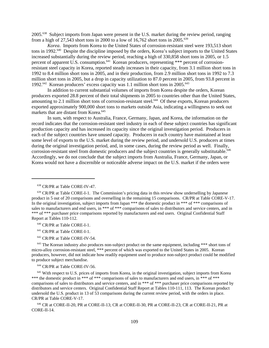2005.638 Subject imports from Japan were present in the U.S. market during the review period, ranging from a high of 27,543 short tons in 2000 to a low of 16,762 short tons in 2005.<sup>639</sup>

*Korea*. Imports from Korea to the United States of corrosion-resistant steel were 193,513 short tons in 1992.<sup>640</sup> Despite the discipline imposed by the orders, Korea's subject imports to the United States increased substantially during the review period, reaching a high of 330,858 short tons in 2005, or 1.5 percent of apparent U.S. consumption.<sup>641</sup> Korean producers, representing \*\*\* percent of corrosionresistant steel capacity in Korea, reported steady increases in their capacity, from 3.1 million short tons in 1992 to 8.4 million short tons in 2005, and in their production, from 2.9 million short tons in 1992 to 7.3 million short tons in 2005, but a drop in capacity utilization to 87.0 percent in 2005, from 93.8 percent in 1992.<sup>642</sup> Korean producers' excess capacity was 1.1 million short tons in 2005.<sup>643</sup>

In addition to current substantial volumes of imports from Korea despite the orders, Korean producers exported 28.8 percent of their total shipments in 2005 to countries other than the United States, amounting to 2.1 million short tons of corrosion-resistant steel.<sup>644</sup> Of these exports, Korean producers exported approximately 900,000 short tons to markets outside Asia, indicating a willingness to seek out markets that are distant from Korea.<sup>645</sup>

In sum, with respect to Australia, France, Germany, Japan, and Korea, the information on the record indicates that the corrosion-resistant steel industry in each of these subject countries has significant production capacity and has increased its capacity since the original investigation period. Producers in each of the subject countries have unused capacity. Producers in each country have maintained at least some level of exports to the U.S. market during the review period, and undersold U.S. producers at times during the original investigation period, and, in some cases, during the review period as well. Finally, corrosion-resistant steel from domestic producers and the subject countries is generally substitutable.<sup>646</sup> Accordingly, we do not conclude that the subject imports from Australia, France, Germany, Japan, or Korea would not have a discernible or noticeable adverse impact on the U.S. market if the orders were

640 CR/PR at Table CORE-I-1.

641 CR/PR at Table CORE-I-1.

642 CR/PR at Table CORE-IV-54.

 $643$  The Korean industry also produces non-subject product on the same equipment, including \*\*\* short tons of micro-alloy corrosion-resistant steel, \*\*\* percent of which was exported to the United States in 2005. Korean producers, however, did not indicate how readily equipment used to produce non-subject product could be modified to produce subject merchandise.

644 CR/PR at Table CORE-IV-56.

<sup>645</sup> With respect to U.S. prices of imports from Korea, in the original investigation, subject imports from Korea \*\*\* the domestic product in \*\*\* of \*\*\* comparisons of sales to manufacturers and end users, in \*\*\* of \*\*\* comparisons of sales to distributors and service centers, and in \*\*\* of \*\*\* purchaser price comparisons reported by distributors and service centers. Original Confidential Staff Report at Tables 110-111, 113. The Korean product undersold the U.S. product in 13 of 53 comparisons during the current review period, with the orders in place. CR/PR at Table CORE-V-17.

 646 CR at CORE-II-20, PR at CORE-II-13; CR at CORE-II-30, PR at CORE-II-23; CR at CORE-II-21, PR at CORE-II-14.

 <sup>638</sup> CR/PR at Table CORE-IV-47.

 <sup>639</sup> CR/PR at Table CORE-I-1. The Commission's pricing data in this review show underselling by Japanese product in 5 out of 20 comparisons and overselling in the remaining 15 comparisons. CR/PR at Table CORE-V-17. In the original investigation, subject imports from Japan \*\*\* the domestic product in \*\*\* of \*\*\* comparisons of sales to manufacturers and end users, in \*\*\* of \*\*\* comparisons of sales to distributors and service centers, and in \*\*\* of \*\*\* purchaser price comparisons reported by manufacturers and end users. Original Confidential Staff Report at Tables 110-112.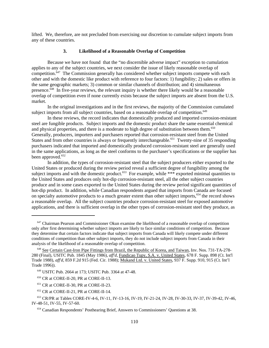lifted. We, therefore, are not precluded from exercising our discretion to cumulate subject imports from any of these countries.

# **3. Likelihood of a Reasonable Overlap of Competition**

Because we have not found that the "no discernible adverse impact" exception to cumulation applies to any of the subject countries, we next consider the issue of likely reasonable overlap of competition.<sup>647</sup> The Commission generally has considered whether subject imports compete with each other and with the domestic like product with reference to four factors: 1) fungibility; 2) sales or offers in the same geographic markets; 3) common or similar channels of distribution; and 4) simultaneous presence.648 In five-year reviews, the relevant inquiry is whether there likely would be a reasonable overlap of competition even if none currently exists because the subject imports are absent from the U.S. market.

In the original investigations and in the first reviews, the majority of the Commission cumulated subject imports from all subject countries, based on a reasonable overlap of competition.<sup>649</sup>

In these reviews, the record indicates that domestically produced and imported corrosion-resistant steel are fungible products. Subject imports and the domestic product share the same essential chemical and physical properties, and there is a moderate to high degree of substitution between them.<sup>650</sup> Generally, producers, importers and purchasers reported that corrosion-resistant steel from the United States and from other countries is always or frequently interchangeable.<sup>651</sup> Twenty-nine of 35 responding purchasers indicated that imported and domestically produced corrosion-resistant steel are generally used in the same applications, as long as the steel conforms to the purchaser's specifications or the supplier has been approved.<sup>652</sup>

In addition, the types of corrosion-resistant steel that the subject producers either exported to the United States or produced during the review period reveal a sufficient degree of fungibility among the subject imports and with the domestic product.<sup>653</sup> For example, while \*\*\* exported minimal quantities to the United States and produces only hot-dip corrosion-resistant steel, all the other subject countries produce and in some cases exported to the United States during the review period significant quantities of hot-dip product. In addition, while Canadian respondents argued that imports from Canada are focused on specialty automotive products to a much greater extent than other subject imports,<sup>654</sup> the record shows a reasonable overlap. All the subject countries produce corrosion-resistant steel for exposed automotive applications, and there is sufficient overlap in the other types of corrosion-resistant steel they produce, as

 $647$  Chairman Pearson and Commissioner Okun examine the likelihood of a reasonable overlap of competition only after first determining whether subject imports are likely to face similar conditions of competition. Because they determine that certain factors indicate that subject imports from Canada will likely compete under different conditions of competition than other subject imports, they do not include subject imports from Canada in their analysis of the likelihood of a reasonable overlap of competition.

 <sup>648</sup> See Certain Cast-Iron Pipe Fittings from Brazil, the Republic of Korea, and Taiwan, Inv. Nos. 731-TA-278- 280 (Final), USITC Pub. 1845 (May 1986), *aff'd*, Fundicao Tupy, S.A. v. United States, 678 F. Supp. 898 (Ct. Int'l Trade 1988), *aff'd*, 859 F.2d 915 (Fed. Cir. 1988); Mukand Ltd. v. United States, 937 F. Supp. 910, 915 (Ct. Int'l Trade 1996)).

 <sup>649</sup> USITC Pub. 2664 at 173; USITC Pub. 3364 at 47-48.

 <sup>650</sup> CR at CORE-II-20, PR at CORE-II-13.

 <sup>651</sup> CR at CORE-II-30, PR at CORE-II-23.

 <sup>652</sup> CR at CORE-II-21, PR at CORE-II-14.

 <sup>653</sup> CR/PR at Tables CORE-IV-4-6, IV-11, IV-13-16, IV-19, IV-21-24, IV-28, IV-30-33, IV-37, IV-39-42, IV-46, IV-48-51, IV-55, IV-57-60.

 <sup>654</sup> Canadian Respondents' Posthearing Brief, Answers to Commissioners' Questions at 38.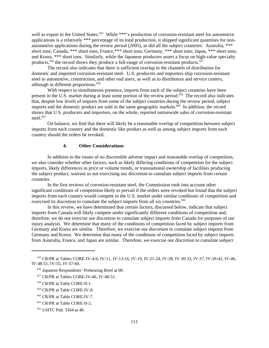well as export to the United States.<sup>655</sup> While \*\*\*'s production of corrosion-resistant steel for automotive applications is a relatively \*\*\* percentage of its total production, it shipped significant quantities for nonautomotive applications during the review period (2005), as did all the subject countries: Australia, \*\*\* short tons; Canada, \*\*\* short tons; France,\*\*\* short tons; Germany, \*\*\* short tons; Japan, \*\*\* short tons; and Korea, \*\*\* short tons. Similarly, while the Japanese producers assert a focus on high-value specialty products,  $656$  the record shows they produce a full-range of corrosion-resistant products.  $657$ 

The record also indicates that there is sufficient overlap in the channels of distribution for domestic and imported corrosion-resistant steel. U.S. producers and importers ship corrosion-resistant steel to automotive, construction, and other end users, as well as to distributors and service centers, although in different proportions.<sup>658</sup>

With respect to simultaneous presence, imports from each of the subject countries have been present in the U.S. market during at least some portion of the review period.<sup>659</sup> The record also indicates that, despite low levels of imports from some of the subject countries during the review period, subject imports and the domestic product are sold in the same geographic markets.<sup>660</sup> In addition, the record shows that U.S. producers and importers, on the whole, reported nationwide sales of corrosion-resistant steel. $661$ 

On balance, we find that there will likely be a reasonable overlap of competition between subject imports from each country and the domestic like product as well as among subject imports from each country should the orders be revoked.

### **4. Other Considerations**

In addition to the issues of no discernible adverse impact and reasonable overlap of competition, we also consider whether other factors, such as likely differing conditions of competition for the subject imports, likely differences in price or volume trends, or transnational ownership of facilities producing the subject product, warrant us not exercising our discretion to cumulate subject imports from certain countries.

In the first reviews of corrosion-resistant steel, the Commission took into account other significant conditions of competition likely to prevail if the orders were revoked but found that the subject imports from each country would compete in the U.S. market under similar conditions of competition and exercised its discretion to cumulate the subject imports from all six countries.<sup>662</sup>

In this review, we have determined that certain factors, discussed below, indicate that subject imports from Canada will likely compete under significantly different conditions of competition and, therefore, we do not exercise our discretion to cumulate subject imports from Canada for purposes of our injury analysis. We determine that many of the conditions of competition faced by subject imports from Germany and Korea are similar. Therefore, we exercise our discretion to cumulate subject imports from Germany and Korea. We determine that many of the conditions of competition faced by subject imports from Australia, France, and Japan are similar. Therefore, we exercise our discretion to cumulate subject

- 657 CR/PR at Tables CORE-IV-46, IV-48-51.
- 658 CR/PR at Table CORE-II-1.
- 659 CR/PR at Table CORE-IV-8.
- 660 CR/PR at Table CORE-IV-7.

 <sup>655</sup> CR/PR at Tables CORE-IV-4-6, IV-11, IV-13-16, IV-19, IV-21-24, IV-28, IV-30-33, IV-37, IV-39-42, IV-46, IV-48-51, IV-55, IV-57-60.

 <sup>656</sup> Japanese Respondents' Prehearing Brief at 90.

 <sup>661</sup> CR/PR at Table CORE-II-2.

 <sup>662</sup> USITC Pub. 3364 at 48.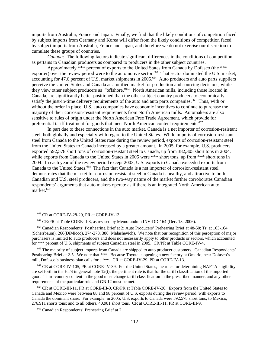imports from Australia, France and Japan. Finally, we find that the likely conditions of competition faced by subject imports from Germany and Korea will differ from the likely conditions of competition faced by subject imports from Australia, France and Japan, and therefore we do not exercise our discretion to cumulate these groups of countries.

*Canada:* The following factors indicate significant differences in the conditions of competition as pertains to Canadian producers as compared to producers in the other subject countries.

Approximately \*\*\* percent of exports to the United States from Canada by Dofasco (the \*\*\* exporter) over the review period were to the automotive sector.<sup>663</sup> That sector dominated the U.S. market, accounting for 47.6 percent of U.S. market shipments in 2005.<sup>664</sup> Auto producers and auto parts suppliers perceive the United States and Canada as a unified market for production and sourcing decisions, while they view other subject producers as "offshore."665 North American mills, including those located in Canada, are significantly better positioned than the other subject country producers to economically satisfy the just-in-time delivery requirements of the auto and auto parts companies.<sup>666</sup> Thus, with or without the order in place, U.S. auto companies have economic incentives to continue to purchase the majority of their corrosion-resistant requirements from North American mills. Automakers are also sensitive to rules of origin under the North American Free Trade Agreement, which provide for preferential tariff treatment for goods that meet North American content requirements.<sup>667</sup>

In part due to these connections in the auto market, Canada is a net importer of corrosion-resistant steel, both globally and especially with regard to the United States. While imports of corrosion-resistant steel from Canada to the United States rose during the review period, exports of corrosion-resistant steel from the United States to Canada increased by a greater amount. In 2005, for example, U.S. producers exported 592,578 short tons of corrosion-resistant steel to Canada, up from 382,305 short tons in 2004, while exports from Canada to the United States in 2005 were \*\*\* short tons, up from \*\*\* short tons in 2004. In each year of the review period except 2003, U.S. exports to Canada exceeded exports from Canada to the United States.<sup>668</sup> The fact that Canada is a net importer of corrosion-resistant steel demonstrates that the market for corrosion-resistant steel in Canada is healthy, and attractive to both Canadian and U.S. steel producers, and the two-way nature of the market further corroborates Canadian respondents' arguments that auto makers operate as if there is an integrated North American auto market.<sup>669</sup>

<sup>666</sup> The majority of subject imports from Canada are shipped to auto producer customers. Canadian Respondents' Posthearing Brief at 2-5. We note that \*\*\*. Because Toyota is opening a new factory at Ontario, near Dofasco's mill, Dofasco's business plan calls for a \*\*\*. CR at CORE-IV-29, PR at CORE-IV-13.

 667 CR at CORE-IV-105, PR at CORE-IV-39. For the United States, the rules for determining NAFTA eligibility are set forth in the HTS in general note  $12(t)$ ; the pertinent rule is that for the tariff classification of the imported good. Third-country content in the good must change tariff classification in the prescribed manner, and any other requirements of the particular rule and GN 12 must be met.

 668 CR at CORE-III-11, PR at CORE-III-9, CR/PR at Table CORE-IV-20. Exports from the United States to Canada and Mexico were between 88 and 98 percent of U.S. exports during the review period, with exports to Canada the dominant share. For example, in 2005, U.S. exports to Canada were 592,578 short tons; to Mexico, 276,911 shorts tons; and to all others, 40,981 short tons. CR at CORE-III-11, PR at CORE-III-9.

669 Canadian Respondents' Prehearing Brief at 2.

 <sup>663</sup> CR at CORE-IV-28-29, PR at CORE-IV-13.

 <sup>664</sup> CR/PR at Table CORE-II-3, as revised by Memorandum INV-DD-164 (Dec. 13, 2006).

 <sup>665</sup> Canadian Respondents' Posthearing Brief at 2; Auto Producers' Prehearing Brief at 48-50; Tr. at 163-164 (Scherrbaum), 266(DiMicco), 274-278, 386 (Malashevich). We note that our recognition of this perception of major purchasers is limited to auto producers and does not necessarily apply to other products or sectors, which accounted for \*\*\* percent of U.S. shipments of subject Canadian steel in 2005. CR/PR at Table CORE-IV-4.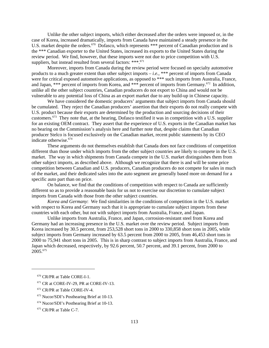Unlike the other subject imports, which either decreased after the orders were imposed or, in the case of Korea, increased dramatically, imports from Canada have maintained a steady presence in the U.S. market despite the orders.<sup>670</sup> Dofasco, which represents \*\*\* percent of Canadian production and is the \*\*\* Canadian exporter to the United States, increased its exports to the United States during the review period. We find, however, that these imports were not due to price competition with U.S. suppliers, but instead resulted from several factors: \*\*\*.<sup>671</sup>

Moreover, imports from Canada during the review period were focused on specialty automotive products to a much greater extent than other subject imports – *i.e.*, \*\*\* percent of imports from Canada were for critical exposed automotive applications, as opposed to \*\*\* such imports from Australia, France, and Japan, \*\*\* percent of imports from Korea, and \*\*\* percent of imports from Germany.<sup>672</sup> In addition, unlike all the other subject countries, Canadian producers do not export to China and would not be vulnerable to any potential loss of China as an export market due to any build-up in Chinese capacity.

We have considered the domestic producers' arguments that subject imports from Canada should be cumulated. They reject the Canadian producers' assertion that their exports do not really compete with U.S. product because their exports are determined by the production and sourcing decisions of their customers.673 They note that, at the hearing, Dofasco testified it was in competition with a U.S. supplier for an existing OEM contract. They assert that the experience of U.S. exports in the Canadian market has no bearing on the Commission's analysis here and further note that, despite claims that Canadian producer Stelco is focused exclusively on the Canadian market, recent public statements by its CEO indicate otherwise.674

These arguments do not themselves establish that Canada does not face conditions of competition different than those under which imports from the other subject countries are likely to compete in the U.S. market. The way in which shipments from Canada compete in the U.S. market distinguishes them from other subject imports, as described above. Although we recognize that there is and will be some price competition between Canadian and U.S. producers, Canadian producers do not compete for sales in much of the market, and their dedicated sales into the auto segment are generally based more on demand for a specific auto part than on price.

On balance, we find that the conditions of competition with respect to Canada are sufficiently different so as to provide a reasonable basis for us not to exercise our discretion to cumulate subject imports from Canada with those from the other subject countries.

*Korea and Germany*: We find similarities in the conditions of competition in the U.S. market with respect to Korea and Germany such that it is appropriate to cumulate subject imports from these countries with each other, but not with subject imports from Australia, France, and Japan.

Unlike imports from Australia, France, and Japan, corrosion-resistant steel from Korea and Germany had an increasing presence in the U.S. market over the review period. Subject imports from Korea increased by 30.5 percent, from 253,528 short tons in 2000 to 330,858 short tons in 2005, while subject imports from Germany increased by 63.5 percent from 2000 to 2005, from 46,453 short tons in 2000 to 75,941 short tons in 2005. This is in sharp contrast to subject imports from Australia, France, and Japan which decreased, respectively, by 92.6 percent, 50.7 percent, and 39.1 percent, from 2000 to 2005.675

- $671$  CR at CORE-IV-29, PR at CORE-IV-13.
- 672 CR/PR at Table CORE-IV-4.
- 673 Nucor/SDI's Posthearing Brief at 10-13.

 <sup>670</sup> CR/PR at Table CORE-I-1.

 <sup>674</sup> Nucor/SDI's Posthearing Brief at 10-13.

 <sup>675</sup> CR/PR at Table C-7.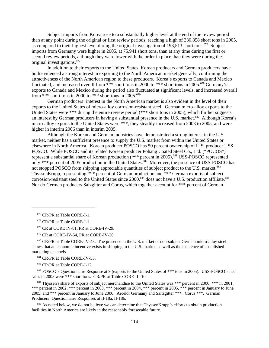Subject imports from Korea rose to a substantially higher level at the end of the review period than at any point during the original or first review periods, reaching a high of 330,858 short tons in 2005, as compared to their highest level during the original investigation of 193,513 short tons.<sup>676</sup> Subject imports from Germany were higher in 2005, at 75,941 short tons, than at any time during the first or second review periods, although they were lower with the order in place than they were during the original investigations.677

In addition to their exports to the United States, Korean producers and German producers have both evidenced a strong interest in exporting to the North American market generally, confirming the attractiveness of the North American region to these producers. Korea's exports to Canada and Mexico fluctuated, and increased overall from \*\*\* short tons in 2000 to \*\*\* short tons in 2005.<sup>678</sup> Germany's exports to Canada and Mexico during the period also fluctuated at significant levels, and increased overall from \*\*\* short tons in 2000 to \*\*\* short tons in 2005.<sup>679</sup>

German producers' interest in the North American market is also evident in the level of their exports to the United States of micro-alloy corrosion-resistant steel. German micro-alloy exports to the United States were \*\*\* during the entire review period (\*\*\* short tons in 2005), which further suggests an interest by German producers in having a substantial presence in the U.S. market.<sup>680</sup> Although Korea's micro-alloy exports to the United States were \*\*\*, they steadily increased from 2003 to 2005, and were higher in interim 2006 than in interim 2005.

Although the Korean and German industries have demonstrated a strong interest in the U.S. market, neither has a sufficient presence to supply the U.S. market from within the United States or elsewhere in North America. Korean producer POSCO has 50 percent ownership of U.S. producer USS-POSCO. While POSCO and its related Korean producer Pohang Coated Steel Co., Ltd. ("POCOS") represent a substantial share of Korean production (\*\*\* percent in 2005),<sup>681</sup> USS-POSCO represented only \*\*\* percent of 2005 production in the United States.<sup>682</sup> Moreover, the presence of USS-POSCO has not stopped POSCO from shipping appreciable quantities of subject product to the U.S. market.<sup>683</sup> ThyssenKrupp, representing \*\*\* percent of German production and \*\*\* German exports of subject corrosion-resistant steel to the United States since  $2000$ ,<sup>684</sup> does not have a U.S. production affiliate.<sup>685</sup> Nor do German producers Salzgitter and Corus, which together account for \*\*\* percent of German

679 CR at CORE-IV-54, PR at CORE-IV-20.

<sup>680</sup> CR/PR at Table CORE-IV-43. The presence in the U.S. market of non-subject German micro-alloy steel shows that an economic incentive exists in shipping to the U.S. market, as well as the existence of established marketing channels.

681 CR/PR at Table CORE-IV-53.

682 CR/PR at Table CORE-I-12.

 683 POSCO's Questionnaire Response at 9 (exports to the United States of \*\*\* tons in 2005). USS-POSCO's net sales in 2005 were \*\*\* short tons. CR/PR at Table CORE-III-10.

<sup>684</sup> Thyssen's share of exports of subject merchandise to the United States was \*\*\* percent in 2000, \*\*\* in 2001, \*\*\* percent in 2002, \*\*\* percent in 2003, \*\*\* percent in 2004, \*\*\* percent in 2005, \*\*\* percent in January to June 2005, and \*\*\* percent in January to June 2006. Arcelor Germany and Saltzgitter \*\*\*. Corus \*\*\*. German Producers' Questionnaire Responses at II-18a, II-18b.

 $685$  As noted below, we do not believe we can determine that ThyssenKrupp's efforts to obtain production facilities in North America are likely in the reasonably foreseeable future.

 <sup>676</sup> CR/PR at Table CORE-I-1.

 <sup>677</sup> CR/PR at Table CORE-I-1.

 <sup>678</sup> CR at CORE IV-81, PR at CORE-IV-29.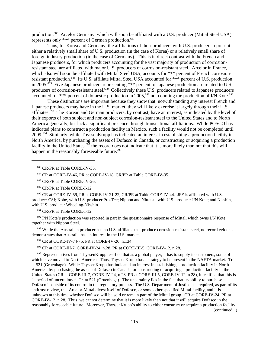production.<sup>686</sup> Arcelor Germany, which will soon be affiliated with a U.S. producer (Mittal Steel USA), represents only \*\*\* percent of German production.<sup>687</sup>

Thus, for Korea and Germany, the affiliations of their producers with U.S. producers represent either a relatively small share of U.S. production (in the case of Korea) or a relatively small share of foreign industry production (in the case of Germany). This is in direct contrast with the French and Japanese producers, for which producers accounting for the vast majority of production of corrosionresistant steel are affiliated with major U.S. producers of corrosion-resistant steel. Arcelor in France, which also will soon be affiliated with Mittal Steel USA, accounts for \*\*\* percent of French corrosionresistant production.<sup>688</sup> Its U.S. affiliate Mittal Steel USA accounted for \*\*\* percent of U.S. production in 2005.689 Five Japanese producers representing \*\*\* percent of Japanese production are related to U.S. producers of corrosion-resistant steel.<sup>690</sup> Collectively these U.S. producers related to Japanese producers accounted for \*\*\* percent of domestic production in 2005,<sup>691</sup> not counting the production of I/N Kote.<sup>692</sup>

These distinctions are important because they show that, notwithstanding any interest French and Japanese producers may have in the U.S. market, they will likely exercise it largely through their U.S. affiliates.<sup> $693$ </sup> The Korean and German producers, by contrast, have an interest, as indicated by the level of their exports of both subject and non-subject corrosion-resistant steel to the United States and to North America generally, but lack a significant presence through transnational affiliations. While POSCO has indicated plans to construct a production facility in Mexico, such a facility would not be completed until 2009.<sup>694</sup> Similarly, while ThyssenKrupp has indicated an interest in establishing a production facility in North America, by purchasing the assets of Dofasco in Canada, or constructing or acquiring a production facility in the United States,<sup>695</sup> the record does not indicate that it is more likely than not that this will happen in the reasonably foreseeable future.<sup>696</sup>

686 CR/PR at Table CORE-IV-35.

 690 CR at CORE-IV-59, PR at CORE-IV-21-22, CR/PR at Table CORE-IV-44. JFE is affiliated with U.S. producer CSI; Kobe, with U.S. producer Pro-Tec; Nippon and Nittetsu, with U.S. producer I/N Kote; and Nisshin, with U.S. producer Wheeling-Nisshin.

691 CR/PR at Table CORE-I-12.

 $692$  I/N Kote's production was reported in part in the questionnaire response of Mittal, which owns I/N Kote together with Nippon Steel.

<sup>693</sup> While the Australian producer has no U.S. affiliates that produce corrosion-resistant steel, no record evidence demonstrates that Australia has an interest in the U.S. market.

694 CR at CORE-IV-74-75, PR at CORE-IV-26, n.134.

695 CR at CORE-III-7, CORE-IV-24, n.28, PR at CORE-III-5, CORE-IV-12, n.28.

 $696$  Representatives from ThyssenKrupp testified that as a global player, it has to supply its customers, some of which have moved to North America. Thus, ThyssenKrupp has a strategy to be present in the NAFTA market. Tr. at 521 (Gruenhage). While ThyssenKrupp has indicated an interest in establishing a production facility in North America, by purchasing the assets of Dofasco in Canada, or constructing or acquiring a production facility in the United States (CR at CORE-III-7, CORE-IV-24, n.28, PR at CORE-III-5, CORE-IV-12, n.28), it testified that this is "a period of uncertainty." Tr. at 521 (Gruenhage). The uncertainty lies in the fact that its ability to purchase Dofasco is outside of its control in the regulatory process. The U.S. Department of Justice has required, as part of its antitrust review, that Arcelor-Mittal divest itself of Dofasco, or some other specified Mittal facility, and it is unknown at this time whether Dofasco will be sold or remain part of the Mittal group. CR at CORE-IV-24, PR at CORE-IV-12, n.28. Thus, we cannot determine that it is more likely than not that it will acquire Dofasco in the reasonably foreseeable future. Moreover, ThyssenKrupp's ability to either construct or acquire a production facility (continued...)

 <sup>687</sup> CR at CORE-IV-46, PR at CORE-IV-18, CR/PR at Table CORE-IV-35.

 <sup>688</sup> CR/PR at Table CORE-IV-26.

 <sup>689</sup> CR/PR at Table CORE-I-12.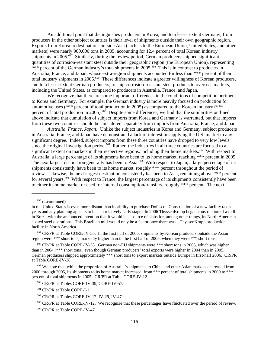An additional point that distinguishes producers in Korea, and to a lesser extent Germany, from producers in the other subject countries is their level of shipments outside their own geographic region. Exports from Korea to destinations outside Asia (such as to the European Union, United States, and other markets) were nearly 900,000 tons in 2005, accounting for 12.4 percent of total Korean industry shipments in 2005.<sup>697</sup> Similarly, during the review period, German producers shipped significant quantities of corrosion-resistant steel outside their geographic region (the European Union), representing \*\*\* percent of the German industry's total shipments in 2005.<sup>698</sup> This is in contrast to producers in Australia, France, and Japan, whose extra-region shipments accounted for less than \*\*\* percent of their total industry shipments in 2005.<sup>699</sup> These differences indicate a greater willingness of Korean producers, and to a lesser extent German producers, to ship corrosion-resistant steel products to overseas markets, including the United States, as compared to producers in Australia, France, and Japan.

We recognize that there are some important differences in the conditions of competition pertinent to Korea and Germany. For example, the German industry is more heavily focused on production for automotive uses (\*\*\* percent of total production in 2005) as compared to the Korean industry (\*\*\* percent of total production in 2005).<sup>700</sup> Despite some differences, we find that the similarities outlined above indicate that cumulation of subject imports from Korea and Germany is warranted, but that imports from these two countries should be considered separately from imports from Australia, France, and Japan.

*Australia, France, Japan:* Unlike the subject industries in Korea and Germany, subject producers in Australia, France, and Japan have demonstrated a lack of interest in supplying the U.S. market to any significant degree. Indeed, subject imports from these three countries have dropped to very low levels since the original investigation period.<sup>701</sup> Rather, the industries in all three countries are focused to a significant extent on markets in their respective regions, including their home markets.<sup>702</sup> With respect to Australia, a large percentage of its shipments have been to its home market, reaching \*\*\* percent in 2005. The next largest destination generally has been to Asia.<sup>703</sup> With respect to Japan, a large percentage of its shipments consistently have been to its home market, roughly \*\*\* percent throughout the period of review. Likewise, the next largest destination consistently has been to Asia, remaining above \*\*\* percent for several years.<sup>704</sup> With respect to France, the largest percentage of its shipments consistently have been to either its home market or used for internal consumption/transfers, roughly \*\*\* percent. The next

 $696$  (...continued)

in the United States is even more distant than its ability to purchase Dofasco. Construction of a new facility takes years and any planning appears to be at a relatively early stage. In 2006 ThyssenKrupp began construction of a mill in Brazil with the announced intention that it would be a source of slabs for, among other things, its North American coated steel operations. This Brazilian mill would only be a factor once there was a ThyssenKrupp production facility in North America.

 $697$  CR/PR at Table CORE-IV-56. In the first half of 2006, shipments by Korean producers outside the Asian region were \*\*\* short tons, markedly higher than in the first half of 2005, when they were \*\*\* short tons.

<sup>&</sup>lt;sup>698</sup> CR/PR at Table CORE-IV-38. German non-EU shipments were \*\*\* short tons in 2005, which was higher than in 2004 (\*\*\* short tons), even though German producers' total exports were higher in 2004 than in 2005. German producers shipped approximately \*\*\* short tons to export markets outside Europe in first-half 2006. CR/PR at Table CORE-IV-38.

<sup>&</sup>lt;sup>699</sup> We note that, while the proportion of Australia's shipments to China and other Asian markets decreased from 2000 through 2005, its shipments to its home market increased, from \*\*\* percent of total shipments in 2000 to \*\*\* percent of total shipments in 2005. CR/PR at Table CORE-IV-12.

 <sup>700</sup> CR/PR at Tables CORE-IV-39, CORE-IV-57.

 <sup>701</sup> CR/PR at Table CORE-I-1.

 $702$  CR/PR at Tables CORE-IV-12, IV-29, IV-47.

 $703$  CR/PR at Table CORE-IV-12. We recognize that these percentages have fluctuated over the period of review.

 <sup>704</sup> CR/PR at Table CORE-IV-47.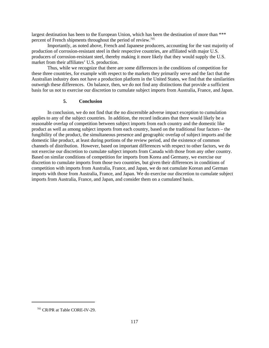largest destination has been to the European Union, which has been the destination of more than \*\*\* percent of French shipments throughout the period of review.705

Importantly, as noted above, French and Japanese producers, accounting for the vast majority of production of corrosion-resistant steel in their respective countries, are affiliated with major U.S. producers of corrosion-resistant steel, thereby making it more likely that they would supply the U.S. market from their affiliates' U.S. production.

Thus, while we recognize that there are some differences in the conditions of competition for these three countries, for example with respect to the markets they primarily serve and the fact that the Australian industry does not have a production platform in the United States, we find that the similarities outweigh these differences. On balance, then, we do not find any distinctions that provide a sufficient basis for us not to exercise our discretion to cumulate subject imports from Australia, France, and Japan.

## **5. Conclusion**

In conclusion, we do not find that the no discernible adverse impact exception to cumulation applies to any of the subject countries. In addition, the record indicates that there would likely be a reasonable overlap of competition between subject imports from each country and the domestic like product as well as among subject imports from each country, based on the traditional four factors – the fungibility of the product, the simultaneous presence and geographic overlap of subject imports and the domestic like product, at least during portions of the review period, and the existence of common channels of distribution. However, based on important differences with respect to other factors, we do not exercise our discretion to cumulate subject imports from Canada with those from any other country. Based on similar conditions of competition for imports from Korea and Germany, we exercise our discretion to cumulate imports from those two countries, but given their differences in conditions of competition with imports from Australia, France, and Japan, we do not cumulate Korean and German imports with those from Australia, France, and Japan. We do exercise our discretion to cumulate subject imports from Australia, France, and Japan, and consider them on a cumulated basis.

 <sup>705</sup> CR/PR at Table CORE-IV-29.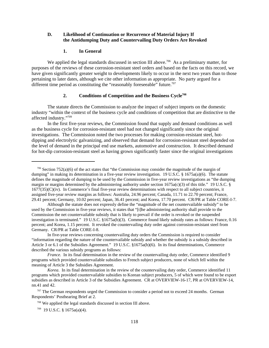### **D. Likelihood of Continuation or Recurrence of Material Injury If the Antidumping Duty and Countervailing Duty Orders Are Revoked**

### **1. In General**

We applied the legal standards discussed in section III above.<sup>706</sup> As a preliminary matter, for purposes of the reviews of these corrosion-resistant steel orders and based on the facts on this record, we have given significantly greater weight to developments likely to occur in the next two years than to those pertaining to later dates, although we cite other information as appropriate. No party argued for a different time period as constituting the "reasonably foreseeable" future.<sup>707</sup>

### **2. Conditions of Competition and the Business Cycle708**

The statute directs the Commission to analyze the impact of subject imports on the domestic industry "within the context of the business cycle and conditions of competition that are distinctive to the affected industry."709

In the first five-year reviews, the Commission found that supply and demand conditions as well as the business cycle for corrosion-resistant steel had not changed significantly since the original investigations. The Commission noted the two processes for making corrosion-resistant steel, hotdipping and electrolytic galvanizing, and observed that demand for corrosion-resistant steel depended on the level of demand in the principal end use markets, automotive and construction. It described demand for hot-dip corrosion-resistant steel as having grown significantly faster since the original investigations

 $706$  Section 752(a)(6) of the act states that "the Commission may consider the magnitude of the margin of dumping" in making its determination in a five-year review investigation. 19 U.S.C. § 1675a(a)(6). The statute defines the magnitude of dumping to be used by the Commission in five-year review investigations as "the dumping margin or margins determined by the administering authority under section 1675a(c)(3) of this title." 19 U.S.C. §  $1677(35)(C)(iv)$ . In Commerce's final five-year review determinations with respect to all subject countries, it assigned five-year review margins as follows: Australia, 24.96 percent; Canada, 11.71 to 22.70 percent; France, 29.41 percent; Germany, 10.02 percent; Japan, 36.41 percent; and Korea, 17.70 percent. CR/PR at Table CORE-I-7.

Although the statute does not expressly define the "magnitude of the net countervailable subsidy" to be used by the Commission in five-year reviews, it states that "[t]he administering authority shall provide to the Commission the net countervailable subsidy that is likely to prevail if the order is revoked or the suspended investigation is terminated." 19 U.S.C. §1675a(b)(3). Commerce found likely subsidy rates as follows: France, 0.16 percent; and Korea, 1.15 percent. It revoked the countervailing duty order against corrosion-resistant steel from Germany. CR/PR at Table CORE-I-8.

In five-year reviews concerning countervailing duty orders the Commission is required to consider "information regarding the nature of the countervailable subsidy and whether the subsidy is a subsidy described in Article 3 or 6.1 of the Subsidies Agreement." 19 U.S.C. §1675a(b)(6). In its final determinations, Commerce described the various subsidy programs as follows:

*France.* In its final determination in the review of the countervailing duty order, Commerce identified 9 programs which provided countervailable subsidies to French subject producers, none of which fell within the meaning of Article 3 the Subsidies Agreement.

*Korea*. In its final determination in the review of the countervailing duty order, Commerce identified 11 programs which provided countervailable subsidies to Korean subject producers, 5 of which were found to be export subsidies as described in Article 3 of the Subsidies Agreement. CR at OVERVIEW-16-17, PR at OVERVIEW-14, nn.41 and 42.

<sup>707</sup> The German respondents urged the Commission to consider a period not to exceed 24 months. German Respondents' Posthearing Brief at 2.

 <sup>708</sup> We applied the legal standards discussed in section III above.

 <sup>709 19</sup> U.S.C. § 1675a(a)(4).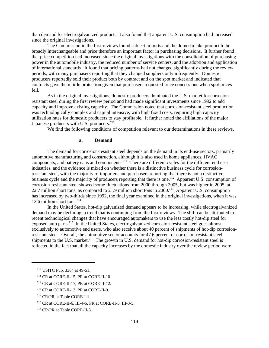than demand for electrogalvanized product. It also found that apparent U.S. consumption had increased since the original investigations.

The Commission in the first reviews found subject imports and the domestic like product to be broadly interchangeable and price therefore an important factor in purchasing decisions. It further found that price competition had increased since the original investigations with the consolidation of purchasing power in the automobile industry, the reduced number of service centers, and the adoption and application of international standards. It found that pricing patterns had not changed significantly during the review periods, with many purchasers reporting that they changed suppliers only infrequently. Domestic producers reportedly sold their product both by contract and on the spot market and indicated that contracts gave them little protection given that purchasers requested price concessions when spot prices fell.

As in the original investigations, domestic producers dominated the U.S. market for corrosionresistant steel during the first review period and had made significant investments since 1992 to add capacity and improve existing capacity. The Commission noted that corrosion-resistant steel production was technologically complex and capital intensive, with high fixed costs, requiring high capacity utilization rates for domestic producers to stay profitable. It further noted the affiliations of the major Japanese producers with U.S. producers.<sup>710</sup>

We find the following conditions of competition relevant to our determinations in these reviews.

#### **a. Demand**

The demand for corrosion-resistant steel depends on the demand in its end-use sectors, primarily automotive manufacturing and construction, although it is also used in home appliances, HVAC components, and battery cans and components.711 There are different cycles for the different end user industries, and the evidence is mixed on whether there is a distinctive business cycle for corrosionresistant steel, with the majority of importers and purchasers reporting that there is not a distinctive business cycle and the majority of producers reporting that there is one.<sup>712</sup> Apparent U.S. consumption of corrosion-resistant steel showed some fluctuations from 2000 through 2005, but was higher in 2005, at 22.7 million short tons, as compared to 21.9 million short tons in 2000.<sup>713</sup> Apparent U.S. consumption has increased by two-thirds since 1992, the final year examined in the original investigations, when it was 13.6 million short tons.<sup>714</sup>

In the United States, hot-dip galvanized demand appears to be increasing, while electrogalvanized demand may be declining, a trend that is continuing from the first reviews. The shift can be attributed to recent technological changes that have encouraged automakers to use the less costly hot-dip steel for exposed auto parts.<sup>715</sup> In the United States, electrogalvanized corrosion-resistant steel goes almost exclusively to automotive end users, who also receive about 40 percent of shipments of hot-dip corrosionresistant steel. Overall, the automotive sector accounts for 47.6 percent of corrosion-resistant steel shipments to the U.S. market.<sup>716</sup> The growth in U.S. demand for hot-dip corrosion-resistant steel is reflected in the fact that all the capacity increases by the domestic industry over the review period were

- 711 CR at CORE-II-15, PR at CORE-II-10.
- 712 CR at CORE-II-17, PR at CORE-II-12.
- 713 CR at CORE-II-13, PR at CORE-II-9.

 <sup>710</sup> USITC Pub. 3364 at 49-51.

 <sup>714</sup> CR/PR at Table CORE-I-1.

 <sup>715</sup> CR at CORE-II-6, III-4-6, PR at CORE-II-5, III-3-5.

 <sup>716</sup> CR/PR at Table CORE-II-3.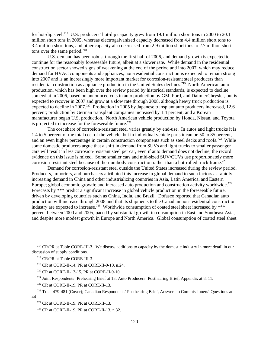for hot-dip steel.<sup>717</sup> U.S. producers' hot-dip capacity grew from 19.1 million short tons in 2000 to 20.1 million short tons in 2005, whereas electrogalvanized capacity decreased from 4.4 million short tons to 3.4 million short tons, and other capacity also decreased from 2.9 million short tons to 2.7 million short tons over the same period.<sup>718</sup>

U.S. demand has been robust through the first half of 2006, and demand growth is expected to continue for the reasonably foreseeable future, albeit at a slower rate. While demand in the residential construction sector showed signs of weakening at the end of the period and into 2007, which may reduce demand for HVAC components and appliances, non-residential construction is expected to remain strong into 2007 and is an increasingly more important market for corrosion-resistant steel producers than residential construction as appliance production in the United States declines.<sup>719</sup> North American auto production, which has been high over the review period by historical standards, is expected to decline somewhat in 2006, based on announced cuts in auto production by GM, Ford, and DaimlerChrysler, but is expected to recover in 2007 and grow at a slow rate through 2008, although heavy truck production is expected to decline in 2007.<sup>720</sup> Production in 2005 by Japanese transplant auto producers increased, 12.6 percent; production by German transplant companies increased by 1.4 percent; and a Korean manufacturer began U.S. production. North American vehicle production by Honda, Nissan, and Toyota is projected to increase for the foreseeable future.<sup>721</sup>

The cost share of corrosion-resistant steel varies greatly by end-use. In autos and light trucks it is 1.4 to 5 percent of the total cost of the vehicle, but in individual vehicle parts it can be 50 to 85 percent, and an even higher percentage in certain construction components such as steel decks and roofs.<sup>722</sup> While some domestic producers argue that a shift in demand from SUVs and light trucks to smaller passenger cars will result in less corrosion-resistant steel per car, even if auto demand does not decline, the record evidence on this issue is mixed. Some smaller cars and mid-sized SUV/CUVs use proportionately more corrosion-resistant steel because of their unibody construction rather than a hot-rolled truck frame.<sup>723</sup>

Demand for corrosion-resistant steel outside the United States increased during the review period. Producers, importers, and purchasers attributed this increase in global demand to such factors as rapidly increasing demand in China and other industrializing countries in Asia, Latin America, and Eastern Europe; global economic growth; and increased auto production and construction activity worldwide.<sup>724</sup> Forecasts by \*\*\* predict a significant increase in global vehicle production in the foreseeable future, driven by developing countries such as China, India, and Brazil. Dofasco reported that Canadian auto production will increase through 2008 and that its shipments to the Canadian non-residential construction industry are expected to increase.<sup>725</sup> Worldwide consumption of coated steel sheet increased by \*\*\* percent between 2000 and 2005, paced by substantial growth in consumption in East and Southeast Asia, and despite more modest growth in Europe and North America. Global consumption of coated steel sheet

<sup>&</sup>lt;sup>717</sup> CR/PR at Table CORE-III-3. We discuss additions to capacity by the domestic industry in more detail in our discussion of supply conditions.

 <sup>718</sup> CR/PR at Table CORE-III-3.

 <sup>719</sup> CR at CORE-II-14, PR at CORE-II-9-10, n.24.

 <sup>720</sup> CR at CORE-II-13-15, PR at CORE-II-9-10.

 <sup>721</sup> Joint Respondents' Prehearing Brief at 13; Auto Producers' Posthearing Brief, Appendix at 8, 11.

 <sup>722</sup> CR at CORE-II-19, PR at CORE-II-13.

 <sup>723</sup> Tr. at 479-481 (Cover); Canadian Respondents' Posthearing Brief, Answers to Commissioners' Questions at 44.

 <sup>724</sup> CR at CORE-II-19, PR at CORE-II-13.

 <sup>725</sup> CR at CORE-II-19, PR at CORE-II-13, n.32.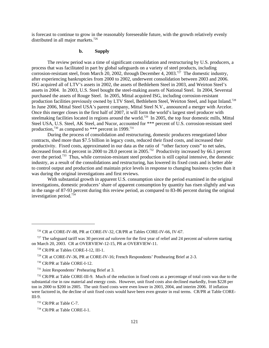is forecast to continue to grow in the reasonably foreseeable future, with the growth relatively evenly distributed in all major markets.<sup>726</sup>

### **b. Supply**

The review period was a time of significant consolidation and restructuring by U.S. producers, a process that was facilitated in part by global safeguards on a variety of steel products, including corrosion-resistant steel, from March 20, 2002, through December 4, 2003.<sup>727</sup> The domestic industry, after experiencing bankruptcies from 2000 to 2002, underwent consolidation between 2003 and 2006. ISG acquired all of LTV's assets in 2002, the assets of Bethlehem Steel in 2003, and Weirton Steel's assets in 2004. In 2003, U.S. Steel bought the steel-making assets of National Steel. In 2004, Severstal purchased the assets of Rouge Steel. In 2005, Mittal acquired ISG, including corrosion-resistant production facilities previously owned by LTV Steel, Bethlehem Steel, Weirton Steel, and Ispat Inland.<sup>728</sup> In June 2006, Mittal Steel USA's parent company, Mittal Steel N.V., announced a merger with Arcelor. Once this merger closes in the first half of 2007, it will form the world's largest steel producer with steelmaking facilities located in regions around the world.<sup>729</sup> In 2005, the top four domestic mills, Mittal Steel USA, U.S. Steel, AK Steel, and Nucor, accounted for \*\*\* percent of U.S. corrosion-resistant steel production,<sup>730</sup> as compared to \*\*\* percent in 1999.<sup>731</sup>

During the process of consolidation and restructuring, domestic producers renegotiated labor contracts, shed more than \$7.5 billion in legacy costs, reduced their fixed costs, and increased their productivity. Fixed costs, approximated in our data as the ratio of "other factory costs" to net sales, decreased from 41.4 percent in 2000 to 28.0 percent in 2005.<sup>732</sup> Productivity increased by 66.1 percent over the period.733 Thus, while corrosion-resistant steel production is still capital intensive, the domestic industry, as a result of the consolidations and restructuring, has lowered its fixed costs and is better able to control output and production and maintain price levels in response to changing business cycles than it was during the original investigations and first reviews.

With substantial growth in apparent U.S. consumption since the period examined in the original investigations, domestic producers' share of apparent consumption by quantity has risen slightly and was in the range of 87-93 percent during this review period, as compared to 83-86 percent during the original investigation period.734

 <sup>726</sup> CR at CORE-IV-88, PR at CORE-IV-32, CR/PR at Tables CORE-IV-66, IV-67.

 <sup>727</sup> The safeguard tariff was 30 percent *ad valorem* for the first year of relief and 24 percent *ad valorem* starting on March 20, 2003. CR at OVERVIEW-12-15, PR at OVERVIEW-11.

 <sup>728</sup> CR/PR at Tables CORE-I-12, III-1.

 <sup>729</sup> CR at CORE-IV-36, PR at CORE-IV-16; French Respondents' Posthearing Brief at 2-3.

 <sup>730</sup> CR/PR at Table CORE-I-12.

 <sup>731</sup> Joint Respondents' Prehearing Brief at 3.

<sup>&</sup>lt;sup>732</sup> CR/PR at Table CORE-III-9. Much of the reduction in fixed costs as a percentage of total costs was due to the substantial rise in raw material and energy costs. However, unit fixed costs also declined markedly, from \$228 per ton in 2000 to \$200 in 2005. The unit fixed costs were even lower in 2003, 2004, and interim 2006. If inflation were factored in, the decline of unit fixed costs would have been even greater in real terms. CR/PR at Table CORE-III-9.

 <sup>733</sup> CR/PR at Table C-7.

 <sup>734</sup> CR/PR at Table CORE-I-1.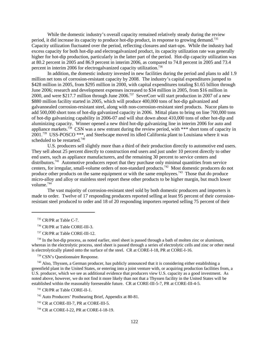While the domestic industry's overall capacity remained relatively steady during the review period, it did increase its capacity to produce hot-dip product, in response to growing demand.735 Capacity utilization fluctuated over the period, reflecting closures and start-ups. While the industry had excess capacity for both hot-dip and electrogalvanized product, its capacity utilization rate was generally higher for hot-dip production, particularly in the latter part of the period. Hot-dip capacity utilization was at 80.2 percent in 2005 and 86.9 percent in interim 2006, as compared to 74.8 percent in 2005 and 73.4 percent in interim 2006 for electrogalvanized capacity utilization.<sup>736</sup>

In addition, the domestic industry invested in new facilities during the period and plans to add 1.9 million net tons of corrosion-resistant capacity by 2008. The industry's capital expenditures jumped to \$428 million in 2005, from \$295 million in 2000, with capital expenditures totaling \$1.65 billion through June 2006; research and development expenses increased to \$34 million in 2005, from \$16 million in 2000, and were \$217.7 million through June 2006.737 SeverCorr will start production in 2007 of a new \$880 million facility started in 2005, which will produce 400,000 tons of hot-dip galvanized and galvannealed corrosion-resistant steel, along with non-corrosion-resistant steel products. Nucor plans to add 500,000 short tons of hot-dip galvanized capacity in 2006. Mittal plans to bring on line 700,000 tons of hot-dip galvanizing capability in 2006-07 and will shut down about 410,000 tons of other hot-dip and aluminizing capacity. Winner opened a new third hot-dip galvanizing line in interim 2006 for auto and appliance markets.<sup>738</sup> CSN was a new entrant during the review period, with \*\*\* short tons of capacity in <sup>11</sup> 2001.<sup>739</sup> USS-POSCO \*\*\*, and Steelscape moved its idled California plant to Louisiana where it was scheduled to be restarted.<sup>740</sup>

U.S. producers sell slightly more than a third of their production directly to automotive end users. They sell about 25 percent directly to construction end users and just under 10 percent directly to other end users, such as appliance manufacturers, and the remaining 30 percent to service centers and distributors.<sup>741</sup> Automotive producers report that they purchase only minimal quantities from service centers, for irregular, small-volume orders of non-standard products.<sup>742</sup> Most domestic producers do not produce other products on the same equipment or with the same employees.<sup>743</sup> Those that do produce micro-alloy and alloy or stainless steel report these other products to be higher margin, but much lower volume $744$ 

The vast majority of corrosion-resistant steel sold by both domestic producers and importers is made to order. Twelve of 17 responding producers reported selling at least 95 percent of their corrosionresistant steel produced to order and 18 of 20 responding importers reported selling 75 percent of their

 $^{738}$  In the hot-dip process, as noted earlier, steel sheet is passed through a bath of molten zinc or aluminum, whereas in the electrolytic process, steel sheet is passed through a series of electrolytic cells and zinc or other metal is electrolytically plated onto the surface of the steel. CR at CORE-I-18, PR at CORE-I-16.

739 CSN's Questionnaire Response.

 740 Also, Thyssen, a German producer, has publicly announced that it is considering either establishing a greenfield plant in the United States, or entering into a joint venture with, or acquiring production facilities from, a U.S. producer, which we see as additional evidence that producers view U.S. capacity as a good investment. As noted above, however, we do not find it more likely than not that a Thyssen facility in the United States will be established within the reasonably foreseeable future. CR at CORE-III-5-7, PR at CORE-III-4-5.

741 CR/PR at Table CORE-II-1.

 <sup>735</sup> CR/PR at Table C-7.

 <sup>736</sup> CR/PR at Table CORE-III-3.

 <sup>737</sup> CR/PR at Table CORE-III-12.

 <sup>742</sup> Auto Producers' Posthearing Brief, Appendix at 80-81.

 <sup>743</sup> CR at CORE-III-7, PR at CORE-III-5.

 <sup>744</sup> CR at CORE-I-22, PR at CORE-I-18-19.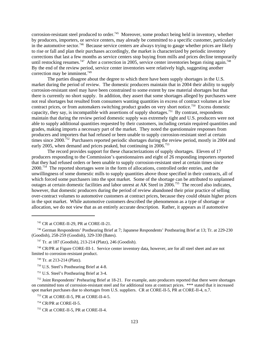corrosion-resistant steel produced to order.<sup>745</sup> Moreover, some product being held in inventory, whether by producers, importers, or service centers, may already be committed to a specific customer, particularly in the automotive sector.<sup>746</sup> Because service centers are always trying to gauge whether prices are likely to rise or fall and plan their purchases accordingly, the market is characterized by periodic inventory corrections that last a few months as service centers stop buying from mills and prices decline temporarily until restocking resumes.<sup>747</sup> After a correction in 2005, service center inventories began rising again.<sup>748</sup> By the end of the review period, service center inventories were relatively high, suggesting another correction may be imminent.<sup>749</sup>

The parties disagree about the degree to which there have been supply shortages in the U.S. market during the period of review. The domestic producers maintain that in 2004 their ability to supply corrosion-resistant steel may have been constrained to some extent by raw material shortages but that there is currently no short supply. In addition, they assert that some shortages alleged by purchasers were not real shortages but resulted from consumers wanting quantities in excess of contract volumes at low contract prices, or from automakers switching product grades on very short notice.<sup>750</sup> Excess domestic capacity, they say, is incompatible with assertions of supply shortages.<sup>751</sup> By contrast, respondents maintain that during the review period domestic supply was extremely tight and U.S. producers were not able to supply additional quantities requested by their customers, including certain required quantities and grades, making imports a necessary part of the market. They noted the questionnaire responses from producers and importers that had refused or been unable to supply corrosion-resistant steel at certain times since  $2000^{752}$  Purchasers reported periodic shortages during the review period, mostly in 2004 and early 2005, when demand and prices peaked, but continuing in 2006.<sup>753</sup>

The record provides support for these characterizations of supply shortages. Eleven of 17 producers responding to the Commission's questionnaires and eight of 26 responding importers reported that they had refused orders or been unable to supply corrosion-resistant steel at certain times since  $2000^{754}$  The reported shortages were in the form of allocations, controlled order entries, and the unwillingness of some domestic mills to supply quantities above those specified in their contracts, all of which forced some purchasers into the spot market. Some of the shortage can be attributed to unplanned outages at certain domestic facilities and labor unrest at AK Steel in 2006.<sup>755</sup> The record also indicates, however, that domestic producers during the period of review abandoned their prior practice of selling over-contract volumes to automotive customers at contract prices, because they could obtain higher prices in the spot market. While automotive customers described the phenomenon as a type of shortage or allocation, we do not view that as an entirely accurate description. Rather, it appears as if automotive

745 CR at CORE-II-29, PR at CORE-II-21.

 746 German Respondents' Posthearing Brief at 7; Japanese Respondents' Posthearing Brief at 13; Tr. at 229-230 (Goodish), 258-259 (Goodish), 329-330 (Bates).

 748 CR/PR at Figure CORE-III-1. Service center inventory data, however, are for all steel sheet and are not limited to corrosion-resistant product.

749 Tr. at 213-214 (Platz).

750 U.S. Steel's Posthearing Brief at 4-8.

751 U.S. Steel's Posthearing Brief at 3-4.

<sup>752</sup> Joint Respondents' Prehearing Brief at 18-21. For example, auto producers reported that there were shortages on committed tons of corrosion-resistant steel and for additional tons at contract prices. \*\*\* stated that it increased spot market purchases due to shortages from U.S. suppliers. CR at CORE-II-5, PR at CORE-II-4, n.7.

753 CR at CORE-II-5, PR at CORE-II-4-5.

754 CR/PR at CORE-II-5.

755 CR at CORE-II-5, PR at CORE-II-4.

 <sup>747</sup> Tr. at 187 (Goodish), 213-214 (Platz), 246 (Goodish).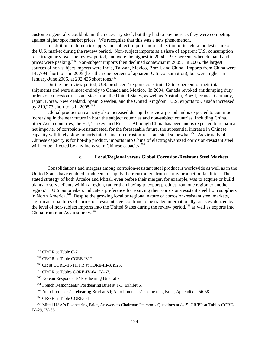customers generally could obtain the necessary steel, but they had to pay more as they were competing against higher spot market prices. We recognize that this was a new phenomenon.

In addition to domestic supply and subject imports, non-subject imports held a modest share of the U.S. market during the review period. Non-subject imports as a share of apparent U.S. consumption rose irregularly over the review period, and were the highest in 2004 at 9.7 percent, when demand and prices were peaking.<sup>756</sup> Non-subject imports then declined somewhat in 2005. In 2005, the largest sources of non-subject imports were India, Taiwan, Mexico, Brazil, and China. Imports from China were 147,794 short tons in 2005 (less than one percent of apparent U.S. consumption), but were higher in January-June 2006, at 292,426 short tons.<sup>757</sup>

During the review period, U.S. producers' exports constituted 3 to 5 percent of their total shipments and were almost entirely to Canada and Mexico. In 2004, Canada revoked antidumping duty orders on corrosion-resistant steel from the United States, as well as Australia, Brazil, France, Germany, Japan, Korea, New Zealand, Spain, Sweden, and the United Kingdom. U.S. exports to Canada increased by 210,273 short tons in 2005.758

Global production capacity also increased during the review period and is expected to continue increasing in the near future in both the subject countries and non-subject countries, including China, other Asian countries, the EU, Turkey, and Russia. Although China has been and is expected to remain a net importer of corrosion-resistant steel for the foreseeable future, the substantial increase in Chinese capacity will likely slow imports into China of corrosion-resistant steel somewhat.759 As virtually all Chinese capacity is for hot-dip product, imports into China of electrogalvanized corrosion-resistant steel will not be affected by any increase in Chinese capacity.<sup>760</sup>

## **c. Local/Regional versus Global Corrosion-Resistant Steel Markets**

Consolidations and mergers among corrosion-resistant steel producers worldwide as well as in the United States have enabled producers to supply their customers from nearby production facilities. The stated strategy of both Arcelor and Mittal, even before their merger, for example, was to acquire or build plants to serve clients within a region, rather than having to export product from one region to another region.761 U.S. automakers indicate a preference for sourcing their corrosion-resistant steel from suppliers in North America.<sup>762</sup> Despite the growing local or regional nature of corrosion-resistant steel markets, significant quantities of corrosion-resistant steel continue to be traded internationally, as is evidenced by the level of non-subject imports into the United States during the review period,<sup>763</sup> as well as exports into China from non-Asian sources.<sup>764</sup>

 <sup>756</sup> CR/PR at Table C-7.

 <sup>757</sup> CR/PR at Table CORE-IV-2.

 <sup>758</sup> CR at CORE-III-11, PR at CORE-III-8, n.23.

 <sup>759</sup> CR/PR at Tables CORE-IV-64, IV-67.

 <sup>760</sup> Korean Respondents' Posthearing Brief at 7.

 <sup>761</sup> French Respondents' Posthearing Brief at 1-3, Exhibit 6.

 <sup>762</sup> Auto Producers' Prehearing Brief at 50; Auto Producers' Posthearing Brief, Appendix at 56-58.

 <sup>763</sup> CR/PR at Table CORE-I-1.

 <sup>764</sup> Mittal USA's Posthearing Brief, Answers to Chairman Pearson's Questions at 8-15; CR/PR at Tables CORE-IV-29, IV-36.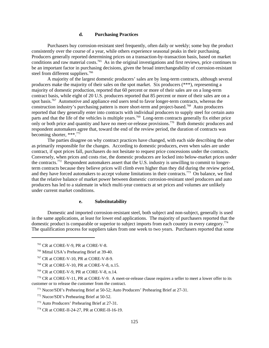#### **d. Purchasing Practices**

Purchasers buy corrosion-resistant steel frequently, often daily or weekly; some buy the product consistently over the course of a year, while others experience seasonal peaks in their purchasing. Producers generally reported determining prices on a transaction-by-transaction basis, based on market conditions and raw material costs.765 As in the original investigations and first reviews, price continues to be an important factor in purchasing decisions, given the broad interchangeability of corrosion-resistant steel from different suppliers.<sup>766</sup>

A majority of the largest domestic producers' sales are by long-term contracts, although several producers make the majority of their sales on the spot market. Six producers (\*\*\*), representing a majority of domestic production, reported that 60 percent or more of their sales are on a long-term contract basis, while eight of 20 U.S. producers reported that 85 percent or more of their sales are on a spot basis.<sup>767</sup> Automotive and appliance end users tend to favor longer-term contracts, whereas the construction industry's purchasing pattern is more short-term and project-based.<sup>768</sup> Auto producers reported that they generally enter into contracts with individual producers to supply steel for certain auto parts and that the life of the vehicles is multiple years.<sup>769</sup> Long-term contracts generally fix either price only or both price and quantity and have no meet-or-release provisions.<sup>770</sup> Both domestic producers and respondent automakers agree that, toward the end of the review period, the duration of contracts was becoming shorter, \*\*\*.771

The parties disagree on why contract practices have changed, with each side describing the other as primarily responsible for the changes. According to domestic producers, even when sales are under contract, if spot prices fall, purchasers do not hesitate to request price concessions under the contracts. Conversely, when prices and costs rise, the domestic producers are locked into below-market prices under the contracts.772 Respondent automakers assert that the U.S. industry is unwilling to commit to longerterm contracts because they believe prices will climb even higher than they did during the review period, and they have forced automakers to accept volume limitations in their contracts.773 On balance, we find that the relative balance of market power between domestic corrosion-resistant steel producers and auto producers has led to a stalemate in which multi-year contracts at set prices and volumes are unlikely under current market conditions.

#### **e. Substitutability**

Domestic and imported corrosion-resistant steel, both subject and non-subject, generally is used in the same applications, at least for lower end applications. The majority of purchasers reported that the domestic product is comparable or superior to subject imports from each country in every category.<sup>774</sup> The qualification process for suppliers takes from one week to two years. Purchasers reported that some

- 768 CR at CORE-V-10, PR at CORE-V-8, n.15.
- 769 CR at CORE-V-9, PR at CORE-V-8, n.14.

 770 CR at CORE-V-11, PR at CORE-V-9. A meet-or-release clause requires a seller to meet a lower offer to its customer or to release the customer from the contract.

771 Nucor/SDI's Prehearing Brief at 50-52; Auto Producers' Prehearing Brief at 27-31.

 <sup>765</sup> CR at CORE-V-9, PR at CORE-V-8.

 <sup>766</sup> Mittal USA's Prehearing Brief at 39-40.

 <sup>767</sup> CR at CORE-V-10, PR at CORE-V-8-9.

 <sup>772</sup> Nucor/SDI's Prehearing Brief at 50-52.

 <sup>773</sup> Auto Producers' Prehearing Brief at 27-31.

 <sup>774</sup> CR at CORE-II-24-27, PR at CORE-II-16-19.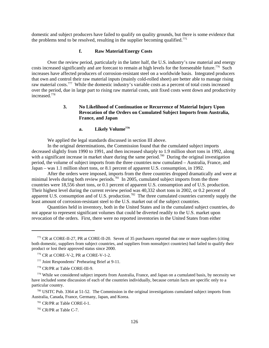domestic and subject producers have failed to qualify on quality grounds, but there is some evidence that the problems tend to be resolved, resulting in the supplier becoming qualified.<sup>775</sup>

## **f. Raw Material/Energy Costs**

Over the review period, particularly in the latter half, the U.S. industry's raw material and energy costs increased significantly and are forecast to remain at high levels for the foreseeable future.<sup>776</sup> Such increases have affected producers of corrosion-resistant steel on a worldwide basis. Integrated producers that own and control their raw material inputs (mainly cold-rolled sheet) are better able to manage rising raw material costs.777 While the domestic industry's variable costs as a percent of total costs increased over the period, due in large part to rising raw material costs, unit fixed costs went down and productivity increased<sup>778</sup>

## **3. No Likelihood of Continuation or Recurrence of Material Injury Upon Revocation of the Orders on Cumulated Subject Imports from Australia, France, and Japan**

## **a. Likely Volume779**

We applied the legal standards discussed in section III above.

In the original determinations, the Commission found that the cumulated subject imports decreased slightly from 1990 to 1991, and then increased sharply to 1.9 million short tons in 1992, along with a significant increase in market share during the same period.<sup>780</sup> During the original investigation period, the volume of subject imports from the three countries now cumulated – Australia, France, and Japan – was 1.1 million short tons, or 8.1 percent of apparent U.S. consumption, in 1992.

After the orders were imposed, imports from the three countries dropped dramatically and were at minimal levels during both review periods.<sup>781</sup> In 2005, cumulated subject imports from the three countries were 18,556 short tons, or 0.1 percent of apparent U.S. consumption and of U.S. production. Their highest level during the current review period was 40,332 short tons in 2002, or 0.2 percent of apparent U.S. consumption and of U.S. production.<sup>782</sup> The three cumulated countries currently supply the least amount of corrosion-resistant steel to the U.S. market out of the subject countries.

Quantities held in inventory, both in the United States and in the cumulated subject countries, do not appear to represent significant volumes that could be diverted readily to the U.S. market upon revocation of the orders. First, there were no reported inventories in the United States from either

 780 USITC Pub. 3364 at 51-52. The Commission in the original investigations cumulated subject imports from Australia, Canada, France, Germany, Japan, and Korea.

781 CR/PR at Table CORE-I-1.

782 CR/PR at Table C-7.

 <sup>775</sup> CR at CORE-II-27, PR at CORE-II-20. Seven of 35 purchasers reported that one or more suppliers (citing both domestic, suppliers from subject countries, and suppliers from nonsubject countries) had failed to qualify their product or lost their approved status since 2000.

 <sup>776</sup> CR at CORE-V-2, PR at CORE-V-1-2.

 <sup>777</sup> Joint Respondents' Prehearing Brief at 9-11.

 <sup>778</sup> CR/PR at Table CORE-III-9.

<sup>&</sup>lt;sup>779</sup> While we considered subject imports from Australia, France, and Japan on a cumulated basis, by necessity we have included some discussion of each of the countries individually, because certain facts are specific only to a particular country.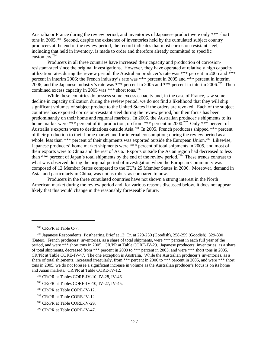Australia or France during the review period, and inventories of Japanese product were only \*\*\* short tons in 2005.783 Second, despite the existence of inventories held by the cumulated subject country producers at the end of the review period, the record indicates that most corrosion-resistant steel, including that held in inventory, is made to order and therefore already committed to specific customers.784

Producers in all three countries have increased their capacity and production of corrosionresistant-steel since the original investigations. However, they have operated at relatively high capacity utilization rates during the review period: the Australian producer's rate was \*\*\* percent in 2005 and \*\*\* percent in interim 2006; the French industry's rate was \*\*\* percent in 2005 and \*\*\* percent in interim 2006; and the Japanese industry's rate was \*\*\* percent in 2005 and \*\*\* percent in interim 2006.785 Their combined excess capacity in 2005 was \*\*\* short tons.786

While these countries do possess some excess capacity and, in the case of France, saw some decline in capacity utilization during the review period, we do not find a likelihood that they will ship significant volumes of subject product to the United States if the orders are revoked. Each of the subject countries has exported corrosion-resistant steel during the review period, but their focus has been predominantly on their home and regional markets. In 2005, the Australian producer's shipments to its home market were \*\*\* percent of its production, up from \*\*\* percent in 2000.<sup>787</sup> Only \*\*\* percent of Australia's exports were to destinations outside Asia.<sup>788</sup> In 2005, French producers shipped \*\*\* percent of their production to their home market and for internal consumption; during the review period as a whole, less than \*\*\* percent of their shipments was exported outside the European Union.<sup>789</sup> Likewise, Japanese producers' home market shipments were \*\*\* percent of total shipments in 2005, and most of their exports were to China and the rest of Asia. Exports outside the Asian region had decreased to less than \*\*\* percent of Japan's total shipments by the end of the review period.790 These trends contrast to what was observed during the original period of investigation when the European Community was composed of 12 Member States compared to the EU's 25 Member States in 2006. Moreover, demand in Asia, and particularly in China, was not as robust as compared to now.

Producers in the three cumulated countries have not shown a strong interest in the North American market during the review period and, for various reasons discussed below, it does not appear likely that this would change in the reasonably foreseeable future.

 <sup>783</sup> CR/PR at Table C-7.

 <sup>784</sup> Japanese Respondents' Posthearing Brief at 13; Tr. at 229-230 (Goodish), 258-259 (Goodish), 329-330 (Bates). French producers' inventories, as a share of total shipments, were \*\*\* percent in each full year of the period, and were \*\*\* short tons in 2005. CR/PR at Table CORE-IV-29. Japanese producers' inventories, as a share of total shipments, decreased from \*\*\* percent in 2000 to \*\*\* percent in 2005, and were \*\*\* short tons in 2005. CR/PR at Table CORE-IV-47. The one exception is Australia. While the Australian producer's inventories, as a share of total shipments, increased irregularly, from \*\*\* percent in 2000 to \*\*\* percent in 2005, and were \*\*\* short tons in 2005, we do not foresee a significant increase in volume as the Australian producer's focus is on its home and Asian markets. CR/PR at Table CORE-IV-12.

 <sup>785</sup> CR/PR at Tables CORE-IV-10, IV-28, IV-46.

 <sup>786</sup> CR/PR at Tables CORE-IV-10, IV-27, IV-45.

 <sup>787</sup> CR/PR at Table CORE-IV-12.

 <sup>788</sup> CR/PR at Table CORE-IV-12.

 <sup>789</sup> CR/PR at Table CORE-IV-29.

 <sup>790</sup> CR/PR at Table CORE-IV-47.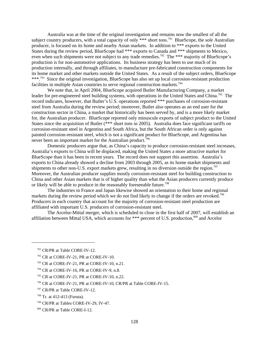Australia was at the time of the original investigation and remains now the smallest of all the subject country producers, with a total capacity of only  $***$  short tons.<sup>791</sup> BlueScope, the sole Australian producer, is focused on its home and nearby Asian markets. In addition to \*\*\* exports to the United States during the review period, BlueScope had \*\*\* exports to Canada and \*\*\* shipments to Mexico, even when such shipments were not subject to any trade remedies.<sup>792</sup> The \*\*\* majority of BlueScope's production is for non-automotive applications. Its business strategy has been to use much of its production internally, and through affiliates, to manufacture pre-fabricated construction components for its home market and other markets outside the United States. As a result of the subject orders, BlueScope \*\*\*.<sup>793</sup> Since the original investigation, BlueScope has also set up local corrosion-resistant production facilities in multiple Asian countries to serve regional construction markets.<sup>794</sup>

We note that, in April 2004, BlueScope acquired Butler Manufacturing Company, a market leader for pre-engineered steel building systems, with operations in the United States and China.<sup>795</sup> The record indicates, however, that Butler's U.S. operations reported \*\*\* purchases of corrosion-resistant steel from Australia during the review period; moreover, Butler also operates as an end user for the construction sector in China, a market that historically has been served by, and is a more likely market for, the Australian producer. BlueScope reported only minuscule exports of subject product to the United States since the acquisition of Butler (\*\*\* short tons in 2005). Australia does face significant tariffs on corrosion-resistant steel in Argentina and South Africa, but the South African order is only against painted corrosion-resistant steel, which is not a significant product for BlueScope, and Argentina has never been an important market for the Australian product.<sup>796</sup>

Domestic producers argue that, as China's capacity to produce corrosion-resistant steel increases, Australia's exports to China will be displaced, making the United States a more attractive market for BlueScope than it has been in recent years. The record does not support this assertion. Australia's exports to China already showed a decline from 2003 through 2005, as its home market shipments and shipments to other non-U.S. export markets grew, resulting in no diversion outside the region.<sup>797</sup> Moreover, the Australian producer supplies mostly corrosion-resistant steel for building construction to China and other Asian markets that is of higher quality than what the Asian producers currently produce or likely will be able to produce in the reasonably foreseeable future.<sup>798</sup>

The industries in France and Japan likewise showed an orientation to their home and regional markets during the review period which we do not find likely to change if the orders are revoked.<sup>799</sup> Producers in each country that account for the majority of corrosion-resistant steel production are affiliated with important U.S. producers of corrosion-resistant steel.

The Arcelor-Mittal merger, which is scheduled to close in the first half of 2007, will establish an affiliation between Mittal USA, which accounts for \*\*\* percent of U.S. production,<sup>800</sup> and Arcelor

 <sup>791</sup> CR/PR at Table CORE-IV-12.

 <sup>792</sup> CR at CORE-IV-21, PR at CORE-IV-10.

 <sup>793</sup> CR at CORE-IV-21, PR at CORE-IV-10, n.21.

 <sup>794</sup> CR at CORE-IV-16, PR at CORE-IV-9, n.8.

 <sup>795</sup> CR at CORE-IV-21, PR at CORE-IV-10, n.22.

 <sup>796</sup> CR at CORE-IV-21, PR at CORE-IV-10, CR/PR at Table CORE-IV-15.

 <sup>797</sup> CR/PR at Table CORE-IV-12.

 $798$  Tr. at 412-413 (Furuta).

 <sup>799</sup> CR/PR at Tables CORE-IV-29, IV-47.

 <sup>800</sup> CR/PR at Table CORE-I-12.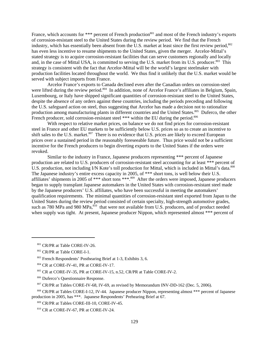France, which accounts for \*\*\* percent of French production<sup>801</sup> and most of the French industry's exports of corrosion-resistant steel to the United States during the review period. We find that the French industry, which has essentially been absent from the U.S. market at least since the first review period,  $802$ has even less incentive to resume shipments to the United States, given the merger. Arcelor-Mittal's stated strategy is to acquire corrosion-resistant facilities that can serve customers regionally and locally and, in the case of Mittal USA, is committed to serving the U.S. market from its U.S. producer.<sup>803</sup> This strategy is consistent with the fact that Arcelor-Mittal will be the world's largest steelmaker with production facilities located throughout the world. We thus find it unlikely that the U.S. market would be served with subject imports from France.

Arcelor France's exports to Canada declined even after the Canadian orders on corrosion-steel were lifted during the review period.<sup>804</sup> In addition, none of Arcelor France's affiliates in Belgium, Spain, Luxembourg, or Italy have shipped significant quantities of corrosion-resistant steel to the United States, despite the absence of any orders against these countries, including the periods preceding and following the U.S. safeguard action on steel, thus suggesting that Arcelor has made a decision not to rationalize production among manufacturing plants in different countries and the United States.<sup>805</sup> Duferco, the other French producer, sold corrosion-resistant steel \*\*\* within the EU during the period.<sup>806</sup>

With respect to relative market prices, on balance we do not find prices for corrosion-resistant steel in France and other EU markets to be sufficiently below U.S. prices so as to create an incentive to shift sales to the U.S. market.<sup>807</sup> There is no evidence that U.S. prices are likely to exceed European prices over a sustained period in the reasonably foreseeable future. Thus price would not be a sufficient incentive for the French producers to begin diverting exports to the United States if the orders were revoked.

Similar to the industry in France, Japanese producers representing \*\*\* percent of Japanese production are related to U.S. producers of corrosion-resistant steel accounting for at least \*\*\* percent of U.S. production, not including I/N Kote's toll production for Mittal, which is included in Mittal's data.<sup>808</sup> The Japanese industry's entire excess capacity in 2005, of \*\*\* short tons, is well below their U.S. affiliates' shipments in 2005 of \*\*\* short tons \*\*\*.809 After the orders were imposed, Japanese producers began to supply transplant Japanese automakers in the United States with corrosion-resistant steel made by the Japanese producers' U.S. affiliates, who have been successful in meeting the automakers' qualification requirements. The minimal quantities of corrosion-resistant steel exported from Japan to the United States during the review period consisted of certain specialty, high-strength automotive grades, such as 780 MPa and 980 MPa,<sup>810</sup> that were not available from U.S. producers, and of product needed when supply was tight. At present, Japanese producer Nippon, which represented almost \*\*\* percent of

<sup>801</sup> CR/PR at Table CORE-IV-26.

 <sup>802</sup> CR/PR at Table CORE-I-1.

 <sup>803</sup> French Respondents' Posthearing Brief at 1-3, Exhibits 3, 6.

<sup>804</sup> CR at CORE-IV-41, PR at CORE-IV-17.

 <sup>805</sup> CR at CORE-IV-35, PR at CORE-IV-15, n.52, CR/PR at Table CORE-IV-2.

 <sup>806</sup> Duferco's Questionnaire Response.

 <sup>807</sup> CR/PR at Tables CORE-IV-68, IV-69, as revised by Memorandum INV-DD-162 (Dec. 5, 2006).

<sup>808</sup> CR/PR at Tables CORE-I-12, IV-44. Japanese producer Nippon, representing almost \*\*\* percent of Japanese production in 2005, has \*\*\*. Japanese Respondents' Prehearing Brief at 67.

 <sup>809</sup> CR/PR at Tables CORE-III-10, CORE-IV-45.

 <sup>810</sup> CR at CORE-IV-67, PR at CORE-IV-24.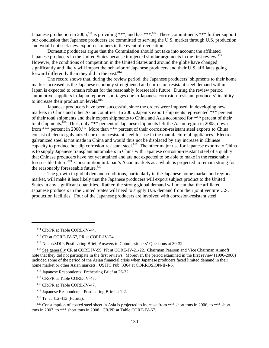Japanese production in 2005,<sup>811</sup> is providing \*\*\*, and has \*\*\*.<sup>812</sup> These commitments \*\*\* further support our conclusion that Japanese producers are committed to serving the U.S. market through U.S. production and would not seek new export customers in the event of revocation.

Domestic producers argue that the Commission should not take into account the affiliated Japanese producers in the United States because it rejected similar arguments in the first review.<sup>813</sup> However, the conditions of competition in the United States and around the globe have changed significantly and likely will impact the behavior of Japanese producers and their U.S. affiliates going forward differently than they did in the past.<sup>814</sup>

 The record shows that, during the review period, the Japanese producers' shipments to their home market increased as the Japanese economy strengthened and corrosion-resistant steel demand within Japan is expected to remain robust for the reasonably foreseeable future. During the review period automotive suppliers in Japan reported shortages due to Japanese corrosion-resistant producers' inability to increase their production levels.<sup>815</sup>

Japanese producers have been successful, since the orders were imposed, in developing new markets in China and other Asian countries. In 2005, Japan's export shipments represented \*\*\* percent of their total shipments and their export shipments to China and Asia accounted for \*\*\* percent of their total shipments.<sup>816</sup> Thus, only \*\*\* percent of Japanese shipments left the Asian region in 2005, down from \*\*\* percent in 2000.<sup>817</sup> More than \*\*\* percent of their corrosion-resistant steel exports to China consist of electro-galvanized corrosion-resistant steel for use in the manufacture of appliances. Electrogalvanized steel is not made in China and would thus not be displaced by any increase in Chinese capacity to produce hot-dip corrosion-resistant steel.<sup>818</sup> The other major use for Japanese exports to China is to supply Japanese transplant automakers in China with Japanese corrosion-resistant steel of a quality that Chinese producers have not yet attained and are not expected to be able to make in the reasonably foreseeable future.<sup>819</sup> Consumption in Japan's Asian markets as a whole is projected to remain strong for the reasonably foreseeable future. $820$ 

The growth in global demand conditions, particularly in the Japanese home market and regional market, will make it less likely that the Japanese producers will export subject product to the United States in any significant quantities. Rather, the strong global demand will mean that the affiliated Japanese producers in the United States will need to supply U.S. demand from their joint venture U.S. production facilities. Four of the Japanese producers are involved with corrosion-resistant steel

<sup>811</sup> CR/PR at Table CORE-IV-44.

 <sup>812</sup> CR at CORE-IV-67, PR at CORE-IV-24.

 <sup>813</sup> Nucor/SDI's Posthearing Brief, Answers to Commissioners' Questions at 30-32.

<sup>&</sup>lt;sup>814</sup> See generally CR at CORE IV-59, PR at CORE-IV-21-22. Chairman Pearson and Vice Chairman Aranoff note that they did not participate in the first reviews. Moreover, the period examined in the first review (1996-2000) included some of the period of the Asian financial crisis when Japanese producers faced limited demand in their home market or other Asian markets. USITC Pub. 3364 at CORROSION-II-4-5.

 <sup>815</sup> Japanese Respondents' Prehearing Brief at 26-32.

 <sup>816</sup> CR/PR at Table CORE-IV-47.

 <sup>817</sup> CR/PR at Table CORE-IV-47.

 <sup>818</sup> Japanese Respondents' Posthearing Brief at 1-2.

 <sup>819</sup> Tr. at 412-413 (Furuta).

<sup>&</sup>lt;sup>820</sup> Consumption of coated steel sheet in Asia is projected to increase from \*\*\* short tons in 2006, to \*\*\* short tons in 2007, to \*\*\* short tons in 2008. CR/PR at Table CORE-IV-67.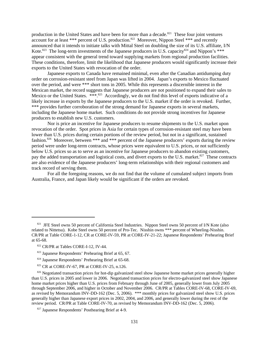production in the United States and have been for more than a decade.<sup>821</sup> These four joint ventures account for at least \*\*\* percent of U.S. production.<sup>822</sup> Moreover, Nippon Steel \*\*\* and recently announced that it intends to initiate talks with Mittal Steel on doubling the size of its U.S. affiliate, I/N Kote.<sup>823</sup> The long-term investments of the Japanese producers in U.S. capacity<sup>824</sup> and Nippon's \*\*\* appear consistent with the general trend toward supplying markets from regional production facilities. These conditions, therefore, limit the likelihood that Japanese producers would significantly increase their exports to the United States with revocation of the order.

Japanese exports to Canada have remained minimal, even after the Canadian antidumping duty order on corrosion-resistant steel from Japan was lifted in 2004. Japan's exports to Mexico fluctuated over the period, and were \*\*\* short tons in 2005. While this represents a discernible interest in the Mexican market, the record suggests that Japanese producers are not positioned to expand their sales to Mexico or the United States. \*\*\*.825 Accordingly, we do not find this level of exports indicative of a likely increase in exports by the Japanese producers to the U.S. market if the order is revoked. Further, \*\*\* provides further corroboration of the strong demand for Japanese exports in several markets, including the Japanese home market. Such conditions do not provide strong incentives for Japanese producers to establish new U.S. customers.

Nor is price an incentive for Japanese producers to resume shipments to the U.S. market upon revocation of the order. Spot prices in Asia for certain types of corrosion-resistant steel may have been lower than U.S. prices during certain portions of the review period, but not in a significant, sustained fashion.<sup>826</sup> Moreover, between \*\*\* and \*\*\* percent of the Japanese producers' exports during the review period were under long-term contracts, whose prices were equivalent to U.S. prices, or not sufficiently below U.S. prices so as to serve as an incentive for Japanese producers to abandon existing customers, pay the added transportation and logistical costs, and divert exports to the U.S. market.<sup>827</sup> These contracts are also evidence of the Japanese producers' long-term relationships with their regional customers and track record of serving them.

For all the foregoing reasons, we do not find that the volume of cumulated subject imports from Australia, France, and Japan likely would be significant if the orders are revoked.

825 CR at CORE-IV-67, PR at CORE-IV-25, n.126.

<sup>&</sup>lt;sup>821</sup> JFE Steel owns 50 percent of California Steel Industries. Nippon Steel owns 50 percent of I/N Kote (also related to Nittetsu). Kobe Steel owns 50 percent of Pro-Tec. Nisshin owns \*\*\* percent of Wheeling-Nisshin. CR/PR at Table CORE-1-12, CR at CORE-IV-59, PR at CORE-IV-21-22; Japanese Respondents' Prehearing Brief at 65-68.

 <sup>822</sup> CR/PR at Tables CORE-I-12, IV-44.

 <sup>823</sup> Japanese Respondents' Prehearing Brief at 65, 67.

 <sup>824</sup> Japanese Respondents' Prehearing Brief at 65-68.

<sup>&</sup>lt;sup>826</sup> Negotiated transaction prices for hot-dip galvanized steel show Japanese home market prices generally higher than U.S. prices in 2005 and lower in 2006. Negotiated transaction prices for electro-galvanized steel show Japanese home market prices higher than U.S. prices from February through June of 2005, generally lower from July 2005 through September 2006, and higher in October and November 2006. CR/PR at Tables CORE-IV-68, CORE-IV-69, as revised by Memorandum INV-DD-162 (Dec. 5, 2006). \*\*\* monthly prices for galvanized steel show U.S. prices generally higher than Japanese export prices in 2002, 2004, and 2006, and generally lower during the rest of the review period. CR/PR at Table CORE-IV-70, as revised by Memorandum INV-DD-162 (Dec. 5, 2006).

 <sup>827</sup> Japanese Respondents' Posthearing Brief at 4-9.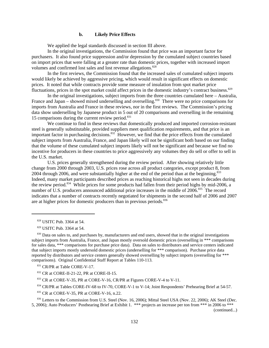#### **b. Likely Price Effects**

We applied the legal standards discussed in section III above.

In the original investigations, the Commission found that price was an important factor for purchasers. It also found price suppression and/or depression by the cumulated subject countries based on import prices that were falling at a greater rate than domestic prices, together with increased import volumes and confirmed lost sales and lost revenue allegations.<sup>828</sup>

In the first reviews, the Commission found that the increased sales of cumulated subject imports would likely be achieved by aggressive pricing, which would result in significant effects on domestic prices. It noted that while contracts provide some measure of insulation from spot market price fluctuations, prices in the spot market could affect prices in the domestic industry's contract business.<sup>829</sup>

In the original investigations, subject imports from the three countries cumulated here – Australia, France and Japan – showed mixed underselling and overselling.<sup>830</sup> There were no price comparisons for imports from Australia and France in these reviews, nor in the first reviews. The Commission's pricing data show underselling by Japanese product in 5 out of 20 comparisons and overselling in the remaining 15 comparisons during the current review period. $831$ 

We continue to find in these reviews that domestically produced and imported corrosion-resistant steel is generally substitutable, provided suppliers meet qualification requirements, and that price is an important factor in purchasing decisions.832 However, we find that the price effects from the cumulated subject imports from Australia, France, and Japan likely will not be significant both based on our finding that the volume of these cumulated subject imports likely will not be significant and because we find no incentive for producers in these countries to price aggressively any volumes they do sell or offer to sell in the U.S. market.

U.S. prices generally strengthened during the review period. After showing relatively little change from 2000 through 2003, U.S. prices rose across all product categories, except product 8, from 2004 through 2006, and were substantially higher at the end of the period than at the beginning.<sup>833</sup> Indeed, many market participants described prices as reaching historical highs not seen in decades during the review period.834 While prices for some products had fallen from their period highs by mid-2006, a number of U.S. producers announced additional price increases in the middle of 2006.<sup>835</sup> The record indicates that a number of contracts recently negotiated for shipments in the second half of 2006 and 2007 are at higher prices for domestic producers than in previous periods.<sup>836</sup>

832 CR at CORE-II-21-22, PR at CORE-II-15.

<sup>833</sup> CR at CORE-V-35, PR at CORE-V-16, CR/PR at Figures CORE-V-4 to V-11.

834 CR/PR at Tables CORE-IV-68 to IV-70, CORE-V-1 to V-14; Joint Respondents' Prehearing Brief at 54-57.

835 CR at CORE-V-35, PR at CORE-V-16, n.22.

836 Letters to the Commission from U.S. Steel (Nov. 16, 2006); Mittal Steel USA (Nov. 22, 2006); AK Steel (Dec. 5, 2006); Auto Producers' Posthearing Brief at Exhibit 1. \*\*\* projects an increase per ton from \*\*\* in 2006 to \*\*\*

(continued...)

 <sup>828</sup> USITC Pub. 3364 at 54.

 <sup>829</sup> USITC Pub. 3364 at 54.

<sup>&</sup>lt;sup>830</sup> Data on sales to, and purchases by, manufacturers and end users, showed that in the original investigations subject imports from Australia, France, and Japan mostly oversold domestic prices (overselling in \*\*\* comparisons for sales data, \*\*\* comparisons for purchase price data). Data on sales to distributors and service centers indicated that subject imports mostly undersold domestic prices (underselling for \*\*\* comparison). Purchase price data reported by distributors and service centers generally showed overselling by subject imports (overselling for \*\*\* comparisons). Original Confidential Staff Report at Tables 110-113.

<sup>831</sup> CR/PR at Table CORE-V-17.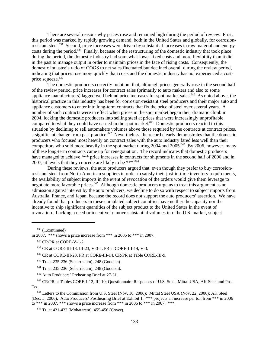There are several reasons why prices rose and remained high during the period of review. First, this period was marked by rapidly growing demand, both in the United States and globally, for corrosionresistant steel.<sup>837</sup> Second, price increases were driven by substantial increases in raw material and energy costs during the period.<sup>838</sup> Finally, because of the restructuring of the domestic industry that took place during the period, the domestic industry had somewhat lower fixed costs and more flexibility than it did in the past to manage output in order to maintain prices in the face of rising costs. Consequently, the domestic industry's ratio of COGS to net sales fluctuated but declined overall during the review period, indicating that prices rose more quickly than costs and the domestic industry has not experienced a costprice squeeze.<sup>839</sup>

The domestic producers correctly point out that, although prices generally rose in the second half of the review period, price increases for contract sales (primarily to auto makers and also to some appliance manufacturers) lagged well behind price increases for spot market sales.<sup>840</sup> As noted above, the historical practice in this industry has been for corrosion-resistant steel producers and their major auto and appliance customers to enter into long-term contracts that fix the price of steel over several years. A number of such contracts were in effect when prices in the spot market began their dramatic climb in 2004, locking the domestic producers into selling steel at prices that were increasingly unprofitable compared to what they could have earned in the spot market. $841$  Domestic producers reacted to this situation by declining to sell automakers volumes above those required by the contracts at contract prices, a significant change from past practice.<sup>842</sup> Nevertheless, the record clearly demonstrates that the domestic producers who focused most heavily on contract sales with the auto industry fared less well than their competitors who sold more heavily in the spot market during 2004 and 2005.<sup>843</sup> By 2006, however, many of these long-term contracts came up for renegotiation. The record indicates that domestic producers have managed to achieve \*\*\* price increases in contracts for shipments in the second half of 2006 and in 2007, at levels that they concede are likely to be \*\*\*.<sup>844</sup>

During these reviews, the auto producers argued that, even though they prefer to buy corrosionresistant steel from North American suppliers in order to satisfy their just-in-time inventory requirements, the availability of subject imports in the event of revocation of the orders would give them leverage to negotiate more favorable prices.<sup>845</sup> Although domestic producers urge us to treat this argument as an admission against interest by the auto producers, we decline to do so with respect to subject imports from Australia, France, and Japan, because the record does not support the auto producers' assertion. We have already found that producers in these cumulated subject countries have neither the capacity nor the incentive to ship significant quantities of the subject product to the United States in the event of revocation. Lacking a need or incentive to move substantial volumes into the U.S. market, subject

 $836$  (...continued)

in 2007. \*\*\* shows a price increase from \*\*\* in 2006 to \*\*\* in 2007.

839 CR at CORE-III-23, PR at CORE-III-14, CR/PR at Table CORE-III-9.

840 Tr. at 235-236 (Scherrbaum), 248 (Goodish).

841 Tr. at 235-236 (Scherrbaum), 248 (Goodish).

842 Auto Producers' Prehearing Brief at 27-31.

 843 CR/PR at Tables CORE-I-12, III-10; Questionnaire Responses of U.S. Steel, Mittal USA, AK Steel and Pro-Tec.

<sup>844</sup> Letters to the Commission from U.S. Steel (Nov. 16, 2006); Mittal Steel USA (Nov. 22, 2006); AK Steel (Dec. 5, 2006); Auto Producers' Posthearing Brief at Exhibit 1. \*\*\* projects an increase per ton from \*\*\* in 2006 to \*\*\* in 2007. \*\*\* shows a price increase from \*\*\* in 2006 to \*\*\* in 2007. \*\*\*.

845 Tr. at 421-422 (Mohatarem), 455-456 (Cover).

<sup>837</sup> CR/PR at CORE-V-1-2.

 <sup>838</sup> CR at CORE-III-18, III-23, V-3-4, PR at CORE-III-14, V-3.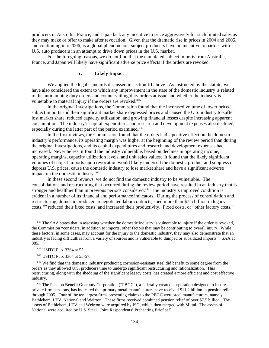producers in Australia, France, and Japan lack any incentive to price aggressively for such limited sales as they may make or offer to make after revocation. Given that the dramatic rise in prices in 2004 and 2005, and continuing into 2006, is a global phenomenon, subject producers have no incentive to partner with U.S. auto producers in an attempt to drive down prices in the U.S. market.

For the foregoing reasons, we do not find that the cumulated subject imports from Australia, France, and Japan will likely have significant adverse price effects if the orders are revoked.

# **c. Likely Impact**

We applied the legal standards discussed in section III above. As instructed by the statute, we have also considered the extent to which any improvement in the state of the domestic industry is related to the antidumping duty orders and countervailing duty orders at issue and whether the industry is vulnerable to material injury if the orders are revoked.<sup>846</sup>

In the original investigations, the Commission found that the increased volume of lower priced subject imports and their significant market share depressed prices and caused the U.S. industry to suffer lost market share, reduced capacity utilization, and growing financial losses despite increasing apparent consumption. The industry's capital expenditures and research and development expenses also declined, especially during the latter part of the period examined.<sup>847</sup>

In the first reviews, the Commission found that the orders had a positive effect on the domestic industry's performance, its operating margin was higher at the beginning of the review period than during the original investigations, and its capital expenditures and research and development expenses had increased. Nevertheless, it found the industry vulnerable, based on declines in operating income, operating margins, capacity utilization levels, and unit sales values. It found that the likely significant volumes of subject imports upon revocation would likely undersell the domestic product and suppress or depress U.S. prices, cause the domestic industry to lose market share and have a significant adverse impact on the domestic industry.<sup>848</sup>

In these second reviews, we do not find the domestic industry to be vulnerable. The consolidations and restructuring that occurred during the review period have resulted in an industry that is stronger and healthier than in previous periods considered.<sup>849</sup> The industry's improved condition is evident in a number of its financial and performance indicators. During the process of consolidation and restructuring, domestic producers renegotiated labor contracts, shed more than \$7.5 billion in legacy costs,<sup>850</sup> reduced their fixed costs, and increased their productivity. Fixed costs, or "other factory costs,"

<sup>&</sup>lt;sup>846</sup> The SAA states that in assessing whether the domestic industry is vulnerable to injury if the order is revoked, the Commission "considers, in addition to imports, other factors that may be contributing to overall injury. While these factors, in some cases, may account for the injury to the domestic industry, they may also demonstrate that an industry is facing difficulties from a variety of sources and is vulnerable to dumped or subsidized imports." SAA at 885.

 <sup>847</sup> USITC Pub. 3364 at 55.

 <sup>848</sup> USITC Pub. 3364 at 55-57.

<sup>&</sup>lt;sup>849</sup> We find that the domestic industry producing corrosion-resistant steel did benefit to some degree from the orders as they allowed U.S. producers time to undergo significant restructuring and rationalization. This restructuring, along with the shedding of the significant legacy costs, has created a more efficient and cost effective industry.

<sup>850</sup> The Pension Benefit Guaranty Corporation ("PBGC"), a federally created corporation designed to insure private firm pensions, has indicated that primary metal manufacturers have received \$11.2 billion in pension relief through 2005. Four of the ten largest firms presenting claims to the PBGC were steel manufacturers, namely Bethlehem, LTV, National and Weirton. These firms received combined pension relief of over \$7.5 billion. The assets of Bethlehem, LTV and Weirton were acquired by ISG, which then merged with Mittal. The assets of National were acquired by U.S. Steel. Joint Respondents' Prehearing Brief at 5.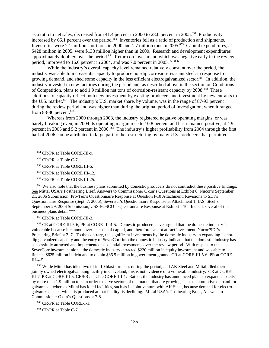as a ratio to net sales, decreased from 41.4 percent in 2000 to 28.0 percent in 2005.<sup>851</sup> Productivity increased by 66.1 percent over the period. $852$  Inventories fell as a ratio of production and shipments. Inventories were 2.1 million short tons in 2000 and 1.7 million tons in 2005.<sup>853</sup> Capital expenditures, at \$428 million in 2005, were \$133 million higher than in 2000. Research and development expenditures approximately doubled over the period.<sup>854</sup> Return on investment, which was negative early in the review period, improved to 16.6 percent in 2004, and was 7.0 percent in 2005.<sup>855 856</sup>

While the industry's overall capacity level remained relatively constant over the period, the industry was able to increase its capacity to produce hot-dip corrosion-resistant steel, in response to growing demand, and shed some capacity in the less efficient electrogalvanized sector.<sup>857</sup> In addition, the industry invested in new facilities during the period and, as described above in the section on Conditions of Competition, plans to add 1.9 million net tons of corrosion-resistant capacity by 2008.<sup>858</sup> These additions to capacity reflect both new investment by existing producers and investment by new entrants to the U.S. market.859 The industry's U.S. market share, by volume, was in the range of 87-93 percent during the review period and was higher than during the original period of investigation, when it ranged from 83-86 percent. $860$ 

Whereas from 2000 through 2003, the industry registered negative operating margins, or was barely breaking even, in 2004 its operating margin rose to 10.8 percent and has remained positive, at 4.9 percent in 2005 and 5.2 percent in 2006.<sup>861</sup> The industry's higher profitability from 2004 through the first half of 2006 can be attributed in large part to the restructuring by many U.S. producers that permitted

- 853 CR/PR at Table CORE III-6.
- 854 CR/PR at Table CORE III-12.
- 855 CR/PR at Table CORE III-25.

<sup>856</sup> We also note that the business plans submitted by domestic producers do not contradict these positive findings. See Mittal USA's Posthearing Brief, Answers to Commissioner Okun's Questions at Exhibit 6; Nucor's September 21, 2006 Submission; Pro-Tec's Questionnaire Response at Question I-10 Attachment; Revisions to SDI's Questionnaire Response (Sept. 7, 2006); Severstal's Questionnaire Response at Attachment 1; U.S. Steel's September 29, 2006 Submission; USS-POSCO's Questionnaire Response at Exhibit I-10. Indeed, several of the business plans detail \*\*\*.

857 CR/PR at Table CORE-III-3.

858 CR at CORE-III-5-6, PR at CORE-III-4-5. Domestic producers have argued that the domestic industry is vulnerable because it cannot cover its costs of capital, and therefore cannot attract investment. Nucor/SDI's Prehearing Brief at 2, 7. To the contrary, the significant investments by the domestic industry in expanding its hotdip galvanized capacity and the entry of SeverCorr into the domestic industry indicate that the domestic industry has successfully attracted and implemented substantial investments over the review period. With respect to the SeverCorr investment alone, the domestic industry attracted \$220 million in equity investment and was able to finance \$625 million in debt and to obtain \$36.5 million in government grants. CR at CORE-III-5-6, PR at CORE-III-4-5.

859 While Mittal has idled two of its 10 blast furnaces during the period, and AK Steel and Mittal idled their jointly owned electrogalvanizing facility in Cleveland, this is not evidence of a vulnerable industry. CR at CORE-III-7, PR at CORE-III-5, CR/PR at Table CORE-III-1. Rather, the industry has announced plans to expand capacity by more than 1.9 million tons in order to serve sectors of the market that are growing such as automotive demand for galvanneal, whereas Mittal has idled facilities, such as its joint venture with AK Steel, because demand for electrogalvanized steel, which is produced at that facility, is declining. Mittal USA's Posthearing Brief, Answers to Commissioner Okun's Questions at 7-8.

860 CR/PR at Table CORE-I-1.

<sup>861</sup> CR/PR at Table C-7.

 <sup>851</sup> CR/PR at Table CORE-III-9.

<sup>852</sup> CR/PR at Table C-7.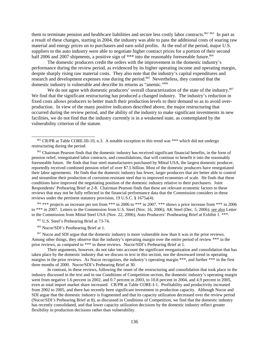them to terminate pension and healthcare liabilities and secure less costly labor contracts.<sup>862 863</sup> In part as a result of these changes, starting in 2004, the industry was able to pass the additional costs of soaring raw material and energy prices on to purchasers and earn solid profits. At the end of the period, major U.S. suppliers to the auto industry were able to negotiate higher contract prices for a portion of their second half 2006 and 2007 shipments, a positive sign of \*\*\* into the reasonably foreseeable future.<sup>864</sup>

 The domestic producers credit the orders with the improvement in the domestic industry's performance during the review period, as evidenced by its higher operating income and operating margin, despite sharply rising raw material costs. They also note that the industry's capital expenditures and research and development expenses rose during the period.<sup>865</sup> Nevertheless, they contend that the domestic industry is vulnerable and describe its returns as "anemic."866

We do not agree with domestic producers' overall characterization of the state of the industry.<sup>867</sup> We find that the significant restructuring has produced a changed industry. The industry's reduction in fixed costs allows producers to better match their production levels to their demand so as to avoid overproduction. In view of the many positive indicators described above, the major restructuring that occurred during the review period, and the ability of the industry to make significant investments in new facilities, we do not find that the industry currently is in a weakened state, as contemplated by the vulnerability criterion of the statute.

863 Chairman Pearson finds that the domestic industry has received significant financial benefits, in the form of pension relief, renegotiated labor contracts, and consolidations, that will continue to benefit it into the reasonably foreseeable future. He finds that four steel manufacturers purchased by Mittal USA, the largest domestic producer, reportedly received combined pension relief of over \$7.5 billion. Most of the domestic producers have renegotiated their labor agreements. He finds that the domestic industry has fewer, larger producers that are better able to control and streamline their production of corrosion-resistant steel due to improved economies of scale. He finds that these conditions have improved the negotiating position of the domestic industry relative to their purchasers. Joint Respondents' Prehearing Brief at 2-8. Chairman Pearson finds that these are relevant economic factors to these reviews that may not be fully reflected in the financial performance data that the Commission considers in these reviews under the pertinent statutory provision, 19 U.S.C. § 1675a(4).

<sup>864</sup> \*\*\* projects an increase per ton from \*\*\* in 2006 to \*\*\* in 2007. \*\*\* shows a price increase from \*\*\* in 2006 to \*\*\* in 2007. Letters to the Commission from U.S. Steel (Nov. 16, 2006); AK Steel (Dec. 5, 2006); see also Letter to the Commission from Mittal Steel USA (Nov. 22, 2006); Auto Producers' Posthearing Brief at Exhibit 1. \*\*\*.

865 U.S. Steel's Prehearing Brief at 73-74.

866 Nucor/SDI's Posthearing Brief at 1.

<sup>867</sup> Nucor and SDI argue that the domestic industry is more vulnerable now than it was in the prior reviews. Among other things, they observe that the industry's operating margin over the entire period of review \*\*\* in the prior reviews, as compared to \*\*\* in these reviews. Nucor/SDI's Prehearing Brief at 1.

Their arguments, however, do not take into account the significant reorganization and consolidation that has taken place by the domestic industry that we discuss in text in this section, nor the downward trend in operating margins in the prior reviews. As Nucor recognizes, the industry's operating margin \*\*\*, and further \*\*\* in the first three months of 2000. Nucor/SDI's Prehearing Brief at 30.

In contrast, in these reviews, following the onset of the restructuring and consolidation that took place in the industry discussed in the text and in our Conditions of Competition section, the domestic industry's operating margin went from negative 1.6 percent in 2002, and 0.7 percent in 2003, to 10.8 percent in 2004, and 4.9 percent in 2005, even as total import market share increased. CR/PR at Table CORE-I-1. Profitability and productivity increased from 2002 to 2005, and there has recently been significant investment in production capacity. Although Nucor and SDI argue that the domestic industry is fragmented and that its capacity utilization decreased over the review period (Nucor/SDI's Prehearing Brief at 8), as discussed in Conditions of Competition, we find that the domestic industry has recently consolidated, and that lower capacity utilization decisions by the domestic industry reflect greater flexibility in production decisions rather than vulnerability.

<sup>862</sup> CR/PR at Table CORE-III-10, n.3. A notable exception to this trend was \*\*\* which did not undergo restructuring during the period.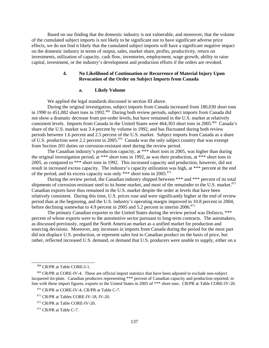Based on our finding that the domestic industry is not vulnerable, and moreover, that the volume of the cumulated subject imports is not likely to be significant nor to have significant adverse price effects, we do not find it likely that the cumulated subject imports will have a significant negative impact on the domestic industry in terms of output, sales, market share, profits, productivity, return on investments, utilization of capacity, cash flow, inventories, employment, wage growth, ability to raise capital, investment, or the industry's development and production efforts if the orders are revoked.

# **4. No Likelihood of Continuation or Recurrence of Material Injury Upon Revocation of the Order on Subject Imports from Canada**

### **a. Likely Volume**

We applied the legal standards discussed in section III above.

During the original investigation, subject imports from Canada increased from 180,030 short tons in 1990 to 451,082 short tons in 1992.<sup>868</sup> During both review periods, subject imports from Canada did not show a dramatic decrease from pre-order levels, but have remained in the U.S. market at relatively consistent levels. Imports from Canada to the United States were 464,303 short tons in 2005.<sup>869</sup> Canada's share of the U.S. market was 3.4 percent by volume in 1992, and has fluctuated during both review periods between 1.6 percent and 2.5 percent of the U.S. market. Subject imports from Canada as a share of U.S. production were 2.2 percent in 2005.<sup>870</sup> Canada was the only subject country that was exempt from Section 201 duties on corrosion-resistant steel during the review period.

The Canadian industry's production capacity, at \*\*\* short tons in 2005, was higher than during the original investigation period, at \*\*\* short tons in 1992, as was their production, at \*\*\* short tons in 2005, as compared to \*\*\* short tons in 1992. This increased capacity and production, however, did not result in increased excess capacity. The industry's capacity utilization was high, at \*\*\* percent at the end of the period, and its excess capacity was only \*\*\* short tons in 2005.<sup>871</sup>

During the review period, the Canadian industry shipped between \*\*\* and \*\*\* percent of its total shipments of corrosion-resistant steel to its home market, and most of the remainder to the U.S. market.<sup>872</sup> Canadian exports have thus remained in the U.S. market despite the order at levels that have been relatively consistent. During this time, U.S. prices rose and were significantly higher at the end of review period than at the beginning, and the U.S. industry's operating margin improved to 10.8 percent in 2004, before declining somewhat to 4.9 percent in 2005 and 5.2 percent in interim 2006.<sup>873</sup>

The primary Canadian exporter to the United States during the review period was Dofasco, \*\*\* percent of whose exports were to the automotive sector pursuant to long-term contracts. The automakers, as discussed previously, regard the North American market as a unified market for production and sourcing decisions. Moreover, any increases in imports from Canada during the period for the most part did not displace U.S. production, or represent sales lost to Canadian product on the basis of price, but rather, reflected increased U.S. demand, or demand that U.S. producers were unable to supply, either on a

 <sup>868</sup> CR/PR at Table CORE-I-1.

<sup>869</sup> CR/PR at CORE-IV-4. These are official import statistics that have been adjusted to exclude non-subject lacquered tin-plate. Canadian producers representing \*\*\* percent of Canadian capacity and production reported, in line with these import figures, exports to the United States in 2005 of \*\*\* short tons. CR/PR at Table CORE-IV-20.

 <sup>870</sup> CR/PR at CORE-IV-4, CR/PR at Table C-7.

<sup>&</sup>lt;sup>871</sup> CR/PR at Tables CORE-IV-18, IV-20.

 <sup>872</sup> CR/PR at Table CORE-IV-20.

<sup>&</sup>lt;sup>873</sup> CR/PR at Table C-7.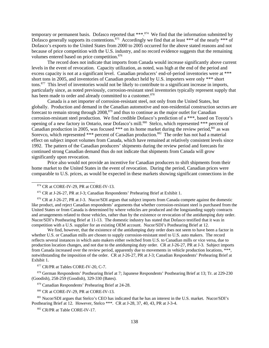temporary or permanent basis. Dofasco reported that \*\*\*.<sup>874</sup> We find that the information submitted by Dofasco generally supports its contentions.<sup>875</sup> Accordingly we find that at least \*\*\* of the nearly \*\*\* of Dofasco's exports to the United States from 2000 to 2005 occurred for the above stated reasons and not because of price competition with the U.S. industry, and no record evidence suggests that the remaining volumes entered based on price competition.<sup>876</sup>

The record does not indicate that imports from Canada would increase significantly above current levels in the event of revocation. Capacity utilization, as noted, was high at the end of the period and excess capacity is not at a significant level. Canadian producers' end-of-period inventories were at \*\*\* short tons in 2005, and inventories of Canadian product held by U.S. importers were only \*\*\* short tons.877 This level of inventories would not be likely to contribute to a significant increase in imports, particularly since, as noted previously, corrosion-resistant steel inventories typically represent supply that has been made to order and already committed to a customer.<sup>878</sup>

Canada is a net importer of corrosion-resistant steel, not only from the United States, but globally. Production and demand in the Canadian automotive and non-residential construction sectors are forecast to remain strong through  $2008$ ,  $879$  and thus to continue as the major outlet for Canadian corrosion-resistant steel production. We find credible Dofasco's prediction of a \*\*\*, based on Toyota's opening of a new factory in Ontario, near Dofasco's mill.<sup>880</sup> Stelco, which represented \*\*\* percent of Canadian production in 2005, was focused \*\*\* on its home market during the review period,<sup>881</sup> as was Sorevco, which represented \*\*\* percent of Canadian production.<sup>882</sup> The order has not had a material effect on subject import volumes from Canada, which have remained at relatively consistent levels since 1992. The pattern of the Canadian producers' shipments during the review period and forecasts for continued strong Canadian demand thus do not indicate that shipments from Canada will grow significantly upon revocation.

Price also would not provide an incentive for Canadian producers to shift shipments from their home market to the United States in the event of revocation. During the period, Canadian prices were comparable to U.S. prices, as would be expected in these markets showing significant connections in the

<sup>876</sup> CR at J-26-27, PR at J-3. Nucor/SDI argues that subject imports from Canada compete against the domestic like product, and reject Canadian respondents' arguments that whether corrosion-resistant steel is purchased from the United States or from Canada is determined by where vehicles are produced and the longstanding supply contracts and arrangements related to those vehicles, rather than by the existence or revocation of the antidumping duty order. Nucor/SDI's Posthearing Brief at 11-13. The domestic industry has stated that Dofasco testified that it was in competition with a U.S. supplier for an existing OEM account. Nucor/SDI's Posthearing Brief at 12.

We find, however, that the existence of the antidumping duty order does not seem to have been a factor in whether U.S. or Canadian mills are chosen to supply corrosion-resistant steel to U.S. auto makers. The record reflects several instances in which auto makers either switched from U.S. to Canadian mills or vice versa, due to production location changes, and not due to the antidumping duty order. CR at J-26-27, PR at J-3. Subject imports from Canada increased over the review period, apparently due to movements in vehicle production locations, \*\*\*, notwithstanding the imposition of the order. CR at J-26-27, PR at J-3; Canadian Respondents' Prehearing Brief at Exhibit 1.

877 CR/PR at Tables CORE-IV-20, C-7.

878 German Respondents' Posthearing Brief at 7; Japanese Respondents' Posthearing Brief at 13; Tr. at 229-230 (Goodish), 258-259 (Goodish), 329-330 (Bates).

879 Canadian Respondents' Prehearing Brief at 24-28.

880 CR at CORE-IV-29, PR at CORE-IV-13.

 881 Nucor/SDI argues that Stelco's CEO has indicated that he has an interest in the U.S. market. Nucor/SDI's Posthearing Brief at 12. However, Stelco \*\*\*. CR at J-28, 37, 40, 43, PR at J-3-4.

882 CR/PR at Table CORE-IV-17.

<sup>874</sup> CR at CORE-IV-29, PR at CORE-IV-13.

 <sup>875</sup> CR at J-26-27, PR at J-3; Canadian Respondents' Prehearing Brief at Exhibit 1.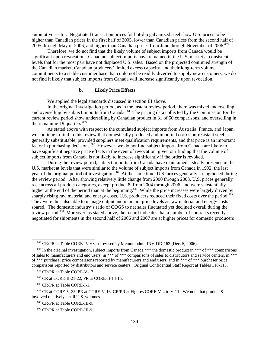automotive sector. Negotiated transaction prices for hot-dip galvanized steel show U.S. prices to be higher than Canadian prices in the first half of 2005, lower than Canadian prices from the second half of 2005 through May of 2006, and higher than Canadian prices from June through November of 2006.<sup>883</sup>

Therefore, we do not find that the likely volume of subject imports from Canada would be significant upon revocation. Canadian subject imports have remained in the U.S. market at consistent levels that for the most part have not displaced U.S. sales. Based on the projected continued strength of the Canadian market, Canadian producers' limited excess capacity, and their long-term volume commitments to a stable customer base that could not be readily diverted to supply new customers, we do not find it likely that subject imports from Canada will increase significantly upon revocation.

### **b. Likely Price Effects**

We applied the legal standards discussed in section III above.

In the original investigation period, as in the instant review period, there was mixed underselling and overselling by subject imports from Canada.<sup>884</sup> The pricing data collected by the Commission for the current review period show underselling by Canadian product in 31 of 50 comparisons, and overselling in the remaining 19 quarters.<sup>885</sup>

As stated above with respect to the cumulated subject imports from Australia, France, and Japan, we continue to find in this review that domestically produced and imported corrosion-resistant steel is generally substitutable, provided suppliers meet qualification requirements, and that price is an important factor in purchasing decisions.<sup>886</sup> However, we do not find subject imports from Canada are likely to have significant negative price effects in the event of revocation, given our finding that the volume of subject imports from Canada is not likely to increase significantly if the order is revoked.

During the review period, subject imports from Canada have maintained a steady presence in the U.S. market at levels that were similar to the volume of subject imports from Canada in 1992, the last year of the original period of investigation.<sup>887</sup> At the same time, U.S. prices generally strengthened during the review period. After showing relatively little change from 2000 through 2003, U.S. prices generally rose across all product categories, except product 8, from 2004 through 2006, and were substantially higher at the end of the period than at the beginning.<sup>888</sup> While the price increases were largely driven by sharply rising raw material and energy costs, U.S. producers reduced their fixed costs over the period.<sup>889</sup> They were thus also able to manage output and maintain price levels as raw material and energy costs soared. The domestic industry's ratio of COGS to net sales fluctuated yet declined overall during the review period.<sup>890</sup> Moreover, as stated above, the record indicates that a number of contracts recently negotiated for shipments in the second half of 2006 and 2007 are at higher prices for domestic producers

 <sup>883</sup> CR/PR at Table CORE-IV-68, as revised by Memorandum INV-DD-162 (Dec. 5, 2006).

<sup>&</sup>lt;sup>884</sup> In the original investigation, subject imports from Canada \*\*\* the domestic product in \*\*\* of \*\*\* comparisons of sales to manufacturers and end users, in \*\*\* of \*\*\* comparisons of sales to distributors and service centers, in \*\*\* of \*\*\* purchaser price comparisons reported by manufacturers and end users, and in \*\*\* of \*\*\* purchaser price comparisons reported by distributors and service centers. Original Confidential Staff Report at Tables 110-113.

<sup>885</sup> CR/PR at Table CORE-V-17.

 <sup>886</sup> CR at CORE-II-21-22, PR at CORE-II-14-15.

 <sup>887</sup> CR/PR at Table CORE-I-1.

<sup>888</sup> CR at CORE-V-35, PR at CORE-V-16, CR/PR at Figures CORE-V-4 to V-11. We note that product 8 involved relatively small U.S. volumes.

 <sup>889</sup> CR/PR at Table CORE-III-9.

 <sup>890</sup> CR/PR at Table CORE-III-9.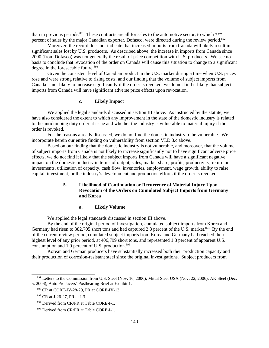than in previous periods.<sup>891</sup> These contracts are all for sales to the automotive sector, to which \*\*\* percent of sales by the major Canadian exporter, Dofasco, were directed during the review period.<sup>892</sup>

Moreover, the record does not indicate that increased imports from Canada will likely result in significant sales lost by U.S. producers. As described above, the increase in imports from Canada since 2000 (from Dofasco) was not generally the result of price competition with U.S. producers. We see no basis to conclude that revocation of the order on Canada will cause this situation to change to a significant degree in the foreseeable future.<sup>893</sup>

Given the consistent level of Canadian product in the U.S. market during a time when U.S. prices rose and were strong relative to rising costs, and our finding that the volume of subject imports from Canada is not likely to increase significantly if the order is revoked, we do not find it likely that subject imports from Canada will have significant adverse price effects upon revocation.

# **c. Likely Impact**

We applied the legal standards discussed in section III above. As instructed by the statute, we have also considered the extent to which any improvement in the state of the domestic industry is related to the antidumping duty order at issue and whether the industry is vulnerable to material injury if the order is revoked.

For the reasons already discussed, we do not find the domestic industry to be vulnerable. We incorporate herein our entire finding on vulnerability from section VI.D.3.c above.

Based on our finding that the domestic industry is not vulnerable, and moreover, that the volume of subject imports from Canada is not likely to increase significantly nor to have significant adverse price effects, we do not find it likely that the subject imports from Canada will have a significant negative impact on the domestic industry in terms of output, sales, market share, profits, productivity, return on investments, utilization of capacity, cash flow, inventories, employment, wage growth, ability to raise capital, investment, or the industry's development and production efforts if the order is revoked.

# **5. Likelihood of Continuation or Recurrence of Material Injury Upon Revocation of the Orders on Cumulated Subject Imports from Germany and Korea**

#### **a. Likely Volume**

We applied the legal standards discussed in section III above.

By the end of the original period of investigation, cumulated subject imports from Korea and Germany had risen to 382,705 short tons and had captured 2.8 percent of the U.S. market.<sup>894</sup> By the end of the current review period, cumulated subject imports from Korea and Germany had reached their highest level of any prior period, at 406,799 short tons, and represented 1.8 percent of apparent U.S. consumption and 1.9 percent of U.S. production. $895$ 

Korean and German producers have substantially increased both their production capacity and their production of corrosion-resistant steel since the original investigations. Subject producers from

<sup>&</sup>lt;sup>891</sup> Letters to the Commission from U.S. Steel (Nov. 16, 2006); Mittal Steel USA (Nov. 22, 2006); AK Steel (Dec. 5, 2006); Auto Producers' Posthearing Brief at Exhibit 1.

 <sup>892</sup> CR at CORE-IV-28-29, PR at CORE-IV-13.

 <sup>893</sup> CR at J-26-27, PR at J-3.

<sup>894</sup> Derived from CR/PR at Table CORE-I-1.

<sup>895</sup> Derived from CR/PR at Table CORE-I-1.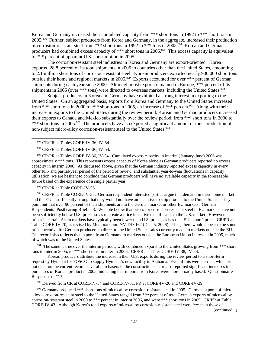Korea and Germany increased their cumulated capacity from \*\*\* short tons in 1992 to \*\*\* short tons in 2005.896 Further, subject producers from Korea and Germany, in the aggregate, increased their production of corrosion-resistant steel from \*\*\* short tons in 1992 to \*\*\* tons in 2005.897 Korean and German producers had combined excess capacity of \*\*\* short tons in 2005.<sup>898</sup> This excess capacity is equivalent to \*\*\* percent of apparent U.S. consumption in 2005.

The corrosion-resistant steel industries in Korea and Germany are export-oriented. Korea exported 28.8 percent of its total shipments in 2005 to countries other than the United States, amounting to 2.1 million short tons of corrosion-resistant steel. Korean producers exported nearly 900,000 short tons outside their home and regional markets in 2005.<sup>899</sup> Exports accounted for over \*\*\* percent of German shipments during each year since 2000. Although most exports remained in Europe, \*\*\* percent of its shipments in 2005 (over \*\*\* tons) were directed to overseas markets, including the United States.<sup>900</sup>

Subject producers in Korea and Germany have exhibited a strong interest in exporting to the United States. On an aggregated basis, exports from Korea and Germany to the United States increased from \*\*\* short tons in 2000 to \*\*\* short tons in 2005, an increase of \*\*\* percent.<sup>901</sup> Along with their increase in exports to the United States during the review period, Korean and German producers increased their exports to Canada and Mexico substantially over the review period, from \*\*\* short tons in 2000 to \*\*\* short tons in 2005.<sup>902</sup> The producers have also exported a significant amount of their production of non-subject micro-alloy corrosion-resistant steel to the United States.<sup>903</sup>

 898 CR/PR at Tables CORE IV-36, IV-54. Cumulated excess capacity in interim (January-June) 2006 was approximately \*\*\* tons. This represents excess capacity of Korea alone as German producers reported no excess capacity in interim 2006. As discussed above, given that the German industry reported excess capacity in every other full- and partial-year period of the period of review, and substantial year-to-year fluctuations in capacity utilization, we are hesitant to conclude that German producers will have no available capacity in the foreseeable future based on the experience of a single partial year.

899 CR/PR at Table CORE-IV-56.

900 CR/PR at Table CORE-IV-38. German respondent interested parties argue that demand in their home market and the EU is sufficiently strong that they would not have an incentive to ship product to the United States. They point out that over 90 percent of their shipments are to the German market or other EU markets. German Respondents' Posthearing Brief at 3. We note below that prices for corrosion-resistant steel in EU markets have not been sufficiently below U.S. prices so as to create a price incentive to shift sales to the U.S. market. However, prices in certain Asian markets have typically been lower than U.S. prices, as has the "EU export" price. CR/PR at Table CORE-IV-70, as revised by Memorandum INV-DD-162 (Dec. 5, 2006). Thus, there would appear to be some price incentive for German producers to direct to the United States sales currently made to markets outside the EU. The record also reflects that exports from Germany to markets outside the European Union increased in 2005, much of which was to the United States.

<sup>901</sup> The same is true over the interim periods, with combined exports to the United States growing from \*\*\* short tons in interim 2005, to \*\*\* short tons, in interim 2006. CR/PR at Tables CORE-IV-38, IV-56.

Korean producers attribute the increase in their U.S. exports during the review period to a short-term request by Hyundai for POSCO to supply Hyundai's new facility in Alabama. Even if this were correct, which is not clear on the current record, several purchasers in the construction sector also reported significant increases in purchases of Korean product in 2005, indicating that imports from Korea were more broadly based. Questionnaire Responses of \*\*\*.

902 Derived from CR at CORE-IV-54 and CORE-IV-81, PR at CORE-IV-20 and CORE-IV-29.

<sup>903</sup> Germany produced \*\*\* short tons of micro-alloy corrosion-resistant steel in 2005. German exports of microalloy corrosion-resistant steel to the United States ranged from \*\*\* percent of total German exports of micro-alloy corrosion-resistant steel in 2000 to \*\*\* percent in interim 2006, and were \*\*\* short tons in 2005. CR/PR at Table CORE-IV-43. Although Korea's total exports of micro-alloy corrosion-resistant steel were \*\*\* than those of

(continued...)

<sup>896</sup> CR/PR at Tables CORE-IV-36, IV-54.

<sup>897</sup> CR/PR at Tables CORE-IV-36, IV-54.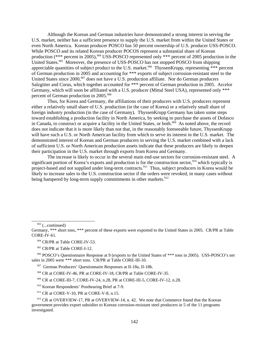Although the Korean and German industries have demonstrated a strong interest in serving the U.S. market, neither has a sufficient presence to supply the U.S. market from within the United States or even North America. Korean producer POSCO has 50 percent ownership of U.S. producer USS-POSCO. While POSCO and its related Korean producer POCOS represent a substantial share of Korean production (\*\*\* percent in 2005),<sup>904</sup> USS-POSCO represented only \*\*\* percent of 2005 production in the United States.<sup>905</sup> Moreover, the presence of USS-POSCO has not stopped POSCO from shipping appreciable quantities of subject product to the U.S. market.<sup>906</sup> ThyssenKrupp, representing \*\*\* percent of German production in 2005 and accounting for \*\*\* exports of subject corrosion-resistant steel to the United States since 2000,<sup>907</sup> does not have a U.S. production affiliate. Nor do German producers Salzgitter and Corus, which together accounted for \*\*\* percent of German production in 2005. Arcelor Germany, which will soon be affiliated with a U.S. producer (Mittal Steel USA), represented only \*\*\* percent of German production in 2005.<sup>908</sup>

Thus, for Korea and Germany, the affiliations of their producers with U.S. producers represent either a relatively small share of U.S. production (in the case of Korea) or a relatively small share of foreign industry production (in the case of Germany). ThyssenKrupp Germany has taken some steps toward establishing a production facility in North America, by seeking to purchase the assets of Dofasco in Canada, to construct or acquire a facility in the United States, or both.<sup>909</sup> As noted above, the record does not indicate that it is more likely than not that, in the reasonably foreseeable future, ThyssenKrupp will have such a U.S. or North American facility from which to serve its interest in the U.S. market. The demonstrated interest of Korean and German producers in serving the U.S. market combined with a lack of sufficient U.S. or North American production assets indicate that these producers are likely to deepen their participation in the U.S. market through exports from Korea and Germany.

The increase is likely to occur in the several main end-use sectors for corrosion-resistant steel. A significant portion of Korea's exports and production is for the construction sector,<sup>910</sup> which typically is project-based and not supplied under long-term contracts.<sup>911</sup> Thus, subject producers in Korea would be likely to increase sales to the U.S. construction sector if the orders were revoked, in many cases without being hampered by long-term supply commitments in other markets.<sup>912</sup>

 $903$  (...continued)

Germany, \*\*\* short tons, \*\*\* percent of these exports were exported to the United States in 2005. CR/PR at Table CORE-IV-61.

 <sup>904</sup> CR/PR at Table CORE-IV-53.

 <sup>905</sup> CR/PR at Table CORE-I-12.

 <sup>906</sup> POSCO's Questionnaire Response at 9 (exports to the United States of \*\*\* tons in 2005). USS-POSCO's net sales in 2005 were \*\*\* short tons. CR/PR at Table CORE-III-10.

 <sup>907</sup> German Producers' Questionnaire Responses at II-18a, II-18b.

 <sup>908</sup> CR at CORE-IV-46, PR at CORE-IV-18, CR/PR at Table CORE-IV-35.

 <sup>909</sup> CR at CORE-III-7, CORE-IV-24, n.28, PR at CORE-III-5, CORE-IV-12, n.28.

 <sup>910</sup> Korean Respondents' Posthearing Brief at 7-9.

 $911$  CR at CORE-V-10, PR at CORE-V-8, n.15.

<sup>&</sup>lt;sup>912</sup> CR at OVERVIEW-17, PR at OVERVIEW-14, n. 42. We note that Commerce found that the Korean government provides export subsidies to Korean corrosion-resistant steel producers in 5 of the 11 programs investigated.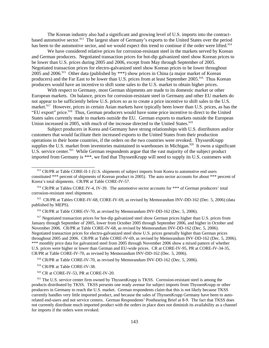The Korean industry also had a significant and growing level of U.S. imports into the contractbased automotive sector.<sup>913</sup> The largest share of Germany's exports to the United States over the period has been to the automotive sector, and we would expect this trend to continue if the order were lifted.<sup>914</sup>

We have considered relative prices for corrosion-resistant steel in the markets served by Korean and German producers. Negotiated transaction prices for hot-dip galvanized steel show Korean prices to be lower than U.S. prices during 2005 and 2006, except from May through September of 2005. Negotiated transaction prices for electro-galvanized steel show Korean prices to be lower throughout 2005 and 2006.<sup>915</sup> Other data (published by \*\*\*) show prices in China (a major market of Korean producers) and the Far East to be lower than U.S. prices from at least September 2005.<sup>916</sup> Thus Korean producers would have an incentive to shift some sales to the U.S. market to obtain higher prices.

With respect to Germany, most German shipments are made to its domestic market or other European markets. On balance, prices for corrosion-resistant steel in Germany and other EU markets do not appear to be sufficiently below U.S. prices so as to create a price incentive to shift sales to the U.S. market.<sup>917</sup> However, prices in certain Asian markets have typically been lower than U.S. prices, as has the "EU export" price.<sup>918</sup> Thus, German producers would have some price incentive to direct to the United States sales currently made to markets outside the EU. German exports to markets outside the European Union increased in 2005, with much of the increase directed to the United States.<sup>919</sup>

Subject producers in Korea and Germany have strong relationships with U.S. distributors and/or customers that would facilitate their increased exports to the United States from their production operations in their home countries, if the orders on the two countries were revoked. ThyssenKrupp supplies the U.S. market from inventories maintained in warehouses in Michigan.<sup>920</sup> It owns a significant U.S. service center.<sup>921</sup> While German respondents argue that the vast majority of the subject product imported from Germany is \*\*\*, we find that ThyssenKrupp will need to supply its U.S. customers with

 915 CR/PR at Tables CORE-IV-68, CORE-IV-69, as revised by Memorandum INV-DD-162 (Dec. 5, 2006) (data published by MEPS).

916 CR/PR at Table CORE-IV-70, as revised by Memorandum INV-DD-162 (Dec. 5, 2006).

<sup>917</sup> Negotiated transaction prices for hot-dip galvanized steel show German prices higher than U.S. prices from January through September of 2005, lower from October 2005 through September 2006, and higher in October and November 2006. CR/PR at Table CORE-IV-68, as revised by Memorandum INV-DD-162 (Dec. 5, 2006). Negotiated transaction prices for electro-galvanized steel show U.S. prices generally higher than German prices throughout 2005 and 2006. CR/PR at Table CORE-IV-69, as revised by Memorandum INV-DD-162 (Dec. 5, 2006). \*\*\* monthly price data for galvanized steel from 2005 through November 2006 show a mixed pattern of whether U.S. prices were higher or lower than German and EU-wide prices. CR at CORE-IV-95, PR at CORE-IV-34-35, CR/PR at Table CORE-IV-70, as revised by Memorandum INV-DD-162 (Dec. 5, 2006).

918 CR/PR at Table CORE-IV-70, as revised by Memorandum INV-DD-162 (Dec. 5, 2006).

919 CR/PR at Table CORE-IV-38.

<sup>920</sup> CR at CORE-IV-53, PR at CORE-IV-20.

 $921$  The U.S. service center firm owned by ThyssenKrupp is TKSS. Corrosion-resistant steel is among the products distributed by TKSS. TKSS presents one ready avenue for subject imports from ThyssenKrupp or other producers in Germany to reach the U.S. market. German respondents claim that this is not likely because TKSS currently handles very little imported product, and because the sales of ThyssenKrupp Germany have been to autorelated end-users and not service centers. German Respondents' Posthearing Brief at 8-9. The fact that TKSS does not currently distribute much imported product with the orders in place does not diminish its availability as a channel for imports if the orders were revoked.

<sup>913</sup> CR/PR at Table CORE-II-1 (U.S. shipments of subject imports from Korea to automotive end users constituted \*\*\* percent of shipments of Korean product in 2005). The auto sector accounts for about \*\*\* percent of Korea's total shipments. CR/PR at Table CORE-IV-57.

<sup>&</sup>lt;sup>914</sup> CR/PR at Tables CORE IV-4, IV-39. The automotive sector accounts for \*\*\* of German producers' total corrosion-resistant steel shipments.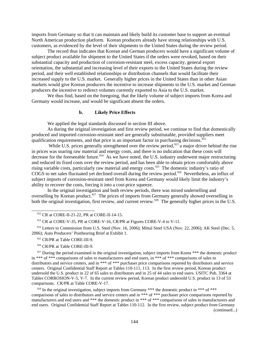imports from Germany so that it can maintain and likely build its customer base to support an eventual North American production platform. Korean producers already have strong relationships with U.S. customers, as evidenced by the level of their shipments to the United States during the review period.

The record thus indicates that Korean and German producers would have a significant volume of subject product available for shipment to the United States if the orders were revoked, based on their substantial capacity and production of corrosion-resistant steel, excess capacity, general export orientation, the substantial and increasing level of their exports to the United States during the review period, and their well established relationships or distribution channels that would facilitate their increased supply to the U.S. market. Generally higher prices in the United States than in other Asian markets would give Korean producers the incentive to increase shipments to the U.S. market and German producers the incentive to redirect volumes currently exported to Asia to the U.S. market.

We thus find, based on the foregoing, that the likely volume of subject imports from Korea and Germany would increase, and would be significant absent the orders.

#### **b. Likely Price Effects**

We applied the legal standards discussed in section III above.

As during the original investigation and first review period, we continue to find that domestically produced and imported corrosion-resistant steel are generally substitutable, provided suppliers meet qualification requirements, and that price is an important factor in purchasing decisions.  $\frac{92}{2}$ 

While U.S. prices generally strengthened over the review period,  $923$  a major driver behind the rise in prices was soaring raw material and energy costs, and there is no indication that these costs will decrease for the foreseeable future.<sup>924</sup> As we have noted, the U.S. industry underwent major restructuring and reduced its fixed costs over the review period, and has been able to obtain prices comfortably above rising variable costs, particularly raw material and energy costs.925 The domestic industry's ratio of COGS to net sales fluctuated yet declined overall during the review period.<sup>926</sup> Nevertheless, an influx of subject imports of corrosion-resistant steel from Korea and Germany would likely limit the industry's ability to recover the costs, forcing it into a cost-price squeeze.

In the original investigation and both review periods, there was mixed underselling and overselling by Korean product.<sup>927</sup> The prices of imports from Germany generally showed overselling in both the original investigation, first review, and current review.<sup>928</sup> The generally higher prices in the U.S.

923 CR at CORE-V-35, PR at CORE-V-16, CR/PR at Figures CORE-V-4 to V-11.

924 Letters to Commission from U.S. Steel (Nov. 16, 2006); Mittal Steel USA (Nov. 22, 2006); AK Steel (Dec. 5, 2006); Auto Producers' Posthearing Brief at Exhibit 1.

- 925 CR/PR at Table CORE-III-9.
- 926 CR/PR at Table CORE-III-9.

 $927$  During the period examined in the original investigation, subject imports from Korea \*\*\* the domestic product in \*\*\* of \*\*\* comparisons of sales to manufacturers and end users, in \*\*\* of \*\*\* comparisons of sales to distributors and service centers, and in \*\*\* of \*\*\* purchaser price comparisons reported by distributors and service centers. Original Confidential Staff Report at Tables 110-111, 113. In the first review period, Korean product undersold the U.S. product in 22 of 65 sales to distributors and in 25 of 44 sales to end users. USITC Pub. 3364 at Tables CORROSION-V-5, V-7. In the current review period, Korean product undersold U.S. product in 13 of 53 comparisons. CR/PR at Table CORE-V-17.

 $928$  In the original investigation, subject imports from Germany \*\*\* the domestic product in \*\*\* of \*\*\* comparisons of sales to distributors and service centers and in \*\*\* of \*\*\* purchaser price comparisons reported by manufacturers and end users and \*\*\* the domestic product in \*\*\* of \*\*\* comparisons of sales to manufacturers and end users. Original Confidential Staff Report at Tables 110-112. In the first review, subject product from Germany (continued...)

 <sup>922</sup> CR at CORE-II-21-22, PR at CORE-II-14-15.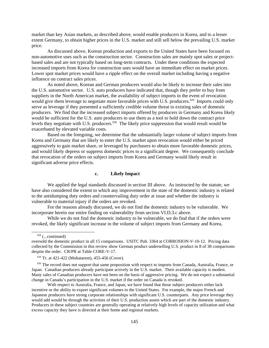market than key Asian markets, as described above, would enable producers in Korea, and to a lesser extent Germany, to obtain higher prices in the U.S. market and still sell below the prevailing U.S. market price.

As discussed above, Korean production and exports to the United States have been focused on non-automotive uses such as the construction sector. Construction sales are mainly spot sales or projectbased sales and are not typically based on long-term contracts. Under these conditions the expected increased imports from Korea for construction uses would have an immediate effect on market prices. Lower spot market prices would have a ripple effect on the overall market including having a negative influence on contract sales prices.

As noted above, Korean and German producers would also be likely to increase their sales into the U.S. automotive sector. U.S. auto producers have indicated that, though they prefer to buy from suppliers in the North American market, the availability of subject imports in the event of revocation would give them leverage to negotiate more favorable prices with U.S. producers.<sup>929</sup> Imports could only serve as leverage if they presented a sufficiently credible volume threat to existing sales of domestic producers. We find that the increased subject imports offered by producers in Germany and Korea likely would be sufficient for the U.S. auto producers to use them as a tool to hold down the contract price levels they negotiate with U.S. producers.<sup>930</sup> The likely price suppression that would result would be exacerbated by elevated variable costs.

Based on the foregoing, we determine that the substantially larger volume of subject imports from Korea and Germany that are likely to enter the U.S. market upon revocation would either be priced aggressively to gain market share, or leveraged by purchasers to obtain more favorable domestic prices, and would likely depress or suppress domestic prices to a significant degree. We consequently conclude that revocation of the orders on subject imports from Korea and Germany would likely result in significant adverse price effects.

#### **c. Likely Impact**

We applied the legal standards discussed in section III above. As instructed by the statute, we have also considered the extent to which any improvement in the state of the domestic industry is related to the antidumping duty orders and countervailing duty order at issue and whether the industry is vulnerable to material injury if the orders are revoked.

For the reasons already discussed, we do not find the domestic industry to be vulnerable. We incorporate herein our entire finding on vulnerability from section VI.D.3.c above.

While we do not find the domestic industry to be vulnerable, we do find that if the orders were revoked, the likely significant increase in the volume of subject imports from Germany and Korea,

 <sup>928 (...</sup>continued)

oversold the domestic product in all 15 comparisons. USITC Pub. 3364 at CORROSION-V-10-12. Pricing data collected by the Commission in this review show German product underselling U.S. product in 8 of 38 comparisons despite the order. CR/PR at Table CORE-V-17.

 <sup>929</sup> Tr. at 421-422 (Mohatarem), 455-456 (Cover).

<sup>930</sup> The record does not support that same proposition with respect to imports from Canada, Australia, France, or Japan. Canadian producers already participate actively in the U.S. market. Their available capacity is modest. Many sales of Canadian producers have not been on the basis of aggressive pricing. We do not expect a substantial change in Canada's participation in the U.S. market if the order on Canada is revoked.

With respect to Australia, France, and Japan, we have found that those subject producers either lack incentive or the ability to export significant volumes to the United States. For example, the major French and Japanese producers have strong corporate relationships with significant U.S. counterparts. Any price leverage they would add would be through the activities of their U.S. production assets which are part of the domestic industry. Producers in these subject countries are generally operating at relatively high levels of capacity utilization and what excess capacity they have is directed at their home and regional markets.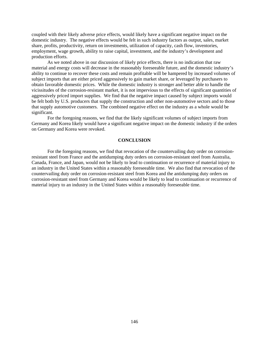coupled with their likely adverse price effects, would likely have a significant negative impact on the domestic industry. The negative effects would be felt in such industry factors as output, sales, market share, profits, productivity, return on investments, utilization of capacity, cash flow, inventories, employment, wage growth, ability to raise capital, investment, and the industry's development and production efforts.

As we noted above in our discussion of likely price effects, there is no indication that raw material and energy costs will decrease in the reasonably foreseeable future, and the domestic industry's ability to continue to recover these costs and remain profitable will be hampered by increased volumes of subject imports that are either priced aggressively to gain market share, or leveraged by purchasers to obtain favorable domestic prices. While the domestic industry is stronger and better able to handle the vicissitudes of the corrosion-resistant market, it is not impervious to the effects of significant quantities of aggressively priced import supplies. We find that the negative impact caused by subject imports would be felt both by U.S. producers that supply the construction and other non-automotive sectors and to those that supply automotive customers. The combined negative effect on the industry as a whole would be significant.

For the foregoing reasons, we find that the likely significant volumes of subject imports from Germany and Korea likely would have a significant negative impact on the domestic industry if the orders on Germany and Korea were revoked.

## **CONCLUSION**

For the foregoing reasons, we find that revocation of the countervailing duty order on corrosionresistant steel from France and the antidumping duty orders on corrosion-resistant steel from Australia, Canada, France, and Japan, would not be likely to lead to continuation or recurrence of material injury to an industry in the United States within a reasonably foreseeable time.We also find that revocation of the countervailing duty order on corrosion-resistant steel from Korea and the antidumping duty orders on corrosion-resistant steel from Germany and Korea would be likely to lead to continuation or recurrence of material injury to an industry in the United States within a reasonably foreseeable time.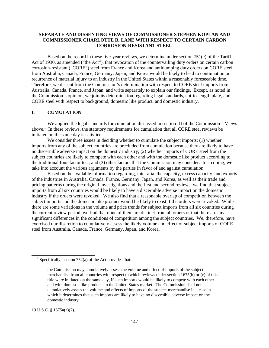## **SEPARATE AND DISSENTING VIEWS OF COMMISSIONER STEPHEN KOPLAN AND COMMISSIONER CHARLOTTE R. LANE WITH RESPECT TO CERTAIN CARBON CORROSION-RESISTANT STEEL**

Based on the record in these five-year reviews, we determine under section 751(c) of the Tariff Act of 1930, as amended ("the Act"), that revocation of the countervailing duty orders on certain carbon corrosion-resistant ("CORE") steel from France and Korea and antidumping duty orders on CORE steel from Australia, Canada, France, Germany, Japan, and Korea would be likely to lead to continuation or recurrence of material injury to an industry in the United States within a reasonably foreseeable time. Therefore, we dissent from the Commission's determination with respect to CORE steel imports from Australia, Canada, France, and Japan, and write separately to explain our findings. Except, as noted in the Commission's opinion, we join its determination regarding legal standards, cut-to-length plate, and CORE steel with respect to background, domestic like product, and domestic industry.

# **I. CUMULATION**

We applied the legal standards for cumulation discussed in section III of the Commission's Views above.<sup>1</sup> In these reviews, the statutory requirements for cumulation that all CORE steel reviews be initiated on the same day is satisfied.

We consider three issues in deciding whether to cumulate the subject imports: (1) whether imports from any of the subject countries are precluded from cumulation because they are likely to have no discernible adverse impact on the domestic industry; (2) whether imports of CORE steel from the subject countries are likely to compete with each other and with the domestic like product according to the traditional four-factor test; and (3) other factors that the Commission may consider. In so doing, we take into account the various arguments by the parties in favor of and against cumulation.

Based on the available information regarding, inter alia, the capacity, excess capacity, and exports of the industries in Australia, Canada, France, Germany, Japan, and Korea, as well as their trade and pricing patterns during the original investigations and the first and second reviews, we find that subject imports from all six countries would be likely to have a discernible adverse impact on the domestic industry if the orders were revoked. We also find that a reasonable overlap of competition between the subject imports and the domestic like product would be likely to exist if the orders were revoked. While there are some variations in the volume and price trends for subject imports from all six countries during the current review period, we find that none of them are distinct from all others or that there are any significant differences in the conditions of competition among the subject countries. We, therefore, have exercised our discretion to cumulatively assess the likely volume and effect of subject imports of CORE steel from Australia, Canada, France, Germany, Japan, and Korea.

19 U.S.C. § 1675a(a)(7).

<sup>&</sup>lt;sup>1</sup> Specifically, section 752(a) of the Act provides that:

the Commission may cumulatively assess the volume and effect of imports of the subject merchandise from all countries with respect to which reviews under section 1675(b) or (c) of this title were initiated on the same day, if such imports would be likely to compete with each other and with domestic like products in the United States market. The Commission shall not cumulatively assess the volume and effects of imports of the subject merchandise in a case in which it determines that such imports are likely to have no discernible adverse impact on the domestic industry.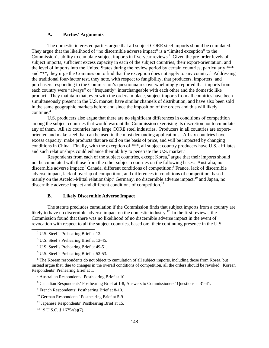## **A. Parties' Arguments**

The domestic interested parties argue that all subject CORE steel imports should be cumulated. They argue that the likelihood of "no discernible adverse impact" is a "limited exception" to the Commission's ability to cumulate subject imports in five-year reviews.<sup>2</sup> Given the pre-order levels of subject imports, sufficient excess capacity in each of the subject countries, their export-orientation, and the level of imports into the United States during the review period by certain countries, particularly \*\*\* and \*\*\*, they urge the Commission to find that the exception does not apply to any country.<sup>3</sup> Addressing the traditional four-factor test, they note, with respect to fungibility, that producers, importers, and purchasers responding to the Commission's questionnaires overwhelmingly reported that imports from each country were "always" or "frequently" interchangeable with each other and the domestic like product. They maintain that, even with the orders in place, subject imports from all countries have been simultaneously present in the U.S. market, have similar channels of distribution, and have also been sold in the same geographic markets before and since the imposition of the orders and this will likely continue.4

U.S. producers also argue that there are no significant differences in conditions of competition among the subject countries that would warrant the Commission exercising its discretion not to cumulate any of them. All six countries have large CORE steel industries. Producers in all countries are exportoriented and make steel that can be used in the most demanding applications. All six countries have excess capacity, make products that are sold on the basis of price, and will be impacted by changing conditions in China. Finally, with the exception of \*\*\*, all subject country producers have U.S. affiliates and such relationships could enhance their ability to penetrate the U.S. market.<sup>5</sup>

Respondents from each of the subject countries, except Korea,<sup>6</sup> argue that their imports should not be cumulated with those from the other subject countries on the following bases: Australia, no discernible adverse impact;<sup>7</sup> Canada, different conditions of competition;<sup>8</sup> France, lack of discernible adverse impact, lack of overlap of competition, and differences in conditions of competition, based mainly on the Arcelor-Mittal relationship;<sup>9</sup> Germany, no discernible adverse impact;<sup>10</sup> and Japan, no discernible adverse impact and different conditions of competition.<sup>11</sup>

## **B. Likely Discernible Adverse Impact**

The statute precludes cumulation if the Commission finds that subject imports from a country are likely to have no discernible adverse impact on the domestic industry.<sup>12</sup> In the first reviews, the Commission found that there was no likelihood of no discernible adverse impact in the event of revocation with respect to all the subject countries, based on: their continuing presence in the U.S.

<sup>6</sup> The Korean respondents do not object to cumulation of all subject imports, including those from Korea, but instead argue that, due to changes in the overall conditions of competition, all the orders should be revoked. Korean Respondents' Prehearing Brief at 1.

<sup>&</sup>lt;sup>2</sup> U.S. Steel's Prehearing Brief at 13.

<sup>&</sup>lt;sup>3</sup> U.S. Steel's Prehearing Brief at 13-45.

 <sup>4</sup> U.S. Steel's Prehearing Brief at 49-51.

 <sup>5</sup> U.S. Steel's Prehearing Brief at 52-53.

 <sup>7</sup> Australian Respondents' Posthearing Brief at 10.

 <sup>8</sup> Canadian Respondents' Posthearing Brief at 1-8, Answers to Commissioners' Questions at 31-41.

 <sup>9</sup> French Respondents' Posthearing Brief at 8-10.

 <sup>10</sup> German Respondents' Posthearing Brief at 5-9.

 <sup>11</sup> Japanese Respondents' Posthearing Brief at 15.

 <sup>12 19</sup> U.S.C. § 1675a(a)(7).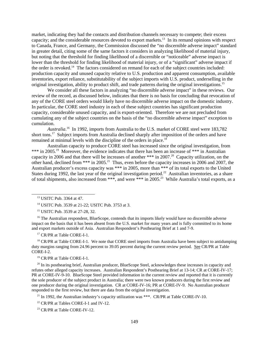market, indicating they had the contacts and distribution channels necessary to compete; their excess capacity; and the considerable resources devoted to export markets.13 In its remand opinions with respect to Canada, France, and Germany, the Commission discussed the "no discernible adverse impact" standard in greater detail, citing some of the same factors it considers in analyzing likelihood of material injury, but noting that the threshold for finding likelihood of a discernible or "noticeable" adverse impact is lower than the threshold for finding likelihood of material injury, or of a "significant" adverse impact if the order is revoked.<sup>14</sup> The factors considered on remand for each of the subject countries included: production capacity and unused capacity relative to U.S. production and apparent consumption, available inventories, export reliance, substitutability of the subject imports with U.S. product, underselling in the original investigation, ability to product shift, and trade patterns during the original investigations.15

We consider all these factors in analyzing "no discernible adverse impact" in these reviews. Our review of the record, as discussed below, indicates that there is no basis for concluding that revocation of any of the CORE steel orders would likely have no discernible adverse impact on the domestic industry. In particular, the CORE steel industry in each of these subject countries has significant production capacity, considerable unused capacity, and is export-oriented. Therefore we are not precluded from cumulating any of the subject countries on the basis of the "no discernible adverse impact" exception to cumulation.

*Australia*. 16 In 1992, imports from Australia to the U.S. market of CORE steel were 183,782 short tons.<sup>17</sup> Subject imports from Australia declined sharply after imposition of the orders and have remained at minimal levels with the discipline of the orders in place.<sup>18</sup>

Australian capacity to produce CORE steel has increased since the original investigation, from \*\*\* in 2005.<sup>19</sup> Moreover, the evidence indicates that there has been an increase of \*\*\* in Australian capacity in 2006 and that there will be increases of another \*\*\* in 2007.<sup>20</sup> Capacity utilization, on the other hand, declined from \*\*\* in 2005.21 Thus, even before the capacity increases in 2006 and 2007, the Australian producer's excess capacity was \*\*\* in 2005, more than \*\*\* of its total exports to the United States during 1992, the last year of the original investigation period.<sup>22</sup> Australian inventories, as a share of total shipments, also increased from \*\*\*, and were \*\*\* in 2005.<sup>23</sup> While Australia's total exports, as a

14 USITC Pub. 3539 at 21-22; USITC Pub. 3753 at 3.

15 USITC Pub. 3539 at 27-28, 32.

<sup>16</sup> The Australian respondent, BlueScope, contends that its imports likely would have no discernible adverse impact on the basis that it has been absent from the U.S. market for many years and is fully committed to its home and export markets outside of Asia. Australian Respondent's Posthearing Brief at 1 and 7-9.

17 CR/PR at Table CORE-I-1.

<sup>18</sup> CR/PR at Table CORE-I-1. We note that CORE steel imports from Australia have been subject to antidumping duty margins ranging from 24.96 percent to 39.05 percent during the current review period. See CR/PR at Table CORE-I-2.

19 CR/PR at Table CORE-I-1.

<sup>20</sup> In its posthearing brief, Australian producer, BlueScope Steel, acknowledges these increases in capacity and refutes other alleged capacity increases. Australian Respondent's Posthearing Brief at 13-14; CR at CORE-IV-17; PR at CORE-IV-9-10. BlueScope Steel provided information in the current review and reported that it is currently the sole producer of the subject product in Australia; there were two known producers during the first review and one producer during the original investigation. CR at CORE-IV-16; PR at CORE-IV-9. No Australian producer responded to the first review, but there are data from the original investigation.

<sup>21</sup> In 1992, the Australian industry's capacity utilization was \*\*\*. CR/PR at Table CORE-IV-10.

 $22$  CR/PR at Tables CORE-I-1 and IV-12.

<sup>23</sup> CR/PR at Table CORE-IV-12.

 <sup>13</sup> USITC Pub. 3364 at 47.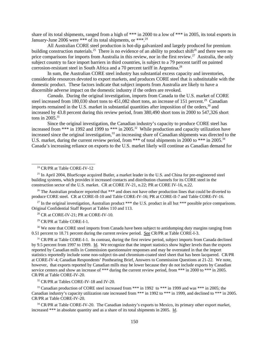share of its total shipments, ranged from a high of \*\*\* in 2000 to a low of \*\*\* in 2005, its total exports in January-June 2006 were \*\*\* of its total shipments, or \*\*\*.24

All Australian CORE steel production is hot-dip galvanized and largely produced for premium building construction materials.<sup>25</sup> There is no evidence of an ability to product shift<sup>26</sup> and there were no price comparisons for imports from Australia in this review, nor in the first review.<sup>27</sup> Australia, the only subject country to face import barriers in third countries, is subject to a 79 percent tariff on painted corrosion-resistant steel in South Africa and a 70 percent tariff in Argentina.<sup>28</sup>

In sum, the Australian CORE steel industry has substantial excess capacity and inventories, considerable resources devoted to export markets, and produces CORE steel that is substitutable with the domestic product. These factors indicate that subject imports from Australia are likely to have a discernible adverse impact on the domestic industry if the orders are revoked.

*Canada*. During the original investigation, imports from Canada to the U.S. market of CORE steel increased from 180,030 short tons to 451,082 short tons, an increase of 151 percent.<sup>29</sup> Canadian imports remained in the U.S. market in substantial quantities after imposition of the orders,<sup>30</sup> and increased by 43.8 percent during this review period, from 380,490 short tons in 2000 to 547,326 short tons in  $2005.^{31}$ 

Since the original investigation, the Canadian industry's capacity to produce CORE steel has increased from \*\*\* in 1992 and 1999 to \*\*\* in 2005.<sup>32</sup> While production and capacity utilization have increased since the original investigation,<sup>33</sup> an increasing share of Canadian shipments was directed to the U.S. market, during the current review period, from \*\*\* of total shipments in 2000 to \*\*\* in 2005.<sup>34</sup> Canada's increasing reliance on exports to the U.S. market likely will continue as Canadian demand for

<sup>26</sup> The Australian producer reported that \*\*\* and does not have other production lines that could be diverted to produce CORE steel. CR at CORE-II-10 and Table CORE-IV-16; PR at CORE-II-7 and Table CORE-IV-16.

<sup>27</sup> In the original investigation, Australian product \*\*\* the U.S. product in all but \*\*\* possible price comparisons. Original Confidential Staff Report at Tables 110 and 113.

<sup>28</sup> CR at CORE-IV-21; PR at CORE-IV-10.

29 CR/PR at Table CORE-I-1.

<sup>30</sup> We note that CORE steel imports from Canada have been subject to antidumping duty margins ranging from 0.51 percent to 18.71 percent during the current review period. See CR/PR at Table CORE-I-3.

<sup>31</sup> CR/PR at Table CORE-I-1. In contrast, during the first review period, subject imports from Canada declined by 9.5 percent from 1997 to 1999. Id. We recognize that the import statistics show higher levels than the exports reported by Canadian mills in Commission questionnaire responses and may be overstated in that the import statistics reportedly include some non-subject tin-and chromium-coated steel sheet that has been lacquered. CR/PR at CORE-IV-4; Canadian Respondents' Posthearing Brief, Answers to Commission Questions at 21-22. We note, however, that exports reported by Canadian mills may be lower because they do not include exports by Canadian service centers and show an increase of \*\*\* during the current review period, from \*\*\* in 2000 to \*\*\* in 2005. CR/PR at Table CORE-IV-20.

<sup>32</sup> CR/PR at Tables CORE-IV-18 and IV-20.

<sup>33</sup> Canadian production of CORE steel increased from \*\*\* in 1992 to \*\*\* in 1999 and was \*\*\* in 2005; the Canadian industry's capacity utilization rate increased from \*\*\* in 1992 to \*\*\* in 1999, and declined to \*\*\* in 2005. CR/PR at Table CORE-IV-20.

<sup>34</sup> CR/PR at Table CORE-IV-20. The Canadian industry's exports to Mexico, its primary other export market, increased \*\*\* in absolute quantity and as a share of its total shipments in 2005. Id.

<sup>&</sup>lt;sup>24</sup> CR/PR at Table CORE-IV-12

<sup>&</sup>lt;sup>25</sup> In April 2004, BlueScope acquired Butler, a market leader in the U.S. and China for pre-engineered steel building systems, which provides it increased contacts and distribution channels for its CORE steel in the construction sector of the U.S. market. CR at CORE IV-21, n.22; PR at CORE IV-16, n.22.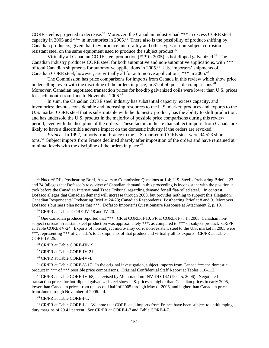CORE steel is projected to decrease.<sup>35</sup> Moreover, the Canadian industry had \*\*\* in excess CORE steel capacity in 2005 and \*\*\* in inventories in 2005.<sup>36</sup> There also is the possibility of product-shifting by Canadian producers, given that they produce micro-alloy and other types of non-subject corrosion resistant steel on the same equipment used to produce the subject product.<sup>37</sup>

Virtually all Canadian CORE steel production  $(***)$  in 2005) is hot-dipped galvanized.<sup>38</sup> The Canadian industry produces CORE steel for both automotive and non-automotive applications, with \*\*\* of total Canadian shipments for automotive applications in 2005.39 U.S. importers' shipments of Canadian CORE steel, however, are virtually all for automotive applications, \*\*\* in 2005.<sup>40</sup>

The Commission has price comparisons for imports from Canada in this review which show price underselling, even with the discipline of the orders in place, in 31 of 50 possible comparisons.<sup>41</sup> Moreover, Canadian negotiated transaction prices for hot-dip galvanized coils were lower than U.S. prices for each month from June to November 2006.<sup>42</sup>

In sum, the Canadian CORE steel industry has substantial capacity, excess capacity, and inventories; devotes considerable and increasing resources to the U.S. market; produces and exports to the U.S. market CORE steel that is substitutable with the domestic product; has the ability to shift production; and has undersold the U.S. product in the majority of possible price comparisons during this review period, even with the discipline of the orders. These factors indicate that subject imports from Canada are likely to have a discernible adverse impact on the domestic industry if the orders are revoked.

*France*. In 1992, imports from France to the U.S. market of CORE steel were 94,523 short tons.<sup>43</sup> Subject imports from France declined sharply after imposition of the orders and have remained at minimal levels with the discipline of the orders in place.<sup>44</sup>

<sup>36</sup> CR/PR at Tables CORE-IV-18 and IV-20.

<sup>37</sup> One Canadian producer reported that \*\*\*. CR at CORE-II-10; PR at CORE-II-7. In 2005, Canadian nonsubject corrosion-resistant steel production was approximately \*\*\*, as compared to \*\*\* of subject product. CR/PR at Table CORE-IV-24. Exports of non-subject micro-alloy corrosion-resistant steel to the U.S. market in 2005 were \*\*\*, representing \*\*\* of Canada's total shipments of that product and virtually all its exports. CR/PR at Table CORE-IV-25.

40 CR/PR at Table CORE-IV-4.

<sup>41</sup> CR/PR at Table CORE-V-17. In the original investigation, subject imports from Canada \*\*\* the domestic product in \*\*\* of \*\*\* possible price comparisons. Original Confidential Staff Report at Tables 110-113.

<sup>42</sup> CR/PR at Table CORE-IV-68, as revised by Memorandum INV-DD-162 (Dec. 5, 2006). Negotiated transaction prices for hot-dipped galvanized steel show U.S. prices as higher than Canadian prices in early 2005, lower than Canadian prices from the second half of 2005 through May of 2006, and higher than Canadian prices from June through November of 2006. Id.

43 CR/PR at Table CORE-I-1.

 44 CR/PR at Table CORE-I-1. We note that CORE steel imports from France have been subject to antidumping duty margins of 29.41 percent. See CR/PR at CORE-I-7 and Table CORE-I-7.

 <sup>35</sup> Nucor/SDI's Posthearing Brief, Answers to Commission Questions at 1-4; U.S. Steel's Prehearing Brief at 23 and 24 (alleges that Dofasco's rosy view of Canadian demand in this proceeding is inconsistent with the position it took before the Canadian International Trade Tribunal regarding demand for all flat-rolled steel). In contrast, Dofasco alleges that Canadian demand will increase through 2008, but provides nothing to support this allegation. Canadian Respondents' Prehearing Brief at 24-28; Canadian Respondents' Posthearing Brief at 8 and 9. Moreover, Dofasco's business plan notes that \*\*\*. Dofasco Importer's Questionnaire Response at Attachment 2, p. 10.

 <sup>38</sup> CR/PR at Table CORE-IV-19.

<sup>&</sup>lt;sup>39</sup> CR/PR at Table CORE-IV-21.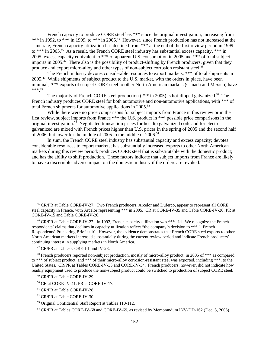French capacity to produce CORE steel has \*\*\* since the original investigation, increasing from \*\*\* in 1992, to \*\*\* in 1999, to \*\*\* in 2005.<sup>45</sup> However, since French production has not increased at the same rate, French capacity utilization has declined from \*\*\* at the end of the first review period in 1999 to \*\*\* in 2005.<sup>46</sup> As a result, the French CORE steel industry has substantial excess capacity, \*\*\* in 2005; excess capacity equivalent to \*\*\* of apparent U.S. consumption in 2005 and \*\*\* of total subject imports in 2005.<sup>47</sup> There also is the possibility of product-shifting by French producers, given that they produce and export micro-alloy and other types of non-subject corrosion resistant steel.<sup>48</sup>

The French industry devotes considerable resources to export markets, \*\*\* of total shipments in 2005.<sup>49</sup> While shipments of subject product to the U.S. market, with the orders in place, have been minimal, \*\*\* exports of subject CORE steel to other North American markets (Canada and Mexico) have  $*** 50$ 

The majority of French CORE steel production  $(***$  in 2005) is hot-dipped galvanized.<sup>51</sup> The French industry produces CORE steel for both automotive and non-automotive applications, with \*\*\* of total French shipments for automotive applications in  $2005$ .<sup>52</sup>

While there were no price comparisons for subject imports from France in this review or in the first review, subject imports from France \*\*\* the U.S. product in \*\*\* possible price comparisons in the original investigation.<sup>53</sup> Negotiated transaction prices for hot-dip galvanized coils and for electrogalvanized are mixed with French prices higher than U.S. prices in the spring of 2005 and the second half of 2006, but lower for the middle of 2005 to the middle of 2006.<sup>54</sup>

 In sum, the French CORE steel industry has substantial capacity and excess capacity; devotes considerable resources to export markets; has substantially increased exports to other North American markets during this review period; produces CORE steel that is substitutable with the domestic product; and has the ability to shift production. These factors indicate that subject imports from France are likely to have a discernible adverse impact on the domestic industry if the orders are revoked.

47 CR/PR at Tables CORE-I-1 and IV-28.

<sup>&</sup>lt;sup>45</sup> CR/PR at Table CORE-IV-27. Two French producers, Arcelor and Duferco, appear to represent all CORE steel capacity in France, with Arcelor representing \*\*\* in 2005. CR at CORE-IV-35 and Table CORE-IV-26; PR at CORE-IV-15 and Table CORE-IV-26.

 $46$  CR/PR at Table CORE-IV-27. In 1992, French capacity utilization was \*\*\*. Id. We recognize the French respondents' claims that declines in capacity utilization reflect "the company's decision to \*\*\*." French Respondents' Prehearing Brief at 10. However, the evidence demonstrates that French CORE steel exports to other North American markets increased substantially during the current review period and indicate French producers' continuing interest in supplying markets in North America.

 <sup>48</sup> French producers reported non-subject production, mostly of micro-alloy product, in 2005 of \*\*\* as compared to \*\*\* of subject product, and \*\*\* of their micro-alloy corrosion-resistant steel was exported, including \*\*\*, to the United States. CR/PR at Tables CORE-IV-33 and CORE-IV-34. French producers, however, did not indicate how readily equipment used to produce the non-subject product could be switched to production of subject CORE steel.

 <sup>49</sup> CR/PR at Table CORE-IV-29.

 $50$  CR at CORE-IV-41; PR at CORE-IV-17.

 <sup>51</sup> CR/PR at Table CORE-IV-28.

 <sup>52</sup> CR/PR at Table CORE-IV-30.

 <sup>53</sup> Original Confidential Staff Report at Tables 110-112.

<sup>&</sup>lt;sup>54</sup> CR/PR at Tables CORE-IV-68 and CORE-IV-69, as revised by Memorandum INV-DD-162 (Dec. 5, 2006).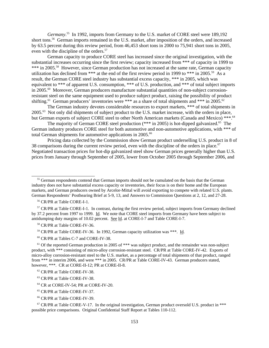*Germany*. 55 In 1992, imports from Germany to the U.S. market of CORE steel were 189,192 short tons.56 German imports remained in the U.S. market, after imposition of the orders, and increased by 63.5 percent during this review period, from 46,453 short tons in 2000 to 75,941 short tons in 2005, even with the discipline of the orders.<sup>57</sup>

German capacity to produce CORE steel has increased since the original investigation, with the substantial increases occurring since the first review; capacity increased from \*\*\* of capacity in 1999 to \*\*\* in 2005.<sup>58</sup> However, since German production has not increased at the same rate, German capacity utilization has declined from \*\*\* at the end of the first review period in 1999 to \*\*\* in 2005.<sup>59</sup> As a result, the German CORE steel industry has substantial excess capacity, \*\*\* in 2005, which was equivalent to \*\*\* of apparent U.S. consumption, \*\*\* of U.S. production, and \*\*\* of total subject imports in 2005.60 Moreover, German producers manufacture substantial quantities of non-subject corrosionresistant steel on the same equipment used to produce subject product, raising the possibility of product shifting.<sup>61</sup> German producers' inventories were \*\*\* as a share of total shipments and \*\*\* in 2005.<sup>62</sup>

The German industry devotes considerable resources to export markets, \*\*\* of total shipments in 2005.63 Not only did shipments of subject product to the U.S. market increase, with the orders in place, but German exports of subject CORE steel to other North American markets (Canada and Mexico) \*\*\*.<sup>64</sup>

The majority of German CORE steel production  $(***$  in 2005) is hot-dipped galvanized.<sup>65</sup> The German industry produces CORE steel for both automotive and non-automotive applications, with \*\*\* of total German shipments for automotive applications in 2005.<sup>66</sup>

Pricing data collected by the Commission show German product underselling U.S. product in 8 of 38 comparisons during the current review period, even with the discipline of the orders in place.<sup>67</sup> Negotiated transaction prices for hot-dip galvanized steel show German prices generally higher than U.S. prices from January through September of 2005, lower from October 2005 through September 2006, and

56 CR/PR at Table CORE-I-1.

<sup>57</sup> CR/PR at Table CORE-I-1. In contrast, during the first review period, subject imports from Germany declined by 37.2 percent from 1997 to 1999. Id. We note that CORE steel imports from Germany have been subject to antidumping duty margins of 10.02 percent. See Id. at CORE-I-7 and Table CORE-I-7.

58 CR/PR at Table CORE-IV-36.

60 CR/PR at Tables C-7 and CORE-IV-38.

- 62 CR/PR at Table CORE-IV-38.
- 63 CR/PR at Table CORE-IV-38.
- <sup>64</sup> CR at CORE-IV-54; PR at CORE-IV-20.
- 65 CR/PR at Table CORE-IV-37.
- 66 CR/PR at Table CORE-IV-39.

 $67$  CR/PR at Table CORE-V-17. In the original investigation, German product oversold U.S. product in \*\*\* possible price comparisons. Original Confidential Staff Report at Tables 110-112.

<sup>&</sup>lt;sup>55</sup> German respondents contend that German imports should not be cumulated on the basis that the German industry does not have substantial excess capacity or inventories, their focus is on their home and the European markets, and German producers owned by Arcelor-Mittal will avoid exporting to compete with related U.S. plants. German Respondents' Posthearing Brief at 5-9, 13, and Answers to Commission Questions at 2, 12, and 27-28.

 <sup>59</sup> CR/PR at Table CORE-IV-36. In 1992, German capacity utilization was \*\*\*. Id.

 $61$  Of the reported German production in 2005 of  $***$  was subject product, and the remainder was non-subject product, with \*\*\* consisting of micro-alloy corrosion-resistant steel. CR/PR at Table CORE-IV-42. Exports of micro-alloy corrosion-resistant steel to the U.S. market, as a percentage of total shipments of that product, ranged from \*\*\* in interim 2006, and were \*\*\* in 2005. CR/PR at Table CORE-IV-43. German producers stated, however, \*\*\*. CR at CORE-II-12; PR at CORE-II-8.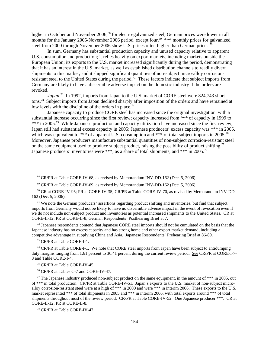higher in October and November 2006;<sup>68</sup> for electro-galvanized steel, German prices were lower in all months for the January 2005-November 2006 period, except four.<sup>69</sup> \*\*\* monthly prices for galvanized steel from 2000 through November 2006 show U.S. prices often higher than German prices.<sup>70</sup>

In sum, Germany has substantial production capacity and unused capacity relative to apparent U.S. consumption and production; it relies heavily on export markets, including markets outside the European Union; its exports to the U.S. market increased significantly during the period, demonstrating that it has an interest in the U.S. market, as well as established distribution channels to readily divert shipments to this market; and it shipped significant quantities of non-subject micro-alloy corrosionresistant steel to the United States during the period.<sup>71</sup> These factors indicate that subject imports from Germany are likely to have a discernible adverse impact on the domestic industry if the orders are revoked.

Japan.<sup>72</sup> In 1992, imports from Japan to the U.S. market of CORE steel were 824,743 short tons.73 Subject imports from Japan declined sharply after imposition of the orders and have remained at low levels with the discipline of the orders in place.<sup>74</sup>

Japanese capacity to produce CORE steel has increased since the original investigation, with a substantial increase occurring since the first review; capacity increased from \*\*\* of capacity in 1999 to \*\*\* in 2005.<sup>75</sup> While Japanese production and capacity utilization have increased since the first review, Japan still had substantial excess capacity in 2005; Japanese producers' excess capacity was \*\*\* in 2005, which was equivalent to \*\*\* of apparent U.S. consumption and \*\*\* of total subject imports in 2005.<sup>76</sup> Moreover, Japanese producers manufacture substantial quantities of non-subject corrosion-resistant steel on the same equipment used to produce subject product, raising the possibility of product shifting.<sup>77</sup> Japanese producers' inventories were \*\*\*, as a share of total shipments, and \*\*\* in 2005.<sup>78</sup>

 $72$  Japanese respondents contend that Japanese CORE steel imports should not be cumulated on the basis that the Japanese industry has no excess capacity and has strong home and other export market demand, including a competitive advantage in supplying China and Asia. Japanese Respondents' Prehearing Brief at 86-89.

73 CR/PR at Table CORE-I-1.

 $74$  CR/PR at Table CORE-I-1. We note that CORE steel imports from Japan have been subject to antidumping duty margins ranging from 1.61 percent to 36.41 percent during the current review period. See CR/PR at CORE-I-7-8 and Table CORE-I-4.

75 CR/PR at Table CORE-IV-45.

76 CR/PR at Tables C-7 and CORE-IV-47.

 $77$  The Japanese industry produced non-subject product on the same equipment, in the amount of \*\*\* in 2005, out of \*\*\* in total production. CR/PR at Table CORE-IV-51. Japan's exports to the U.S. market of non-subject microalloy corrosion-resistant steel were at a high of \*\*\* in 2000 and were \*\*\* in interim 2006. These exports to the U.S. market represented \*\*\* of total shipments in 2005 and \*\*\* in interim 2006, with total exports around \*\*\* of total shipments throughout most of the review period. CR/PR at Table CORE-IV-52. One Japanese producer \*\*\*. CR at CORE-II-12; PR at CORE-II-8.

<sup>&</sup>lt;sup>68</sup> CR/PR at Table CORE-IV-68, as revised by Memorandum INV-DD-162 (Dec. 5, 2006).

 $69$  CR/PR at Table CORE-IV-69, as revised by Memorandum INV-DD-162 (Dec. 5, 2006).

 $70$  CR at CORE-IV-95; PR at CORE-IV-35; CR/PR at Table CORE-IV-70, as revised by Memorandum INV-DD-162 (Dec. 5, 2006).

<sup>&</sup>lt;sup>71</sup> We note the German producers' assertions regarding product shifting and inventories, but find that subject imports from Germany would not be likely to have no discernible adverse impact in the event of revocation even if we do not include non-subject product and inventories as potential increased shipments to the United States. CR at CORE-II-12; PR at CORE-II-8; German Respondents' Posthearing Brief at 7.

 <sup>78</sup> CR/PR at Table CORE-IV-47.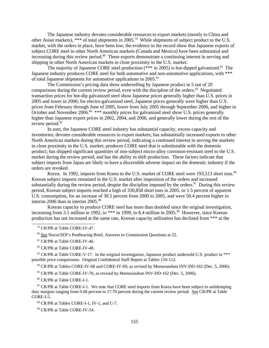The Japanese industry devotes considerable resources to export markets (mostly to China and other Asian markets), \*\*\* of total shipments in 2005.79 While shipments of subject product to the U.S. market, with the orders in place, have been low, the evidence in the record show that Japanese exports of subject CORE steel to other North American markets (Canada and Mexico) have been substantial and increasing during this review period.<sup>80</sup> These exports demonstrate a continuing interest in serving and shipping to other North American markets in close proximity to the U.S. market.

The majority of Japanese CORE steel production  $(***$  in 2005) is hot-dipped galvanized.<sup>81</sup> The Japanese industry produces CORE steel for both automotive and non-automotive applications, with \*\*\* of total Japanese shipments for automotive applications in 2005.82

The Commission's pricing data show underselling by Japanese product in 5 out of 20 comparisons during the current review period, even with the discipline of the orders. $83$  Negotiated transaction prices for hot-dip galvanized steel show Japanese prices generally higher than U.S. prices in 2005 and lower in 2006; for electro-galvanized steel, Japanese prices generally were higher than U.S. prices from February through June of 2005, lower from July 2005 through September 2006, and higher in October and November 2006.<sup>84</sup> \*\*\* monthly prices for galvanized steel show U.S. prices generally higher than Japanese export prices in 2002, 2004, and 2006, and generally lower during the rest of the review period.<sup>85</sup>

 In sum, the Japanese CORE steel industry has substantial capacity, excess capacity and inventories; devotes considerable resources to export markets; has substantially increased exports to other North American markets during this review period, indicating a continued interest in serving the markets in close proximity to the U.S. market; produces CORE steel that is substitutable with the domestic product; has shipped significant quantities of non-subject micro-alloy corrosion-resistant steel to the U.S. market during the review period; and has the ability to shift production. These factors indicate that subject imports from Japan are likely to have a discernible adverse impact on the domestic industry if the orders are revoked.

Korea. In 1992, imports from Korea to the U.S. market of CORE steel were 193,513 short tons.<sup>86</sup> Korean subject imports remained in the U.S. market after imposition of the orders and increased substantially during the review period, despite the discipline imposed by the orders.<sup>87</sup> During this review period, Korean subject imports reached a high of 330,858 short tons in 2005, or 1.5 percent of apparent U.S. consumption, for an increase of 30.5 percent from 2000 to 2005, and were 50.4 percent higher in interim 2006 than in interim 2005.<sup>88</sup>

Korean capacity to produce CORE steel has more than doubled since the original investigation, increasing from 3.1 million in 1992, to \*\*\* in 1999, to 8.4 million in 2005.<sup>89</sup> However, since Korean production has not increased at the same rate, Korean capacity utilization has declined from \*\*\* at the

80 See Nucor/SDI's Posthearing Brief, Answers to Commission Questions at 22.

<sup>81</sup> CR/PR at Table CORE-IV-46.

<sup>82</sup> CR/PR at Table CORE-IV-48.

<sup>83</sup> CR/PR at Table CORE-V-17. In the original investigation, Japanese product undersold U.S. product in \*\*\* possible price comparisons. Original Confidential Staff Report at Tables 110-112.

<sup>84</sup> CR/PR at Tables CORE-IV-68 and CORE-IV-69, as revised by Memorandum INV-DD-162 (Dec. 5, 2006).

<sup>85</sup> CR/PR at Table CORE-IV-70, as revised by Memorandum INV-DD-162 (Dec. 5, 2006).

86 CR/PR at Table CORE-I-1.

<sup>87</sup> CR/PR at Table CORE-I-1. We note that CORE steel imports from Korea have been subject to antidumping duty margins ranging from 0.68 percent to 17.70 percent during the current review period. See CR/PR at Table CORE-I-5.

88 CR/PR at Tables CORE-I-1, IV-1, and C-7.

89 CR/PR at Table CORE-IV-54.

 <sup>79</sup> CR/PR at Table CORE-IV-47.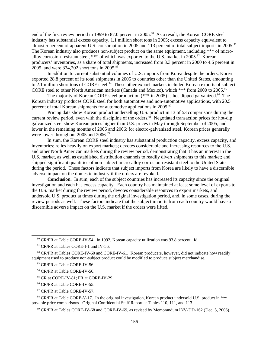end of the first review period in 1999 to 87.0 percent in 2005.<sup>90</sup> As a result, the Korean CORE steel industry has substantial excess capacity, 1.1 million short tons in 2005; excess capacity equivalent to almost 5 percent of apparent U.S. consumption in 2005 and 113 percent of total subject imports in 2005.<sup>91</sup> The Korean industry also produces non-subject product on the same equipment, including \*\*\* of microalloy corrosion-resistant steel, \*\*\* of which was exported to the U.S. market in 2005.<sup>92</sup> Korean producers' inventories, as a share of total shipments, increased from 3.3 percent in 2000 to 4.6 percent in 2005, and were 334,202 short tons in 2005.<sup>93</sup>

In addition to current substantial volumes of U.S. imports from Korea despite the orders, Korea exported 28.8 percent of its total shipments in 2005 to countries other than the United States, amounting to 2.1 million short tons of CORE steel.<sup>94</sup> These other export markets included Korean exports of subject CORE steel to other North American markets (Canada and Mexico), which \*\*\* from 2000 to 2005.95

The majority of Korean CORE steel production  $(***$  in 2005) is hot-dipped galvanized.<sup>96</sup> The Korean industry produces CORE steel for both automotive and non-automotive applications, with 20.5 percent of total Korean shipments for automotive applications in 2005.<sup>97</sup>

Pricing data show Korean product underselling U.S. product in 13 of 53 comparisons during the current review period, even with the discipline of the orders.<sup>98</sup> Negotiated transaction prices for hot-dip galvanized steel show Korean prices higher than U.S. prices in May through September of 2005, and lower in the remaining months of 2005 and 2006; for electro-galvanized steel, Korean prices generally were lower throughout 2005 and 2006.<sup>99</sup>

In sum, the Korean CORE steel industry has substantial production capacity, excess capacity, and inventories; relies heavily on export markets; devotes considerable and increasing resources to the U.S. and other North American markets during the review period, demonstrating that it has an interest in the U.S. market, as well as established distribution channels to readily divert shipments to this market; and shipped significant quantities of non-subject micro-alloy corrosion-resistant steel to the United States during the period. These factors indicate that subject imports from Korea are likely to have a discernible adverse impact on the domestic industry if the orders are revoked.

**Conclusion**. In sum, each of the subject countries has increased its capacity since the original investigation and each has excess capacity. Each country has maintained at least some level of exports to the U.S. market during the review period, devotes considerable resources to export markets, and undersold U.S. product at times during the original investigation period, and, in some cases, during the review periods as well. These factors indicate that the subject imports from each country would have a discernible adverse impact on the U.S. market if the orders were lifted.

<sup>97</sup> CR/PR at Table CORE-IV-57.

<sup>98</sup> CR/PR at Table CORE-V-17. In the original investigation, Korean product undersold U.S. product in \*\*\* possible price comparisons. Original Confidential Staff Report at Tables 110, 111, and 113.

<sup>&</sup>lt;sup>90</sup> CR/PR at Table CORE-IV-54. In 1992, Korean capacity utilization was 93.8 percent. Id.

<sup>&</sup>lt;sup>91</sup> CR/PR at Tables CORE-I-1 and IV-56.

 $92$  CR/PR at Tables CORE-IV-60 and CORE-IV-61. Korean producers, however, did not indicate how readily equipment used to produce non-subject product could be modified to produce subject merchandise.

<sup>&</sup>lt;sup>93</sup> CR/PR at Table CORE-IV-56.

<sup>&</sup>lt;sup>94</sup> CR/PR at Table CORE-IV-56.

<sup>&</sup>lt;sup>95</sup> CR at CORE-IV-81; PR at CORE-IV-29.

<sup>&</sup>lt;sup>96</sup> CR/PR at Table CORE-IV-55.

 <sup>99</sup> CR/PR at Tables CORE-IV-68 and CORE-IV-69, as revised by Memorandum INV-DD-162 (Dec. 5, 2006).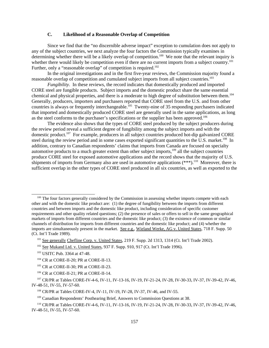### **C. Likelihood of a Reasonable Overlap of Competition**

Since we find that the "no discernible adverse impact" exception to cumulation does not apply to any of the subject countries, we next analyze the four factors the Commission typically examines in determining whether there will be a likely overlap of competition.<sup>100</sup> We note that the relevant inquiry is whether there would likely be competition even if there are no current imports from a subject country.<sup>101</sup> Further, only a "reasonable overlap" of competition is required.<sup>102</sup>

In the original investigations and in the first five-year reviews, the Commission majority found a reasonable overlap of competition and cumulated subject imports from all subject countries.103

*Fungibility*. In these reviews, the record indicates that domestically produced and imported CORE steel are fungible products. Subject imports and the domestic product share the same essential chemical and physical properties, and there is a moderate to high degree of substitution between them.<sup>104</sup> Generally, producers, importers and purchasers reported that CORE steel from the U.S. and from other countries is always or frequently interchangeable.<sup>105</sup> Twenty-nine of 35 responding purchasers indicated that imported and domestically produced CORE steel are generally used in the same applications, as long as the steel conforms to the purchaser's specifications or the supplier has been approved.<sup>106</sup>

The evidence also shows that the types of CORE steel produced by the subject producers during the review period reveal a sufficient degree of fungibility among the subject imports and with the domestic product.<sup>107</sup> For example, producers in all subject countries produced hot-dip galvanized CORE steel during the review period and in some cases exported significant quantities to the U.S. market.<sup>108</sup> In addition, contrary to Canadian respondents' claims that imports from Canada are focused on specialty automotive products to a much greater extent than other subject imports,<sup>109</sup> all the subject countries produce CORE steel for exposed automotive applications and the record shows that the majority of U.S. shipments of imports from Germany also are used in automotive applications  $(***)$ <sup>110</sup> Moreover, there is sufficient overlap in the other types of CORE steel produced in all six countries, as well as exported to the

<sup>&</sup>lt;sup>100</sup> The four factors generally considered by the Commission in assessing whether imports compete with each other and with the domestic like product are: (1) the degree of fungibility between the imports from different countries and between imports and the domestic like product, including consideration of specific customer requirements and other quality related questions; (2) the presence of sales or offers to sell in the same geographical markets of imports from different countries and the domestic like product; (3) the existence of common or similar channels of distribution for imports from different countries and the domestic like product; and (4) whether the imports are simultaneously present in the market. See e.g., Wieland Werke, AG v. United States, 718 F. Supp. 50 (Ct. Int'l Trade 1989).

<sup>&</sup>lt;sup>101</sup> See generally Chefline Corp. v. United States, 219 F. Supp. 2d 1313, 1314 (Ct. Int'l Trade 2002).

<sup>&</sup>lt;sup>102</sup> See Mukand Ltd. v. United States, 937 F. Supp. 910, 917 (Ct. Int'l Trade 1996).

 <sup>103</sup> USITC Pub. 3364 at 47-48.

 <sup>104</sup> CR at CORE-II-20; PR at CORE-II-13.

 <sup>105</sup> CR at CORE-II-30; PR at CORE-II-23.

 <sup>106</sup> CR at CORE-II-21; PR at CORE-II-14.

 <sup>107</sup> CR/PR at Tables CORE-IV-4-6, IV-11, IV-13-16, IV-19, IV-21-24, IV-28, IV-30-33, IV-37, IV-39-42, IV-46, IV-48-51, IV-55, IV-57-60.

 <sup>108</sup> CR/PR at Tables CORE-IV-4, IV-11, IV-19, IV-28, IV-37, IV-46, and IV-55.

<sup>&</sup>lt;sup>109</sup> Canadian Respondents' Posthearing Brief, Answers to Commission Questions at 38.

 <sup>110</sup> CR/PR at Tables CORE-IV-4-6, IV-11, IV-13-16, IV-19, IV-21-24, IV-28, IV-30-33, IV-37, IV-39-42, IV-46, IV-48-51, IV-55, IV-57-60.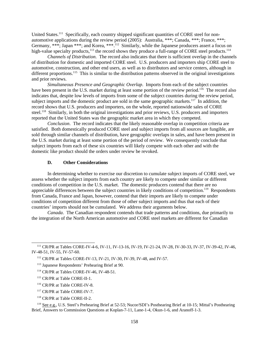United States.<sup>111</sup> Specifically, each country shipped significant quantities of CORE steel for nonautomotive applications during the review period (2005): Australia, \*\*\*; Canada, \*\*\*; France, \*\*\*; Germany, \*\*\*; Japan \*\*\*; and Korea, \*\*\*.<sup>112</sup> Similarly, while the Japanese producers assert a focus on high-value specialty products,<sup>113</sup> the record shows they produce a full-range of CORE steel products.<sup>114</sup>

*Channels of Distribution*. The record also indicates that there is sufficient overlap in the channels of distribution for domestic and imported CORE steel. U.S. producers and importers ship CORE steel to automotive, construction, and other end users, as well as to distributors and service centers, although in different proportions.<sup>115</sup> This is similar to the distribution patterns observed in the original investigations and prior reviews.

*Simultaneous Presence and Geographic Overlap*. Imports from each of the subject countries have been present in the U.S. market during at least some portion of the review period.<sup>116</sup> The record also indicates that, despite low levels of imports from some of the subject countries during the review period, subject imports and the domestic product are sold in the same geographic markets.<sup>117</sup> In addition, the record shows that U.S. producers and importers, on the whole, reported nationwide sales of CORE steel.<sup>118</sup> Similarly, in both the original investigations and prior reviews, U.S. producers and importers reported that the United States was the geographic market area in which they competed.

*Conclusion*. The record indicates that the likely reasonable overlap in competition criteria are satisfied. Both domestically produced CORE steel and subject imports from all sources are fungible, are sold through similar channels of distribution, have geographic overlaps in sales, and have been present in the U.S. market during at least some portion of the period of review. We consequently conclude that subject imports from each of these six countries will likely compete with each other and with the domestic like product should the orders under review be revoked.

## **D. Other Considerations**

In determining whether to exercise our discretion to cumulate subject imports of CORE steel, we assess whether the subject imports from each country are likely to compete under similar or different conditions of competition in the U.S. market. The domestic producers contend that there are no appreciable differences between the subject countries in likely conditions of competition.<sup>119</sup> Respondents from Canada, France and Japan, however, contend that their imports are likely to compete under conditions of competition different from those of other subject imports and thus that each of their countries' imports should not be cumulated. We address their arguments below.

*Canada*. The Canadian respondent contends that trade patterns and conditions, due primarily to the integration of the North American automotive and CORE steel markets are different for Canadian

- 117 CR/PR at Table CORE-IV-7.
- 118 CR/PR at Table CORE-II-2.

 119 See e.g., U.S. Steel's Prehearing Brief at 52-53; Nucor/SDI's Posthearing Brief at 10-15; Mittal's Posthearing Brief, Answers to Commission Questions at Koplan-7-11, Lane-1-4, Okun-1-6, and Aranoff-1-3.

 <sup>111</sup> CR/PR at Tables CORE-IV-4-6, IV-11, IV-13-16, IV-19, IV-21-24, IV-28, IV-30-33, IV-37, IV-39-42, IV-46, IV-48-51, IV-55, IV-57-60.

 <sup>112</sup> CR/PR at Tables CORE-IV-13, IV-21, IV-30, IV-39, IV-48, and IV-57.

 <sup>113</sup> Japanese Respondents' Prehearing Brief at 90.

 <sup>114</sup> CR/PR at Tables CORE-IV-46, IV-48-51.

 <sup>115</sup> CR/PR at Table CORE-II-1.

 <sup>116</sup> CR/PR at Table CORE-IV-8.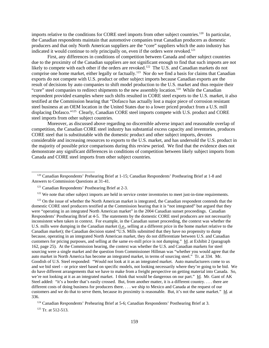imports relative to the conditions for CORE steel imports from other subject countries.<sup>120</sup> In particular, the Canadian respondents maintain that automotive companies treat Canadian producers as domestic producers and that only North American suppliers are the "core" suppliers which the auto industry has indicated it would continue to rely principally on, even if the orders were revoked.<sup>121</sup>

First, any differences in conditions of competition between Canada and other subject countries due to the proximity of the Canadian suppliers are not significant enough to find that such imports are not likely to compete with each other if the orders are revoked.<sup>122</sup> The U.S. and Canadian markets do not comprise one home market, either legally or factually.<sup>123</sup> Nor do we find a basis for claims that Canadian exports do not compete with U.S. product or other subject imports because Canadian exports are the result of decisions by auto companies to shift model production to the U.S. market and thus require their "core" steel companies to redirect shipments to the new assembly location.<sup>124</sup> While the Canadian respondent provided examples where such shifts resulted in CORE steel exports to the U.S. market, it also testified at the Commission hearing that "Dofasco has actually lost a major piece of corrosion resistant steel business at an OEM location in the United States due to a lower priced product from a U.S. mill displacing Dofasco."<sup>125</sup> Clearly, Canadian CORE steel imports compete with U.S. product and CORE steel imports from other subject countries.

Moreover, as discussed above regarding no discernible adverse impact and reasonable overlap of competition, the Canadian CORE steel industry has substantial excess capacity and inventories, produces CORE steel that is substitutable with the domestic product and other subject imports, devotes considerable and increasing resources to exports to the U.S. market, and has undersold the U.S. product in the majority of possible price comparisons during this review period. We find that the evidence does not demonstrate any significant differences in conditions of competition between likely subject imports from Canada and CORE steel imports from other subject countries.

<sup>123</sup> On the issue of whether the North American market is integrated, the Canadian respondent contends that the domestic CORE steel producers testified at the Commission hearing that it is "not integrated" but argued that they were "operating in an integrated North American market" in the 2004 Canadian sunset proceedings. Canadian Respondents' Posthearing Brief at 4-5. The statements by the domestic CORE steel producers are not necessarily inconsistent when taken in context. For example, in the Canadian sunset proceeding, the context was whether the U.S. mills were dumping in the Canadian market (i.e., selling at a different price in the home market relative to the Canadian market); the Canadian decision stated "U.S. Mills submitted that they have no propensity to dump because, operating in an integrated North American market, they do not differentiate between U.S. and Canadian customers for pricing purposes, and selling at the same ex-mill price is not dumping." Id. at Exhibit 2 (paragraph 162, page 25). At the Commission hearing, the context was whether the U.S. and Canadian markets for steel sourcing were a single market and the question from Commissioner Hillman was "whether you would agree that the auto market in North America has become an integrated market, in terms of sourcing steel." Tr. at 334. Mr. Goodish of U.S. Steel responded: "Would not look at it as an integrated market. Auto manufacturers come to us and we bid steel – or price steel based on specific models, not looking necessarily where they're going to be bid. We do have different arrangements that we have to make from a freight perspective on getting material into Canada. So, we're not looking at it as an integrated market. I think that would be dangerous on our part." Id. Mr. Gant of AK Steel added: "it's a border that's easily crossed. But, from another matter, it is a different country.... there are different costs of doing business for producers there. . . . we ship to Mexico and Canada at the request of our customers and we do that to serve them, because its proximity is reasonable. But, it's not the same market." Id. at 336.

<sup>124</sup> Canadian Respondents' Prehearing Brief at 5-6; Canadian Respondents' Posthearing Brief at 3.

 $125$  Tr. at 512-513.

 <sup>120</sup> Canadian Respondents' Prehearing Brief at 1-15; Canadian Respondents' Posthearing Brief at 1-8 and Answers to Commission Questions at 31-41.

 <sup>121</sup> Canadian Respondents' Posthearing Brief at 2-3.

 $122$  We note that other subject imports are held in service center inventories to meet just-in-time requirements.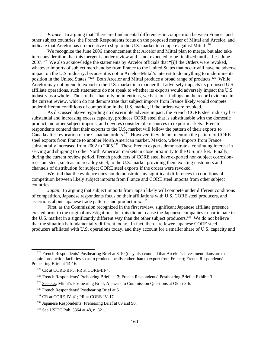*France*. In arguing that "there are fundamental differences in competition between France" and other subject countries, the French Respondents focus on the proposed merger of Mittal and Arcelor, and indicate that Arcelor has no incentive to ship to the U.S. market to compete against Mittal.<sup>126</sup>

We recognize the June 2006 announcement that Arcelor and Mittal plan to merge, but also take into consideration that this merger is under review and is not expected to be finalized until at best June  $2007<sup>127</sup>$  We also acknowledge the statements by Arcelor officials that "[i]f the Orders were revoked, whatever imports of subject merchandise from France to the United States that occur will have no adverse impact on the U.S. industry, because it is not in Arcelor-Mittal's interest to do anything to undermine its position in the United States."<sup>128</sup> Both Arcelor and Mittal produce a broad range of products.<sup>129</sup> While Arcelor may not intend to export to the U.S. market in a manner that adversely impacts its proposed U.S. affiliate operations, such statements do not speak to whether its exports would adversely impact the U.S. industry as a whole. Thus, rather than rely on intentions, we base our findings on the record evidence in the current review, which do not demonstrate that subject imports from France likely would compete under different conditions of competition in the U.S. market, if the orders were revoked.

As discussed above regarding no discernible adverse impact, the French CORE steel industry has substantial and increasing excess capacity, produces CORE steel that is substitutable with the domestic product and other subject imports, and devotes considerable resources to export markets. French respondents contend that their exports to the U.S. market will follow the pattern of their exports to Canada after revocation of the Canadian orders.<sup>130</sup> However, they do not mention the pattern of CORE steel exports from France to another North American market, Mexico, whose imports from France substantially increased from 2002 to 2005.<sup>131</sup> These French exports demonstrate a continuing interest in serving and shipping to other North American markets in close proximity to the U.S. market. Finally, during the current review period, French producers of CORE steel have exported non-subject corrosionresistant steel, such as micro-alloy steel, to the U.S. market providing them existing customers and channels of distribution for subject CORE steel exports if the orders were revoked.

We find that the evidence does not demonstrate any significant differences in conditions of competition between likely subject imports from France and CORE steel imports from other subject countries.

*Japan*. In arguing that subject imports from Japan likely will compete under different conditions of competition, Japanese respondents focus on their affiliations with U.S. CORE steel producers, and assertions about Japanese trade patterns and product mix.132

First, as the Commission recognized in the first review, significant Japanese affiliate presence existed prior to the original investigations, but this did not cause the Japanese companies to participate in the U.S. market in a significantly different way than the other subject producers.<sup>133</sup> We do not believe that the situation is fundamentally different today. In fact, there are fewer Japanese CORE steel producers affiliated with U.S. operations today, and they account for a smaller share of U.S. capacity and

 $126$  French Respondents' Posthearing Brief at 8-10 (they also contend that Arcelor's investment plans are to acquire production facilities so as to produce locally rather than to export from France); French Respondents' Prehearing Brief at 14-16.

<sup>&</sup>lt;sup>127</sup> CR at CORE-III-5; PR at CORE-III-4.

<sup>&</sup>lt;sup>128</sup> French Respondents' Prehearing Brief at 13; French Respondents' Posthearing Brief at Exhibit 3.

<sup>&</sup>lt;sup>129</sup> See e.g., Mittal's Posthearing Brief, Answers to Commission Questions at Okun-3-6.

<sup>&</sup>lt;sup>130</sup> French Respondents' Posthearing Brief at 5.

<sup>&</sup>lt;sup>131</sup> CR at CORE-IV-41; PR at CORE-IV-17.

<sup>&</sup>lt;sup>132</sup> Japanese Respondents' Prehearing Brief at 89 and 90.

 <sup>133</sup> See USITC Pub. 3364 at 48, n. 321.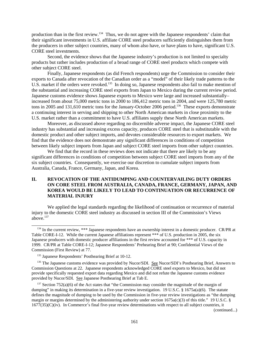production than in the first review.134 Thus, we do not agree with the Japanese respondents' claim that their significant investments in U.S. affiliate CORE steel producers sufficiently distinguishes them from the producers in other subject countries, many of whom also have, or have plans to have, significant U.S. CORE steel investments.

Second, the evidence shows that the Japanese industry's production is not limited to specialty products but rather includes production of a broad range of CORE steel products which compete with other subject CORE steel.

Finally, Japanese respondents (as did French respondents) urge the Commission to consider their exports to Canada after revocation of the Canadian order as a "model" of their likely trade patterns to the U.S. market if the orders were revoked.<sup>135</sup> In doing so, Japanese respondents also fail to make mention of the substantial and increasing CORE steel exports from Japan to Mexico during the current review period. Japanese customs evidence shows Japanese exports to Mexico were large and increased substantially– increased from about 75,000 metric tons in 2000 to 186,412 metric tons in 2004, and were 125,780 metric tons in 2005 and 131,610 metric tons for the January-October 2006 period.<sup>136</sup> These exports demonstrate a continuing interest in serving and shipping to other North American markets in close proximity to the U.S. market rather than a commitment to have U.S. affiliates supply these North American markets.

Moreover, as discussed above regarding no discernible adverse impact, the Japanese CORE steel industry has substantial and increasing excess capacity, produces CORE steel that is substitutable with the domestic product and other subject imports, and devotes considerable resources to export markets. We find that the evidence does not demonstrate any significant differences in conditions of competition between likely subject imports from Japan and subject CORE steel imports from other subject countries.

We find that the record in these reviews does not indicate that there are likely to be any significant differences in conditions of competition between subject CORE steel imports from any of the six subject countries. Consequently, we exercise our discretion to cumulate subject imports from Australia, Canada, France, Germany, Japan, and Korea.

# **II. REVOCATION OF THE ANTIDUMPING AND COUNTERVAILING DUTY ORDERS ON CORE STEEL FROM AUSTRALIA, CANADA, FRANCE, GERMANY, JAPAN, AND KOREA WOULD BE LIKELY TO LEAD TO CONTINUATION OR RECURRENCE OF MATERIAL INJURY**

We applied the legal standards regarding the likelihood of continuation or recurrence of material injury to the domestic CORE steel industry as discussed in section III of the Commission's Views above.<sup>137</sup>

(continued...)

<sup>&</sup>lt;sup>134</sup> In the current review, \*\*\* Japanese respondents have an ownership interest in a domestic producer. CR/PR at Table CORE-I-12. While the current Japanese affiliations represent \*\*\* of U.S. production in 2005, the six Japanese producers with domestic producer affiliations in the first review accounted for \*\*\* of U.S. capacity in 1999. CR/PR at Table CORE-I-12; Japanese Respondents' Prehearing Brief at 90; Confidential Views of the Commission (First Review) at 77.

<sup>&</sup>lt;sup>135</sup> Japanese Respondents' Posthearing Brief at 10-12.

<sup>&</sup>lt;sup>136</sup> The Japanese customs evidence was provided by Nucor/SDI. See Nucor/SDI's Posthearing Brief, Answers to Commission Questions at 22. Japanese respondents acknowledged CORE steel exports to Mexico, but did not provide specifically requested export data regarding Mexico and did not refute the Japanese customs evidence provided by Nucor/SDI. See Japanese Posthearing Brief at Tab E.

 $137$  Section 752(a)(6) of the Act states that "the Commission may consider the magnitude of the margin of dumping" in making its determination in a five-year review investigation. 19 U.S.C. § 1675a(a)(6). The statute defines the magnitude of dumping to be used by the Commission in five-year review investigations as "the dumping margin or margins determined by the administering authority under section  $1675a(c)(3)$  of this title." 19 U.S.C. §  $1677(35)(C)(iv)$ . In Commerce's final five-year review determinations with respect to all subject countries, it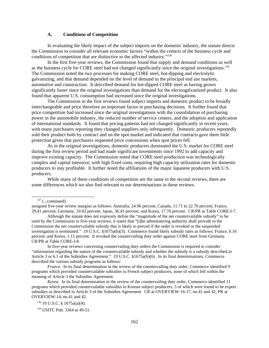#### **A. Conditions of Competition**

In evaluating the likely impact of the subject imports on the domestic industry, the statute directs the Commission to consider all relevant economic factors "within the context of the business cycle and conditions of competition that are distinctive to the affected industry."138

In the first five-year reviews, the Commission found that supply and demand conditions as well as the business cycle for CORE steel had not changed significantly since the original investigations.139 The Commission noted the two processes for making CORE steel, hot-dipping and electrolytic galvanizing, and that demand depended on the level of demand in the principal end use markets, automotive and construction. It described demand for hot-dipped CORE steel as having grown significantly faster since the original investigations than demand for the electrogalvanized product. It also found that apparent U.S. consumption had increased since the original investigations.

The Commission in the first reviews found subject imports and domestic product to be broadly interchangeable and price therefore an important factor in purchasing decisions. It further found that price competition had increased since the original investigations with the consolidation of purchasing power in the automobile industry, the reduced number of service centers, and the adoption and application of international standards. It found that pricing patterns had not changed significantly in recent years, with many purchasers reporting they changed suppliers only infrequently. Domestic producers reportedly sold their product both by contract and on the spot market and indicated that contracts gave them little protection given that purchasers requested price concessions when spot prices fell.

As in the original investigations, domestic producers dominated the U.S. market for CORE steel during the first review period and had made significant investments since 1992 to add capacity and improve existing capacity. The Commission noted that CORE steel production was technologically complex and capital intensive, with high fixed costs, requiring high capacity utilization rates for domestic producers to stay profitable. It further noted the affiliations of the major Japanese producers with U.S. producers.

While many of these conditions of competition are the same in the second reviews, there are some differences which we also find relevant to our determinations in these reviews.

<sup>&</sup>lt;sup>137</sup> (...continued)

assigned five-year review margins as follows: Australia, 24.96 percent; Canada, 11.71 to 22.70 percent; France, 29.41 percent; Germany, 10.02 percent; Japan, 36.41 percent; and Korea, 17.70 percent. CR/PR at Table CORE-I-7.

Although the statute does not expressly define the "magnitude of the net countervailable subsidy" to be used by the Commission in five-year reviews, it states that "[t]he administering authority shall provide to the Commission the net countervailable subsidy that is likely to prevail if the order is revoked or the suspended investigation is terminated." 19 U.S.C. §1675a(b)(3). Commerce found likely subsidy rates as follows: France, 0.16 percent; and Korea, 1.15 percent. It revoked the countervailing duty order against CORE steel from Germany. CR/PR at Table CORE-I-8.

In five-year reviews concerning countervailing duty orders the Commission is required to consider "information regarding the nature of the countervailable subsidy and whether the subsidy is a subsidy described in Article 3 or 6.1 of the Subsidies Agreement." 19 U.S.C. §1675a(b)(6). In its final determinations, Commerce described the various subsidy programs as follows:

*France.* In its final determination in the review of the countervailing duty order, Commerce identified 9 programs which provided countervailable subsidies to French subject producers, none of which fell within the meaning of Article 3 the Subsidies Agreement.

*Korea*. In its final determination in the review of the countervailing duty order, Commerce identified 11 programs which provided countervailable subsidies to Korean subject producers, 5 of which were found to be export subsidies as described in Article 3 of the Subsidies Agreement. CR at OVERVIEW-16-17, nn.41 and 42; PR at OVERVIEW-14, nn.41 and 42.

 $138$  19 U.S.C. § 1675a(a)(4).

 <sup>139</sup> USITC Pub. 3364 at 49-51.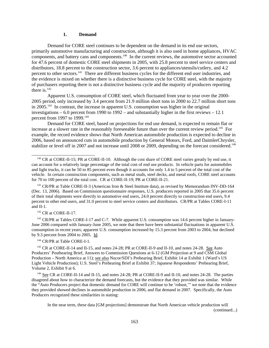#### **1. Demand**

Demand for CORE steel continues to be dependent on the demand in its end use sectors, primarily automotive manufacturing and construction, although it is also used in home appliances, HVAC components, and battery cans and components.<sup>140</sup> In the current reviews, the automotive sector accounted for 47.6 percent of domestic CORE steel shipments in 2005, with 25.8 percent to steel service centers and distributors, 18.8 percent to the construction sector, 3.6 percent to appliances/utensils/cutlery, and 4.2 percent to other sectors.<sup>141</sup> There are different business cycles for the different end user industries, and the evidence is mixed on whether there is a distinctive business cycle for CORE steel, with the majority of purchasers reporting there is not a distinctive business cycle and the majority of producers reporting there is. $142$ 

Apparent U.S. consumption of CORE steel, which fluctuated from year to year over the 2000- 2005 period, only increased by 3.4 percent from 21.9 million short tons in 2000 to 22.7 million short tons in 2005.143 In contrast, the increase in apparent U.S. consumption was higher in the original investigations – 6.0 percent from 1990 to 1992 – and substantially higher in the first reviews – 12.1 percent from 1997 to 1999.<sup>144</sup>

Demand for CORE steel, based on projections for end use demand, is expected to remain flat or increase at a slower rate in the reasonably foreseeable future than over the current review period.<sup>145</sup> For example, the record evidence shows that North American automobile production is expected to decline in 2006, based on announced cuts in automobile production by General Motors, Ford, and DaimlerChrysler, stabilize or level off in 2007 and not increase until 2008 or 2009, depending on the forecast considered.<sup>146</sup>

#### <sup>142</sup> CR at CORE-II-17.

<sup>143</sup> CR/PR at Tables CORE-I-17 and C-7. While apparent U.S. consumption was 14.6 percent higher in January-June 2006 compared with January-June 2005, we note that there have been substantial fluctuations in apparent U.S. consumption in recent years; apparent U.S. consumption increased by 15.3 percent from 2003 to 2004, but declined by 9.3 percent from 2004 to 2005. Id.

<sup>144</sup> CR/PR at Table CORE-I-1.

 145 CR at CORE-II-14 and II-15, and notes 24-28; PR at CORE-II-9 and II-10, and notes 24-28. See Auto Producers' Posthearing Brief, Answers to Commission Questions at 6-12 (GM Projection at 9 and CSM Global Production – North America at 11); see also Nucor/SDI's Prehearing Brief, Exhibit 14 at Exhibit 1 (Ward's US Light Vehicle Production); U.S. Steel's Prehearing Brief at Exhibit 37; Japanese Respondents' Prehearing Brief, Volume 2, Exhibit 9 at 6.

<sup>146</sup> See CR at CORE-II-14 and II-15, and notes 24-28; PR at CORE-II-9 and II-10, and notes 24-28. The parties disagreed about how to characterize the demand forecasts, but the evidence that they provided was similar. While the "Auto Producers project that domestic demand for CORE will continue to be 'robust,'" we note that the evidence they provided showed declines in automobile production in 2006, and flat demand in 2007. Specifically, the Auto Producers recognized these similarities in stating:

In the near term, these data [GM projections] demonstrate that North American vehicle production will (continued...)

<sup>&</sup>lt;sup>140</sup> CR at CORE-II-15; PR at CORE-II-10. Although the cost share of CORE steel varies greatly by end use, it can account for a relatively large percentage of the total cost of end use products. In vehicle parts for automobiles and light trucks, it can be 50 to 85 percent even though it accounts for only 1.4 to 5 percent of the total cost of the vehicle. In certain construction components, such as metal studs, steel decks, and metal roofs, CORE steel accounts for 70 to 100 percent of the total cost. CR at CORE-II-19; PR at CORE-II-21.

<sup>&</sup>lt;sup>141</sup> CR/PR at Table CORE-II-3 (American Iron & Steel Institute data), as revised by Memorandum INV-DD-164 (Dec. 13, 2006). Based on Commission questionnaire responses, U.S. producers reported in 2005 that 35.6 percent of their total shipments were directly to automotive end users, 24.0 percent directly to construction end users, 9.4 percent to other end users, and 31.0 percent to steel service centers and distributors. CR/PR at Tables CORE-I-11 and II-1.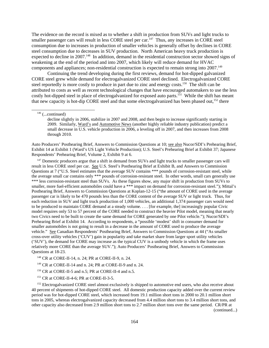The evidence on the record is mixed as to whether a shift in production from SUVs and light trucks to smaller passenger cars will result in less CORE steel per car.  $147$  Thus, any increases in CORE steel consumption due to increases in production of smaller vehicles is generally offset by declines in CORE steel consumption due to decreases in SUV production. North American heavy truck production is expected to decline in 2007.<sup>148</sup> In addition, demand in the residential construction sector showed signs of weakening at the end of the period and into 2007, which likely will reduce demand for HVAC components and appliances; non-residential construction is expected to remain strong into 2007.<sup>149</sup>

Continuing the trend developing during the first reviews, demand for hot-dipped galvanized CORE steel grew while demand for electrogalvanized CORE steel declined. Electrogalvanized CORE steel reportedly is more costly to produce in part due to zinc and energy costs.<sup>150</sup> The shift can be attributed to costs as well as recent technological changes that have encouraged automakers to use the less costly hot-dipped steel in place of electrogalvanized for exposed auto parts.<sup>151</sup> While the shift has meant that new capacity is hot-dip CORE steel and that some electrogalvanized has been phased out,<sup>152</sup> there

Auto Producers' Posthearing Brief, Answers to Commission Questions at 10; see also Nucor/SDI's Prehearing Brief, Exhibit 14 at Exhibit 1 (Ward's US Light Vehicle Production); U.S. Steel's Prehearing Brief at Exhibit 37; Japanese Respondents' Prehearing Brief, Volume 2, Exhibit 9 at 6.

<sup>147</sup> Domestic producers argue that a shift in demand from SUVs and light trucks to smaller passenger cars will result in less CORE steel per car. See U.S. Steel's Posthearing Brief at Exhibit B, and Answers to Commission Questions at 7 ("U.S. Steel estimates that the average SUV contains \*\*\* pounds of corrosion-resistant steel, while the average small car contains only \*\*\* pounds of corrosion-resistant steel. In other words, small cars generally use \*\*\* less corrosion-resistant steel than SUVs. As these figures show, any major shift in production from SUVs to smaller, more fuel-efficient automobiles could have a \*\*\* impact on demand for corrosion-resistant steel."); Mittal's Posthearing Brief, Answers to Commission Questions at Koplan-12-15 ("the amount of CORE used in the average passenger car is likely to be 470 pounds less than the CORE content of the average SUV or light truck. Thus, for each reduction in SUV and light truck production of 1,000 vehicles, an additional 1,374 passenger cars would need to be produced to maintain CORE demand at a steady volume. . . . [for example, the] increasingly popular Civic model requires only 53 to 57 percent of the CORE needed to construct the heavier Pilot model, meaning that nearly two Civics need to be built to create the same demand for CORE generated by one Pilot vehicle."); Nucor/SDI's Prehearing Brief at Exhibit 14. According to respondents, a "possible 'modest' shift in consumer demand for smaller automobiles is not going to result in a decrease in the amount of CORE used to produce the average vehicle." See Canadian Respondents' Posthearing Brief, Answers to Commission Questions at 44 ("As smaller cross-over utility vehicles ('CUV') gain in popularity and take market share from larger sport utility vehicles ('SUV'), the demand for CORE may increase as the typical CUV is a unibody vehicle in which the frame uses relatively more CORE than the average SUV."); Auto Producers' Posthearing Brief, Answers to Commission Questions at 18-23.

148 CR at CORE-II-14, n. 24; PR at CORE-II-9, n. 24.

149 CR at CORE-II-14 and n. 24; PR at CORE-II-9 and n. 24.

<sup>150</sup> CR at CORE-II-5 and n.5; PR at CORE-II-4 and n.5.

151 CR at CORE-II-4-6; PR at CORE-II-3-5.

<sup>152</sup> Electrogalvanized CORE steel almost exclusively is shipped to automotive end users, who also receive about 40 percent of shipments of hot-dipped CORE steel. All domestic production capacity added over the current review period was for hot-dipped CORE steel, which increased from 19.1 million short tons in 2000 to 20.1 million short tons in 2005, whereas electrogalvanized capacity decreased from 4.4 million short tons to 3.4 million short tons, and other capacity also decreased from 2.9 million short tons to 2.7 million short tons over the same period. CR/PR at

(continued...)

 $146$  (...continued)

decline slightly in 2006, stabilize in 2007 and 2008, and then begin to increase significantly starting in 2009. Similarly, Ward's and Automotive News (another highly reliable industry publication) predict a small decrease in U.S. vehicle production in 2006, a leveling off in 2007, and then increases from 2008 through 2010.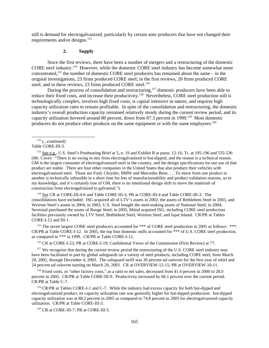still is demand for electrogalvanized, particularly by certain auto producers that have not changed their requirements and/or designs.<sup>153</sup>

## **2. Supply**

Since the first reviews, there have been a number of mergers and a restructuring of the domestic CORE steel industry.154 However, while the domestic CORE steel industry has become somewhat more concentrated,155 the number of domestic CORE steel producers has remained about the same – in the original investigations, 23 firms produced CORE steel; in the first reviews, 20 firms produced CORE steel; and in these reviews, 23 firms produced CORE steel.<sup>156</sup>

During the process of consolidation and restructuring,<sup>157</sup> domestic producers have been able to reduce their fixed costs, and increase their productivity.<sup>158</sup> Nevertheless, CORE steel production still is technologically complex, involves high fixed costs, is capital intensive in nature, and requires high capacity utilization rates to remain profitable. In spite of the consolidation and restructuring, the domestic industry's overall production capacity remained relatively steady during the current review period, and its capacity utilization hovered around 80 percent, down from 87.3 percent in 1999.159 Most domestic producers do not produce other products on the same equipment or with the same employees.<sup>160</sup>

 $153$  See e.g., U.S. Steel's Posthearing Brief at 5, n. 19 and Exhibit B at paras. 12-16; Tr. at 195-196 and 535-536 (Mr. Cover: "There is no swing in mix from electrogalvanized to hot-dipped, and the reason is a technical reason. GM is the largest consumer of electrogalvanized steel in the country, and the design specifications for our use of that product are stable. There are four other companies in the United States that also produce their vehicles with electrogalvanized steel. Those are Ford, Chrysler, BMW and Mercedes Benz. . . .To move from one product to another is technically infeasible in a short time for lots of manufactureability and product validation reasons, so to my knowledge, and it's certainly true of GM, there is no intentional design shift to move the materials of construction from electrogalvnized to galvaneal.").

 154 See CR at CORE-III-4-6 and Table CORE-III-3; PR at CORE-III-4 and Table CORE-III-3. The consolidations have included: ISG acquired all of LTV's assets in 2002, the assets of Bethlehem Steel in 2003, and Weirton Steel's assets in 2004; in 2003, U.S. Steel bought the steel-making assets of National Steel; in 2004, Severstal purchased the assets of Rouge Steel; in 2005, Mittal acquired ISG, including CORE steel production facilities previously owned by LTV Steel, Bethlehem Steel, Weirton Steel, and Ispat Inland. CR/PR at Tables CORE-I-12 and III-1.

<sup>155</sup> The seven largest CORE steel producers accounted for \*\*\* of CORE steel production in 2005 as follows: \*\*\*. CR/PR at Table CORE-I-12. In 2005, the top four domestic mills accounted for \*\*\* of U.S. CORE steel production, as compared to \*\*\* in 1999. CR/PR at Table CORE-I-12.

156 CR at CORE-I-23; PR at CORE-I-19; Confidential Views of the Commission (First Review) at 77.

<sup>157</sup> We recognize that during the current review period the restructuring of the U.S. CORE steel industry may have been facilitated in part by global safeguards on a variety of steel products, including CORE steel, from March 20, 2002, through December 4, 2003. The safeguard tariff was 30 percent *ad valorem* for the first year of relief and 24 percent *ad valorem* starting on March 20, 2003. CR at OVERVIEW-12-15; PR at OVERVIEW-10-11.

<sup>158</sup> Fixed costs, or "other factory costs," as a ratio to net sales, decreased from 41.4 percent in 2000 to 28.0 percent in 2005. CR/PR at Table CORE-III-9. Productivity increased by 66.1 percent over the current period. CR/PR at Table C-7.

<sup>159</sup> CR/PR at Tables CORE-I-1 and C-7. While the industry had excess capacity for both hot-dipped and electrogalvanized product, its capacity utilization rate was generally higher for hot-dipped production: hot-dipped capacity utilization was at 80.2 percent in 2005 as compared to 74.8 percent in 2005 for electrogalvanized capacity utilization. CR/PR at Table CORE-III-3.

<sup>160</sup> CR at CORE-III-7; PR at CORE-III-5.

 $152$  (...continued)

Table CORE-III-3.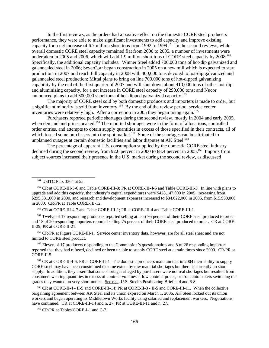In the first reviews, as the orders had a positive effect on the domestic CORE steel producers' performance, they were able to make significant investments to add capacity and improve existing capacity for a net increase of 6.7 million short tons from 1992 to 1999.<sup>161</sup> In the second reviews, while overall domestic CORE steel capacity remained flat from 2000 to 2005, a number of investments were undertaken in 2005 and 2006, which will add 1.9 million short tons of CORE steel capacity by 2008.<sup>162</sup> Specifically, the additional capacity includes: Winner Steel added 700,000 tons of hot-dip galvanized and galannealed steel in 2006; SeverCorr began construction in 2005 on a new mill which is expected to start production in 2007 and reach full capacity in 2008 with 400,000 tons devoted to hot-dip galvanized and galannealed steel production; Mittal plans to bring on line 700,000 tons of hot-dipped galvanizing capability by the end of the first quarter of 2007 and will shut down about 410,000 tons of other hot-dip and aluminizing capacity, for a net increase in CORE steel capacity of 290,000 tons; and Nucor announced plans to add 500,000 short tons of hot-dipped galvanized capacity.<sup>163</sup>

The majority of CORE steel sold by both domestic producers and importers is made to order, but a significant minority is sold from inventory.<sup>164</sup> By the end of the review period, service center inventories were relatively high. After a correction in 2005 they began rising again.<sup>165</sup>

Purchasers reported periodic shortages during the second review, mostly in 2004 and early 2005, when demand and prices peaked.<sup>166</sup> The reported shortages were in the form of allocations, controlled order entries, and attempts to obtain supply quantities in excess of those specified in their contracts, all of which forced some purchasers into the spot market.<sup>167</sup> Some of the shortages can be attributed to unplanned outages at certain domestic facilities and labor disputes at AK Steel.<sup>168</sup>

The percentage of apparent U.S. consumption supplied by the domestic CORE steel industry declined during the second review, from 92.6 percent in 2000 to 88.4 percent in 2005.<sup>169</sup> Imports from subject sources increased their presence in the U.S. market during the second review, as discussed

163 CR at CORE-III-4-7 and Table CORE-III-1; PR at CORE-III-4 and Table CORE-III-1.

<sup>164</sup> Twelve of 17 responding producers reported selling at least 95 percent of their CORE steel produced to order and 18 of 20 responding importers reported selling 75 percent of their CORE steel produced to order. CR at CORE-II-29; PR at CORE-II-21.

<sup>165</sup> CR/PR at Figure CORE-III-1. Service center inventory data, however, are for all steel sheet and are not limited to CORE steel product.

<sup>166</sup> Eleven of 17 producers responding to the Commission's questionnaires and 8 of 26 responding importers reported that they had refused, declined or been unable to supply CORE steel at certain times since 2000. CR/PR at CORE-II-5.

<sup>167</sup> CR at CORE-II-4-6; PR at CORE-II-4. The domestic producers maintain that in 2004 their ability to supply CORE steel may have been constrained to some extent by raw material shortages but there is currently no short supply. In addition, they assert that some shortages alleged by purchasers were not real shortages but resulted from consumers wanting quantities in excess of contract volumes at low contract prices, or from automakers switching the grades they wanted on very short notice. See e.g., U.S. Steel's Posthearing Brief at 4 and 6-8.

 168 CR at CORE-II-4 - II-5 and CORE-III-14; PR at CORE-II-3 - II-5 and CORE-III-11. When the collective bargaining agreement between AK Steel and its union expired on March 1, 2006, AK Steel locked out its union workers and began operating its Middletown Works facility using salaried and replacement workers. Negotiations have continued. CR at CORE-III-14 and n. 27; PR at CORE-III-11 and n. 27.

<sup>169</sup> CR/PR at Tables CORE-I-1 and C-7.

 <sup>161</sup> USITC Pub. 3364 at 55.

 <sup>162</sup> CR at CORE-III-5-6 and Table CORE-III-3; PR at CORE-III-4-5 and Table CORE-III-3. In line with plans to upgrade and add this capacity, the industry's capital expenditures were \$428,147,000 in 2005, increasing from \$295,331,000 in 2000, and research and development expenses increased to \$34,022,000 in 2005, from \$15,950,000 in 2000. CR/PR at Table CORE-III-12.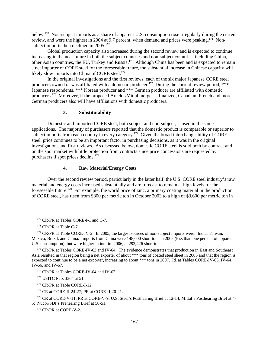below.170 Non-subject imports as a share of apparent U.S. consumption rose irregularly during the current review, and were the highest in 2004 at 9.7 percent, when demand and prices were peaking.<sup>171</sup> Nonsubject imports then declined in  $2005$ <sup>172</sup>

Global production capacity also increased during the second review and is expected to continue increasing in the near future in both the subject countries and non-subject countries, including China, other Asian countries, the EU, Turkey and Russia.173 Although China has been and is expected to remain a net importer of CORE steel for the foreseeable future, the substantial increase in Chinese capacity will likely slow imports into China of CORE steel.<sup>174</sup>

In the original investigations and the first reviews, each of the six major Japanese CORE steel producers owned or was affiliated with a domestic producer.<sup>175</sup> During the current review period, \*\*\* Japanese respondents, \*\*\* Korean producer and \*\*\* German producer are affiliated with domestic producers.<sup>176</sup> Moreover, if the proposed Arcelor/Mittal merger is finalized, Canadian, French and more German producers also will have affiliations with domestic producers.

#### **3. Substitutability**

Domestic and imported CORE steel, both subject and non-subject, is used in the same applications. The majority of purchasers reported that the domestic product is comparable or superior to subject imports from each country in every category.<sup>177</sup> Given the broad interchangeability of CORE steel, price continues to be an important factor in purchasing decisions, as it was in the original investigations and first reviews. As discussed below, domestic CORE steel is sold both by contract and on the spot market with little protection from contracts since price concessions are requested by purchasers if spot prices decline.<sup>178</sup>

# **4. Raw Material/Energy Costs**

Over the second review period, particularly in the latter half, the U.S. CORE steel industry's raw material and energy costs increased substantially and are forecast to remain at high levels for the foreseeable future.179 For example, the world price of zinc, a primary coating material in the production of CORE steel, has risen from \$800 per metric ton in October 2003 to a high of \$3,600 per metric ton in

<sup>&</sup>lt;sup>170</sup> CR/PR at Tables CORE-I-1 and C-7.

<sup>&</sup>lt;sup>171</sup> CR/PR at Table C-7.

<sup>&</sup>lt;sup>172</sup> CR/PR at Table CORE-IV-2. In 2005, the largest sources of non-subject imports were: India, Taiwan, Mexico, Brazil, and China. Imports from China were 148,000 short tons in 2005 (less than one percent of apparent U.S. consumption), but were higher in interim 2006, at 292,426 short tons.

<sup>&</sup>lt;sup>173</sup> CR/PR at Tables CORE-IV-63 and IV-64. The evidence demonstrates that production in East and Southeast Asia resulted in that region being a net exporter of about \*\*\* tons of coated steel sheet in 2005 and that the region is expected to continue to be a net exporter, increasing to about \*\*\* tons in 2007. Id. at Tables CORE-IV-63, IV-64, IV-66, and IV-67.

<sup>&</sup>lt;sup>174</sup> CR/PR at Tables CORE-IV-64 and IV-67.

<sup>&</sup>lt;sup>175</sup> USITC Pub. 3364 at 51.

 <sup>176</sup> CR/PR at Table CORE-I-12.

 <sup>177</sup> CR at CORE-II-24-27; PR at CORE-II-20-21.

<sup>&</sup>lt;sup>178</sup> CR at CORE-V-11; PR at CORE-V-9; U.S. Steel's Posthearing Brief at 12-14; Mittal's Posthearing Brief at 4-5; Nucor/SDI's Prehearing Brief at 50-51.

<sup>&</sup>lt;sup>179</sup> CR/PR at CORE-V-2.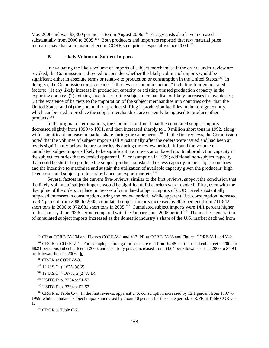May 2006 and was \$3,300 per metric ton in August 2006.<sup>180</sup> Energy costs also have increased substantially from 2000 to 2005.<sup>181</sup> Both producers and importers reported that raw material price increases have had a dramatic effect on CORE steel prices, especially since 2004.<sup>182</sup>

#### **B. Likely Volume of Subject Imports**

In evaluating the likely volume of imports of subject merchandise if the orders under review are revoked, the Commission is directed to consider whether the likely volume of imports would be significant either in absolute terms or relative to production or consumption in the United States.<sup>183</sup> In doing so, the Commission must consider "all relevant economic factors," including four enumerated factors: (1) any likely increase in production capacity or existing unused production capacity in the exporting country; (2) existing inventories of the subject merchandise, or likely increases in inventories; (3) the existence of barriers to the importation of the subject merchandise into countries other than the United States; and (4) the potential for product shifting if production facilities in the foreign country, which can be used to produce the subject merchandise, are currently being used to produce other products.184

In the original determinations, the Commission found that the cumulated subject imports decreased slightly from 1990 to 1991, and then increased sharply to 1.9 million short tons in 1992, along with a significant increase in market share during the same period.<sup>185</sup> In the first reviews, the Commission noted that the volumes of subject imports fell substantially after the orders were issued and had been at levels significantly below the pre-order levels during the review period. It found the volume of cumulated subject imports likely to be significant upon revocation based on: total production capacity in the subject countries that exceeded apparent U.S. consumption in 1999; additional non-subject capacity that could be shifted to produce the subject product; substantial excess capacity in the subject countries and the incentive to maximize and sustain the utilization of available capacity given the producers' high fixed costs; and subject producers' reliance on export markets.<sup>186</sup>

Several factors in the current five-reviews, similar to the first reviews, support the conclusion that the likely volume of subject imports would be significant if the orders were revoked. First, even with the discipline of the orders in place, increases of cumulated subject imports of CORE steel substantially outpaced increases in consumption during the review period. While apparent U.S. consumption increased by 3.4 percent from 2000 to 2005, cumulated subject imports increased by 36.6 percent, from 711,842 short tons in 2000 to 972,681 short tons in 2005.<sup>187</sup> Cumulated subject imports were 14.1 percent higher in the January-June 2006 period compared with the January-June 2005 period.<sup>188</sup> The market penetration of cumulated subject imports increased as the domestic industry's share of the U.S. market declined from

186 USITC Pub. 3364 at 52-53.

<sup>&</sup>lt;sup>180</sup> CR at CORE-IV-104 and Figures CORE-V-1 and V-2; PR at CORE-IV-38 and Figures CORE-V-1 and V-2.

<sup>&</sup>lt;sup>181</sup> CR/PR at CORE-V-1. For example, natural gas prices increased from \$4.45 per thousand cubic feet in 2000 to \$8.21 per thousand cubic feet in 2006, and electricity prices increased from \$4.64 per kilowatt-hour in 2000 to \$5.93 per kilowatt-hour in 2006. Id.

<sup>&</sup>lt;sup>182</sup> CR/PR at CORE-V-3.

 <sup>183 19</sup> U.S.C. § 1675a(a)(2).

 <sup>184 19</sup> U.S.C. § 1675a(a)(2)(A-D).

 <sup>185</sup> USITC Pub. 3364 at 51-52.

<sup>&</sup>lt;sup>187</sup> CR/PR at Table C-7. In the first reviews, apparent U.S. consumption increased by 12.1 percent from 1997 to 1999, while cumulated subject imports increased by about 40 percent for the same period. CR/PR at Table CORE-I-1.

<sup>&</sup>lt;sup>188</sup> CR/PR at Table C-7.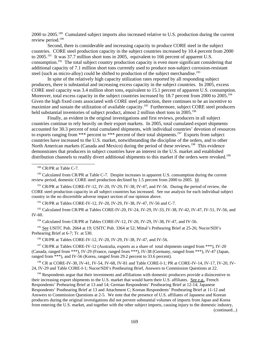2000 to 2005.189 Cumulated subject imports also increased relative to U.S. production during the current review period.<sup>190</sup>

Second, there is considerable and increasing capacity to produce CORE steel in the subject countries. CORE steel production capacity in the subject countries increased by 10.4 percent from 2000 to 2005.<sup>191</sup> It was 37.7 million short tons in 2005, equivalent to 166 percent of apparent U.S. consumption.192 The total subject country production capacity is even more significant considering that additional capacity of 7.1 million short tons currently used to produce non-subject corrosion-resistant steel (such as micro-alloy) could be shifted to production of the subject merchandise.<sup>193</sup>

In spite of the relatively high capacity utilization rates reported by all responding subject producers, there is substantial and increasing excess capacity in the subject countries. In 2005, excess CORE steel capacity was 3.4 million short tons, equivalent to 15.1 percent of apparent U.S. consumption. Moreover, total excess capacity in the subject countries increased by 18.7 percent from 2000 to 2005.<sup>194</sup> Given the high fixed costs associated with CORE steel production, there continues to be an incentive to maximize and sustain the utilization of available capacity.<sup>195</sup> Furthermore, subject CORE steel producers held substantial inventories of subject product, almost 2 million short tons in 2005.<sup>196</sup>

Finally, as evident in the original investigations and first reviews, producers in all subject countries continue to rely heavily on their export markets. In 2005, total cumulated export shipments accounted for 30.3 percent of total cumulated shipments, with individual countries' devotion of resources to exports ranging from \*\*\* percent to \*\*\* percent of their total shipments.<sup>197</sup> Exports from subject countries have increased to the U.S. market, notwithstanding the discipline of the orders, and to other North American markets (Canada and Mexico) during the period of these reviews.<sup>198</sup> This evidence demonstrates that producers in subject countries have an interest in the U.S. market and established distribution channels to readily divert additional shipments to this market if the orders were revoked.<sup>199</sup>

<sup>189</sup> CR/PR at Table C-7.

<sup>190</sup> Calculated from CR/PR at Table C-7. Despite increases in apparent U.S. consumption during the current review period, domestic CORE steel production declined by 1.5 percent from 2000 to 2005. Id.

<sup>191</sup> CR/PR at Tables CORE-IV-12, IV-20, IV-29, IV-38, IV-47, and IV-56. During the period of review, the CORE steel production capacity in all subject countries has increased. See our analysis for each individual subject country in the no discernible adverse impact section of our opinion above.

<sup>192</sup> CR/PR at Tables CORE-IV-12, IV-20, IV-29, IV-38, IV-47, IV-56 and C-7.

 193 Calculated from CR/PR at Tables CORE-IV-20, IV-24, IV-29, IV-33, IV-38, IV-42, IV-47, IV-51, IV-56, and IV-60.

<sup>194</sup> Calculated from CR/PR at Tables CORE-IV-12, IV-20, IV-29, IV-38, IV-47, and IV-56.

<sup>195</sup> See USITC Pub. 2664 at 19; USITC Pub. 3364 at 52; Mittal's Prehearing Brief at 25-26; Nucor/SDI's Prehearing Brief at 6-7; Tr. at 530.

<sup>196</sup> CR/PR at Tables CORE-IV-12, IV-20, IV-29, IV-38, IV-47, and IV-56.

<sup>197</sup> CR/PR at Tables CORE-IV-12 (Australia, exports as a share of total shipments ranged from \*\*\*), IV-20 (Canada, ranged from \*\*\*), IV-29 (France, ranged from \*\*\*), IV-38 (Germany, ranged from \*\*\*), IV-47 (Japan, ranged from \*\*\*), and IV-56 (Korea, ranged from 29.2 percent to 33.6 percent).

<sup>198</sup> CR at CORE-IV-30, IV-41, IV-54, IV-68, IV-81 and Table CORE-I-1; PR at CORE-IV-14, IV-17, IV-20, IV-24, IV-29 and Table CORE-I-1; Nucor/SDI's Posthearing Brief, Answers to Commission Questions at 22.

<sup>199</sup> Respondents argue that their investments and affiliations with domestic producers provide a disincentive to their increasing export shipments to the U.S. market that would harm their U.S. affiliates. See e.g., French Respondents' Prehearing Brief at 13 and 14; German Respondents' Posthearing Brief at 12-14; Japanese Respondents' Posthearing Brief at 13 and Attachment C; Korean Respondents' Posthearing Brief at 11-12 and Answers to Commission Questions at 2-5. We note that the presence of U.S. affiliates of Japanese and Korean producers during the original investigations did not prevent substantial volumes of imports from Japan and Korea from entering the U.S. market, and together with the other subject imports, causing injury to the domestic industry,

(continued...)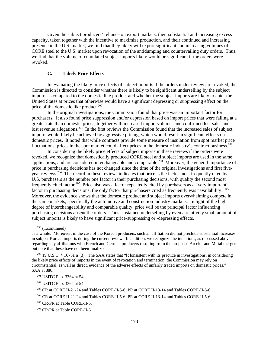Given the subject producers' reliance on export markets, their substantial and increasing excess capacity, taken together with the incentive to maximize production, and their continued and increasing presence in the U.S. market, we find that they likely will export significant and increasing volumes of CORE steel to the U.S. market upon revocation of the antidumping and countervailing duty orders. Thus, we find that the volume of cumulated subject imports likely would be significant if the orders were revoked.

## **C. Likely Price Effects**

In evaluating the likely price effects of subject imports if the orders under review are revoked, the Commission is directed to consider whether there is likely to be significant underselling by the subject imports as compared to the domestic like product and whether the subject imports are likely to enter the United States at prices that otherwise would have a significant depressing or suppressing effect on the price of the domestic like product. $200$ 

In the original investigations, the Commission found that price was an important factor for purchasers. It also found price suppression and/or depression based on import prices that were falling at a greater rate than domestic prices, together with increased import volumes and confirmed lost sales and lost revenue allegations.<sup>201</sup> In the first reviews the Commission found that the increased sales of subject imports would likely be achieved by aggressive pricing, which would result in significant effects on domestic prices. It noted that while contracts provide some measure of insulation from spot market price fluctuations, prices in the spot market could affect prices in the domestic industry's contract business.<sup>202</sup>

In considering the likely price effects of subject imports in these reviews if the orders were revoked, we recognize that domestically produced CORE steel and subject imports are used in the same applications, and are considered interchangeable and comparable.<sup>203</sup> Moreover, the general importance of price in purchasing decisions has not changed since the time of the original investigations and first fiveyear reviews.204 The record in these reviews indicates that price is the factor most frequently cited by U.S. purchasers as the number one factor in their purchasing decisions, with quality the second most frequently cited factor.205 Price also was a factor repeatedly cited by purchasers as a "very important" factor in purchasing decisions; the only factor that purchasers cited as frequently was "availability."<sup>206</sup> Moreover, the evidence shows that the domestic product and subject imports overwhelming compete in the same markets, specifically the automotive and construction industry markets. In light of the high degree of interchangeability and comparable quality, price will be the principal factor influencing purchasing decisions absent the orders. Thus, sustained underselling by even a relatively small amount of subject imports is likely to have significant price-suppressing or -depressing effects.

202 USITC Pub. 3364 at 54.

 $199$  (...continued)

as a whole. Moreover, in the case of the Korean producers, such an affiliation did not preclude substantial increases in subject Korean imports during the current review. In addition, we recognize the intentions, as discussed above, regarding any affiliations with French and German producers resulting from the proposed Arcelor and Mittal merger, but note that these have not been finalized.

<sup>&</sup>lt;sup>200</sup> 19 U.S.C. § 1675a(a)(3). The SAA states that "[c]onsistent with its practice in investigations, in considering the likely price effects of imports in the event of revocation and termination, the Commission may rely on circumstantial, as well as direct, evidence of the adverse effects of unfairly traded imports on domestic prices." SAA at 886.

 <sup>201</sup> USITC Pub. 3364 at 54.

 <sup>203</sup> CR at CORE II-21-24 and Tables CORE-II-5-6; PR at CORE II-13-14 and Tables CORE-II-5-6.

<sup>&</sup>lt;sup>204</sup> CR at CORE II-21-24 and Tables CORE-II-5-6; PR at CORE II-13-14 and Tables CORE-II-5-6.

 $205$  CR/PR at Table CORE-II-5.

 <sup>206</sup> CR/PR at Table CORE-II-6.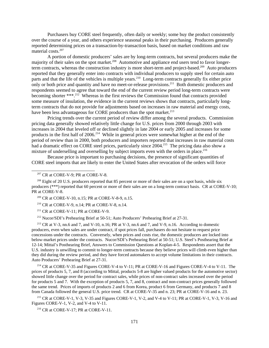Purchasers buy CORE steel frequently, often daily or weekly; some buy the product consistently over the course of a year, and others experience seasonal peaks in their purchasing. Producers generally reported determining prices on a transaction-by-transaction basis, based on market conditions and raw material costs.<sup>207</sup>

A portion of domestic producers' sales are by long-term contracts, but several producers make the majority of their sales on the spot market.<sup>208</sup> Automotive and appliance end users tend to favor longerterm contracts, whereas the construction industry is more short-term and project-based.<sup>209</sup> Auto producers reported that they generally enter into contracts with individual producers to supply steel for certain auto parts and that the life of the vehicles is multiple years.<sup>210</sup> Long-term contracts generally fix either price only or both price and quantity and have no meet-or-release provisions.<sup>211</sup> Both domestic producers and respondents seemed to agree that toward the end of the current review period long-term contracts were becoming shorter \*\*\*.<sup>212</sup> Whereas in the first reviews the Commission found that contracts provided some measure of insulation, the evidence in the current reviews shows that contracts, particularly longterm contracts that do not provide for adjustments based on increases in raw material and energy costs, have been less advantageous for CORE producers than the spot market.<sup>213</sup>

Pricing trends over the current period of review differ among the several products. Commission pricing data generally showed relatively little change for U.S. prices from 2000 through 2003 with increases in 2004 that leveled off or declined slightly in late 2004 or early 2005 and increases for some products in the first half of 2006.<sup>214</sup> While in general prices were somewhat higher at the end of the period of review than in 2000, both producers and importers reported that increases in raw material costs had a dramatic effect on CORE steel prices, particularly since 2004.<sup>215</sup> The pricing data also show a mixture of underselling and overselling by subject imports even with the orders in place.<sup>216</sup>

Because price is important to purchasing decisions, the presence of significant quantities of CORE steel imports that are likely to enter the United States after revocation of the orders will force

209 CR at CORE-V-10, n.15; PR at CORE-V-8-9, n.15.

210 CR at CORE-V-9, n.14; PR at CORE-V-8, n.14.

 $211$  CR at CORE-V-11; PR at CORE-V-9.

212 Nucor/SDI's Prehearing Brief at 50-51; Auto Producers' Prehearing Brief at 27-31.

 213 CR at V-3, nn.6 and 7, and V-10, n.16; PR at V-3, nn.6 and 7, and V-9, n.16. According to domestic producers, even when sales are under contract, if spot prices fall, purchasers do not hesitate to request price concessions under the contracts. Conversely, when prices and costs rise, the domestic producers are locked into below-market prices under the contracts. Nucor/SDI's Prehearing Brief at 50-51; U.S. Steel's Posthearing Brief at 12-14; Mittal's Posthearing Brief, Answers to Commission Questions at Koplan-4-5. Respondents assert that the U.S. industry is unwilling to commit to longer-term contracts because they believe prices will climb even higher than they did during the review period, and they have forced automakers to accept volume limitations in their contracts. Auto Producers' Prehearing Brief at 27-31.

 214 CR at CORE-V-35 and Figures CORE-V-4 to V-11; PR at CORE-V-16 and Figures CORE-V-4 to V-11. The prices of products 5, 7, and 8 (according to Mittal, products 5-8 are higher valued products for the automotive sector) showed little change over the period for contract sales, while prices of non-contract sales increased over the period for products 5 and 7. With the exception of products 5, 7, and 8, contract and non-contract prices generally followed the same trend. Prices of imports of products 2 and 6 from Korea, product 6 from Germany, and products 7 and 8 from Canada followed the general U.S. price trend. CR at CORE-V-35 and n. 23; PR at CORE-V-16 and n. 23.

 215 CR at CORE-V-1, V-3, V-35 and Figures CORE-V-1, V-2, and V-4 to V-11; PR at CORE-V-1, V-3, V-16 and Figures CORE-V-1, V-2, and V-4 to V-11.

<sup>216</sup> CR at CORE-V-17; PR at CORE-V-11.

 $207$  CR at CORE-V-9; PR at CORE-V-8.

<sup>&</sup>lt;sup>208</sup> Eight of 20 U.S. producers reported that 85 percent or more of their sales are on a spot basis, while six producers (\*\*\*) reported that 60 percent or more of their sales are on a long-term contract basis. CR at CORE-V-10; PR at CORE-V-8.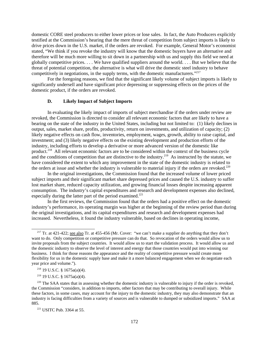domestic CORE steel producers to either lower prices or lose sales. In fact, the Auto Producers explicitly testified at the Commission's hearing that the mere threat of competition from subject imports is likely to drive prices down in the U.S. market, if the orders are revoked. For example, General Motor's economist stated, "We think if you revoke the industry will know that the domestic buyers have an alternative and therefore will be much more willing to sit down in a partnership with us and supply this field we need at globally competitive prices. . . . We have qualified suppliers around the world. . . . But we believe that the threat of potential competition, the alternative is what will drive the domestic steel industry to behave competitively in negotiations, in the supply terms, with the domestic manufacturers."<sup>217</sup>

For the foregoing reasons, we find that the significant likely volume of subject imports is likely to significantly undersell and have significant price depressing or suppressing effects on the prices of the domestic product, if the orders are revoked.

## **D. Likely Impact of Subject Imports**

In evaluating the likely impact of imports of subject merchandise if the orders under review are revoked, the Commission is directed to consider all relevant economic factors that are likely to have a bearing on the state of the industry in the United States, including but not limited to: (1) likely declines in output, sales, market share, profits, productivity, return on investments, and utilization of capacity; (2) likely negative effects on cash flow, inventories, employment, wages, growth, ability to raise capital, and investment; and (3) likely negative effects on the existing development and production efforts of the industry, including efforts to develop a derivative or more advanced version of the domestic like product.<sup>218</sup> All relevant economic factors are to be considered within the context of the business cycle and the conditions of competition that are distinctive to the industry.<sup>219</sup> As instructed by the statute, we have considered the extent to which any improvement in the state of the domestic industry is related to the orders at issue and whether the industry is vulnerable to material injury if the orders are revoked. $220$ 

In the original investigations, the Commission found that the increased volume of lower priced subject imports and their significant market share depressed prices and caused the U.S. industry to suffer lost market share, reduced capacity utilization, and growing financial losses despite increasing apparent consumption. The industry's capital expenditures and research and development expenses also declined, especially during the latter part of the period examined.<sup>221</sup>

In the first reviews, the Commission found that the orders had a positive effect on the domestic industry's performance, its operating margin was higher at the beginning of the review period than during the original investigations, and its capital expenditures and research and development expenses had increased. Nevertheless, it found the industry vulnerable, based on declines in operating income,

 $219$  19 U.S.C. § 1675a(a)(4).

<sup>&</sup>lt;sup>217</sup> Tr. at 421-422; see also Tr. at 455-456 (Mr. Cover: "we can't make a supplier do anything that they don't want to do. Only competition or competitive pressure can do that. So revocation of the orders would allow us to invite proposals from the subject countries. It would allow us to start the validation process. It would allow us and the domestic industry to observe the level of interest and energy that those countries would put into winning our business. I think for those reasons the appearance and the reality of competitive pressure would create more flexibility for us in the domestic supply base and make it a more balanced engagement when we do negotiate each year price and volume.").

 <sup>218 19</sup> U.S.C. § 1675a(a)(4).

 $220$  The SAA states that in assessing whether the domestic industry is vulnerable to injury if the order is revoked, the Commission "considers, in addition to imports, other factors that may be contributing to overall injury. While these factors, in some cases, may account for the injury to the domestic industry, they may also demonstrate that an industry is facing difficulties from a variety of sources and is vulnerable to dumped or subsidized imports." SAA at 885.

 <sup>221</sup> USITC Pub. 3364 at 55.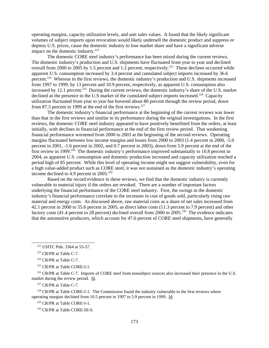operating margins, capacity utilization levels, and unit sales values. It found that the likely significant volumes of subject imports upon revocation would likely undersell the domestic product and suppress or depress U.S. prices, cause the domestic industry to lose market share and have a significant adverse impact on the domestic industry. $222$ 

The domestic CORE steel industry's performance has been mixed during the current reviews. The domestic industry's production and U.S. shipments have fluctuated from year to year and declined overall from 2000 to 2005 by 1.5 percent and 1.2 percent, respectively.<sup>223</sup> These declines occurred while apparent U.S. consumption increased by 3.4 percent and cumulated subject imports increased by 36.6 percent.224 Whereas in the first reviews, the domestic industry's production and U.S. shipments increased from 1997 to 1999, by 13 percent and 10.9 percent, respectively, as apparent U.S. consumption also increased by 12.1 percent.<sup>225</sup> During the current reviews, the domestic industry's share of the U.S. market declined as the presence in the U.S market of the cumulated subject imports increased.<sup>226</sup> Capacity utilization fluctuated from year to year but hovered about 80 percent through the review period, down from 87.3 percent in 1999 at the end of the first reviews.<sup>227</sup>

The domestic industry's financial performance at the beginning of the current reviews was lower than that in the first reviews and similar to its performance during the original investigations. In the first reviews, the domestic CORE steel industry appeared to have positively benefitted from the orders, at least initially, with declines in financial performance at the end of the first review period. That weakening financial performance worsened from 2000 to 2003 at the beginning of the second reviews. Operating margins fluctuated between low income margins and losses from 2000 to 2003 (1.4 percent in 2000, -5.0 percent in 2001, -1.6 percent in 2002, and 0.7 percent in 2003), down from 5.9 percent at the end of the first review in 1999.<sup>228</sup> The domestic industry's performance improved substantially to 10.8 percent in 2004, as apparent U.S. consumption and domestic production increased and capacity utilization reached a period high of 85 percent. While this level of operating income might not suggest vulnerability, even for a high value-added product such as CORE steel, it was not sustained as the domestic industry's operating income declined to  $4.9$  percent in 2005.<sup>229</sup>

Based on the record evidence in these reviews, we find that the domestic industry is currently vulnerable to material injury if the orders are revoked. There are a number of important factors underlying the financial performance of the CORE steel industry. First, the swings in the domestic industry's financial performance correlate to the increases in cost of goods sold, particularly rising raw material and energy costs. As discussed above, raw material costs as a share of net sales increased from 42.1 percent in 2000 to 55.6 percent in 2005, as direct labor costs (11.3 percent to 7.9 percent) and other factory costs (41.4 percent to 28 percent) declined overall from 2000 to 2005.230 The evidence indicates that the automotive producers, which account for 47.6 percent of CORE steel shipments, have generally

<sup>226</sup> CR/PR at Table C-7. Imports of CORE steel from nonsubject sources also increased their presence in the U.S. market during the review period. Id.

<sup>227</sup> CR/PR at Table C-7.

 $228$  CR/PR at Table CORE-I-1. The Commission found the industry vulnerable in the first reviews where operating margins declined from 10.5 percent in 1997 to 5.9 percent in 1999. Id.

229 CR/PR at Table CORE-I-1.

230 CR/PR at Table CORE-III-9.

 <sup>222</sup> USITC Pub. 3364 at 55-57.

 <sup>223</sup> CR/PR at Table C-7.

 $224$  CR/PR at Table C-7.

 <sup>225</sup> CR/PR at Table CORE-I-1.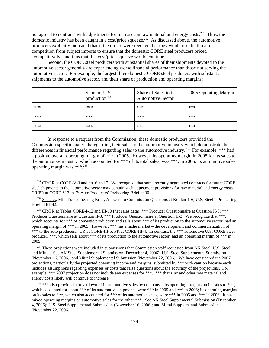not agreed to contracts with adjustments for increases in raw material and energy costs.<sup>231</sup> Thus, the domestic industry has been caught in a cost/price squeeze.<sup>232</sup> As discussed above, the automotive producers explicitly indicated that if the orders were revoked that they would use the threat of competition from subject imports to ensure that the domestic CORE steel producers priced "competitively" and thus that this cost/price squeeze would continue.

Second, the CORE steel producers with substantial shares of their shipments devoted to the automotive sector generally are experiencing worse financial performance than those not serving the automotive sector. For example, the largest three domestic CORE steel producers with substantial shipments to the automotive sector, and their share of production and operating margins:

|       | Share of U.S.<br>production <sup>233</sup> | Share of Sales to the<br><b>Automotive Sector</b> | 2005 Operating Margin |
|-------|--------------------------------------------|---------------------------------------------------|-----------------------|
| ***   | $***$                                      | ***                                               | $***$                 |
| ***   | $***$                                      | $***$                                             | $***$                 |
| $***$ | $***$                                      | $***$                                             | $***$                 |

In response to a request from the Commission, these domestic producers provided the Commission specific materials regarding their sales to the automotive industry which demonstrate the differences in financial performance regarding sales to the automotive industry.<sup>234</sup> For example, \*\*\* had a positive overall operating margin of \*\*\* in 2005. However, its operating margin in 2005 for its sales to the automotive industry, which accounted for \*\*\* of its total sales, was \*\*\*; in 2006, its automotive sales operating margin was \*\*\*.235

<sup>233</sup> CR/PR at Tables CORE-I-12 and III-10 (net sales data); \*\*\* Producer Questionnaire at Question II-3; \*\*\* Producer Questionnaire at Question II-3; \*\*\* Producer Questionnaire at Question II-3. We recognize that \*\*\*, which accounts for \*\*\* of domestic production and sells about \*\*\* of its production to the automotive sector, had an operating margin of \*\*\* in 2005. However, \*\*\* has a niche market – the development and commercialization of \*\*\* to the auto producers. CR at CORE-III-5; PR at CORE-III-4. In contrast, the \*\*\* automotive U.S. CORE steel producer, \*\*\*, which sells about \*\*\* of its production to the automotive sector, had an operating margin of \*\*\* in 2005.

<sup>234</sup> These projections were included in submissions that Commission staff requested from AK Steel, U.S. Steel, and Mittal. See AK Steel Supplemental Submission (December 4, 2006); U.S. Steel Supplemental Submission (November 16, 2006); and Mittal Supplemental Submission (November 22, 2006). We have considered the 2007 projections, particularly the projected operating income and margins, submitted by \*\*\* with caution because each includes assumptions regarding expenses or costs that raise questions about the accuracy of the projections. For example, \*\*\* 2007 projection does not include any expenses for \*\*\*. \*\*\* that zinc and other raw material and energy costs likely will continue to increase.

 $235$  \*\*\* also provided a breakdown of its automotive sales by company – its operating margins on its sales to \*\*\*, which accounted for about \*\*\* of its automotive shipments, were \*\*\* in 2005 and \*\*\* in 2006; its operating margins on its sales to \*\*\*, which also accounted for \*\*\* of its automotive sales, were \*\*\* in 2005 and \*\*\* in 2006. It has mixed operating margins on automotive sales for the other \*\*\*. See AK Steel Supplemental Submission (December 4, 2006); U.S. Steel Supplemental Submission (November 16, 2006); and Mittal Supplemental Submission (November 22, 2006).

<sup>&</sup>lt;sup>231</sup> CR/PR at CORE-V-3 and nn. 6 and 7. We recognize that some recently negotiated contracts for future CORE steel shipments to the automotive sector may contain such adjustment provisions for raw material and energy costs. CR/PR at CORE-V-3, n. 7; Auto Producers' Prehearing Brief at 30

<sup>&</sup>lt;sup>232</sup> See e.g., Mittal's Posthearing Brief, Answers to Commission Questions at Koplan-1-6; U.S. Steel's Prehearing Brief at 81-82.